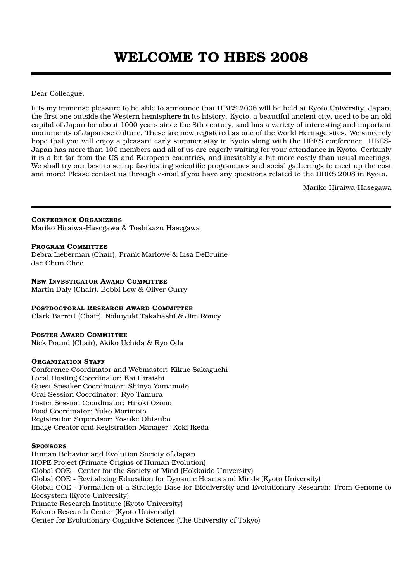Dear Colleague,

It is my immense pleasure to be able to announce that HBES 2008 will be held at Kyoto University, Japan, the first one outside the Western hemisphere in its history. Kyoto, a beautiful ancient city, used to be an old capital of Japan for about 1000 years since the 8th century, and has a variety of interesting and important monuments of Japanese culture. These are now registered as one of the World Heritage sites. We sincerely hope that you will enjoy a pleasant early summer stay in Kyoto along with the HBES conference. HBES-Japan has more than 100 members and all of us are eagerly waiting for your attendance in Kyoto. Certainly it is a bit far from the US and European countries, and inevitably a bit more costly than usual meetings. We shall try our best to set up fascinating scientific programmes and social gatherings to meet up the cost and more! Please contact us through e-mail if you have any questions related to the HBES 2008 in Kyoto.

Mariko Hiraiwa-Hasegawa

**CONFERENCE ORGANIZERS**

Mariko Hiraiwa-Hasegawa & Toshikazu Hasegawa

#### **PROGRAM COMMITTEE**

Debra Lieberman (Chair), Frank Marlowe & Lisa DeBruine Jae Chun Choe

#### **NEW INVESTIGATOR AWARD COMMITTEE**

Martin Daly (Chair), Bobbi Low & Oliver Curry

#### **POSTDOCTORAL RESEARCH AWARD COMMITTEE**

Clark Barrett (Chair), Nobuyuki Takahashi & Jim Roney

#### **POSTER AWARD COMMITTEE**

Nick Pound (Chair), Akiko Uchida & Ryo Oda

#### **ORGANIZATION STAFF**

Conference Coordinator and Webmaster: Kikue Sakaguchi Local Hosting Coordinator: Kai Hiraishi Guest Speaker Coordinator: Shinya Yamamoto Oral Session Coordinator: Ryo Tamura Poster Session Coordinator: Hiroki Ozono Food Coordinator: Yuko Morimoto Registration Supervisor: Yosuke Ohtsubo Image Creator and Registration Manager: Koki Ikeda

#### **SPONSORS**

Human Behavior and Evolution Society of Japan HOPE Project (Primate Origins of Human Evolution) Global COE - Center for the Society of Mind (Hokkaido University) Global COE - Revitalizing Education for Dynamic Hearts and Minds (Kyoto University) Global COE - Formation of a Strategic Base for Biodiversity and Evolutionary Research: From Genome to Ecosystem (Kyoto University) Primate Research Institute (Kyoto University) Kokoro Research Center (Kyoto University) Center for Evolutionary Cognitive Sciences (The University of Tokyo)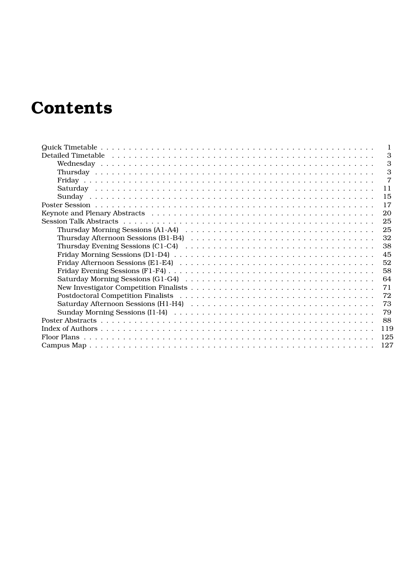# **Contents**

| 3                                                                                                                             |
|-------------------------------------------------------------------------------------------------------------------------------|
| 3                                                                                                                             |
| 3                                                                                                                             |
| $\overline{7}$                                                                                                                |
| 11                                                                                                                            |
| 15                                                                                                                            |
| 17                                                                                                                            |
| 20                                                                                                                            |
| 25                                                                                                                            |
| 25                                                                                                                            |
| Thursday Afternoon Sessions (B1-B4) $\ldots \ldots \ldots \ldots \ldots \ldots \ldots \ldots \ldots \ldots \ldots$<br>32      |
| 38<br>Thursday Evening Sessions (C1-C4) $\ldots \ldots \ldots \ldots \ldots \ldots \ldots \ldots \ldots \ldots \ldots \ldots$ |
| 45                                                                                                                            |
| 52                                                                                                                            |
| 58                                                                                                                            |
| 64                                                                                                                            |
| 71                                                                                                                            |
| 72                                                                                                                            |
| 73                                                                                                                            |
| 79                                                                                                                            |
| 88                                                                                                                            |
| 119                                                                                                                           |
| 125                                                                                                                           |
| 127                                                                                                                           |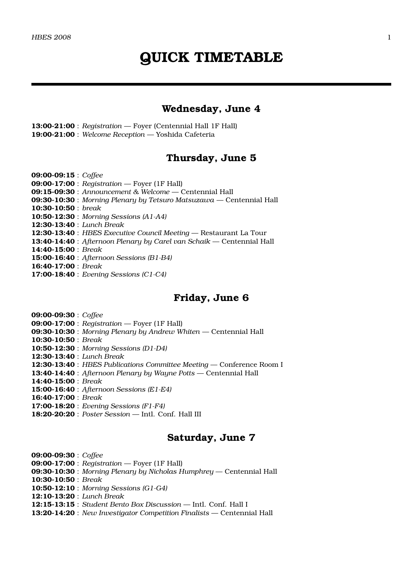### **Wednesday, June 4**

**13:00-21:00** : *Registration* — Foyer (Centennial Hall 1F Hall) **19:00-21:00** : *Welcome Reception* — Yoshida Cafeteria

## **Thursday, June 5**

**09:00-09:15** : *Coffee* **09:00-17:00** : *Registration* — Foyer (1F Hall) **09:15-09:30** : *Announcement & Welcome* — Centennial Hall **09:30-10:30** : *Morning Plenary by Tetsuro Matsuzawa* — Centennial Hall **10:30-10:50** : *break* **10:50-12:30** : *Morning Sessions (A1-A4)* **12:30-13:40** : *Lunch Break* **12:30-13:40** : *HBES Executive Council Meeting* — Restaurant La Tour **13:40-14:40** : *Afternoon Plenary by Carel van Schaik* — Centennial Hall **14:40-15:00** : *Break* **15:00-16:40** : *Afternoon Sessions (B1-B4)* **16:40-17:00** : *Break* **17:00-18:40** : *Evening Sessions (C1-C4)*

## **Friday, June 6**

**09:00-09:30** : *Coffee* **09:00-17:00** : *Registration* — Foyer (1F Hall) **09:30-10:30** : *Morning Plenary by Andrew Whiten* — Centennial Hall **10:30-10:50** : *Break* **10:50-12:30** : *Morning Sessions (D1-D4)* **12:30-13:40** : *Lunch Break* **12:30-13:40** : *HBES Publications Committee Meeting* — Conference Room I **13:40-14:40** : *Afternoon Plenary by Wayne Potts* — Centennial Hall **14:40-15:00** : *Break* **15:00-16:40** : *Afternoon Sessions (E1-E4)* **16:40-17:00** : *Break* **17:00-18:20** : *Evening Sessions (F1-F4)* **18:20-20:20** : *Poster Session* — Intl. Conf. Hall III

## **Saturday, June 7**

**09:00-09:30** : *Coffee* **09:00-17:00** : *Registration* — Foyer (1F Hall) **09:30-10:30** : *Morning Plenary by Nicholas Humphrey* — Centennial Hall **10:30-10:50** : *Break* **10:50-12:10** : *Morning Sessions (G1-G4)* **12:10-13:20** : *Lunch Break* **12:15-13:15** : *Student Bento Box Discussion* — Intl. Conf. Hall I **13:20-14:20** : *New Investigator Competition Finalists* — Centennial Hall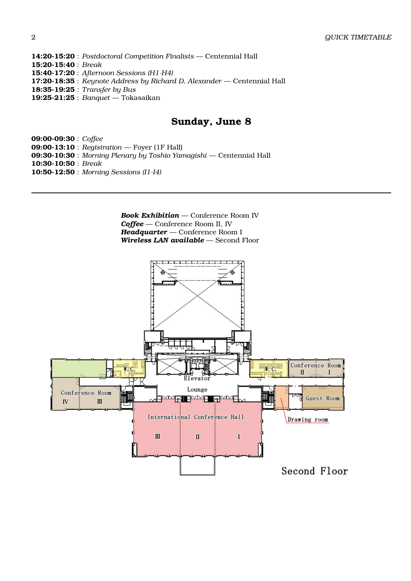**14:20-15:20** : *Postdoctoral Competition Finalists* — Centennial Hall **15:20-15:40** : *Break* **15:40-17:20** : *Afternoon Sessions (H1-H4)* **17:20-18:35** : *Keynote Address by Richard D. Alexander* — Centennial Hall **18:35-19:25** : *Transfer by Bus* **19:25-21:25** : *Banquet* — Tokasaikan

## **Sunday, June 8**

**09:00-09:30** : *Coffee* **09:00-13:10** : *Registration* — Foyer (1F Hall) **09:30-10:30** : *Morning Plenary by Toshio Yamagishi* — Centennial Hall **10:30-10:50** : *Break* **10:50-12:50** : *Morning Sessions (I1-I4)*

> *Book Exhibition* — Conference Room IV *Coffee* — Conference Room II, IV *Headquarter* — Conference Room I *Wireless LAN available* — Second Floor

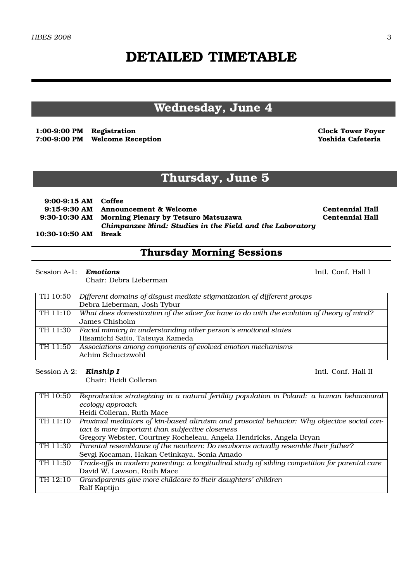# **DETAILED TIMETABLE**

# **Wednesday, June 4**

**1:00-9:00 PM Registration Clock Tower Foyer 7:00-9:00 PM Welcome Reception Yoshida Cafeteria**

# **Thursday, June 5**

| $9:00-9:15$ AM Coffee |                                                                                                                |                        |
|-----------------------|----------------------------------------------------------------------------------------------------------------|------------------------|
|                       | 9:15-9:30 AM Announcement & Welcome                                                                            | <b>Centennial Hall</b> |
|                       | 9:30-10:30 AM Morning Plenary by Tetsuro Matsuzawa<br>Chimpanzee Mind: Studies in the Field and the Laboratory | <b>Centennial Hall</b> |
| 10:30-10:50 AM        | <b>Break</b>                                                                                                   |                        |

# **Thursday Morning Sessions**

#### Session A-1: **Emotions** Intl. Conf. Hall I

Chair: Debra Lieberman

| $\overline{TH}$ 10:50 $\overline{1}$ | Different domains of disgust mediate stigmatization of different groups                               |
|--------------------------------------|-------------------------------------------------------------------------------------------------------|
|                                      | Debra Lieberman, Josh Tybur                                                                           |
|                                      | TH 11:10   What does domestication of the silver fox have to do with the evolution of theory of mind? |
|                                      | James Chisholm                                                                                        |
|                                      | TH 11:30   Facial mimicry in understanding other person's emotional states                            |
|                                      | Hisamichi Saito, Tatsuya Kameda                                                                       |
| TH 11:50                             | Associations among components of evolved emotion mechanisms                                           |
|                                      | Achim Schuetzwohl                                                                                     |

Session A-2: **Kinship I** Intl. Conf. Hall II

Chair: Heidi Colleran

| TH 10:50 | Reproductive strategizing in a natural fertility population in Poland: a human behavioural    |
|----------|-----------------------------------------------------------------------------------------------|
|          | ecology approach                                                                              |
|          | Heidi Colleran, Ruth Mace                                                                     |
| TH 11:10 | Proximal mediators of kin-based altruism and prosocial behavior: Why objective social con-    |
|          | tact is more important than subjective closeness                                              |
|          | Gregory Webster, Courtney Rocheleau, Angela Hendricks, Angela Bryan                           |
| TH 11:30 | Parental resemblance of the newborn: Do newborns actually resemble their father?              |
|          | Sevgi Kocaman, Hakan Cetinkaya, Sonia Amado                                                   |
| TH 11:50 | Trade-offs in modern parenting: a longitudinal study of sibling competition for parental care |
|          | David W. Lawson, Ruth Mace                                                                    |
| TH 12:10 | Grandparents give more childcare to their daughters' children                                 |
|          | Ralf Kaptijn                                                                                  |
|          |                                                                                               |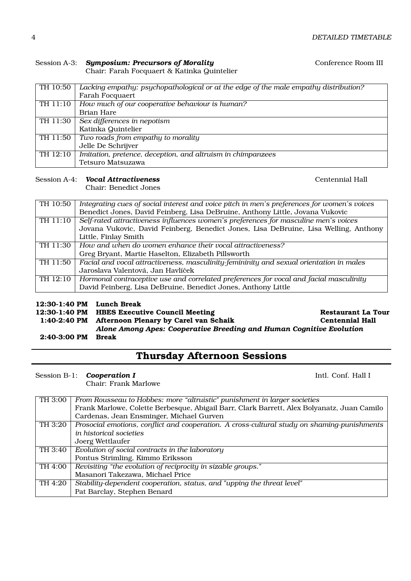## Session A-3: **Symposium: Precursors of Morality Conference Room III**

Chair: Farah Focquaert & Katinka Quintelier

| TH 10:50 | Lacking empathy: psychopathological or at the edge of the male empathy distribution? |
|----------|--------------------------------------------------------------------------------------|
|          | Farah Focquaert                                                                      |
| TH 11:10 | How much of our cooperative behaviour is human?                                      |
|          | Brian Hare                                                                           |
| TH 11:30 | Sex differences in nepotism                                                          |
|          | Katinka Quintelier                                                                   |
| TH 11:50 | Two roads from empathy to morality                                                   |
|          | Jelle De Schrijver                                                                   |
| TH 12:10 | Imitation, pretence, deception, and altruism in chimpanzees                          |
|          | Tetsuro Matsuzawa                                                                    |

#### Session A-4: *Vocal Attractiveness* Centennial Hall

Chair: Benedict Jones

| TH 10:50 | Integrating cues of social interest and voice pitch in men's preferences for women's voices |
|----------|---------------------------------------------------------------------------------------------|
|          | Benedict Jones, David Feinberg, Lisa DeBruine, Anthony Little, Jovana Vukovic               |
| TH 11:10 | Self-rated attractiveness influences women's preferences for masculine men's voices         |
|          | Jovana Vukovic, David Feinberg, Benedict Jones, Lisa DeBruine, Lisa Welling, Anthony        |
|          | Little, Finlay Smith                                                                        |
| TH 11:30 | How and when do women enhance their vocal attractiveness?                                   |
|          | Greg Bryant, Martie Haselton, Elizabeth Pillsworth                                          |
| TH 11:50 | Facial and vocal attractiveness, masculinity-femininity and sexual orientation in males     |
|          | Jaroslava Valentová, Jan Havlíček                                                           |
| TH 12:10 | Hormonal contraceptive use and correlated preferences for vocal and facial masculinity      |
|          | David Feinberg, Lisa DeBruine, Benedict Jones, Anthony Little                               |

#### **12:30-1:40 PM Lunch Break**

**12:30-1:40 PM HBES Executive Council Meeting The Security Restaurant La Tour Restaurant La Tour** 1:40-2:40 PM Afternoon Plenary by Carel van Schaik **Centennial Hall** 1:40-2:40 PM Afternoon Plenary by Carel van Schaik

*Alone Among Apes: Cooperative Breeding and Human Cognitive Evolution*

**2:40-3:00 PM Break**

# **Thursday Afternoon Sessions**

Session B-1: **Cooperation I** Intl. Conf. Hall I

Chair: Frank Marlowe

| TH 3:00 | From Rousseau to Hobbes: more "altruistic" punishment in larger societies                   |
|---------|---------------------------------------------------------------------------------------------|
|         | Frank Marlowe, Colette Berbesque, Abigail Barr, Clark Barrett, Alex Bolyanatz, Juan Camilo  |
|         | Cardenas, Jean Ensminger, Michael Gurven                                                    |
| TH 3:20 | Prosocial emotions, conflict and cooperation. A cross-cultural study on shaming-punishments |
|         | in historical societies                                                                     |
|         | Joerg Wettlaufer                                                                            |
| TH 3:40 | Evolution of social contracts in the laboratory                                             |
|         | Pontus Strimling, Kimmo Eriksson                                                            |
| TH 4:00 | Revisiting "the evolution of reciprocity in sizable groups."                                |
|         | Masanori Takezawa, Michael Price                                                            |
| TH 4:20 | Stability-dependent cooperation, status, and "upping the threat level"                      |
|         | Pat Barclay, Stephen Benard                                                                 |
|         |                                                                                             |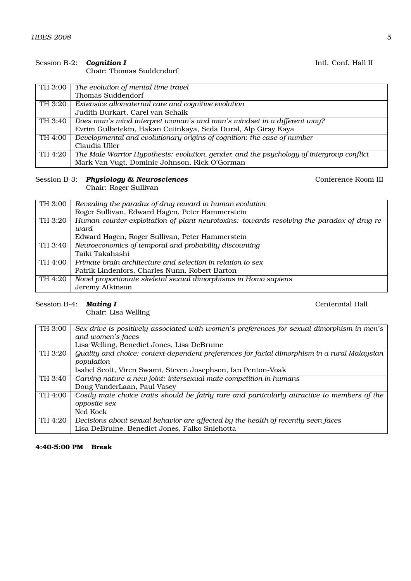### Session B-2: **Cognition I Intl. Conf. Hall II**

Chair: Thomas Suddendorf

| TH 3:00 | The evolution of mental time travel                                                       |
|---------|-------------------------------------------------------------------------------------------|
|         | Thomas Suddendorf                                                                         |
| TH 3:20 | Extensive allomaternal care and cognitive evolution                                       |
|         | Judith Burkart, Carel van Schaik                                                          |
| TH 3:40 | Does man's mind interpret woman's and man's mindset in a different way?                   |
|         | Evrim Gulbetekin, Hakan Cetinkaya, Seda Dural, Alp Giray Kaya                             |
| TH 4:00 | Developmental and evolutionary origins of cognition: the case of number                   |
|         | Claudia Uller                                                                             |
| TH 4:20 | The Male Warrior Hypothesis: evolution, gender, and the psychology of intergroup conflict |
|         | Mark Van Vugt, Dominic Johnson, Rick O'Gorman                                             |

## Session B-3: *Physiology & Neurosciences* Conference Room III

Chair: Roger Sullivan

| TH 3:00              | Revealing the paradox of drug reward in human evolution                                    |
|----------------------|--------------------------------------------------------------------------------------------|
|                      | Roger Sullivan, Edward Hagen, Peter Hammerstein                                            |
| $\overline{TH}3:20$  | Human counter-exploitation of plant neurotoxins: towards resolving the paradox of drug re- |
|                      | ward                                                                                       |
|                      | Edward Hagen, Roger Sullivan, Peter Hammerstein                                            |
| $\overline{TH}$ 3:40 | Neuroeconomics of temporal and probability discounting                                     |
|                      | Taiki Takahashi                                                                            |
| TH 4:00              | Primate brain architecture and selection in relation to sex                                |
|                      | Patrik Lindenfors, Charles Nunn, Robert Barton                                             |
| TH 4:20              | Novel proportionate skeletal sexual dimorphisms in Homo sapiens                            |
|                      | Jeremy Atkinson                                                                            |

#### Session B-4: *Mating I* Centennial Hall

Chair: Lisa Welling

| TH 3:00 | Sex drive is positively associated with women's preferences for sexual dimorphism in men's    |
|---------|-----------------------------------------------------------------------------------------------|
|         | and women's faces                                                                             |
|         | Lisa Welling, Benedict Jones, Lisa DeBruine                                                   |
| TH 3:20 | Quality and choice: context-dependent preferences for facial dimorphism in a rural Malaysian  |
|         | population                                                                                    |
|         | Isabel Scott, Viren Swami, Steven Josephson, Ian Penton-Voak                                  |
| TH 3:40 | Carving nature a new joint: intersexual mate competition in humans                            |
|         | Doug VanderLaan, Paul Vasey                                                                   |
| TH 4:00 | Costly mate choice traits should be fairly rare and particularly attractive to members of the |
|         | opposite sex                                                                                  |
|         | Ned Kock                                                                                      |
| TH 4:20 | Decisions about sexual behavior are affected by the health of recently seen faces             |
|         | Lisa DeBruine, Benedict Jones, Falko Sniehotta                                                |

**4:40-5:00 PM Break**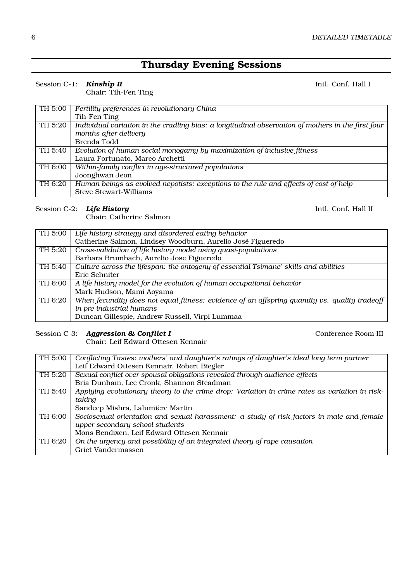# **Thursday Evening Sessions**

#### Session C-1: **Kinship II** Intl. Conf. Hall I

Chair: Tih-Fen Ting

| TH 5:00 | Fertility preferences in revolutionary China                                                       |
|---------|----------------------------------------------------------------------------------------------------|
|         | Tih-Fen Ting                                                                                       |
| TH 5:20 | Individual variation in the cradling bias: a longitudinal observation of mothers in the first four |
|         | months after delivery                                                                              |
|         | Brenda Todd                                                                                        |
| TH 5:40 | Evolution of human social monogamy by maximization of inclusive fitness                            |
|         | Laura Fortunato, Marco Archetti                                                                    |
| TH 6:00 | Within-family conflict in age-structured populations                                               |
|         | Joonghwan Jeon                                                                                     |
| TH 6:20 | Human beings as evolved nepotists: exceptions to the rule and effects of cost of help              |
|         | <b>Steve Stewart-Williams</b>                                                                      |

#### Session C-2: **Life History Intl. Conf. Hall II**

Chair: Catherine Salmon

| TH 5:00 | Life history strategy and disordered eating behavior                                          |
|---------|-----------------------------------------------------------------------------------------------|
|         | Catherine Salmon, Lindsey Woodburn, Aurelio José Figueredo                                    |
| TH 5:20 | Cross-validation of life history model using quasi-populations                                |
|         | Barbara Brumbach, Aurelio Jose Figueredo                                                      |
| TH 5:40 | Culture across the lifespan: the ontogeny of essential Tsimane' skills and abilities          |
|         | Eric Schniter                                                                                 |
| TH 6:00 | A life history model for the evolution of human occupational behavior                         |
|         | Mark Hudson, Mami Aoyama                                                                      |
| TH 6:20 | When fecundity does not equal fitness: evidence of an offspring quantity vs. quality tradeoff |
|         | in pre-industrial humans                                                                      |
|         | Duncan Gillespie, Andrew Russell, Virpi Lummaa                                                |

Session C-3: *Aggression & Conflict I* Conference Room III

Chair: Leif Edward Ottesen Kennair

| TH 5:00              | Conflicting Tastes: mothers' and daughter's ratings of daughter's ideal long term partner      |
|----------------------|------------------------------------------------------------------------------------------------|
|                      | Leif Edward Ottesen Kennair, Robert Biegler                                                    |
| TH 5:20              | Sexual conflict over spousal obligations revealed through audience effects                     |
|                      | Bria Dunham, Lee Cronk, Shannon Steadman                                                       |
| $\overline{TH}$ 5:40 | Applying evolutionary theory to the crime drop: Variation in crime rates as variation in risk- |
|                      | taking                                                                                         |
|                      | Sandeep Mishra, Lalumière Martin                                                               |
| $\overline{TH}$ 6:00 | Sociosexual orientation and sexual harassment: a study of risk factors in male and female      |
|                      | upper secondary school students                                                                |
|                      | Mons Bendixen, Leif Edward Ottesen Kennair                                                     |
| TH 6:20              | On the urgency and possibility of an integrated theory of rape causation                       |
|                      | Griet Vandermassen                                                                             |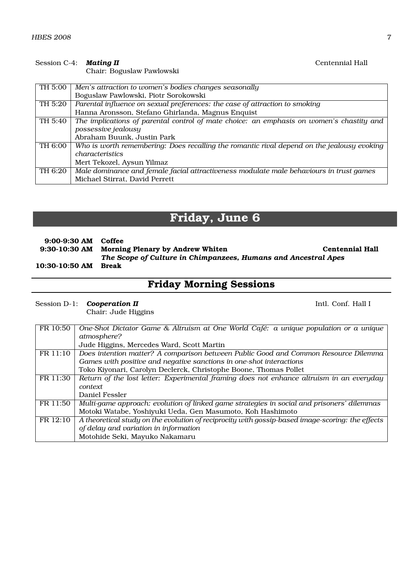#### Session C-4: **Mating II** Centennial Hall

Chair: Boguslaw Pawlowski

| TH 5:00 | Men's attraction to women's bodies changes seasonally                                      |
|---------|--------------------------------------------------------------------------------------------|
|         | Boguslaw Pawlowski, Piotr Sorokowski                                                       |
| TH 5:20 | Parental influence on sexual preferences: the case of attraction to smoking                |
|         | Hanna Aronsson, Stefano Ghirlanda, Magnus Enquist                                          |
| TH 5:40 | The implications of parental control of mate choice: an emphasis on women's chastity and   |
|         | possessive jealousy                                                                        |
|         | Abraham Buunk, Justin Park                                                                 |
| TH 6:00 | Who is worth remembering: Does recalling the romantic rival depend on the jealousy evoking |
|         | characteristics                                                                            |
|         | Mert Tekozel, Aysun Yilmaz                                                                 |
| TH 6:20 | Male dominance and female facial attractiveness modulate male behaviours in trust games    |
|         | Michael Stirrat, David Perrett                                                             |

# **Friday, June 6**

| 9:00-9:30 AM Coffee |                                                                |                        |
|---------------------|----------------------------------------------------------------|------------------------|
|                     | 9:30-10:30 AM Morning Plenary by Andrew Whiten                 | <b>Centennial Hall</b> |
|                     | The Scope of Culture in Chimpanzees, Humans and Ancestral Apes |                        |
| 10:30-10:50 AM      | Break                                                          |                        |

# **Friday Morning Sessions**

### Session D-1: **Cooperation II Intl. Conf. Hall I**

Chair: Jude Higgins

| FR 10:50 | One-Shot Dictator Game & Altruism at One World Café: a unique population or a unique             |
|----------|--------------------------------------------------------------------------------------------------|
|          | atmosphere?                                                                                      |
|          | Jude Higgins, Mercedes Ward, Scott Martin                                                        |
| FR 11:10 | Does intention matter? A comparison between Public Good and Common Resource Dilemma              |
|          | Games with positive and negative sanctions in one-shot interactions                              |
|          | Toko Kiyonari, Carolyn Declerck, Christophe Boone, Thomas Pollet                                 |
| FR 11:30 | Return of the lost letter: Experimental framing does not enhance altruism in an everyday         |
|          | <i>context</i>                                                                                   |
|          | Daniel Fessler                                                                                   |
| FR 11:50 | Multi-game approach: evolution of linked game strategies in social and prisoners' dilemmas       |
|          | Motoki Watabe, Yoshiyuki Ueda, Gen Masumoto, Koh Hashimoto                                       |
| FR 12:10 | A theoretical study on the evolution of reciprocity with gossip-based image-scoring: the effects |
|          | of delay and variation in information                                                            |
|          | Motohide Seki, Mayuko Nakamaru                                                                   |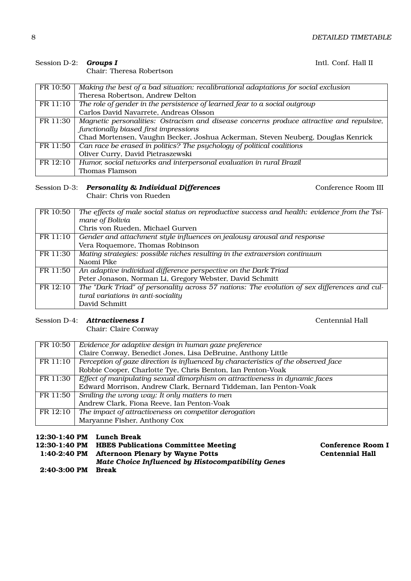#### Session D-2: *Groups I* Intl. Conf. Hall II

Chair: Theresa Robertson

| FR 10:50 | Making the best of a bad situation: recalibrational adaptations for social exclusion     |
|----------|------------------------------------------------------------------------------------------|
|          | Theresa Robertson, Andrew Delton                                                         |
| FR 11:10 | The role of gender in the persistence of learned fear to a social outgroup               |
|          | Carlos David Navarrete, Andreas Olsson                                                   |
| FR 11:30 | Magnetic personalities: Ostracism and disease concerns produce attractive and repulsive, |
|          | functionally biased first impressions                                                    |
|          | Chad Mortensen, Vaughn Becker, Joshua Ackerman, Steven Neuberg, Douglas Kenrick          |
| FR 11:50 | Can race be erased in politics? The psychology of political coalitions                   |
|          | Oliver Curry, David Pietraszewski                                                        |
| FR 12:10 | Humor, social networks and interpersonal evaluation in rural Brazil                      |
|          | Thomas Flamson                                                                           |

#### Session D-3: **Personality & Individual Differences** Conference Room III Chair: Chris von Rueden

| FR 10:50 | The effects of male social status on reproductive success and health: evidence from the Tsi- |
|----------|----------------------------------------------------------------------------------------------|
|          | mane of Bolivia                                                                              |
|          | Chris von Rueden, Michael Gurven                                                             |
| FR 11:10 | Gender and attachment style influences on jealousy arousal and response                      |
|          | Vera Roquemore, Thomas Robinson                                                              |
| FR 11:30 | Mating strategies: possible niches resulting in the extraversion continuum                   |
|          | Naomi Pike                                                                                   |
| FR 11:50 | An adaptive individual difference perspective on the Dark Triad                              |
|          | Peter Jonason, Norman Li, Gregory Webster, David Schmitt                                     |
| FR 12:10 | The "Dark Triad" of personality across 57 nations: The evolution of sex differences and cul- |
|          | tural variations in anti-sociality                                                           |
|          | David Schmitt                                                                                |

#### Session D-4: **Attractiveness I** Centennial Hall

Chair: Claire Conway

FR 10:50 *Evidence for adaptive design in human gaze preference* Claire Conway, Benedict Jones, Lisa DeBruine, Anthony Little FR 11:10 *Perception of gaze direction is influenced by characteristics of the observed face* Robbie Cooper, Charlotte Tye, Chris Benton, Ian Penton-Voak FR 11:30 *Effect of manipulating sexual dimorphism on attractiveness in dynamic faces* Edward Morrison, Andrew Clark, Bernard Tiddeman, Ian Penton-Voak FR 11:50 *Smiling the wrong way: It only matters to men* Andrew Clark, Fiona Reeve, Ian Penton-Voak FR 12:10 *The impact of attractiveness on competitor derogation* Maryanne Fisher, Anthony Cox

### **12:30-1:40 PM Lunch Break**

|              | 12:30-1:40 PM HBES Publications Committee Meeting  | <b>Conference Room I</b> |
|--------------|----------------------------------------------------|--------------------------|
|              | 1:40-2:40 PM Afternoon Plenary by Wayne Potts      | <b>Centennial Hall</b>   |
|              | Mate Choice Influenced by Histocompatibility Genes |                          |
| 2:40-3:00 PM | Break                                              |                          |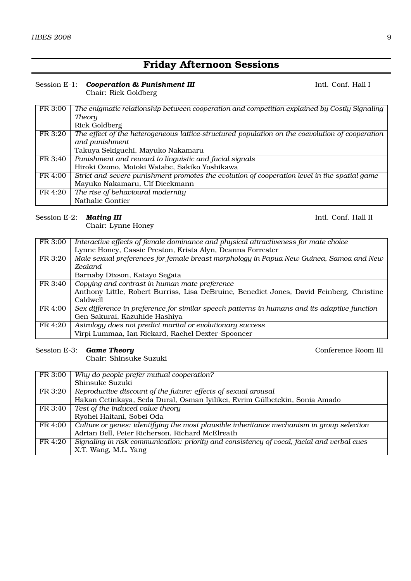# **Friday Afternoon Sessions**

#### Session E-1: **Cooperation & Punishment III Intl. Conf. Hall I** Intl. Conf. Hall I Chair: Rick Goldberg

| FR 3:00 | The enigmatic relationship between cooperation and competition explained by Costly Signaling    |
|---------|-------------------------------------------------------------------------------------------------|
|         | Theory                                                                                          |
|         | Rick Goldberg                                                                                   |
| FR 3:20 | The effect of the heterogeneous lattice-structured population on the coevolution of cooperation |
|         | and punishment                                                                                  |
|         | Takuya Sekiguchi, Mayuko Nakamaru                                                               |
| FR 3:40 | Punishment and reward to linguistic and facial signals                                          |
|         | Hiroki Ozono, Motoki Watabe, Sakiko Yoshikawa                                                   |
| FR 4:00 | Strict-and-severe punishment promotes the evolution of cooperation level in the spatial game    |
|         | Mayuko Nakamaru, Ulf Dieckmann                                                                  |
| FR 4:20 | The rise of behavioural modernity                                                               |
|         | Nathalie Gontier                                                                                |

### Session E-2: **Mating III Intl. Conf. Hall II**

Chair: Lynne Honey

| FR 3:00 | Interactive effects of female dominance and physical attractiveness for mate choice          |
|---------|----------------------------------------------------------------------------------------------|
|         | Lynne Honey, Cassie Preston, Krista Alyn, Deanna Forrester                                   |
| FR 3:20 | Male sexual preferences for female breast morphology in Papua New Guinea, Samoa and New      |
|         | <b>Zealand</b>                                                                               |
|         | Barnaby Dixson, Katayo Segata                                                                |
| FR 3:40 | Copying and contrast in human mate preference                                                |
|         | Anthony Little, Robert Burriss, Lisa DeBruine, Benedict Jones, David Feinberg, Christine     |
|         | Caldwell                                                                                     |
| FR 4:00 | Sex difference in preference for similar speech patterns in humans and its adaptive function |
|         | Gen Sakurai, Kazuhide Hashiya                                                                |
| FR 4:20 | Astrology does not predict marital or evolutionary success                                   |
|         | Virpi Lummaa, Ian Rickard, Rachel Dexter-Spooncer                                            |
|         |                                                                                              |

#### Session E-3: **Game Theory Conference Room III**

Chair: Shinsuke Suzuki

| FR 3:00 | Why do people prefer mutual cooperation?                                                   |
|---------|--------------------------------------------------------------------------------------------|
|         | Shinsuke Suzuki                                                                            |
| FR 3:20 | Reproductive discount of the future: effects of sexual arousal                             |
|         | Hakan Cetinkaya, Seda Dural, Osman Iyilikci, Evrim Gülbetekin, Sonia Amado                 |
| FR 3:40 | Test of the induced value theory                                                           |
|         | Ryohei Haitani, Sobei Oda                                                                  |
| FR 4:00 | Culture or genes: identifying the most plausible inheritance mechanism in group selection  |
|         | Adrian Bell, Peter Richerson, Richard McElreath                                            |
| FR 4:20 | Signaling in risk communication: priority and consistency of vocal, facial and verbal cues |
|         | X.T. Wang, M.L. Yang                                                                       |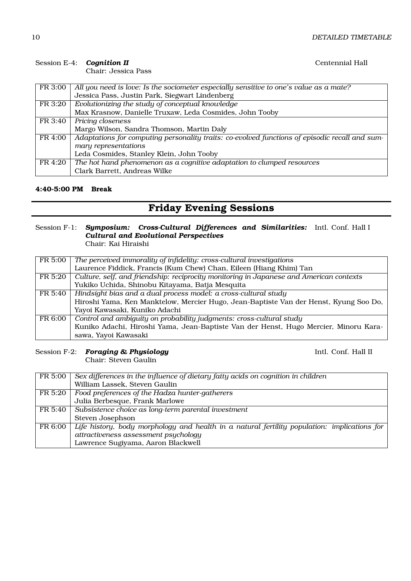### Session E-4: **Cognition II** Centennial Hall

Chair: Jessica Pass

| FR 3:00 | All you need is love: Is the sociometer especially sensitive to one's value as a mate?         |
|---------|------------------------------------------------------------------------------------------------|
|         | Jessica Pass, Justin Park, Siegwart Lindenberg                                                 |
| FR 3:20 | Evolutionizing the study of conceptual knowledge                                               |
|         | Max Krasnow, Danielle Truxaw, Leda Cosmides, John Tooby                                        |
| FR 3:40 | Pricing closeness                                                                              |
|         | Margo Wilson, Sandra Thomson, Martin Daly                                                      |
| FR 4:00 | Adaptations for computing personality traits: co-evolved functions of episodic recall and sum- |
|         | mary representations                                                                           |
|         | Leda Cosmides, Stanley Klein, John Tooby                                                       |
| FR 4:20 | The hot hand phenomenon $\overline{as}$ a cognitive adaptation to clumped resources            |
|         | Clark Barrett, Andreas Wilke                                                                   |

### **4:40-5:00 PM Break**

# **Friday Evening Sessions**

#### Session F-1: *Symposium: Cross-Cultural Differences and Similarities: Cultural and Evolutional Perspectives* Intl. Conf. Hall I

Chair: Kai Hiraishi

| FR 5:00 | The perceived immorality of infidelity: cross-cultural investigations                   |
|---------|-----------------------------------------------------------------------------------------|
|         | Laurence Fiddick, Francis (Kum Chew) Chan, Eileen (Hiang Khim) Tan                      |
| FR 5:20 | Culture, self, and friendship: reciprocity monitoring in Japanese and American contexts |
|         | Yukiko Uchida, Shinobu Kitayama, Batja Mesquita                                         |
| FR 5:40 | Hindsight bias and a dual process model: a cross-cultural study                         |
|         | Hiroshi Yama, Ken Manktelow, Mercier Hugo, Jean-Baptiste Van der Henst, Kyung Soo Do,   |
|         | Yayoi Kawasaki, Kuniko Adachi                                                           |
| FR 6:00 | Control and ambiguity on probability judgments: cross-cultural study                    |
|         | Kuniko Adachi, Hiroshi Yama, Jean-Baptiste Van der Henst, Hugo Mercier, Minoru Kara-    |
|         | sawa, Yayoi Kawasaki                                                                    |

# Session F-2: **Foraging & Physiology Intl. Conf. Hall II**

Chair: Steven Gaulin

| FR 5:00 | Sex differences in the influence of dietary fatty acids on cognition in children             |
|---------|----------------------------------------------------------------------------------------------|
|         | William Lassek, Steven Gaulin                                                                |
| FR 5:20 | Food preferences of the Hadza hunter-gatherers                                               |
|         | Julia Berbesque, Frank Marlowe                                                               |
| FR 5:40 | Subsistence choice as long-term parental investment                                          |
|         | Steven Josephson                                                                             |
| FR 6:00 | Life history, body morphology and health in a natural fertility population: implications for |
|         | attractiveness assessment psychology                                                         |
|         | Lawrence Sugiyama, Aaron Blackwell                                                           |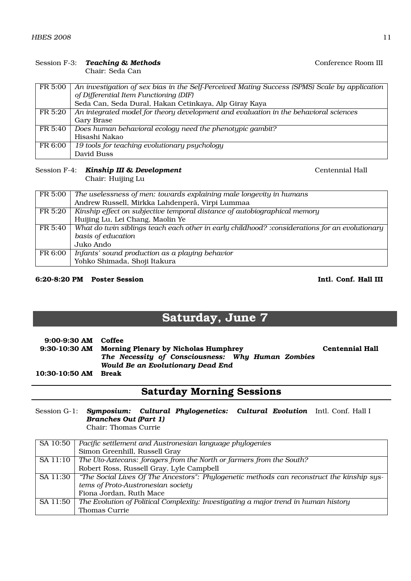#### Session F-3: **Teaching & Methods** Conference Room III

Chair: Seda Can

| FR 5:00 | An investigation of sex bias in the Self-Perceived Mating Success (SPMS) Scale by application |
|---------|-----------------------------------------------------------------------------------------------|
|         | of Differential Item Functioning (DIF)                                                        |
|         | Seda Can, Seda Dural, Hakan Cetinkaya, Alp Giray Kaya                                         |
| FR 5:20 | An integrated model for theory development and evaluation in the behavioral sciences          |
|         | Gary Brase                                                                                    |
| FR 5:40 | Does human behavioral ecology need the phenotypic gambit?                                     |
|         | Hisashi Nakao                                                                                 |
| FR 6:00 | 19 tools for teaching evolutionary psychology                                                 |
|         | David Buss                                                                                    |

#### Session F-4: **Kinship III & Development** Centennial Hall

Chair: Huijing Lu

| FR 5:00 | The uselessness of men: towards explaining male longevity in humans                            |
|---------|------------------------------------------------------------------------------------------------|
|         | Andrew Russell, Mirkka Lahdenperä, Virpi Lummaa                                                |
| FR 5:20 | Kinship effect on subjective temporal distance of autobiographical memory                      |
|         | Huijing Lu, Lei Chang, Maolin Ye                                                               |
| FR 5:40 | What do twin siblings teach each other in early childhood? :considerations for an evolutionary |
|         | basis of education                                                                             |
|         | Juko Ando                                                                                      |
| FR 6:00 | Infants' sound production as a playing behavior                                                |
|         | Yohko Shimada, Shoji Itakura                                                                   |

#### **6:20-8:20 PM Poster Session Intl. Conf. Hall III**

# **Saturday, June 7**

| $9:00-9:30$ AM Coffee |                                                                                        |                        |
|-----------------------|----------------------------------------------------------------------------------------|------------------------|
|                       | 9:30-10:30 AM Morning Plenary by Nicholas Humphrey                                     | <b>Centennial Hall</b> |
|                       | The Necessity of Consciousness: Why Human Zombies<br>Would Be an Evolutionary Dead End |                        |
| 10:30-10:50 AM Break  |                                                                                        |                        |

# **Saturday Morning Sessions**

Session G-1: *Symposium: Cultural Phylogenetics: Cultural Evolution* Intl. Conf. Hall I *Branches Out (Part 1)* Chair: Thomas Currie

| SA 10:50 | Pacific settlement and Austronesian language phylogenies                                   |
|----------|--------------------------------------------------------------------------------------------|
|          | Simon Greenhill, Russell Gray                                                              |
| SA 11:10 | The Uto-Aztecans: foragers from the North or farmers from the South?                       |
|          | Robert Ross, Russell Gray, Lyle Campbell                                                   |
| SA 11:30 | "The Social Lives Of The Ancestors": Phylogenetic methods can reconstruct the kinship sys- |
|          | tems of Proto-Austronesian society                                                         |
|          | Fiona Jordan, Ruth Mace                                                                    |
| SA 11:50 | The Evolution of Political Complexity: Investigating a major trend in human history        |
|          | Thomas Currie                                                                              |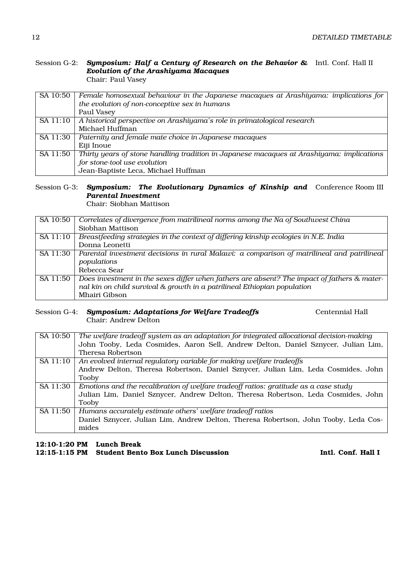#### Session G-2: *Symposium: Half a Century of Research on the Behavior &* Intl. Conf. Hall II *Evolution of the Arashiyama Macaques* Chair: Paul Vasey

| SA 10:50 | Female homosexual behaviour in the Japanese macaques at Arashiyama: implications for      |
|----------|-------------------------------------------------------------------------------------------|
|          | the evolution of non-conceptive sex in humans                                             |
|          | Paul Vasey                                                                                |
| SA 11:10 | A historical perspective on Arashiyama's role in primatological research                  |
|          | Michael Huffman                                                                           |
| SA 11:30 | Paternity and female mate choice in Japanese macaques                                     |
|          | Eiji Inoue                                                                                |
| SA 11:50 | Thirty years of stone handling tradition in Japanese macaques at Arashiyama: implications |
|          | for stone-tool use evolution                                                              |
|          | Jean-Baptiste Leca, Michael Huffman                                                       |

#### Session G-3: *Symposium: The Evolutionary Dynamics of Kinship and* Conference Room III *Parental Investment*

Chair: Siobhan Mattison

| SA 10:50 | Correlates of divergence from matrilineal norms among the Na of Southwest China             |
|----------|---------------------------------------------------------------------------------------------|
|          | Siobhan Mattison                                                                            |
| SA 11:10 | Breastfeeding strategies in the context of differing kinship ecologies in N.E. India        |
|          | Donna Leonetti                                                                              |
| SA 11:30 | Parental investment decisions in rural Malawi: a comparison of matrilineal and patrilineal  |
|          | populations                                                                                 |
|          | Rebecca Sear                                                                                |
| SA 11:50 | Does investment in the sexes differ when fathers are absent? The impact of fathers & mater- |
|          | nal kin on child survival & growth in a patrilineal Ethiopian population                    |
|          | Mhairi Gibson                                                                               |

#### Session G-4: **Symposium: Adaptations for Welfare Tradeoffs** Centennial Hall Chair: Andrew Delton

| SA 10:50 | The welfare tradeoff system as an adaptation for integrated allocational decision-making |
|----------|------------------------------------------------------------------------------------------|
|          | John Tooby, Leda Cosmides, Aaron Sell, Andrew Delton, Daniel Sznycer, Julian Lim,        |
|          | Theresa Robertson                                                                        |
| SA 11:10 | An evolved internal regulatory variable for making welfare tradeoffs                     |
|          | Andrew Delton, Theresa Robertson, Daniel Sznycer, Julian Lim, Leda Cosmides, John        |
|          | Tooby                                                                                    |
| SA 11:30 | Emotions and the recalibration of welfare tradeoff ratios: gratitude as a case study     |
|          | Julian Lim, Daniel Sznycer, Andrew Delton, Theresa Robertson, Leda Cosmides, John        |
|          | Tooby                                                                                    |
| SA 11:50 | Humans accurately estimate others' welfare tradeoff ratios                               |
|          | Daniel Sznycer, Julian Lim, Andrew Delton, Theresa Robertson, John Tooby, Leda Cos-      |
|          | mides                                                                                    |

#### **12:10-1:20 PM Lunch Break 12:15-1:15 PM Student Bento Box Lunch Discussion Intl. Conf. Hall I**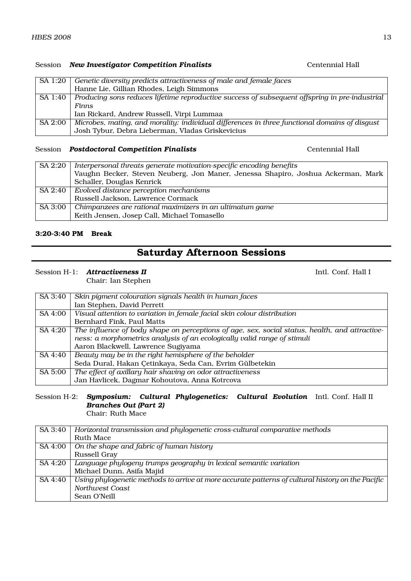### Session **New Investigator Competition Finalists Centennial Hall**

| SA 1:20 | Genetic diversity predicts attractiveness of male and female faces                             |
|---------|------------------------------------------------------------------------------------------------|
|         | Hanne Lie, Gillian Rhodes, Leigh Simmons                                                       |
| SA 1:40 | Producing sons reduces lifetime reproductive success of subsequent offspring in pre-industrial |
|         | <b>Finns</b>                                                                                   |
|         | Ian Rickard, Andrew Russell, Virpi Lummaa                                                      |
| SA 2:00 | Microbes, mating, and morality: individual differences in three functional domains of disgust  |
|         | Josh Tybur, Debra Lieberman, Vladas Griskevicius                                               |

#### Session **Postdoctoral Competition Finalists Centennial Hall**

| SA 2:20 | Interpersonal threats generate motivation-specific encoding benefits             |
|---------|----------------------------------------------------------------------------------|
|         |                                                                                  |
|         | Vaughn Becker, Steven Neuberg, Jon Maner, Jenessa Shapiro, Joshua Ackerman, Mark |
|         | Schaller, Douglas Kenrick                                                        |
| SA 2:40 | Evolved distance perception mechanisms                                           |
|         | Russell Jackson, Lawrence Cormack                                                |
| SA 3:00 | Chimpanzees are rational maximizers in an ultimatum game                         |
|         | Keith Jensen, Josep Call, Michael Tomasello                                      |

#### **3:20-3:40 PM Break**

# **Saturday Afternoon Sessions**

#### Session H-1: **Attractiveness II** Intl. Conf. Hall I

Chair: Ian Stephen

| SA 3:40 | Skin pigment colouration signals health in human faces                                         |
|---------|------------------------------------------------------------------------------------------------|
|         | Ian Stephen, David Perrett                                                                     |
| SA 4:00 | Visual attention to variation in female facial skin colour distribution                        |
|         | Bernhard Fink, Paul Matts                                                                      |
| SA 4:20 | The influence of body shape on perceptions of age, sex, social status, health, and attractive- |
|         | ness: a morphometrics analysis of an ecologically valid range of stimuli                       |
|         | Aaron Blackwell, Lawrence Sugiyama                                                             |
| SA 4:40 | Beauty may be in the right hemisphere of the beholder                                          |
|         | Seda Dural, Hakan Çetinkaya, Seda Can, Evrim Gülbetekin                                        |
| SA 5:00 | The effect of axillary hair shaving on odor attractiveness                                     |
|         | Jan Havlicek, Dagmar Kohoutova, Anna Kotrcova                                                  |

## Session H-2: *Symposium: Cultural Phylogenetics: Cultural Evolution* Intl. Conf. Hall II *Branches Out (Part 2)*

Chair: Ruth Mace

| SA 3:40 | Horizontal transmission and phylogenetic cross-cultural comparative methods                       |
|---------|---------------------------------------------------------------------------------------------------|
|         | Ruth Mace                                                                                         |
| SA 4:00 | On the shape and fabric of human history                                                          |
|         | Russell Gray                                                                                      |
| SA 4:20 | Language phylogeny trumps geography in lexical semantic variation                                 |
|         | Michael Dunn, Asifa Majid                                                                         |
| SA 4:40 | Using phylogenetic methods to arrive at more accurate patterns of cultural history on the Pacific |
|         | Northwest Coast                                                                                   |
|         | Sean O'Neill                                                                                      |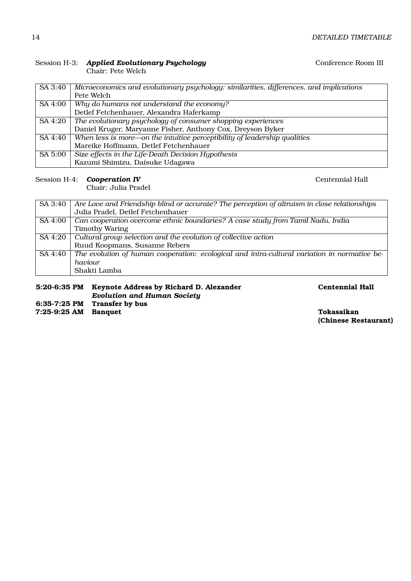| SA 3:40 | Microeconomics and evolutionary psychology: similarities, differences, and implications |
|---------|-----------------------------------------------------------------------------------------|
|         | Pete Welch                                                                              |
| SA 4:00 | Why do humans not understand the economy?                                               |
|         | Detlef Fetchenhauer, Alexandra Haferkamp                                                |
| SA 4:20 | The evolutionary psychology of consumer shopping experiences                            |
|         | Daniel Kruger, Maryanne Fisher, Anthony Cox, Dreyson Byker                              |
| SA 4:40 | When less is more—on the intuitive perceptibility of leadership qualities               |
|         | Mareike Hoffmann, Detlef Fetchenhauer                                                   |
| SA 5:00 | Size effects in the Life-Death Decision Hypothesis                                      |
|         | Kazumi Shimizu, Daisuke Udagawa                                                         |

#### Session H-3: *Applied Evolutionary Psychology* Conference Room III Chair: Pete Welch

Session H-4: **Cooperation IV** 

Chair: Julia Pradel

| SA 3:40 | Are Love and Friendship blind or accurate? The perception of altruism in close relationships |  |  |
|---------|----------------------------------------------------------------------------------------------|--|--|
|         | Julia Pradel, Detlef Fetchenhauer                                                            |  |  |
| SA 4:00 | Can cooperation overcome ethnic boundaries? A case study from Tamil Nadu, India              |  |  |
|         | <b>Timothy Waring</b>                                                                        |  |  |
| SA 4:20 | Cultural group selection and the evolution of collective action                              |  |  |
|         | Ruud Koopmans, Susanne Rebers                                                                |  |  |
| SA 4:40 | The evolution of human cooperation: ecological and intra-cultural variation in normative be- |  |  |
|         | haviour                                                                                      |  |  |
|         | Shakti Lamba                                                                                 |  |  |
|         |                                                                                              |  |  |

| 5:20-6:35 PM Keynote Address by Richard D. Alexander |
|------------------------------------------------------|
| <b>Evolution and Human Society</b>                   |
|                                                      |

**5:20-6:35 PM Keynote Address by Richard D. Alexander Centennial Hall**

**6:35-7:25 PM Transfer by bus**

**7:25-9:25 AM Banquet Tokasaikan**

**(Chinese Restaurant)**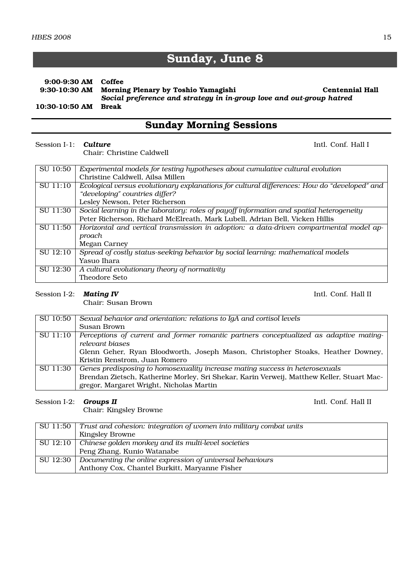# **Sunday, June 8**

#### **9:00-9:30 AM Coffee Morning Plenary by Toshio Yamagishi Centennial Hall** *Social preference and strategy in in-group love and out-group hatred* **10:30-10:50 AM Break**

# **Sunday Morning Sessions**

#### Session I-1: **Culture** Intl. Conf. Hall I

Chair: Christine Caldwell

| SU 10:50 | Experimental models for testing hypotheses about cumulative cultural evolution               |  |
|----------|----------------------------------------------------------------------------------------------|--|
|          | Christine Caldwell, Ailsa Millen                                                             |  |
| SU 11:10 | Ecological versus evolutionary explanations for cultural differences: How do "developed" and |  |
|          | "developing" countries differ?                                                               |  |
|          | Lesley Newson, Peter Richerson                                                               |  |
| SU 11:30 | Social learning in the laboratory: roles of payoff information and spatial heterogeneity     |  |
|          | Peter Richerson, Richard McElreath, Mark Lubell, Adrian Bell, Vicken Hillis                  |  |
| SU 11:50 | Horizontal and vertical transmission in adoption: a data-driven compartmental model ap-      |  |
|          | proach                                                                                       |  |
|          | Megan Carney                                                                                 |  |
| SU 12:10 | Spread of costly status-seeking behavior by social learning: mathematical models             |  |
|          | Yasuo Ihara                                                                                  |  |
| SU 12:30 | A cultural evolutionary theory of normativity                                                |  |
|          | Theodore Seto                                                                                |  |

#### Session I-2: *Mating IV* Intl. Conf. Hall II

Chair: Susan Brown

| SU 10:50 | Sexual behavior and orientation: relations to IgA and cortisol levels                     |  |
|----------|-------------------------------------------------------------------------------------------|--|
|          | Susan Brown                                                                               |  |
| SU 11:10 | Perceptions of current and former romantic partners conceptualized as adaptive mating-    |  |
|          | relevant biases                                                                           |  |
|          | Glenn Geher, Ryan Bloodworth, Joseph Mason, Christopher Stoaks, Heather Downey,           |  |
|          | Kristin Renstrom, Juan Romero                                                             |  |
| SU 11:30 | Genes predisposing to homosexuality increase mating success in heterosexuals              |  |
|          | Brendan Zietsch, Katherine Morley, Sri Shekar, Karin Verweij, Matthew Keller, Stuart Mac- |  |
|          | gregor, Margaret Wright, Nicholas Martin                                                  |  |

#### Session I-2: *Groups II* Intl. Conf. Hall II

Chair: Kingsley Browne

| $\mid$ SU 11:50 $\mid$ Trust and cohesion: integration of women into military combat units |  |
|--------------------------------------------------------------------------------------------|--|
| <b>Kingsley Browne</b>                                                                     |  |
| $\vert$ SU 12:10 $\vert$ Chinese golden monkey and its multi-level societies               |  |
| Peng Zhang, Kunio Watanabe                                                                 |  |
| SU 12:30 Documenting the online expression of universal behaviours                         |  |
| Anthony Cox, Chantel Burkitt, Maryanne Fisher                                              |  |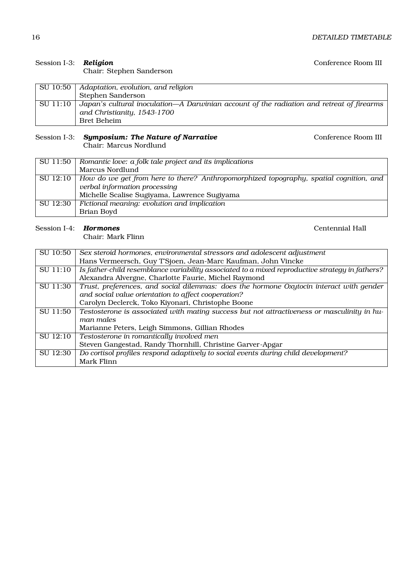| Conference Room III |  |  |
|---------------------|--|--|
|---------------------|--|--|

#### Session I-3: **Religion**

### Chair: Stephen Sanderson

|          | SU 10:50   Adaptation, evolution, and religion                                            |  |
|----------|-------------------------------------------------------------------------------------------|--|
|          | Stephen Sanderson                                                                         |  |
| SU 11:10 | Japan's cultural inoculation—A Darwinian account of the radiation and retreat of firearms |  |
|          | and Christianity, 1543-1700                                                               |  |
|          | Bret Beheim                                                                               |  |

# Session I-3: *Symposium: The Nature of Narrative* \_\_\_\_\_\_\_\_\_\_\_\_\_\_\_\_\_\_\_\_\_\_\_\_\_\_Conference Room III

Chair: Marcus Nordlund

| SU 11:50 | Romantic love: a folk tale project and its implications                                           |  |
|----------|---------------------------------------------------------------------------------------------------|--|
|          | Marcus Nordlund                                                                                   |  |
|          | SU 12:10   How do we get from here to there? Anthropomorphized topography, spatial cognition, and |  |
|          | verbal information processing                                                                     |  |
|          | Michelle Scalise Sugiyama, Lawrence Sugiyama                                                      |  |
| SU 12:30 | Fictional meaning: evolution and implication                                                      |  |
|          | Brian Boyd                                                                                        |  |

## Session I-4: *Hormones* Centennial Hall

Chair: Mark Flinn

| SU 10:50 | Sex steroid hormones, environmental stressors and adolescent adjustment                         |  |
|----------|-------------------------------------------------------------------------------------------------|--|
|          | Hans Vermeersch, Guy T'Sjoen, Jean-Marc Kaufman, John Vincke                                    |  |
| SU 11:10 | Is father-child resemblance variability associated to a mixed reproductive strategy in fathers? |  |
|          | Alexandra Alvergne, Charlotte Faurie, Michel Raymond                                            |  |
| SU 11:30 | Trust, preferences, and social dilemmas: does the hormone Oxytocin interact with gender         |  |
|          | and social value orientation to affect cooperation?                                             |  |
|          | Carolyn Declerck, Toko Kiyonari, Christophe Boone                                               |  |
| SU 11:50 | Testosterone is associated with mating success but not attractiveness or masculinity in hu-     |  |
|          | man males                                                                                       |  |
|          | Marianne Peters, Leigh Simmons, Gillian Rhodes                                                  |  |
| SU 12:10 | Testosterone in romantically involved men                                                       |  |
|          | Steven Gangestad, Randy Thornhill, Christine Garver-Apgar                                       |  |
| SU 12:30 | Do cortisol profiles respond adaptively to social events during child development?              |  |
|          | Mark Flinn                                                                                      |  |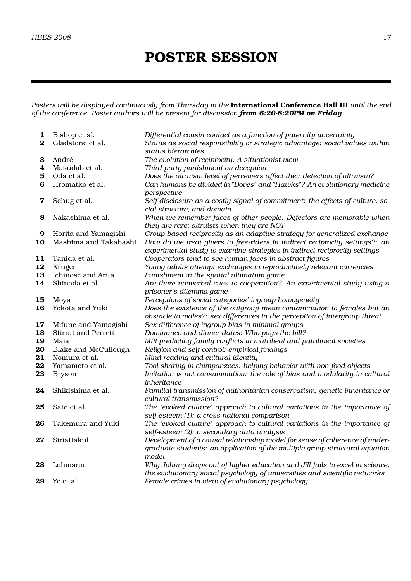# **POSTER SESSION**

*Posters will be displayed continuously from Thursday in the* **International Conference Hall III** *until the end of the conference. Poster authors will be present for discussion from 6:20-8:20PM on Friday.*

| 1<br>$\bf{2}$ | Bishop et al.<br>Gladstone et al. | Differential cousin contact as a function of paternity uncertainty<br>Status as social responsibility or strategic advantage: social values within                  |
|---------------|-----------------------------------|---------------------------------------------------------------------------------------------------------------------------------------------------------------------|
|               |                                   | status hierarchies                                                                                                                                                  |
| 3             | André                             | The evolution of reciprocity. A situationist view                                                                                                                   |
| 4             | Masudab et al.                    | Third party punishment on deception                                                                                                                                 |
| 5             | Oda et al.                        | Does the altruism level of perceivers affect their detection of altruism?                                                                                           |
| 6             | Hromatko et al.                   | Can humans be divided in "Doves" and "Hawks"? An evolutionary medicine<br>perspective                                                                               |
| 7             | Schug et al.                      | Self-disclosure as a costly signal of commitment: the effects of culture, so-<br>cial structure, and domain                                                         |
| 8             | Nakashima et al.                  | When we remember faces of other people: Defectors are memorable when<br>they are rare; altruists when they are NOT                                                  |
| 9             | Horita and Yamagishi              | Group-based reciprocity as an adaptive strategy for generalized exchange                                                                                            |
| 10            | Mashima and Takahashi             | How do we treat givers to free-riders in indirect reciprocity settings?: an<br>experimental study to examine strategies in indirect reciprocity settings            |
| 11            | Tanida et al.                     | Cooperators tend to see human faces in abstract figures                                                                                                             |
| 12            | Kruger                            | Young adults attempt exchanges in reproductively relevant currencies                                                                                                |
| 13            | Ichinose and Arita                | Punishment in the spatial ultimatum game                                                                                                                            |
| 14            | Shinada et al.                    | Are there nonverbal cues to cooperation? An experimental study using a<br>prisoner's dilemma game                                                                   |
| 15            | Moya                              | Perceptions of social categories' ingroup homogeneity                                                                                                               |
| 16            | Yokota and Yuki                   | Does the existence of the outgroup mean contamination to females but an                                                                                             |
|               |                                   | obstacle to males?: sex differences in the perception of intergroup threat                                                                                          |
| 17            | Mifune and Yamagishi              | Sex difference of ingroup bias in minimal groups                                                                                                                    |
| 18            | <b>Stirrat and Perrett</b>        | Dominance and dinner dates: Who pays the bill?                                                                                                                      |
| 19            | Maia                              | MPI predicting family conflicts in matrilieal and patrilineal societies                                                                                             |
| 20            | <b>Blake and McCullough</b>       | Religion and self-control: empirical findings                                                                                                                       |
| 21            | Nomura et al.                     | Mind reading and cultural identity                                                                                                                                  |
| 22            | Yamamoto et al.                   | Tool sharing in chimpanzees: helping behavior with non-food objects                                                                                                 |
| 23            | <b>Bryson</b>                     | Imitation is not consummation: the role of bias and modularity in cultural<br>inheritance                                                                           |
| 24            | Shikishima et al.                 | Familial transmission of authoritarian conservatism: genetic inheritance or<br>cultural transmission?                                                               |
| 25            | Sato et al.                       | The 'evoked culture' approach to cultural variations in the importance of<br>self-esteem (1): a cross-national comparison                                           |
| 26            | Takemura and Yuki                 | The 'evoked culture' approach to cultural variations in the importance of<br>self-esteem (2): a secondary data analysis                                             |
| 27            | Siriattakul                       | Development of a causal relationship model for sense of coherence of under-<br>graduate students: an application of the multiple group structural equation<br>model |
| 28            | Lohmann                           | Why Johnny drops out of higher education and Jill fails to excel in science:<br>the evolutionary social psychology of universities and scientific networks          |
| 29            | Ye et al.                         | Female crimes in view of evolutionary psychology                                                                                                                    |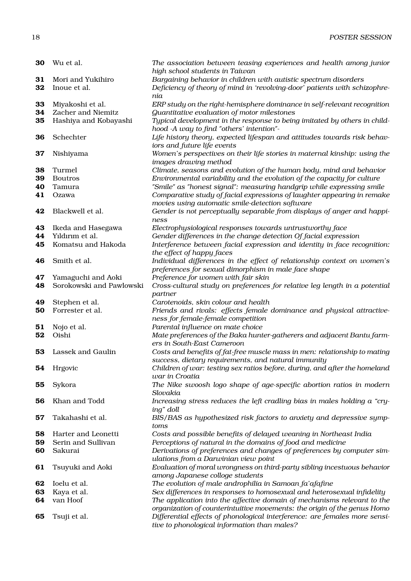| 30             | Wu et al.                                                       | The association between teasing experiences and health among junior<br>high school students in Taiwan                                                                                                              |
|----------------|-----------------------------------------------------------------|--------------------------------------------------------------------------------------------------------------------------------------------------------------------------------------------------------------------|
| 31<br>32       | Mori and Yukihiro<br>Inoue et al.                               | Bargaining behavior in children with autistic spectrum disorders<br>Deficiency of theory of mind in 'revolving-door' patients with schizophre-                                                                     |
| 33<br>34<br>35 | Miyakoshi et al.<br>Zacher and Niemitz<br>Hashiya and Kobayashi | nia<br>ERP study on the right-hemisphere dominance in self-relevant recognition<br><b>Guantitative evaluation of motor milestones</b><br>Typical development in the response to being imitated by others in child- |
| 36             | Schechter                                                       | hood -A way to find "others' intention"-<br>Life history theory, expected lifespan and attitudes towards risk behav-                                                                                               |
| 37             | Nishiyama                                                       | iors and future life events<br>Women's perspectives on their life stories in maternal kinship: using the                                                                                                           |
| 38             | Turmel                                                          | images drawing method<br>Climate, seasons and evolution of the human body, mind and behavior                                                                                                                       |
| 39             | <b>Boutros</b>                                                  | Environmental variability and the evolution of the capacity for culture                                                                                                                                            |
| 40             | Tamura                                                          | "Smile" as "honest signal": measuring handgrip while expressing smile                                                                                                                                              |
| 41             | Ozawa                                                           | Comparative study of facial expressions of laughter appearing in remake<br>movies using automatic smile-detection software                                                                                         |
| 42             | Blackwell et al.                                                | Gender is not perceptually separable from displays of anger and happi-<br>ness                                                                                                                                     |
| 43             | Ikeda and Hasegawa                                              | Electrophysiological responses towards untrustworthy face                                                                                                                                                          |
| 44             | Yıldırım et al.                                                 | Gender differences in the change detection Of facial expression                                                                                                                                                    |
| 45             | Komatsu and Hakoda                                              | Interference between facial expression and identity in face recognition:<br>the effect of happy faces                                                                                                              |
| 46             | Smith et al.                                                    | Individual differences in the effect of relationship context on women's<br>preferences for sexual dimorphism in male face shape                                                                                    |
| 47             | Yamaguchi and Aoki                                              | Preference for women with fair skin                                                                                                                                                                                |
| 48             | Sorokowski and Pawlowski                                        | Cross-cultural study on preferences for relative leg length in a potential<br>partner                                                                                                                              |
| 49             | Stephen et al.                                                  | Carotenoids, skin colour and health                                                                                                                                                                                |
| 50             | Forrester et al.                                                | Friends and rivals: effects female dominance and physical attractive-                                                                                                                                              |
|                |                                                                 | ness for female-female competition                                                                                                                                                                                 |
| 51             | Nojo et al.                                                     | Parental influence on mate choice                                                                                                                                                                                  |
| 52             | Oishi                                                           | Mate preferences of the Baka hunter-gatherers and adjacent Bantu farm-                                                                                                                                             |
|                |                                                                 | ers in South-East Cameroon                                                                                                                                                                                         |
| 53             | Lassek and Gaulin                                               | Costs and benefits of fat-free muscle mass in men: relationship to mating<br>success, dietary requirements, and natural immunity                                                                                   |
| 54             | Hrgovic                                                         | Children of war: testing sex ratios before, during, and after the homeland<br>war in Croatia                                                                                                                       |
| 55             | Sykora                                                          | The Nike swoosh logo shape of age-specific abortion ratios in modern<br>Slovakia                                                                                                                                   |
| 56             | Khan and Todd                                                   | Increasing stress reduces the left cradling bias in males holding a "cry-<br>ing" doll                                                                                                                             |
| 57             | Takahashi et al.                                                | BIS/BAS as hypothesized risk factors to anxiety and depressive symp-<br>toms                                                                                                                                       |
| 58             | Harter and Leonetti                                             | Costs and possible benefits of delayed weaning in Northeast India                                                                                                                                                  |
| 59             | Serin and Sullivan                                              | Perceptions of natural in the domains of food and medicine                                                                                                                                                         |
| 60             | Sakurai                                                         | Derivations of preferences and changes of preferences by computer sim-<br>ulations from a Darwinian view point                                                                                                     |
| 61             | Tsuyuki and Aoki                                                | Evaluation of moral wrongness on third-party sibling incestuous behavior<br>among Japanese colloge students                                                                                                        |
| 62             | Ioelu et al.                                                    | The evolution of male androphilia in Samoan fa'afafine                                                                                                                                                             |
| 63             | Kaya et al.                                                     | Sex differences in responses to homosexual and heterosexual infidelity                                                                                                                                             |
| 64             | van Hoof                                                        | The application into the affective domain of mechanisms relevant to the<br>organization of counterintuitive movements: the origin of the genus Homo                                                                |
| 65             | Tsuji et al.                                                    | Differential effects of phonological interference: are females more sensi-<br>tive to phonological information than males?                                                                                         |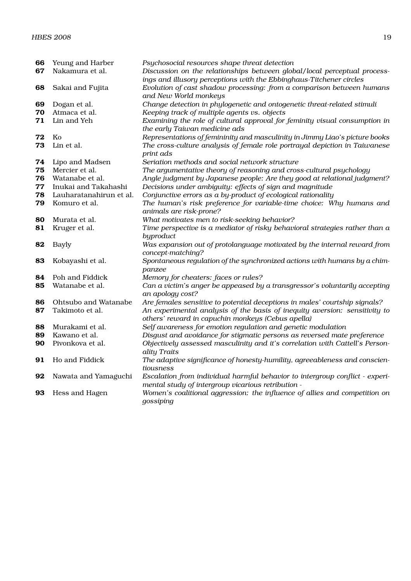| 66       | Yeung and Harber        | Psychosocial resources shape threat detection                                                  |
|----------|-------------------------|------------------------------------------------------------------------------------------------|
| 67       | Nakamura et al.         | Discussion on the relationships between global/local perceptual process-                       |
|          |                         | ings and illusory perceptions with the Ebbinghaus-Titchener circles                            |
| 68       | Sakai and Fujita        | Evolution of cast shadow processing: from a comparison between humans                          |
|          |                         | and New World monkeys                                                                          |
| 69       | Dogan et al.            | Change detection in phylogenetic and ontogenetic threat-related stimuli                        |
| 70       | Atmaca et al.           | Keeping track of multiple agents vs. objects                                                   |
| 71       | Lin and Yeh             | Examining the role of cultural approval for feminity visual consumption in                     |
|          |                         | the early Taiwan medicine ads                                                                  |
| 72<br>73 | Ko<br>Lin et al.        | Representations of femininity and masculinity in Jimmy Liao's picture books                    |
|          |                         | The cross-culture analysis of female role portrayal depiction in Taiwanese<br>print ads        |
| 74       | Lipo and Madsen         | Seriation methods and social network structure                                                 |
| 75       | Mercier et al.          | The argumentative theory of reasoning and cross-cultural psychology                            |
| 76       | Watanabe et al.         | Angle judgment by Japanese people: Are they good at relational judgment?                       |
| 77       | Inukai and Takahashi    | Decisions under ambiguity: effects of sign and magnitude                                       |
| 78       | Lauharatanahirun et al. | Conjunctive errors as a by-product of ecological rationality                                   |
| 79       | Komuro et al.           | The human's risk preference for variable-time choice: Why humans and                           |
|          |                         | animals are risk-prone?                                                                        |
| 80       | Murata et al.           | What motivates men to risk-seeking behavior?                                                   |
| 81       | Kruger et al.           | Time perspective is a mediator of risky behavioral strategies rather than a                    |
|          |                         | byproduct                                                                                      |
| 82       | <b>Bayly</b>            | Was expansion out of protolanguage motivated by the internal reward from                       |
|          |                         | concept-matching?                                                                              |
| 83       | Kobayashi et al.        | Spontaneous regulation of the synchronized actions with humans by a chim-                      |
|          |                         | panzee                                                                                         |
| 84       | Poh and Fiddick         | Memory for cheaters: faces or rules?                                                           |
| 85       | Watanabe et al.         | Can a victim's anger be appeased by a transgressor's voluntarily accepting                     |
| 86       | Ohtsubo and Watanabe    | an apology cost?<br>Are females sensitive to potential deceptions in males' courtship signals? |
| 87       | Takimoto et al.         | An experimental analysis of the basis of inequity aversion: sensitivity to                     |
|          |                         | others' reward in capuchin monkeys (Cebus apella)                                              |
| 88       | Murakami et al.         | Self awareness for emotion regulation and genetic modulation                                   |
| 89       | Kawano et al.           | Disgust and avoidance for stigmatic persons as reversed mate preference                        |
| 90       | Pivonkova et al.        | Objectively assessed masculinity and it's correlation with Cattell's Person-                   |
|          |                         | ality Traits                                                                                   |
| 91       | Ho and Fiddick          | The adaptive significance of honesty-humility, agreeableness and conscien-                     |
|          |                         | tiousness                                                                                      |
| 92       | Nawata and Yamaguchi    | Escalation from individual harmful behavior to intergroup conflict - experi-                   |
|          |                         | mental study of intergroup vicarious retribution -                                             |
| 93       | Hess and Hagen          | Women's coalitional aggression: the influence of allies and competition on                     |
|          |                         | gossiping                                                                                      |
|          |                         |                                                                                                |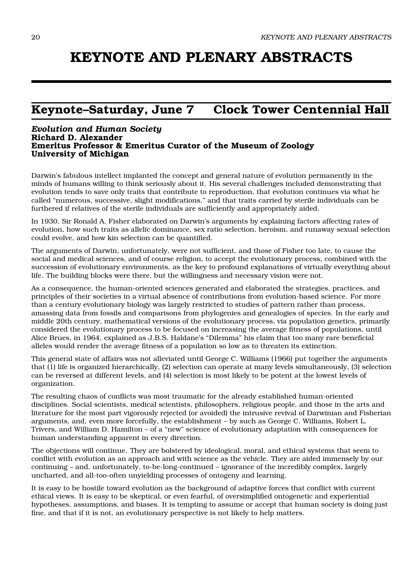# **KEYNOTE AND PLENARY ABSTRACTS**

# **Keynote–Saturday, June 7 Clock Tower Centennial Hall**

#### *Evolution and Human Society* **Richard D. Alexander Emeritus Professor & Emeritus Curator of the Museum of Zoology University of Michigan**

Darwin's fabulous intellect implanted the concept and general nature of evolution permanently in the minds of humans willing to think seriously about it. His several challenges included demonstrating that evolution tends to save only traits that contribute to reproduction, that evolution continues via what he called "numerous, successive, slight modifications," and that traits carried by sterile individuals can be furthered if relatives of the sterile individuals are sufficiently and appropriately aided.

In 1930, Sir Ronald A. Fisher elaborated on Darwin's arguments by explaining factors affecting rates of evolution, how such traits as allelic dominance, sex ratio selection, heroism, and runaway sexual selection could evolve, and how kin selection can be quantified.

The arguments of Darwin, unfortunately, were not sufficient, and those of Fisher too late, to cause the social and medical sciences, and of course religion, to accept the evolutionary process, combined with the succession of evolutionary environments, as the key to profound explanations of virtually everything about life. The building blocks were there, but the willingness and necessary vision were not.

As a consequence, the human-oriented sciences generated and elaborated the strategies, practices, and principles of their societies in a virtual absence of contributions from evolution-based science. For more than a century evolutionary biology was largely restricted to studies of pattern rather than process, amassing data from fossils and comparisons from phylogenies and genealogies of species. In the early and middle 20th century, mathematical versions of the evolutionary process, via population genetics, primarily considered the evolutionary process to be focused on increasing the average fitness of populations, until Alice Brues, in 1964, explained as J.B.S. Haldane's "Dilemma" his claim that too many rare beneficial alleles would render the average fitness of a population so low as to threaten its extinction.

This general state of affairs was not alleviated until George C. Williams (1966) put together the arguments that (1) life is organized hierarchically, (2) selection can operate at many levels simultaneously, (3) selection can be reversed at different levels, and (4) selection is most likely to be potent at the lowest levels of organization.

The resulting chaos of conflicts was most traumatic for the already established human-oriented disciplines. Social scientists, medical scientists, philosophers, religious people, and those in the arts and literature for the most part vigorously rejected (or avoided) the intrusive revival of Darwinian and Fisherian arguments, and, even more forcefully, the establishment – by such as George C. Williams, Robert L. Trivers, and William D. Hamilton – of a "new" science of evolutionary adaptation with consequences for human understanding apparent in every direction.

The objections will continue. They are bolstered by ideological, moral, and ethical systems that seem to conflict with evolution as an approach and with science as the vehicle. They are aided immensely by our continuing – and, unfortunately, to-be-long-continued – ignorance of the incredibly complex, largely uncharted, and all-too-often unyielding processes of ontogeny and learning.

It is easy to be hostile toward evolution as the background of adaptive forces that conflict with current ethical views. It is easy to be skeptical, or even fearful, of oversimplified ontogenetic and experiential hypotheses, assumptions, and biases. It is tempting to assume or accept that human society is doing just fine, and that if it is not, an evolutionary perspective is not likely to help matters.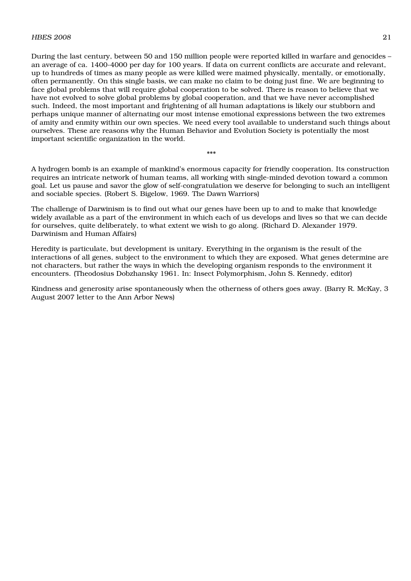#### HBES 2008  $21$

During the last century, between 50 and 150 million people were reported killed in warfare and genocides – an average of ca. 1400-4000 per day for 100 years. If data on current conflicts are accurate and relevant, up to hundreds of times as many people as were killed were maimed physically, mentally, or emotionally, often permanently. On this single basis, we can make no claim to be doing just fine. We are beginning to face global problems that will require global cooperation to be solved. There is reason to believe that we have not evolved to solve global problems by global cooperation, and that we have never accomplished such. Indeed, the most important and frightening of all human adaptations is likely our stubborn and perhaps unique manner of alternating our most intense emotional expressions between the two extremes of amity and enmity within our own species. We need every tool available to understand such things about ourselves. These are reasons why the Human Behavior and Evolution Society is potentially the most important scientific organization in the world.

A hydrogen bomb is an example of mankind's enormous capacity for friendly cooperation. Its construction requires an intricate network of human teams, all working with single-minded devotion toward a common goal. Let us pause and savor the glow of self-congratulation we deserve for belonging to such an intelligent and sociable species. (Robert S. Bigelow, 1969. The Dawn Warriors)

\*\*\*

The challenge of Darwinism is to find out what our genes have been up to and to make that knowledge widely available as a part of the environment in which each of us develops and lives so that we can decide for ourselves, quite deliberately, to what extent we wish to go along. (Richard D. Alexander 1979. Darwinism and Human Affairs)

Heredity is particulate, but development is unitary. Everything in the organism is the result of the interactions of all genes, subject to the environment to which they are exposed. What genes determine are not characters, but rather the ways in which the developing organism responds to the environment it encounters. (Theodosius Dobzhansky 1961. In: Insect Polymorphism, John S. Kennedy, editor)

Kindness and generosity arise spontaneously when the otherness of others goes away. (Barry R. McKay, 3 August 2007 letter to the Ann Arbor News)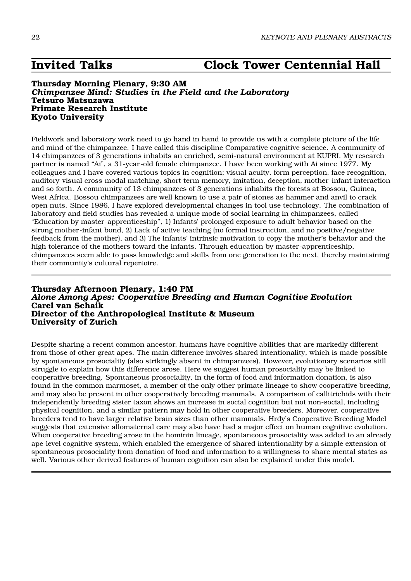# **Invited Talks Clock Tower Centennial Hall**

#### **Thursday Morning Plenary, 9:30 AM** *Chimpanzee Mind: Studies in the Field and the Laboratory* **Tetsuro Matsuzawa Primate Research Institute Kyoto University**

Fieldwork and laboratory work need to go hand in hand to provide us with a complete picture of the life and mind of the chimpanzee. I have called this discipline Comparative cognitive science. A community of 14 chimpanzees of 3 generations inhabits an enriched, semi-natural environment at KUPRI. My research partner is named "Ai", a 31-year-old female chimpanzee. I have been working with Ai since 1977. My colleagues and I have covered various topics in cognition; visual acuity, form perception, face recognition, auditory-visual cross-modal matching, short term memory, imitation, deception, mother-infant interaction and so forth. A community of 13 chimpanzees of 3 generations inhabits the forests at Bossou, Guinea, West Africa. Bossou chimpanzees are well known to use a pair of stones as hammer and anvil to crack open nuts. Since 1986, I have explored developmental changes in tool use technology. The combination of laboratory and field studies has revealed a unique mode of social learning in chimpanzees, called "Education by master-apprenticeship", 1) Infants' prolonged exposure to adult behavior based on the strong mother-infant bond, 2) Lack of active teaching (no formal instruction, and no positive/negative feedback from the mother), and 3) The infants' intrinsic motivation to copy the mother's behavior and the high tolerance of the mothers toward the infants. Through education by master-apprenticeship, chimpanzees seem able to pass knowledge and skills from one generation to the next, thereby maintaining their community's cultural repertoire.

#### **Thursday Afternoon Plenary, 1:40 PM** *Alone Among Apes: Cooperative Breeding and Human Cognitive Evolution* **Carel van Schaik Director of the Anthropological Institute & Museum University of Zurich**

Despite sharing a recent common ancestor, humans have cognitive abilities that are markedly different from those of other great apes. The main difference involves shared intentionality, which is made possible by spontaneous prosociality (also strikingly absent in chimpanzees). However, evolutionary scenarios still struggle to explain how this difference arose. Here we suggest human prosociality may be linked to cooperative breeding. Spontaneous prosociality, in the form of food and information donation, is also found in the common marmoset, a member of the only other primate lineage to show cooperative breeding, and may also be present in other cooperatively breeding mammals. A comparison of callitrichids with their independently breeding sister taxon shows an increase in social cognition but not non-social, including physical cognition, and a similar pattern may hold in other cooperative breeders. Moreover, cooperative breeders tend to have larger relative brain sizes than other mammals. Hrdy's Cooperative Breeding Model suggests that extensive allomaternal care may also have had a major effect on human cognitive evolution. When cooperative breeding arose in the hominin lineage, spontaneous prosociality was added to an already ape-level cognitive system, which enabled the emergence of shared intentionality by a simple extension of spontaneous prosociality from donation of food and information to a willingness to share mental states as well. Various other derived features of human cognition can also be explained under this model.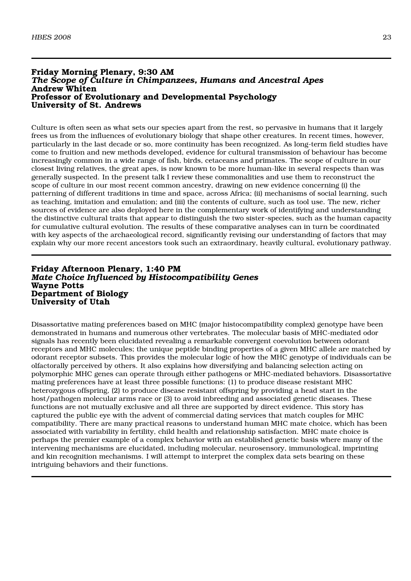#### **Friday Morning Plenary, 9:30 AM** *The Scope of Culture in Chimpanzees, Humans and Ancestral Apes* **Andrew Whiten Professor of Evolutionary and Developmental Psychology University of St. Andrews**

Culture is often seen as what sets our species apart from the rest, so pervasive in humans that it largely frees us from the influences of evolutionary biology that shape other creatures. In recent times, however, particularly in the last decade or so, more continuity has been recognized. As long-term field studies have come to fruition and new methods developed, evidence for cultural transmission of behaviour has become increasingly common in a wide range of fish, birds, cetaceans and primates. The scope of culture in our closest living relatives, the great apes, is now known to be more human-like in several respects than was generally suspected. In the present talk I review these commonalities and use them to reconstruct the scope of culture in our most recent common ancestry, drawing on new evidence concerning (i) the patterning of different traditions in time and space, across Africa; (ii) mechanisms of social learning, such as teaching, imitation and emulation; and (iii) the contents of culture, such as tool use. The new, richer sources of evidence are also deployed here in the complementary work of identifying and understanding the distinctive cultural traits that appear to distinguish the two sister-species, such as the human capacity for cumulative cultural evolution. The results of these comparative analyses can in turn be coordinated with key aspects of the archaeological record, significantly revising our understanding of factors that may explain why our more recent ancestors took such an extraordinary, heavily cultural, evolutionary pathway.

#### **Friday Afternoon Plenary, 1:40 PM** *Mate Choice Influenced by Histocompatibility Genes* **Wayne Potts Department of Biology University of Utah**

Disassortative mating preferences based on MHC (major histocompatibility complex) genotype have been demonstrated in humans and numerous other vertebrates. The molecular basis of MHC-mediated odor signals has recently been elucidated revealing a remarkable convergent coevolution between odorant receptors and MHC molecules; the unique peptide binding properties of a given MHC allele are matched by odorant receptor subsets. This provides the molecular logic of how the MHC genotype of individuals can be olfactorally perceived by others. It also explains how diversifying and balancing selection acting on polymorphic MHC genes can operate through either pathogens or MHC-mediated behaviors. Disassortative mating preferences have at least three possible functions: (1) to produce disease resistant MHC heterozygous offspring, (2) to produce disease resistant offspring by providing a head start in the host/pathogen molecular arms race or (3) to avoid inbreeding and associated genetic diseases. These functions are not mutually exclusive and all three are supported by direct evidence. This story has captured the public eye with the advent of commercial dating services that match couples for MHC compatibility. There are many practical reasons to understand human MHC mate choice, which has been associated with variability in fertility, child health and relationship satisfaction. MHC mate choice is perhaps the premier example of a complex behavior with an established genetic basis where many of the intervening mechanisms are elucidated, including molecular, neurosensory, immunological, imprinting and kin recognition mechanisms. I will attempt to interpret the complex data sets bearing on these intriguing behaviors and their functions.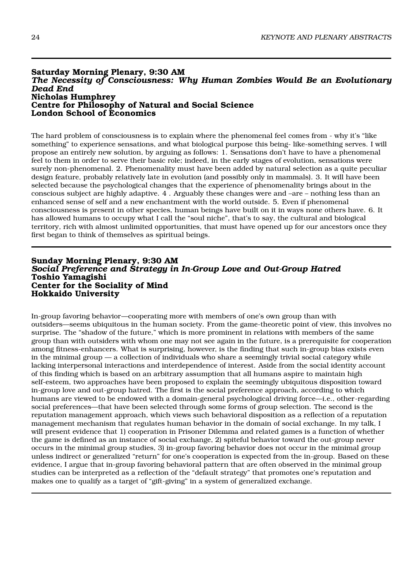#### **Saturday Morning Plenary, 9:30 AM** *The Necessity of Consciousness: Why Human Zombies Would Be an Evolutionary Dead End* **Nicholas Humphrey Centre for Philosophy of Natural and Social Science London School of Economics**

The hard problem of consciousness is to explain where the phenomenal feel comes from - why it's "like something" to experience sensations, and what biological purpose this being- like-something serves. I will propose an entirely new solution, by arguing as follows: 1. Sensations don't have to have a phenomenal feel to them in order to serve their basic role; indeed, in the early stages of evolution, sensations were surely non-phenomenal. 2. Phenomenality must have been added by natural selection as a quite peculiar design feature, probably relatively late in evolution (and possibly only in mammals). 3. It will have been selected because the psychological changes that the experience of phenomenality brings about in the conscious subject are highly adaptive. 4 . Arguably these changes were and –are – nothing less than an enhanced sense of self and a new enchantment with the world outside. 5. Even if phenomenal consciousness is present in other species, human beings have built on it in ways none others have. 6. It has allowed humans to occupy what I call the "soul niche", that's to say, the cultural and biological territory, rich with almost unlimited opportunities, that must have opened up for our ancestors once they first began to think of themselves as spiritual beings.

#### **Sunday Morning Plenary, 9:30 AM** *Social Preference and Strategy in In-Group Love and Out-Group Hatred* **Toshio Yamagishi Center for the Sociality of Mind Hokkaido University**

In-group favoring behavior—cooperating more with members of one's own group than with outsiders—seems ubiquitous in the human society. From the game-theoretic point of view, this involves no surprise. The "shadow of the future," which is more prominent in relations with members of the same group than with outsiders with whom one may not see again in the future, is a prerequisite for cooperation among fitness-enhancers. What is surprising, however, is the finding that such in-group bias exists even in the minimal group — a collection of individuals who share a seemingly trivial social category while lacking interpersonal interactions and interdependence of interest. Aside from the social identity account of this finding which is based on an arbitrary assumption that all humans aspire to maintain high self-esteem, two approaches have been proposed to explain the seemingly ubiquitous disposition toward in-group love and out-group hatred. The first is the social preference approach, according to which humans are viewed to be endowed with a domain-general psychological driving force—i.e., other-regarding social preferences—that have been selected through some forms of group selection. The second is the reputation management approach, which views such behavioral disposition as a reflection of a reputation management mechanism that regulates human behavior in the domain of social exchange. In my talk, I will present evidence that 1) cooperation in Prisoner Dilemma and related games is a function of whether the game is defined as an instance of social exchange, 2) spiteful behavior toward the out-group never occurs in the minimal group studies, 3) in-group favoring behavior does not occur in the minimal group unless indirect or generalized "return" for one's cooperation is expected from the in-group. Based on these evidence, I argue that in-group favoring behavioral pattern that are often observed in the minimal group studies can be interpreted as a reflection of the "default strategy" that promotes one's reputation and makes one to qualify as a target of "gift-giving" in a system of generalized exchange.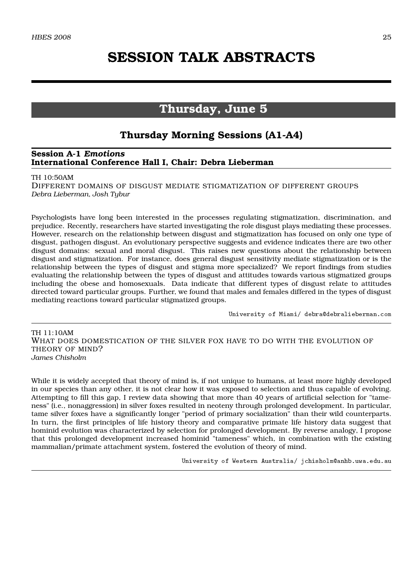# **SESSION TALK ABSTRACTS**

## **Thursday, June 5**

## **Thursday Morning Sessions (A1-A4)**

#### **Session A-1** *Emotions* **International Conference Hall I, Chair: Debra Lieberman**

#### TH 10:50AM

DIFFERENT DOMAINS OF DISGUST MEDIATE STIGMATIZATION OF DIFFERENT GROUPS *Debra Lieberman, Josh Tybur*

Psychologists have long been interested in the processes regulating stigmatization, discrimination, and prejudice. Recently, researchers have started investigating the role disgust plays mediating these processes. However, research on the relationship between disgust and stigmatization has focused on only one type of disgust, pathogen disgust. An evolutionary perspective suggests and evidence indicates there are two other disgust domains: sexual and moral disgust. This raises new questions about the relationship between disgust and stigmatization. For instance, does general disgust sensitivity mediate stigmatization or is the relationship between the types of disgust and stigma more specialized? We report findings from studies evaluating the relationship between the types of disgust and attitudes towards various stigmatized groups including the obese and homosexuals. Data indicate that different types of disgust relate to attitudes directed toward particular groups. Further, we found that males and females differed in the types of disgust mediating reactions toward particular stigmatized groups.

University of Miami/ debra@debralieberman.com

TH 11:10AM WHAT DOES DOMESTICATION OF THE SILVER FOX HAVE TO DO WITH THE EVOLUTION OF THEORY OF MIND? *James Chisholm*

While it is widely accepted that theory of mind is, if not unique to humans, at least more highly developed in our species than any other, it is not clear how it was exposed to selection and thus capable of evolving. Attempting to fill this gap, I review data showing that more than 40 years of artificial selection for "tameness" (i.e., nonaggression) in silver foxes resulted in neoteny through prolonged development. In particular, tame silver foxes have a significantly longer "period of primary socialization" than their wild counterparts. In turn, the first principles of life history theory and comparative primate life history data suggest that hominid evolution was characterized by selection for prolonged development. By reverse analogy, I propose that this prolonged development increased hominid "tameness" which, in combination with the existing mammalian/primate attachment system, fostered the evolution of theory of mind.

University of Western Australia/ jchisholm@anhb.uwa.edu.au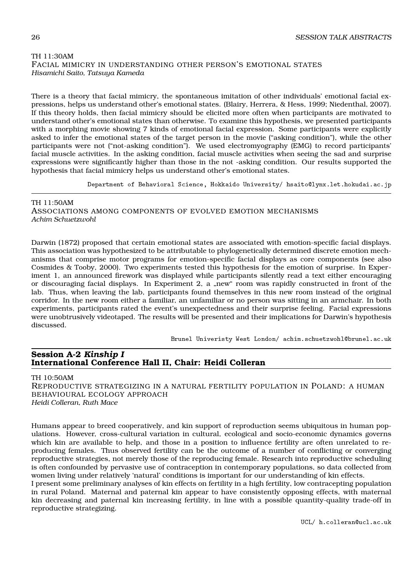#### TH 11:30AM FACIAL MIMICRY IN UNDERSTANDING OTHER PERSON'S EMOTIONAL STATES *Hisamichi Saito, Tatsuya Kameda*

There is a theory that facial mimicry, the spontaneous imitation of other individuals' emotional facial expressions, helps us understand other's emotional states. (Blairy, Herrera, & Hess, 1999; Niedenthal, 2007). If this theory holds, then facial mimicry should be elicited more often when participants are motivated to understand other's emotional states than otherwise. To examine this hypothesis, we presented participants with a morphing movie showing 7 kinds of emotional facial expression. Some participants were explicitly asked to infer the emotional states of the target person in the movie ("asking condition"), while the other participants were not ("not-asking condition"). We used electromyography (EMG) to record participants' facial muscle activities. In the asking condition, facial muscle activities when seeing the sad and surprise expressions were significantly higher than those in the not -asking condition. Our results supported the hypothesis that facial mimicry helps us understand other's emotional states.

Department of Behavioral Science, Hokkaido University/ hsaito@lynx.let.hokudai.ac.jp

TH 11:50AM ASSOCIATIONS AMONG COMPONENTS OF EVOLVED EMOTION MECHANISMS *Achim Schuetzwohl*

Darwin (1872) proposed that certain emotional states are associated with emotion-specific facial displays. This association was hypothesized to be attributable to phylogenetically determined discrete emotion mechanisms that comprise motor programs for emotion-specific facial displays as core components (see also Cosmides & Tooby, 2000). Two experiments tested this hypothesis for the emotion of surprise. In Experiment 1, an announced firework was displayed while participants silently read a text either encouraging or discouraging facial displays. In Experiment 2, a "new" room was rapidly constructed in front of the lab. Thus, when leaving the lab, participants found themselves in this new room instead of the original corridor. In the new room either a familiar, an unfamiliar or no person was sitting in an armchair. In both experiments, participants rated the event's unexpectedness and their surprise feeling. Facial expressions were unobtrusively videotaped. The results will be presented and their implications for Darwin's hypothesis discussed.

Brunel Univeristy West London/ achim.schuetzwohl@brunel.ac.uk

#### **Session A-2** *Kinship I* **International Conference Hall II, Chair: Heidi Colleran**

TH 10:50AM

REPRODUCTIVE STRATEGIZING IN A NATURAL FER TILITY POPULATION IN POLAND: A HUMAN BEHAVIOURAL ECOLOGY APPROACH *Heidi Colleran, Ruth Mace*

Humans appear to breed cooperatively, and kin support of reproduction seems ubiquitous in human populations. However, cross-cultural variation in cultural, ecological and socio-economic dynamics governs which kin are available to help, and those in a position to influence fertility are often unrelated to reproducing females. Thus observed fertility can be the outcome of a number of conflicting or converging reproductive strategies, not merely those of the reproducing female. Research into reproductive scheduling is often confounded by pervasive use of contraception in contemporary populations, so data collected from women living under relatively 'natural' conditions is important for our understanding of kin effects.

I present some preliminary analyses of kin effects on fertility in a high fertility, low contracepting population in rural Poland. Maternal and paternal kin appear to have consistently opposing effects, with maternal kin decreasing and paternal kin increasing fertility, in line with a possible quantity-quality trade-off in reproductive strategizing.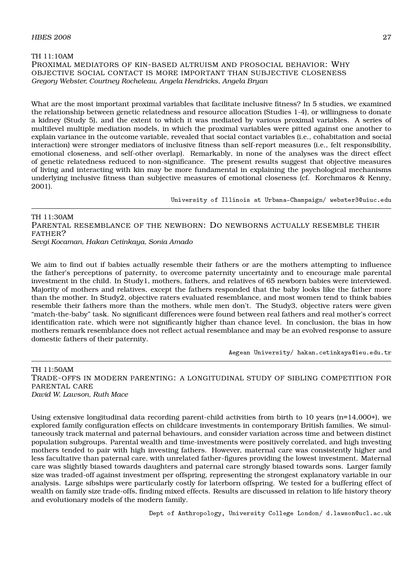#### TH 11:10AM PROXIMAL MEDIATORS OF KIN-BASED ALTRUISM AND PROSOCIAL BEHAVIOR: WHY OBJECTIVE SOCIAL CONTACT IS MORE IMPORTANT THAN SUBJECTIVE CLOSENESS *Gregory Webster, Courtney Rocheleau, Angela Hendricks, Angela Bryan*

What are the most important proximal variables that facilitate inclusive fitness? In 5 studies, we examined the relationship between genetic relatedness and resource allocation (Studies 1-4), or willingness to donate a kidney (Study 5), and the extent to which it was mediated by various proximal variables. A series of multilevel multiple mediation models, in which the proximal variables were pitted against one another to explain variance in the outcome variable, revealed that social contact variables (i.e., cohabitation and social interaction) were stronger mediators of inclusive fitness than self-report measures (i.e., felt responsibility, emotional closeness, and self-other overlap). Remarkably, in none of the analyses was the direct effect of genetic relatedness reduced to non-significance. The present results suggest that objective measures of living and interacting with kin may be more fundamental in explaining the psychological mechanisms underlying inclusive fitness than subjective measures of emotional closeness (cf. Korchmaros & Kenny, 2001).

University of Illinois at Urbana-Champaign/ webster3@uiuc.edu

TH 11:30AM PARENTAL RESEMBLANCE OF THE NEWBORN: DO NEWBORNS ACTUALLY RESEMBLE THEIR FATHER? *Sevgi Kocaman, Hakan Cetinkaya, Sonia Amado*

We aim to find out if babies actually resemble their fathers or are the mothers attempting to influence the father's perceptions of paternity, to overcome paternity uncertainty and to encourage male parental investment in the child. In Study1, mothers, fathers, and relatives of 65 newborn babies were interviewed. Majority of mothers and relatives, except the fathers responded that the baby looks like the father more than the mother. In Study2, objective raters evaluated resemblance, and most women tend to think babies resemble their fathers more than the mothers, while men don't. The Study3, objective raters were given "match-the-baby" task. No significant differences were found between real fathers and real mother's correct identification rate, which were not significantly higher than chance level. In conclusion, the bias in how mothers remark resemblance does not reflect actual resemblance and may be an evolved response to assure domestic fathers of their paternity.

Aegean University/ hakan.cetinkaya@ieu.edu.tr

TH 11:50AM TRADE-OFFS IN MODERN PARENTING: A LONGITUDINAL STUDY OF SIBLING COMPETITION FOR PARENTAL CARE *David W. Lawson, Ruth Mace*

Using extensive longitudinal data recording parent-child activities from birth to 10 years (n=14,000+), we explored family configuration effects on childcare investments in contemporary British families. We simultaneously track maternal and paternal behaviours, and consider variation across time and between distinct population subgroups. Parental wealth and time-investments were positively correlated, and high investing mothers tended to pair with high investing fathers. However, maternal care was consistently higher and less facultative than paternal care, with unrelated father-figures providing the lowest investment. Maternal care was slightly biased towards daughters and paternal care strongly biased towards sons. Larger family size was traded-off against investment per offspring, representing the strongest explanatory variable in our analysis. Large sibships were particularly costly for laterborn offspring. We tested for a buffering effect of wealth on family size trade-offs, finding mixed effects. Results are discussed in relation to life history theory and evolutionary models of the modern family.

Dept of Anthropology, University College London/ d.lawson@ucl.ac.uk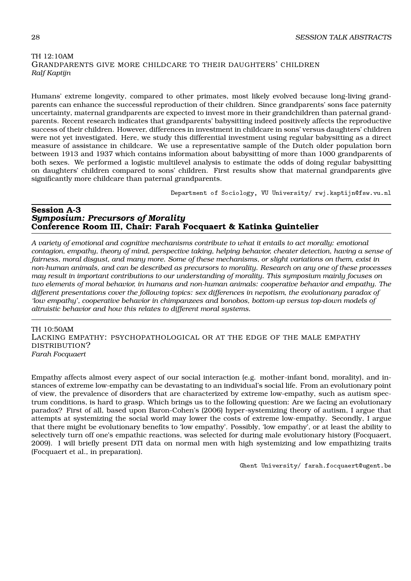### TH 12:10AM GRANDPARENTS GIVE MORE CHILDCARE TO THEIR DAUGHTERS' CHILDREN *Ralf Kaptijn*

Humans' extreme longevity, compared to other primates, most likely evolved because long-living grandparents can enhance the successful reproduction of their children. Since grandparents' sons face paternity uncertainty, maternal grandparents are expected to invest more in their grandchildren than paternal grandparents. Recent research indicates that grandparents' babysitting indeed positively affects the reproductive success of their children. However, differences in investment in childcare in sons' versus daughters' children were not yet investigated. Here, we study this differential investment using regular babysitting as a direct measure of assistance in childcare. We use a representative sample of the Dutch older population born between 1913 and 1937 which contains information about babysitting of more than 1000 grandparents of both sexes. We performed a logistic multilevel analysis to estimate the odds of doing regular babysitting on daughters' children compared to sons' children. First results show that maternal grandparents give significantly more childcare than paternal grandparents.

Department of Sociology, VU University/ rwj.kaptijn@fsw.vu.nl

#### **Session A-3** *Symposium: Precursors of Morality* **Conference Room III, Chair: Farah Focquaert & Katinka Quintelier**

*A variety of emotional and cognitive mechanisms contribute to what it entails to act morally: emotional contagion, empathy, theory of mind, perspective taking, helping behavior, cheater detection, having a sense of fairness, moral disgust, and many more. Some of these mechanisms, or slight variations on them, exist in non-human animals, and can be described as precursors to morality. Research on any one of these processes may result in important contributions to our understanding of morality. This symposium mainly focuses on two elements of moral behavior, in humans and non-human animals: cooperative behavior and empathy. The different presentations cover the following topics: sex differences in nepotism, the evolutionary paradox of 'low empathy', cooperative behavior in chimpanzees and bonobos, bottom-up versus top-down models of altruistic behavior and how this relates to different moral systems.*

TH 10:50AM

LACKING EMPATHY: PSYCHOPATHOLOGICAL OR AT THE EDGE OF THE MALE EMPATHY DISTRIBUTION? *Farah Focquaert*

Empathy affects almost every aspect of our social interaction (e.g. mother-infant bond, morality), and instances of extreme low-empathy can be devastating to an individual's social life. From an evolutionary point of view, the prevalence of disorders that are characterized by extreme low-empathy, such as autism spectrum conditions, is hard to grasp. Which brings us to the following question: Are we facing an evolutionary paradox? First of all, based upon Baron-Cohen's (2006) hyper-systemizing theory of autism, I argue that attempts at systemizing the social world may lower the costs of extreme low-empathy. Secondly, I argue that there might be evolutionary benefits to 'low empathy'. Possibly, 'low empathy', or at least the ability to selectively turn off one's empathic reactions, was selected for during male evolutionary history (Focquaert, 2009). I will briefly present DTI data on normal men with high systemizing and low empathizing traits (Focquaert et al., in preparation).

Ghent University/ farah.focquaert@ugent.be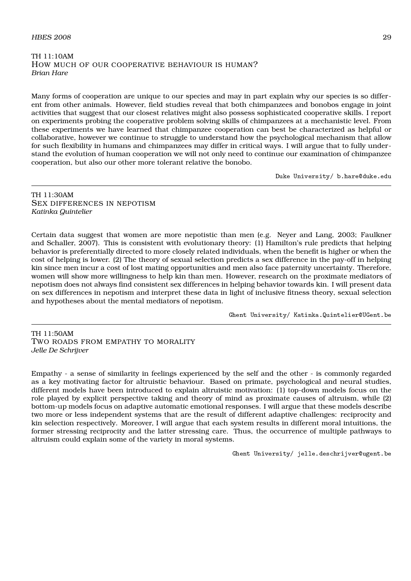#### $H\!B\!E\!S$  2008 29

#### TH 11:10AM HOW MUCH OF OUR COOPERATIVE BEHAVIOUR IS HUMAN? *Brian Hare*

Many forms of cooperation are unique to our species and may in part explain why our species is so different from other animals. However, field studies reveal that both chimpanzees and bonobos engage in joint activities that suggest that our closest relatives might also possess sophisticated cooperative skills. I report on experiments probing the cooperative problem solving skills of chimpanzees at a mechanistic level. From these experiments we have learned that chimpanzee cooperation can best be characterized as helpful or collaborative, however we continue to struggle to understand how the psychological mechanism that allow for such flexibility in humans and chimpanzees may differ in critical ways. I will argue that to fully understand the evolution of human cooperation we will not only need to continue our examination of chimpanzee cooperation, but also our other more tolerant relative the bonobo.

Duke University/ b.hare@duke.edu

#### TH 11:30AM SEX DIFFERENCES IN NEPOTISM *Katinka Quintelier*

Certain data suggest that women are more nepotistic than men (e.g. Neyer and Lang, 2003; Faulkner and Schaller, 2007). This is consistent with evolutionary theory: (1) Hamilton's rule predicts that helping behavior is preferentially directed to more closely related individuals, when the benefit is higher or when the cost of helping is lower. (2) The theory of sexual selection predicts a sex difference in the pay-off in helping kin since men incur a cost of lost mating opportunities and men also face paternity uncertainty. Therefore, women will show more willingness to help kin than men. However, research on the proximate mediators of nepotism does not always find consistent sex differences in helping behavior towards kin. I will present data on sex differences in nepotism and interpret these data in light of inclusive fitness theory, sexual selection and hypotheses about the mental mediators of nepotism.

Ghent University/ Katinka.Quintelier@UGent.be

TH 11:50AM TWO ROADS FROM EMPATHY TO MORALITY *Jelle De Schrijver*

Empathy - a sense of similarity in feelings experienced by the self and the other - is commonly regarded as a key motivating factor for altruistic behaviour. Based on primate, psychological and neural studies, different models have been introduced to explain altruistic motivation: (1) top-down models focus on the role played by explicit perspective taking and theory of mind as proximate causes of altruism, while (2) bottom-up models focus on adaptive automatic emotional responses. I will argue that these models describe two more or less independent systems that are the result of different adaptive challenges: reciprocity and kin selection respectively. Moreover, I will argue that each system results in different moral intuitions, the former stressing reciprocity and the latter stressing care. Thus, the occurrence of multiple pathways to altruism could explain some of the variety in moral systems.

Ghent University/ jelle.deschrijver@ugent.be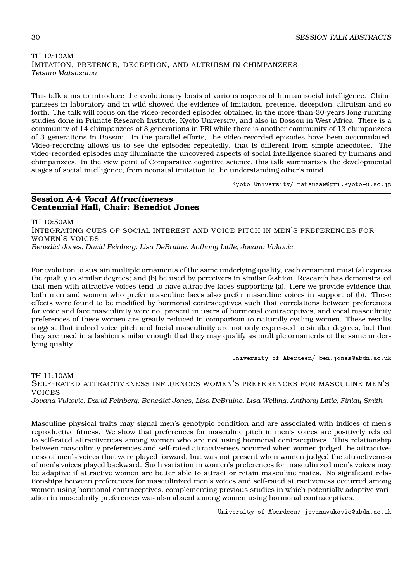#### TH 12:10AM IMITATION, PRETENCE, DECEPTION, AND ALTRUISM IN CHIMPANZEES *Tetsuro Matsuzawa*

This talk aims to introduce the evolutionary basis of various aspects of human social intelligence. Chimpanzees in laboratory and in wild showed the evidence of imitation, pretence, deception, altruism and so forth. The talk will focus on the video-recorded episodes obtained in the more-than-30-years long-running studies done in Primate Research Institute, Kyoto University, and also in Bossou in West Africa. There is a community of 14 chimpanzees of 3 generations in PRI while there is another community of 13 chimpanzees of 3 generations in Bossou. In the parallel efforts, the video-recorded episodes have been accumulated. Video-recording allows us to see the episodes repeatedly, that is different from simple anecdotes. The video-recorded episodes may illuminate the uncovered aspects of social intelligence shared by humans and chimpanzees. In the view point of Comparative cognitive science, this talk summarizes the developmental stages of social intelligence, from neonatal imitation to the understanding other's mind.

Kyoto University/ matsuzaw@pri.kyoto-u.ac.jp

#### **Session A-4** *Vocal Attractiveness* **Centennial Hall, Chair: Benedict Jones**

TH 10:50AM INTEGRATING CUES OF SOCIAL INTEREST AND VOICE PITCH IN MEN'S PREFERENCES FOR WOMEN'S VOICES *Benedict Jones, David Feinberg, Lisa DeBruine, Anthony Little, Jovana Vukovic*

For evolution to sustain multiple ornaments of the same underlying quality, each ornament must (a) express the quality to similar degrees; and (b) be used by perceivers in similar fashion. Research has demonstrated that men with attractive voices tend to have attractive faces supporting (a). Here we provide evidence that both men and women who prefer masculine faces also prefer masculine voices in support of (b). These effects were found to be modified by hormonal contraceptives such that correlations between preferences for voice and face masculinity were not present in users of hormonal contraceptives, and vocal masculinity preferences of these women are greatly reduced in comparison to naturally cycling women. These results suggest that indeed voice pitch and facial masculinity are not only expressed to similar degrees, but that they are used in a fashion similar enough that they may qualify as multiple ornaments of the same underlying quality.

University of Aberdeen/ ben.jones@abdn.ac.uk

TH 11:10AM SELF-RATED ATTRACTIVENESS INFLUENCES WOMEN'S PREFERENCES FOR MASCULINE MEN'S VOICES *Jovana Vukovic, David Feinberg, Benedict Jones, Lisa DeBruine, Lisa Welling, Anthony Little, Finlay Smith*

Masculine physical traits may signal men's genotypic condition and are associated with indices of men's reproductive fitness. We show that preferences for masculine pitch in men's voices are positively related to self-rated attractiveness among women who are not using hormonal contraceptives. This relationship between masculinity preferences and self-rated attractiveness occurred when women judged the attractiveness of men's voices that were played forward, but was not present when women judged the attractiveness of men's voices played backward. Such variation in women's preferences for masculinized men's voices may be adaptive if attractive women are better able to attract or retain masculine mates. No significant relationships between preferences for masculinized men's voices and self-rated attractiveness occurred among women using hormonal contraceptives, complementing previous studies in which potentially adaptive variation in masculinity preferences was also absent among women using hormonal contraceptives.

University of Aberdeen/ jovanavukovic@abdn.ac.uk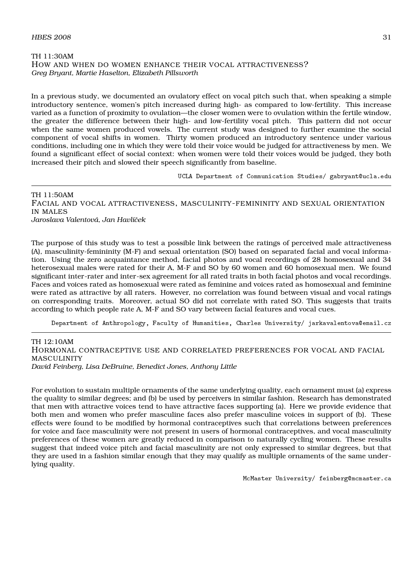#### TH 11:30AM HOW AND WHEN DO WOMEN ENHANCE THEIR VOCAL ATTRACTIVENESS? *Greg Bryant, Martie Haselton, Elizabeth Pillsworth*

In a previous study, we documented an ovulatory effect on vocal pitch such that, when speaking a simple introductory sentence, women's pitch increased during high- as compared to low-fertility. This increase varied as a function of proximity to ovulation—the closer women were to ovulation within the fertile window, the greater the difference between their high- and low-fertility vocal pitch. This pattern did not occur when the same women produced vowels. The current study was designed to further examine the social component of vocal shifts in women. Thirty women produced an introductory sentence under various conditions, including one in which they were told their voice would be judged for attractiveness by men. We found a significant effect of social context: when women were told their voices would be judged, they both increased their pitch and slowed their speech significantly from baseline.

UCLA Department of Communication Studies/ gabryant@ucla.edu

TH 11:50AM FACIAL AND VOCAL ATTRACTIVENESS, MASCULINITY-FEMININITY AND SEXUAL ORIENTATION IN MALES *Jaroslava Valentová, Jan Havlíˇcek*

The purpose of this study was to test a possible link between the ratings of perceived male attractiveness (A), masculinity-femininity (M-F) and sexual orientation (SO) based on separated facial and vocal information. Using the zero acquaintance method, facial photos and vocal recordings of 28 homosexual and 34 heterosexual males were rated for their A, M-F and SO by 60 women and 60 homosexual men. We found significant inter-rater and inter-sex agreement for all rated traits in both facial photos and vocal recordings. Faces and voices rated as homosexual were rated as feminine and voices rated as homosexual and feminine were rated as attractive by all raters. However, no correlation was found between visual and vocal ratings on corresponding traits. Moreover, actual SO did not correlate with rated SO. This suggests that traits according to which people rate A, M-F and SO vary between facial features and vocal cues.

Department of Anthropology, Faculty of Humanities, Charles University/ jarkavalentova@email.cz

TH 12:10AM HORMONAL CONTRACEPTIVE USE AND CORRELATED PREFERENCES FOR VOCAL AND FACIAL MASCULINITY *David Feinberg, Lisa DeBruine, Benedict Jones, Anthony Little*

For evolution to sustain multiple ornaments of the same underlying quality, each ornament must (a) express the quality to similar degrees; and (b) be used by perceivers in similar fashion. Research has demonstrated that men with attractive voices tend to have attractive faces supporting (a). Here we provide evidence that both men and women who prefer masculine faces also prefer masculine voices in support of (b). These effects were found to be modified by hormonal contraceptives such that correlations between preferences for voice and face masculinity were not present in users of hormonal contraceptives, and vocal masculinity preferences of these women are greatly reduced in comparison to naturally cycling women. These results suggest that indeed voice pitch and facial masculinity are not only expressed to similar degrees, but that they are used in a fashion similar enough that they may qualify as multiple ornaments of the same underlying quality.

McMaster University/ feinberg@mcmaster.ca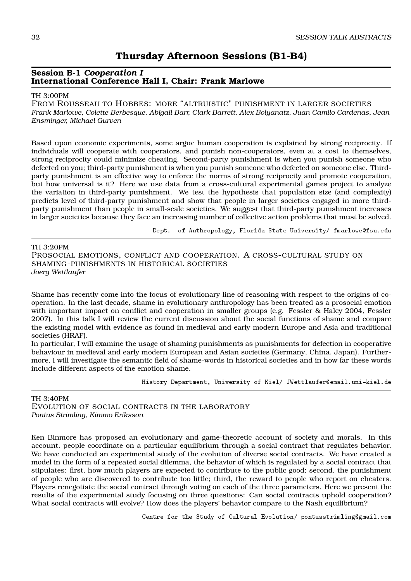#### **Session B-1** *Cooperation I* **International Conference Hall I, Chair: Frank Marlowe**

#### TH 3:00PM

FROM ROUSSEAU TO HOBBES: MORE "ALTRUISTIC" PUNISHMENT IN LARGER SOCIETIES *Frank Marlowe, Colette Berbesque, Abigail Barr, Clark Barrett, Alex Bolyanatz, Juan Camilo Cardenas, Jean Ensminger, Michael Gurven*

Based upon economic experiments, some argue human cooperation is explained by strong reciprocity. If individuals will cooperate with cooperators, and punish non-cooperators, even at a cost to themselves, strong reciprocity could minimize cheating. Second-party punishment is when you punish someone who defected on you; third-party punishment is when you punish someone who defected on someone else. Thirdparty punishment is an effective way to enforce the norms of strong reciprocity and promote cooperation, but how universal is it? Here we use data from a cross-cultural experimental games project to analyze the variation in third-party punishment. We test the hypothesis that population size (and complexity) predicts level of third-party punishment and show that people in larger societies engaged in more thirdparty punishment than people in small-scale societies. We suggest that third-party punishment increases in larger societies because they face an increasing number of collective action problems that must be solved.

Dept. of Anthropology, Florida State University/ fmarlowe@fsu.edu

#### TH 3:20PM

PROSOCIAL EMOTIONS, CONFLICT AND COOPERATION. A CROSS-CULTURAL STUDY ON SHAMING-PUNISHMENTS IN HISTORICAL SOCIETIES *Joerg Wettlaufer*

Shame has recently come into the focus of evolutionary line of reasoning with respect to the origins of cooperation. In the last decade, shame in evolutionary anthropology has been treated as a prosocial emotion with important impact on conflict and cooperation in smaller groups (e.g. Fessler & Haley 2004, Fessler 2007). In this talk I will review the current discussion about the social functions of shame and compare the existing model with evidence as found in medieval and early modern Europe and Asia and traditional societies (HRAF).

In particular, I will examine the usage of shaming punishments as punishments for defection in cooperative behaviour in medieval and early modern European and Asian societies (Germany, China, Japan). Furthermore, I will investigate the semantic field of shame-words in historical societies and in how far these words include different aspects of the emotion shame.

History Department, University of Kiel/ JWettlaufer@email.uni-kiel.de

#### TH 3:40PM EVOLUTION OF SOCIAL CONTRACTS IN THE LABORATORY *Pontus Strimling, Kimmo Eriksson*

Ken Binmore has proposed an evolutionary and game-theoretic account of society and morals. In this account, people coordinate on a particular equilibrium through a social contract that regulates behavior. We have conducted an experimental study of the evolution of diverse social contracts. We have created a model in the form of a repeated social dilemma, the behavior of which is regulated by a social contract that stipulates: first, how much players are expected to contribute to the public good; second, the punishment of people who are discovered to contribute too little; third, the reward to people who report on cheaters. Players renegotiate the social contract through voting on each of the three parameters. Here we present the results of the experimental study focusing on three questions: Can social contracts uphold cooperation? What social contracts will evolve? How does the players' behavior compare to the Nash equilibrium?

Centre for the Study of Cultural Evolution/ pontusstrimling@gmail.com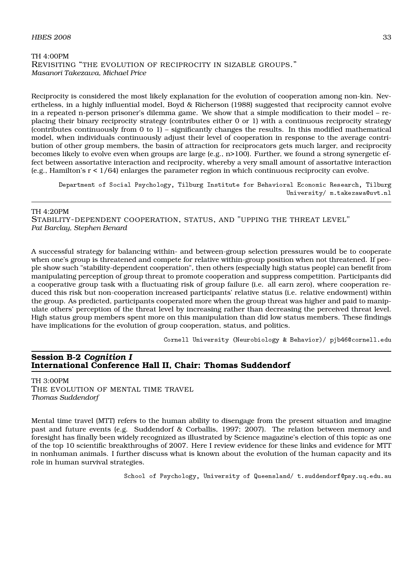#### $H\text{BES } 2008$  33

#### TH 4:00PM REVISITING "THE EVOLUTION OF RECIPROCITY IN SIZABLE GROUPS." *Masanori Takezawa, Michael Price*

Reciprocity is considered the most likely explanation for the evolution of cooperation among non-kin. Nevertheless, in a highly influential model, Boyd & Richerson (1988) suggested that reciprocity cannot evolve in a repeated n-person prisoner's dilemma game. We show that a simple modification to their model – replacing their binary reciprocity strategy (contributes either 0 or 1) with a continuous reciprocity strategy (contributes continuously from 0 to 1) – significantly changes the results. In this modified mathematical model, when individuals continuously adjust their level of cooperation in response to the average contribution of other group members, the basin of attraction for reciprocators gets much larger, and reciprocity becomes likely to evolve even when groups are large (e.g., n>100). Further, we found a strong synergetic effect between assortative interaction and reciprocity, whereby a very small amount of assortative interaction  $(e.g., Hamilton's r < 1/64)$  enlarges the parameter region in which continuous reciprocity can evolve.

Department of Social Psychology, Tilburg Institute for Behavioral Economic Research, Tilburg University/ m.takezawa@uvt.nl

TH 4:20PM

STABILITY-DEPENDENT COOPERATION, STATUS, AND "UPPING THE THREAT LEVEL" *Pat Barclay, Stephen Benard*

A successful strategy for balancing within- and between-group selection pressures would be to cooperate when one's group is threatened and compete for relative within-group position when not threatened. If people show such "stability-dependent cooperation", then others (especially high status people) can benefit from manipulating perception of group threat to promote cooperation and suppress competition. Participants did a cooperative group task with a fluctuating risk of group failure (i.e. all earn zero), where cooperation reduced this risk but non-cooperation increased participants' relative status (i.e. relative endowment) within the group. As predicted, participants cooperated more when the group threat was higher and paid to manipulate others' perception of the threat level by increasing rather than decreasing the perceived threat level. High status group members spent more on this manipulation than did low status members. These findings have implications for the evolution of group cooperation, status, and politics.

Cornell University (Neurobiology & Behavior)/ pjb46@cornell.edu

#### **Session B-2** *Cognition I* **International Conference Hall II, Chair: Thomas Suddendorf**

TH 3:00PM THE EVOLUTION OF MENTAL TIME TRAVEL *Thomas Suddendorf*

Mental time travel (MTT) refers to the human ability to disengage from the present situation and imagine past and future events (e.g. Suddendorf & Corballis, 1997; 2007). The relation between memory and foresight has finally been widely recognized as illustrated by Science magazine's election of this topic as one of the top 10 scientific breakthroughs of 2007. Here I review evidence for these links and evidence for MTT in nonhuman animals. I further discuss what is known about the evolution of the human capacity and its role in human survival strategies.

School of Psychology, University of Queensland/ t.suddendorf@psy.uq.edu.au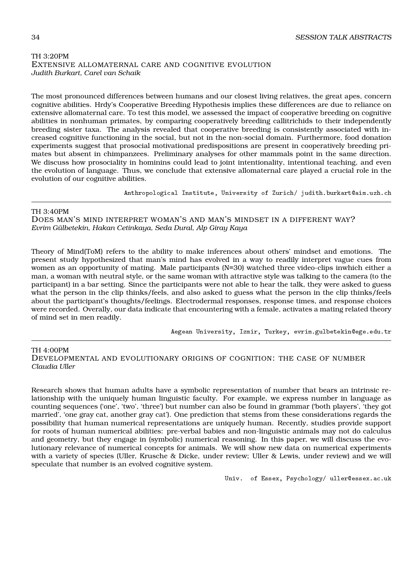#### TH 3:20PM EXTENSIVE ALLOMATERNAL CARE AND COGNITIVE EVOLUTION *Judith Burkart, Carel van Schaik*

The most pronounced differences between humans and our closest living relatives, the great apes, concern cognitive abilities. Hrdy's Cooperative Breeding Hypothesis implies these differences are due to reliance on extensive allomaternal care. To test this model, we assessed the impact of cooperative breeding on cognitive abilities in nonhuman primates, by comparing cooperatively breeding callitrichids to their independently breeding sister taxa. The analysis revealed that cooperative breeding is consistently associated with increased cognitive functioning in the social, but not in the non-social domain. Furthermore, food donation experiments suggest that prosocial motivational predispositions are present in cooperatively breeding primates but absent in chimpanzees. Preliminary analyses for other mammals point in the same direction. We discuss how prosociality in hominins could lead to joint intentionality, intentional teaching, and even the evolution of language. Thus, we conclude that extensive allomaternal care played a crucial role in the evolution of our cognitive abilities.

Anthropological Institute, University of Zurich/ judith.burkart@aim.uzh.ch

#### TH 3:40PM

DOES MAN'S MIND INTERPRET WOMAN'S AND MAN'S MINDSET IN A DIFFERENT WAY? *Evrim Gülbetekin, Hakan Cetinkaya, Seda Dural, Alp Giray Kaya*

Theory of Mind(ToM) refers to the ability to make inferences about others' mindset and emotions. The present study hypothesized that man's mind has evolved in a way to readily interpret vague cues from women as an opportunity of mating. Male participants (N=30) watched three video-clips inwhich either a man, a woman with neutral style, or the same woman with attractive style was talking to the camera (to the participant) in a bar setting. Since the participants were not able to hear the talk, they were asked to guess what the person in the clip thinks/feels, and also asked to guess what the person in the clip thinks/feels about the participant's thoughts/feelings. Electrodermal responses, response times, and response choices were recorded. Overally, our data indicate that encountering with a female, activates a mating related theory of mind set in men readily.

Aegean University, Izmir, Turkey, evrim.gulbetekin@ege.edu.tr

#### TH 4:00PM

DEVELOPMENTAL AND EVOLUTIONARY ORIGINS OF COGNITION: THE CASE OF NUMBER *Claudia Uller*

Research shows that human adults have a symbolic representation of number that bears an intrinsic relationship with the uniquely human linguistic faculty. For example, we express number in language as counting sequences ('one', 'two', 'three') but number can also be found in grammar ('both players', 'they got married', 'one gray cat, another gray cat'). One prediction that stems from these considerations regards the possibility that human numerical representations are uniquely human. Recently, studies provide support for roots of human numerical abilities: pre-verbal babies and non-linguistic animals may not do calculus and geometry, but they engage in (symbolic) numerical reasoning. In this paper, we will discuss the evolutionary relevance of numerical concepts for animals. We will show new data on numerical experiments with a variety of species (Uller, Krusche & Dicke, under review; Uller & Lewis, under review) and we will speculate that number is an evolved cognitive system.

Univ. of Essex, Psychology/ uller@essex.ac.uk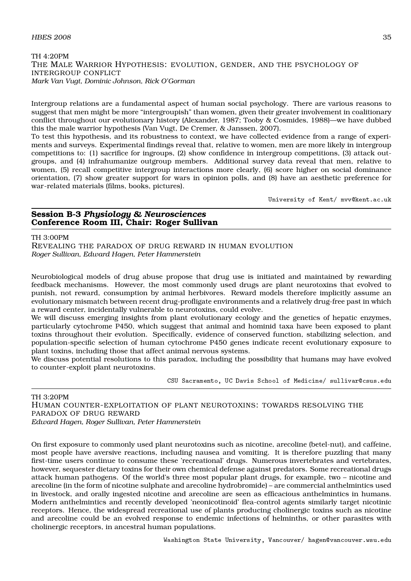## $H\text{BES } 2008$  35

#### TH 4:20PM THE MALE WARRIOR HYPOTHESIS: EVOLUTION, GENDER, AND THE PSYCHOLOGY OF INTERGROUP CONFLICT *Mark Van Vugt, Dominic Johnson, Rick O'Gorman*

Intergroup relations are a fundamental aspect of human social psychology. There are various reasons to suggest that men might be more "intergroupish" than women, given their greater involvement in coalitionary conflict throughout our evolutionary history (Alexander, 1987; Tooby & Cosmides, 1988)—we have dubbed this the male warrior hypothesis (Van Vugt, De Cremer, & Janssen, 2007).

To test this hypothesis, and its robustness to context, we have collected evidence from a range of experiments and surveys. Experimental findings reveal that, relative to women, men are more likely in intergroup competitions to: (1) sacrifice for ingroups, (2) show confidence in intergroup competitions, (3) attack outgroups, and (4) infrahumanize outgroup members. Additional survey data reveal that men, relative to women, (5) recall competitive intergroup interactions more clearly, (6) score higher on social dominance orientation, (7) show greater support for wars in opinion polls, and (8) have an aesthetic preference for war-related materials (films, books, pictures).

University of Kent/ mvv@kent.ac.uk

# **Session B-3** *Physiology & Neurosciences* **Conference Room III, Chair: Roger Sullivan**

TH 3:00PM

REVEALING THE PARADOX OF DRUG REWARD IN HUMAN EVOLUTION *Roger Sullivan, Edward Hagen, Peter Hammerstein*

Neurobiological models of drug abuse propose that drug use is initiated and maintained by rewarding feedback mechanisms. However, the most commonly used drugs are plant neurotoxins that evolved to punish, not reward, consumption by animal herbivores. Reward models therefore implicitly assume an evolutionary mismatch between recent drug-profligate environments and a relatively drug-free past in which a reward center, incidentally vulnerable to neurotoxins, could evolve.

We will discuss emerging insights from plant evolutionary ecology and the genetics of hepatic enzymes, particularly cytochrome P450, which suggest that animal and hominid taxa have been exposed to plant toxins throughout their evolution. Specifically, evidence of conserved function, stabilizing selection, and population-specific selection of human cytochrome P450 genes indicate recent evolutionary exposure to plant toxins, including those that affect animal nervous systems.

We discuss potential resolutions to this paradox, including the possibility that humans may have evolved to counter-exploit plant neurotoxins.

CSU Sacramento, UC Davis School of Medicine/ sullivar@csus.edu

# TH 3:20PM

HUMAN COUNTER-EXPLOITATION OF PLANT NEUROTOXINS: TOWARDS RESOLVING THE PARADOX OF DRUG REWARD

*Edward Hagen, Roger Sullivan, Peter Hammerstein*

On first exposure to commonly used plant neurotoxins such as nicotine, arecoline (betel-nut), and caffeine, most people have aversive reactions, including nausea and vomiting. It is therefore puzzling that many first-time users continue to consume these 'recreational' drugs. Numerous invertebrates and vertebrates, however, sequester dietary toxins for their own chemical defense against predators. Some recreational drugs attack human pathogens. Of the world's three most popular plant drugs, for example, two – nicotine and arecoline (in the form of nicotine sulphate and arecoline hydrobromide) – are commercial anthelmintics used in livestock, and orally ingested nicotine and arecoline are seen as efficacious anthelmintics in humans. Modern anthelmintics and recently developed 'neonicotinoid' flea-control agents similarly target nicotinic receptors. Hence, the widespread recreational use of plants producing cholinergic toxins such as nicotine and arecoline could be an evolved response to endemic infections of helminths, or other parasites with cholinergic receptors, in ancestral human populations.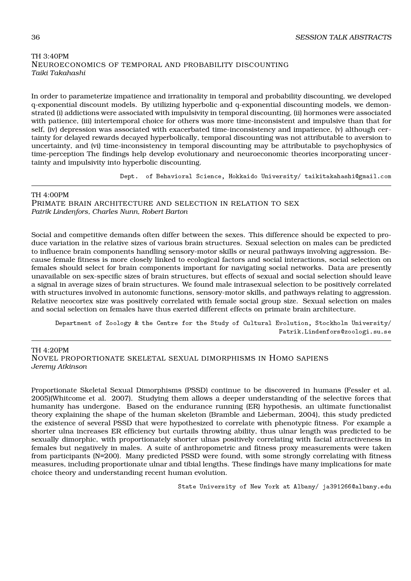# TH 3:40PM NEUROECONOMICS OF TEMPORAL AND PROBABILITY DISCOUNTING *Taiki Takahashi*

In order to parameterize impatience and irrationality in temporal and probability discounting, we developed q-exponential discount models. By utilizing hyperbolic and q-exponential discounting models, we demonstrated (i) addictions were associated with impulsivity in temporal discounting, (ii) hormones were associated with patience, (iii) intertemporal choice for others was more time-inconsistent and impulsive than that for self, (iv) depression was associated with exacerbated time-inconsistency and impatience, (v) although certainty for delayed rewards decayed hyperbolically, temporal discounting was not attributable to aversion to uncertainty, and (vi) time-inconsistency in temporal discounting may be attributable to psychophysics of time-perception The findings help develop evolutionary and neuroeconomic theories incorporating uncertainty and impulsivity into hyperbolic discounting.

Dept. of Behavioral Science, Hokkaido University/ taikitakahashi@gmail.com

TH 4:00PM PRIMATE BRAIN ARCHITECTURE AND SELECTION IN RELATION TO SEX *Patrik Lindenfors, Charles Nunn, Robert Barton*

Social and competitive demands often differ between the sexes. This difference should be expected to produce variation in the relative sizes of various brain structures. Sexual selection on males can be predicted to influence brain components handling sensory-motor skills or neural pathways involving aggression. Because female fitness is more closely linked to ecological factors and social interactions, social selection on females should select for brain components important for navigating social networks. Data are presently unavailable on sex-specific sizes of brain structures, but effects of sexual and social selection should leave a signal in average sizes of brain structures. We found male intrasexual selection to be positively correlated with structures involved in autonomic functions, sensory-motor skills, and pathways relating to aggression. Relative neocortex size was positively correlated with female social group size. Sexual selection on males and social selection on females have thus exerted different effects on primate brain architecture.

Department of Zoology & the Centre for the Study of Cultural Evolution, Stockholm University/ Patrik.Lindenfors@zoologi.su.se

TH 4:20PM

NOVEL PROPOR TIONATE SKELETAL SEXUAL DIMORPHISMS IN HOMO SAPIENS *Jeremy Atkinson*

Proportionate Skeletal Sexual Dimorphisms (PSSD) continue to be discovered in humans (Fessler et al. 2005)(Whitcome et al. 2007). Studying them allows a deeper understanding of the selective forces that humanity has undergone. Based on the endurance running (ER) hypothesis, an ultimate functionalist theory explaining the shape of the human skeleton (Bramble and Lieberman, 2004), this study predicted the existence of several PSSD that were hypothesized to correlate with phenotypic fitness. For example a shorter ulna increases ER efficiency but curtails throwing ability, thus ulnar length was predicted to be sexually dimorphic, with proportionately shorter ulnas positively correlating with facial attractiveness in females but negatively in males. A suite of anthropometric and fitness proxy measurements were taken from participants (N=200). Many predicted PSSD were found, with some strongly correlating with fitness measures, including proportionate ulnar and tibial lengths. These findings have many implications for mate choice theory and understanding recent human evolution.

State University of New York at Albany/ ja391266@albany.edu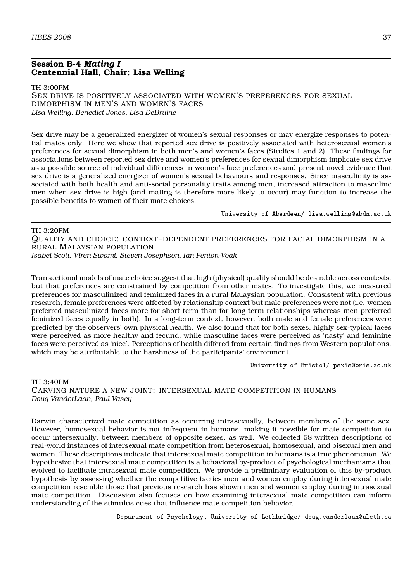# **Session B-4** *Mating I* **Centennial Hall, Chair: Lisa Welling**

#### TH 3:00PM

SEX DRIVE IS POSITIVELY ASSOCIATED WITH WOMEN'S PREFERENCES FOR SEXUAL DIMORPHISM IN MEN'S AND WOMEN'S FACES *Lisa Welling, Benedict Jones, Lisa DeBruine*

Sex drive may be a generalized energizer of women's sexual responses or may energize responses to potential mates only. Here we show that reported sex drive is positively associated with heterosexual women's preferences for sexual dimorphism in both men's and women's faces (Studies 1 and 2). These findings for associations between reported sex drive and women's preferences for sexual dimorphism implicate sex drive as a possible source of individual differences in women's face preferences and present novel evidence that sex drive is a generalized energizer of women's sexual behaviours and responses. Since masculinity is associated with both health and anti-social personality traits among men, increased attraction to masculine men when sex drive is high (and mating is therefore more likely to occur) may function to increase the possible benefits to women of their mate choices.

University of Aberdeen/ lisa.welling@abdn.ac.uk

## TH 3:20PM QUALITY AND CHOICE: CONTEXT -DEPENDENT PREFERENCES FOR FACIAL DIMORPHISM IN A RURAL MALAYSIAN POPULATION *Isabel Scott, Viren Swami, Steven Josephson, Ian Penton-Voak*

Transactional models of mate choice suggest that high (physical) quality should be desirable across contexts, but that preferences are constrained by competition from other mates. To investigate this, we measured preferences for masculinized and feminized faces in a rural Malaysian population. Consistent with previous research, female preferences were affected by relationship context but male preferences were not (i.e. women preferred masculinized faces more for short-term than for long-term relationships whereas men preferred feminized faces equally in both). In a long-term context, however, both male and female preferences were predicted by the observers' own physical health. We also found that for both sexes, highly sex-typical faces were perceived as more healthy and fecund, while masculine faces were perceived as 'nasty' and feminine faces were perceived as 'nice'. Perceptions of health differed from certain findings from Western populations, which may be attributable to the harshness of the participants' environment.

University of Bristol/ psxis@bris.ac.uk

#### TH 3:40PM

CARVING NATURE A NEW JOINT: INTERSEXUAL MATE COMPETITION IN HUMANS *Doug VanderLaan, Paul Vasey*

Darwin characterized mate competition as occurring intrasexually, between members of the same sex. However, homosexual behavior is not infrequent in humans, making it possible for mate competition to occur intersexually, between members of opposite sexes, as well. We collected 58 written descriptions of real-world instances of intersexual mate competition from heterosexual, homosexual, and bisexual men and women. These descriptions indicate that intersexual mate competition in humans is a true phenomenon. We hypothesize that intersexual mate competition is a behavioral by-product of psychological mechanisms that evolved to facilitate intrasexual mate competition. We provide a preliminary evaluation of this by-product hypothesis by assessing whether the competitive tactics men and women employ during intersexual mate competition resemble those that previous research has shown men and women employ during intrasexual mate competition. Discussion also focuses on how examining intersexual mate competition can inform understanding of the stimulus cues that influence mate competition behavior.

Department of Psychology, University of Lethbridge/ doug.vanderlaan@uleth.ca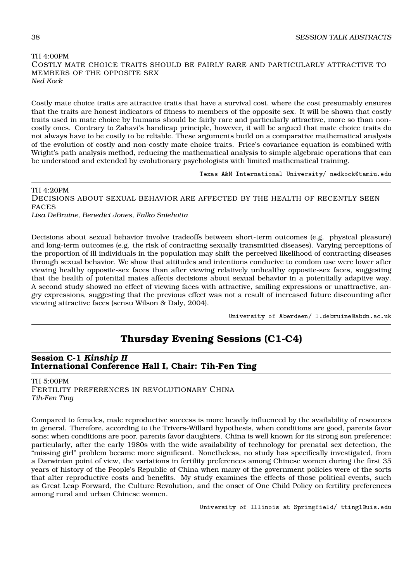# TH 4:00PM COSTLY MATE CHOICE TRAITS SHOULD BE FAIRLY RARE AND PARTICULARLY ATTRACTIVE TO MEMBERS OF THE OPPOSITE SEX *Ned Kock*

Costly mate choice traits are attractive traits that have a survival cost, where the cost presumably ensures that the traits are honest indicators of fitness to members of the opposite sex. It will be shown that costly traits used in mate choice by humans should be fairly rare and particularly attractive, more so than noncostly ones. Contrary to Zahavi's handicap principle, however, it will be argued that mate choice traits do not always have to be costly to be reliable. These arguments build on a comparative mathematical analysis of the evolution of costly and non-costly mate choice traits. Price's covariance equation is combined with Wright's path analysis method, reducing the mathematical analysis to simple algebraic operations that can be understood and extended by evolutionary psychologists with limited mathematical training.

Texas A&M International University/ nedkock@tamiu.edu

TH 4:20PM DECISIONS ABOUT SEXUAL BEHAVIOR ARE AFFECTED BY THE HEALTH OF RECENTLY SEEN FACES *Lisa DeBruine, Benedict Jones, Falko Sniehotta*

Decisions about sexual behavior involve tradeoffs between short-term outcomes (e.g. physical pleasure) and long-term outcomes (e.g. the risk of contracting sexually transmitted diseases). Varying perceptions of the proportion of ill individuals in the population may shift the perceived likelihood of contracting diseases through sexual behavior. We show that attitudes and intentions conducive to condom use were lower after viewing healthy opposite-sex faces than after viewing relatively unhealthy opposite-sex faces, suggesting that the health of potential mates affects decisions about sexual behavior in a potentially adaptive way. A second study showed no effect of viewing faces with attractive, smiling expressions or unattractive, angry expressions, suggesting that the previous effect was not a result of increased future discounting after viewing attractive faces (sensu Wilson & Daly, 2004).

University of Aberdeen/ l.debruine@abdn.ac.uk

# **Thursday Evening Sessions (C1-C4)**

# **Session C-1** *Kinship II* **International Conference Hall I, Chair: Tih-Fen Ting**

TH 5:00PM FERTILITY PREFERENCES IN REVOLUTIONARY CHINA *Tih-Fen Ting*

Compared to females, male reproductive success is more heavily influenced by the availability of resources in general. Therefore, according to the Trivers-Willard hypothesis, when conditions are good, parents favor sons; when conditions are poor, parents favor daughters. China is well known for its strong son preference; particularly, after the early 1980s with the wide availability of technology for prenatal sex detection, the "missing girl" problem became more significant. Nonetheless, no study has specifically investigated, from a Darwinian point of view, the variations in fertility preferences among Chinese women during the first 35 years of history of the People's Republic of China when many of the government policies were of the sorts that alter reproductive costs and benefits. My study examines the effects of those political events, such as Great Leap Forward, the Culture Revolution, and the onset of One Child Policy on fertility preferences among rural and urban Chinese women.

University of Illinois at Springfield/ tting1@uis.edu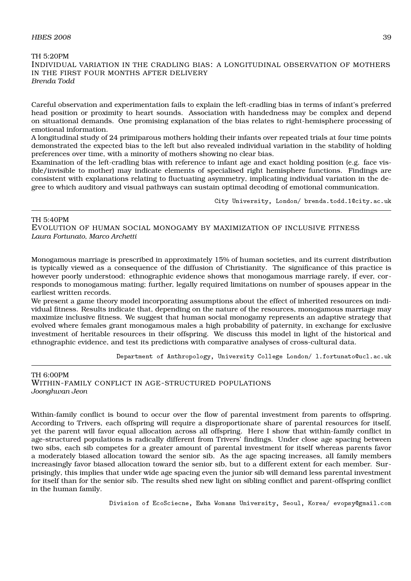#### $H\!B\!E\!S$  2008 39

## TH 5:20PM INDIVIDUAL VARIATION IN THE CRADLING BIAS: A LONGITUDINAL OBSERVATION OF MOTHERS IN THE FIRST FOUR MONTHS AFTER DELIVERY *Brenda Todd*

Careful observation and experimentation fails to explain the left-cradling bias in terms of infant's preferred head position or proximity to heart sounds. Association with handedness may be complex and depend on situational demands. One promising explanation of the bias relates to right-hemisphere processing of emotional information.

A longitudinal study of 24 primiparous mothers holding their infants over repeated trials at four time points demonstrated the expected bias to the left but also revealed individual variation in the stability of holding preferences over time, with a minority of mothers showing no clear bias.

Examination of the left-cradling bias with reference to infant age and exact holding position (e.g. face visible/invisible to mother) may indicate elements of specialised right hemisphere functions. Findings are consistent with explanations relating to fluctuating asymmetry, implicating individual variation in the degree to which auditory and visual pathways can sustain optimal decoding of emotional communication.

City University, London/ brenda.todd.1@city.ac.uk

#### TH 5:40PM

EVOLUTION OF HUMAN SOCIAL MONOGAMY BY MAXIMIZATION OF INCLUSIVE FITNESS *Laura Fortunato, Marco Archetti*

Monogamous marriage is prescribed in approximately 15% of human societies, and its current distribution is typically viewed as a consequence of the diffusion of Christianity. The significance of this practice is however poorly understood: ethnographic evidence shows that monogamous marriage rarely, if ever, corresponds to monogamous mating; further, legally required limitations on number of spouses appear in the earliest written records.

We present a game theory model incorporating assumptions about the effect of inherited resources on individual fitness. Results indicate that, depending on the nature of the resources, monogamous marriage may maximize inclusive fitness. We suggest that human social monogamy represents an adaptive strategy that evolved where females grant monogamous males a high probability of paternity, in exchange for exclusive investment of heritable resources in their offspring. We discuss this model in light of the historical and ethnographic evidence, and test its predictions with comparative analyses of cross-cultural data.

Department of Anthropology, University College London/ l.fortunato@ucl.ac.uk

TH 6:00PM WITHIN-FAMILY CONFLICT IN AGE-STRUCTURED POPULATIONS *Joonghwan Jeon*

Within-family conflict is bound to occur over the flow of parental investment from parents to offspring. According to Trivers, each offspring will require a disproportionate share of parental resources for itself, yet the parent will favor equal allocation across all offspring. Here I show that within-family conflict in age-structured populations is radically different from Trivers' findings. Under close age spacing between two sibs, each sib competes for a greater amount of parental investment for itself whereas parents favor a moderately biased allocation toward the senior sib. As the age spacing increases, all family members increasingly favor biased allocation toward the senior sib, but to a different extent for each member. Surprisingly, this implies that under wide age spacing even the junior sib will demand less parental investment for itself than for the senior sib. The results shed new light on sibling conflict and parent-offspring conflict in the human family.

Division of EcoSciecne, Ewha Womans University, Seoul, Korea/ evopsy@gmail.com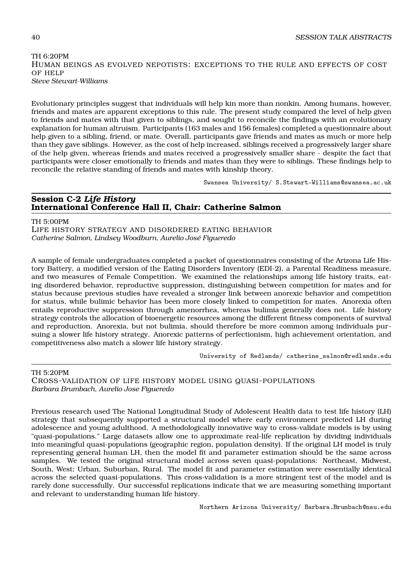TH 6:20PM HUMAN BEINGS AS EVOLVED NEPOTISTS: EXCEPTIONS TO THE RULE AND EFFECTS OF COST OF HELP *Steve Stewart-Williams*

Evolutionary principles suggest that individuals will help kin more than nonkin. Among humans, however, friends and mates are apparent exceptions to this rule. The present study compared the level of help given to friends and mates with that given to siblings, and sought to reconcile the findings with an evolutionary explanation for human altruism. Participants (163 males and 156 females) completed a questionnaire about help given to a sibling, friend, or mate. Overall, participants gave friends and mates as much or more help than they gave siblings. However, as the cost of help increased, siblings received a progressively larger share of the help given, whereas friends and mates received a progressively smaller share - despite the fact that participants were closer emotionally to friends and mates than they were to siblings. These findings help to reconcile the relative standing of friends and mates with kinship theory.

Swansea University/ S.Stewart-Williams@swansea.ac.uk

# **Session C-2** *Life History* **International Conference Hall II, Chair: Catherine Salmon**

TH 5:00PM

LIFE HISTORY STRATEGY AND DISORDERED EATING BEHAVIOR *Catherine Salmon, Lindsey Woodburn, Aurelio José Figueredo*

A sample of female undergraduates completed a packet of questionnaires consisting of the Arizona Life History Battery, a modified version of the Eating Disorders Inventory (EDI-2), a Parental Readiness measure, and two measures of Female Competition. We examined the relationships among life history traits, eating disordered behavior, reproductive suppression, distinguishing between competition for mates and for status because previous studies have revealed a stronger link between anorexic behavior and competition for status, while bulimic behavior has been more closely linked to competition for mates. Anorexia often entails reproductive suppression through amenorrhea, whereas bulimia generally does not. Life history strategy controls the allocation of bioenergetic resources among the different fitness components of survival and reproduction. Anorexia, but not bulimia, should therefore be more common among individuals pursuing a slower life history strategy. Anorexic patterns of perfectionism, high achievement orientation, and competitiveness also match a slower life history strategy.

University of Redlands/ catherine\_salmon@redlands.edu

TH 5:20PM

CROSS-VALIDATION OF LIFE HISTORY MODEL USING QUASI-POPULATIONS *Barbara Brumbach, Aurelio Jose Figueredo*

Previous research used The National Longitudinal Study of Adolescent Health data to test life history (LH) strategy that subsequently supported a structural model where early environment predicted LH during adolescence and young adulthood. A methodologically innovative way to cross-validate models is by using "quasi-populations." Large datasets allow one to approximate real-life replication by dividing individuals into meaningful quasi-populations (geographic region, population density). If the original LH model is truly representing general human LH, then the model fit and parameter estimation should be the same across samples. We tested the original structural model across seven quasi-populations: Northeast, Midwest, South, West; Urban, Suburban, Rural. The model fit and parameter estimation were essentially identical across the selected quasi-populations. This cross-validation is a more stringent test of the model and is rarely done successfully. Our successful replications indicate that we are measuring something important and relevant to understanding human life history.

Northern Arizona University/ Barbara.Brumbach@nau.edu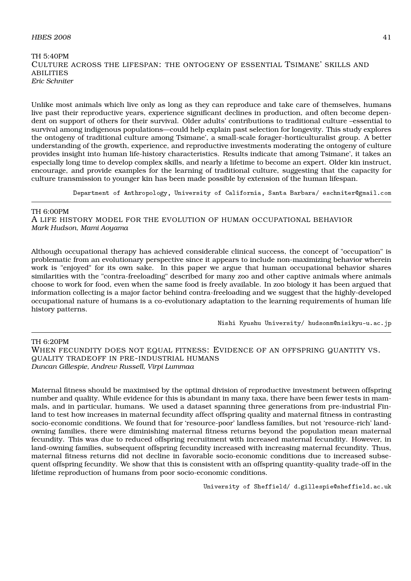#### $H\text{BES } 2008$  41

## TH 5:40PM CULTURE ACROSS THE LIFESPAN: THE ONTOGENY OF ESSENTIAL TSIMANE' SKILLS AND ABILITIES *Eric Schniter*

Unlike most animals which live only as long as they can reproduce and take care of themselves, humans live past their reproductive years, experience significant declines in production, and often become dependent on support of others for their survival. Older adults' contributions to traditional culture –essential to survival among indigenous populations—could help explain past selection for longevity. This study explores the ontogeny of traditional culture among Tsimane', a small-scale forager-horticulturalist group. A better understanding of the growth, experience, and reproductive investments moderating the ontogeny of culture provides insight into human life-history characteristics. Results indicate that among Tsimane', it takes an especially long time to develop complex skills, and nearly a lifetime to become an expert. Older kin instruct, encourage, and provide examples for the learning of traditional culture, suggesting that the capacity for culture transmission to younger kin has been made possible by extension of the human lifespan.

Department of Anthropology, University of California, Santa Barbara/ eschniter@gmail.com

#### TH 6:00PM

A LIFE HISTORY MODEL FOR THE EVOLUTION OF HUMAN OCCUPATIONAL BEHAVIOR *Mark Hudson, Mami Aoyama*

Although occupational therapy has achieved considerable clinical success, the concept of "occupation" is problematic from an evolutionary perspective since it appears to include non-maximizing behavior wherein work is "enjoyed" for its own sake. In this paper we argue that human occupational behavior shares similarities with the "contra-freeloading" described for many zoo and other captive animals where animals choose to work for food, even when the same food is freely available. In zoo biology it has been argued that information collecting is a major factor behind contra-freeloading and we suggest that the highly-developed occupational nature of humans is a co-evolutionary adaptation to the learning requirements of human life history patterns.

Nishi Kyushu University/ hudsonm@nisikyu-u.ac.jp

#### TH 6:20PM

WHEN FECUNDITY DOES NOT EQUAL FITNESS: EVIDENCE OF AN OFFSPRING QUANTITY VS. QUALITY TRADEOFF IN PRE-INDUSTRIAL HUMANS *Duncan Gillespie, Andrew Russell, Virpi Lummaa*

Maternal fitness should be maximised by the optimal division of reproductive investment between offspring number and quality. While evidence for this is abundant in many taxa, there have been fewer tests in mammals, and in particular, humans. We used a dataset spanning three generations from pre-industrial Finland to test how increases in maternal fecundity affect offspring quality and maternal fitness in contrasting socio-economic conditions. We found that for 'resource-poor' landless families, but not 'resource-rich' landowning families, there were diminishing maternal fitness returns beyond the population mean maternal fecundity. This was due to reduced offspring recruitment with increased maternal fecundity. However, in land-owning families, subsequent offspring fecundity increased with increasing maternal fecundity. Thus, maternal fitness returns did not decline in favorable socio-economic conditions due to increased subsequent offspring fecundity. We show that this is consistent with an offspring quantity-quality trade-off in the lifetime reproduction of humans from poor socio-economic conditions.

University of Sheffield/ d.gillespie@sheffield.ac.uk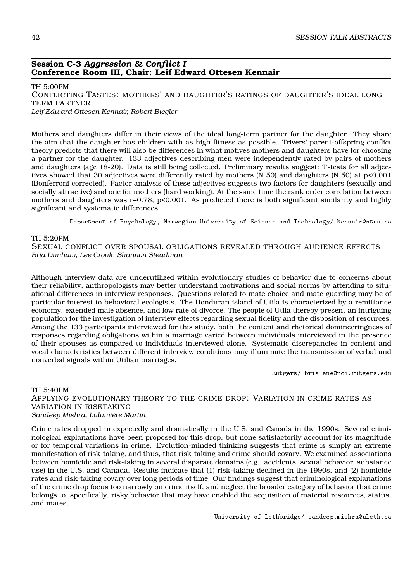#### **Session C-3** *Aggression & Conflict I* **Conference Room III, Chair: Leif Edward Ottesen Kennair**

TH 5:00PM CONFLICTING TASTES: MOTHERS' AND DAUGHTER'S RATINGS OF DAUGHTER'S IDEAL LONG TERM PARTNER *Leif Edward Ottesen Kennair, Robert Biegler*

Mothers and daughters differ in their views of the ideal long-term partner for the daughter. They share the aim that the daughter has children with as high fitness as possible. Trivers' parent-offspring conflict theory predicts that there will also be differences in what motives mothers and daughters have for choosing a partner for the daughter. 133 adjectives describing men were independently rated by pairs of mothers and daughters (age 18-20). Data is still being collected. Preliminary results suggest: T-tests for all adjectives showed that 30 adjectives were differently rated by mothers (N 50) and daughters (N 50) at p<0.001 (Bonferroni corrected). Factor analysis of these adjectives suggests two factors for daughters (sexually and socially attractive) and one for mothers (hard working). At the same time the rank order correlation between mothers and daughters was r=0.78, p<0.001. As predicted there is both significant similarity and highly significant and systematic differences.

Department of Psychology, Norwegian University of Science and Technology/ kennair@ntnu.no

#### TH 5:20PM

SEXUAL CONFLICT OVER SPOUSAL OBLIGATIONS REVEALED THROUGH AUDIENCE EFFECTS *Bria Dunham, Lee Cronk, Shannon Steadman*

Although interview data are underutilized within evolutionary studies of behavior due to concerns about their reliability, anthropologists may better understand motivations and social norms by attending to situational differences in interview responses. Questions related to mate choice and mate guarding may be of particular interest to behavioral ecologists. The Honduran island of Utila is characterized by a remittance economy, extended male absence, and low rate of divorce. The people of Utila thereby present an intriguing population for the investigation of interview effects regarding sexual fidelity and the disposition of resources. Among the 133 participants interviewed for this study, both the content and rhetorical domineeringness of responses regarding obligations within a marriage varied between individuals interviewed in the presence of their spouses as compared to individuals interviewed alone. Systematic discrepancies in content and vocal characteristics between different interview conditions may illuminate the transmission of verbal and nonverbal signals within Utilian marriages.

Rutgers/ brialane@rci.rutgers.edu

#### TH 5:40PM

APPLYING EVOLUTIONARY THEORY TO THE CRIME DROP: VARIATION IN CRIME RATES AS VARIATION IN RISKTAKING *Sandeep Mishra, Lalumière Martin*

Crime rates dropped unexpectedly and dramatically in the U.S. and Canada in the 1990s. Several criminological explanations have been proposed for this drop, but none satisfactorily account for its magnitude or for temporal variations in crime. Evolution-minded thinking suggests that crime is simply an extreme manifestation of risk-taking, and thus, that risk-taking and crime should covary. We examined associations between homicide and risk-taking in several disparate domains (e.g., accidents, sexual behavior, substance use) in the U.S. and Canada. Results indicate that (1) risk-taking declined in the 1990s, and (2) homicide rates and risk-taking covary over long periods of time. Our findings suggest that criminological explanations of the crime drop focus too narrowly on crime itself, and neglect the broader category of behavior that crime belongs to, specifically, risky behavior that may have enabled the acquisition of material resources, status, and mates.

University of Lethbridge/ sandeep.mishra@uleth.ca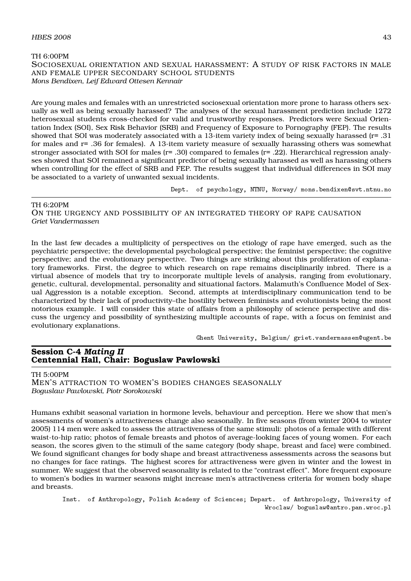#### $H\text{BES } 2008$  and  $43$

#### TH 6:00PM SOCIOSEXUAL ORIENTATION AND SEXUAL HARASSMENT: A STUDY OF RISK FACTORS IN MALE AND FEMALE UPPER SECONDARY SCHOOL STUDENTS *Mons Bendixen, Leif Edward Ottesen Kennair*

Are young males and females with an unrestricted sociosexual orientation more prone to harass others sexually as well as being sexually harassed? The analyses of the sexual harassment prediction include 1272 heterosexual students cross-checked for valid and trustworthy responses. Predictors were Sexual Orientation Index (SOI), Sex Risk Behavior (SRB) and Frequency of Exposure to Pornography (FEP). The results showed that SOI was moderately associated with a 13-item variety index of being sexually harassed (r= .31 for males and r= .36 for females). A 13-item variety measure of sexually harassing others was somewhat stronger associated with SOI for males (r= .30) compared to females (r= .22). Hierarchical regression analyses showed that SOI remained a significant predictor of being sexually harassed as well as harassing others when controlling for the effect of SRB and FEP. The results suggest that individual differences in SOI may be associated to a variety of unwanted sexual incidents.

Dept. of psychology, NTNU, Norway/ mons.bendixen@svt.ntnu.no

TH 6:20PM ON THE URGENCY AND POSSIBILITY OF AN INTEGRATED THEORY OF RAPE CAUSATION *Griet Vandermassen*

In the last few decades a multiplicity of perspectives on the etiology of rape have emerged, such as the psychiatric perspective; the developmental psychological perspective; the feminist perspective; the cognitive perspective; and the evolutionary perspective. Two things are striking about this proliferation of explanatory frameworks. First, the degree to which research on rape remains disciplinarily inbred. There is a virtual absence of models that try to incorporate multiple levels of analysis, ranging from evolutionary, genetic, cultural, developmental, personality and situational factors. Malamuth's Confluence Model of Sexual Aggression is a notable exception. Second, attempts at interdisciplinary communication tend to be characterized by their lack of productivity–the hostility between feminists and evolutionists being the most notorious example. I will consider this state of affairs from a philosophy of science perspective and discuss the urgency and possibility of synthesizing multiple accounts of rape, with a focus on feminist and evolutionary explanations.

Ghent University, Belgium/ griet.vandermassen@ugent.be

## **Session C-4** *Mating II* **Centennial Hall, Chair: Boguslaw Pawlowski**

#### TH 5:00PM

MEN'S ATTRACTION TO WOMEN'S BODIES CHANGES SEASONALLY *Boguslaw Pawlowski, Piotr Sorokowski*

Humans exhibit seasonal variation in hormone levels, behaviour and perception. Here we show that men's assessments of women's attractiveness change also seasonally. In five seasons (from winter 2004 to winter 2005) 114 men were asked to assess the attractiveness of the same stimuli: photos of a female with different waist-to-hip ratio; photos of female breasts and photos of average-looking faces of young women. For each season, the scores given to the stimuli of the same category (body shape, breast and face) were combined. We found significant changes for body shape and breast attractiveness assessments across the seasons but no changes for face ratings. The highest scores for attractiveness were given in winter and the lowest in summer. We suggest that the observed seasonality is related to the "contrast effect". More frequent exposure to women's bodies in warmer seasons might increase men's attractiveness criteria for women body shape and breasts.

Inst. of Anthropology, Polish Academy of Sciences; Depart. of Anthropology, University of Wroclaw/ boguslaw@antro.pan.wroc.pl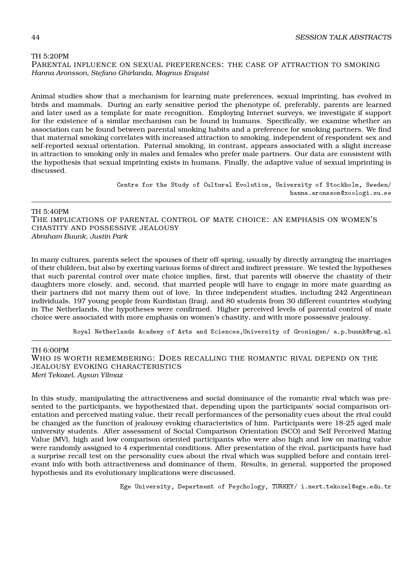#### TH 5:20PM

PARENTAL INFLUENCE ON SEXUAL PREFERENCES: THE CASE OF ATTRACTION TO SMOKING *Hanna Aronsson, Stefano Ghirlanda, Magnus Enquist*

Animal studies show that a mechanism for learning mate preferences, sexual imprinting, has evolved in birds and mammals. During an early sensitive period the phenotype of, preferably, parents are learned and later used as a template for mate recognition. Employing Internet surveys, we investigate if support for the existence of a similar mechanism can be found in humans. Specifically, we examine whether an association can be found between parental smoking habits and a preference for smoking partners. We find that maternal smoking correlates with increased attraction to smoking, independent of respondent sex and self-reported sexual orientation. Paternal smoking, in contrast, appears associated with a slight increase in attraction to smoking only in males and females who prefer male partners. Our data are consistent with the hypothesis that sexual imprinting exists in humans. Finally, the adaptive value of sexual imprinting is discussed.

> Centre for the Study of Cultural Evolution, University of Stockholm, Sweden/ hanna.aronsson@zoologi.su.se

#### TH 5:40PM

THE IMPLICATIONS OF PARENTAL CONTROL OF MATE CHOICE: AN EMPHASIS ON WOMEN'S CHASTITY AND POSSESSIVE JEALOUSY *Abraham Buunk, Justin Park*

In many cultures, parents select the spouses of their off-spring, usually by directly arranging the marriages of their children, but also by exerting various forms of direct and indirect pressure. We tested the hypotheses that such parental control over mate choice implies, first, that parents will observe the chastity of their daughters more closely, and, second, that married people will have to engage in more mate guarding as their partners did not marry them out of love. In three independent studies, including 242 Argentinean individuals, 197 young people from Kurdistan (Iraq), and 80 students from 30 different countries studying in The Netherlands, the hypotheses were confirmed. Higher perceived levels of parental control of mate choice were associated with more emphasis on women's chastity, and with more possessive jealousy.

Royal Netherlands Academy of Arts and Sciences,University of Groningen/ a.p.buunk@rug.nl

TH 6:00PM

WHO IS WORTH REMEMBERING: DOES RECALLING THE ROMANTIC RIVAL DEPEND ON THE JEALOUSY EVOKING CHARACTERISTICS *Mert Tekozel, Aysun Yilmaz*

In this study, manipulating the attractiveness and social dominance of the romantic rival which was presented to the participants, we hypothesized that, depending upon the participants' social comparison orientation and perceived mating value, their recall performances of the personality cues about the rival could be changed as the function of jealousy evoking characteristics of him. Participants were 18-25 aged male university students. After assessment of Social Comparison Orientation (SCO) and Self Perceived Mating Value (MV), high and low comparison oriented participants who were also high and low on mating value were randomly assigned to 4 experimental conditions. After presentation of the rival, participants have had a surprise recall test on the personality cues about the rival which was supplied before and contain irrelevant info with both attractiveness and dominance of them. Results, in general, supported the proposed hypothesis and its evolutionary implications were discussed.

Ege University, Department of Psychology, TURKEY/ i.mert.tekozel@ege.edu.tr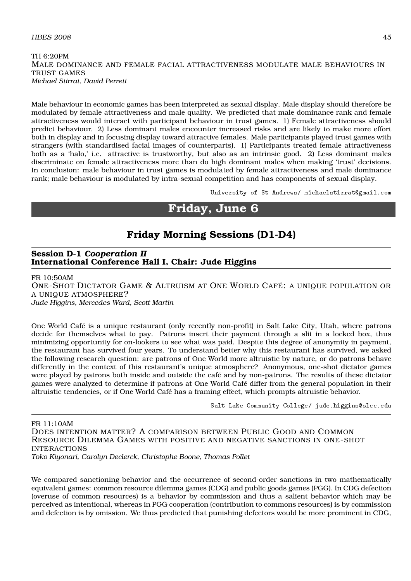## $H\text{BES } 2008$  and  $45$

TH 6:20PM MALE DOMINANCE AND FEMALE FACIAL ATTRACTIVENESS MODULATE MALE BEHAVIOURS IN TRUST GAMES *Michael Stirrat, David Perrett*

Male behaviour in economic games has been interpreted as sexual display. Male display should therefore be modulated by female attractiveness and male quality. We predicted that male dominance rank and female attractiveness would interact with participant behaviour in trust games. 1) Female attractiveness should predict behaviour. 2) Less dominant males encounter increased risks and are likely to make more effort both in display and in focusing display toward attractive females. Male participants played trust games with strangers (with standardised facial images of counterparts). 1) Participants treated female attractiveness both as a 'halo,' i.e. attractive is trustworthy, but also as an intrinsic good. 2) Less dominant males discriminate on female attractiveness more than do high dominant males when making 'trust' decisions. In conclusion: male behaviour in trust games is modulated by female attractiveness and male dominance rank; male behaviour is modulated by intra-sexual competition and has components of sexual display.

University of St Andrews/ michaelstirrat@gmail.com

# **Friday, June 6**

# **Friday Morning Sessions (D1-D4)**

## **Session D-1** *Cooperation II* **International Conference Hall I, Chair: Jude Higgins**

FR 10:50AM ONE-SHOT DICTATOR GAME & ALTRUISM AT ONE WORLD CAFÉ: A UNIQUE POPULATION OR A UNIQUE ATMOSPHERE? *Jude Higgins, Mercedes Ward, Scott Martin*

One World Café is a unique restaurant (only recently non-profit) in Salt Lake City, Utah, where patrons decide for themselves what to pay. Patrons insert their payment through a slit in a locked box, thus minimizing opportunity for on-lookers to see what was paid. Despite this degree of anonymity in payment, the restaurant has survived four years. To understand better why this restaurant has survived, we asked the following research question: are patrons of One World more altruistic by nature, or do patrons behave differently in the context of this restaurant's unique atmosphere? Anonymous, one-shot dictator games were played by patrons both inside and outside the café and by non-patrons. The results of these dictator games were analyzed to determine if patrons at One World Café differ from the general population in their altruistic tendencies, or if One World Café has a framing effect, which prompts altruistic behavior.

Salt Lake Community College/ jude.higgins@slcc.edu

FR 11:10AM DOES INTENTION MATTER? A COMPARISON BETWEEN PUBLIC GOOD AND COMMON RESOURCE DILEMMA GAMES WITH POSITIVE AND NEGATIVE SANCTIONS IN ONE-SHOT INTERACTIONS *Toko Kiyonari, Carolyn Declerck, Christophe Boone, Thomas Pollet*

We compared sanctioning behavior and the occurrence of second-order sanctions in two mathematically equivalent games: common resource dilemma games (CDG) and public goods games (PGG). In CDG defection (overuse of common resources) is a behavior by commission and thus a salient behavior which may be perceived as intentional, whereas in PGG cooperation (contribution to commons resources) is by commission and defection is by omission. We thus predicted that punishing defectors would be more prominent in CDG,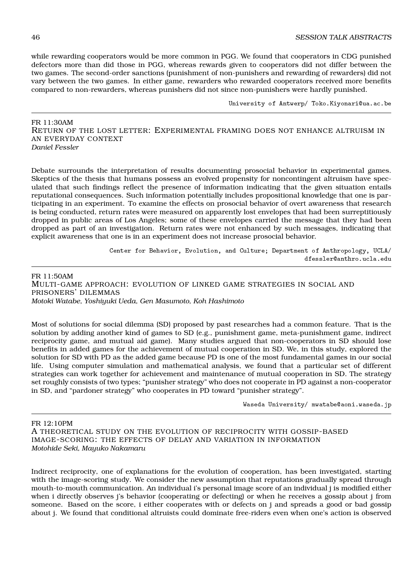while rewarding cooperators would be more common in PGG. We found that cooperators in CDG punished defectors more than did those in PGG, whereas rewards given to cooperators did not differ between the two games. The second-order sanctions (punishment of non-punishers and rewarding of rewarders) did not vary between the two games. In either game, rewarders who rewarded cooperators received more benefits compared to non-rewarders, whereas punishers did not since non-punishers were hardly punished.

University of Antwerp/ Toko.Kiyonari@ua.ac.be

FR 11:30AM RETURN OF THE LOST LETTER: EXPERIMENTAL FRAMING DOES NOT ENHANCE ALTRUISM IN AN EVERYDAY CONTEXT *Daniel Fessler*

Debate surrounds the interpretation of results documenting prosocial behavior in experimental games. Skeptics of the thesis that humans possess an evolved propensity for noncontingent altruism have speculated that such findings reflect the presence of information indicating that the given situation entails reputational consequences. Such information potentially includes propositional knowledge that one is participating in an experiment. To examine the effects on prosocial behavior of overt awareness that research is being conducted, return rates were measured on apparently lost envelopes that had been surreptitiously dropped in public areas of Los Angeles; some of these envelopes carried the message that they had been dropped as part of an investigation. Return rates were not enhanced by such messages, indicating that explicit awareness that one is in an experiment does not increase prosocial behavior.

> Center for Behavior, Evolution, and Culture; Department of Anthropology, UCLA/ dfessler@anthro.ucla.edu

FR 11:50AM MULTI-GAME APPROACH: EVOLUTION OF LINKED GAME STRATEGIES IN SOCIAL AND PRISONERS' DILEMMAS *Motoki Watabe, Yoshiyuki Ueda, Gen Masumoto, Koh Hashimoto*

Most of solutions for social dilemma (SD) proposed by past researches had a common feature. That is the solution by adding another kind of games to SD (e.g., punishment game, meta-punishment game, indirect reciprocity game, and mutual aid game). Many studies argued that non-cooperators in SD should lose benefits in added games for the achievement of mutual cooperation in SD. We, in this study, explored the solution for SD with PD as the added game because PD is one of the most fundamental games in our social life. Using computer simulation and mathematical analysis, we found that a particular set of different strategies can work together for achievement and maintenance of mutual cooperation in SD. The strategy set roughly consists of two types; "punisher strategy" who does not cooperate in PD against a non-cooperator in SD, and "pardoner strategy" who cooperates in PD toward "punisher strategy".

Waseda University/ mwatabe@aoni.waseda.jp

FR 12:10PM A THEORETICAL STUDY ON THE EVOLUTION OF RECIPROCITY WITH GOSSIP-BASED IMAGE-SCORING: THE EFFECTS OF DELAY AND VARIATION IN INFORMATION *Motohide Seki, Mayuko Nakamaru*

Indirect reciprocity, one of explanations for the evolution of cooperation, has been investigated, starting with the image-scoring study. We consider the new assumption that reputations gradually spread through mouth-to-mouth communication. An individual i's personal image score of an individual j is modified either when i directly observes j's behavior (cooperating or defecting) or when he receives a gossip about j from someone. Based on the score, i either cooperates with or defects on j and spreads a good or bad gossip about j. We found that conditional altruists could dominate free-riders even when one's action is observed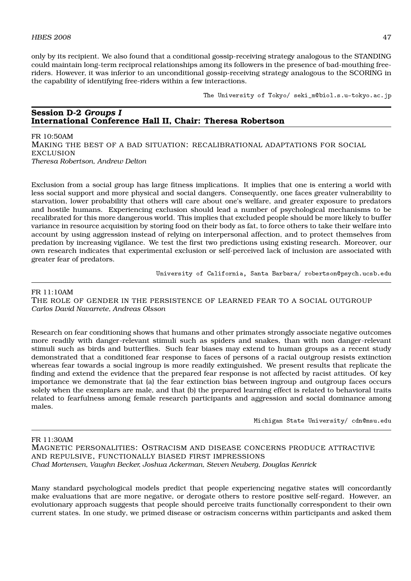only by its recipient. We also found that a conditional gossip-receiving strategy analogous to the STANDING could maintain long-term reciprocal relationships among its followers in the presence of bad-mouthing freeriders. However, it was inferior to an unconditional gossip-receiving strategy analogous to the SCORING in the capability of identifying free-riders within a few interactions.

The University of Tokyo/ seki\_m@biol.s.u-tokyo.ac.jp

## **Session D-2** *Groups I* **International Conference Hall II, Chair: Theresa Robertson**

FR 10:50AM MAKING THE BEST OF A BAD SITUATION: RECALIBRATIONAL ADAPTATIONS FOR SOCIAL **EXCLUSION** *Theresa Robertson, Andrew Delton*

Exclusion from a social group has large fitness implications. It implies that one is entering a world with less social support and more physical and social dangers. Consequently, one faces greater vulnerability to starvation, lower probability that others will care about one's welfare, and greater exposure to predators and hostile humans. Experiencing exclusion should lead a number of psychological mechanisms to be recalibrated for this more dangerous world. This implies that excluded people should be more likely to buffer variance in resource acquisition by storing food on their body as fat, to force others to take their welfare into account by using aggression instead of relying on interpersonal affection, and to protect themselves from predation by increasing vigilance. We test the first two predictions using existing research. Moreover, our own research indicates that experimental exclusion or self-perceived lack of inclusion are associated with greater fear of predators.

University of California, Santa Barbara/ robertson@psych.ucsb.edu

#### FR 11:10AM

THE ROLE OF GENDER IN THE PERSISTENCE OF LEARNED FEAR TO A SOCIAL OUTGROUP *Carlos David Navarrete, Andreas Olsson*

Research on fear conditioning shows that humans and other primates strongly associate negative outcomes more readily with danger-relevant stimuli such as spiders and snakes, than with non danger-relevant stimuli such as birds and butterflies. Such fear biases may extend to human groups as a recent study demonstrated that a conditioned fear response to faces of persons of a racial outgroup resists extinction whereas fear towards a social ingroup is more readily extinguished. We present results that replicate the finding and extend the evidence that the prepared fear response is not affected by racist attitudes. Of key importance we demonstrate that (a) the fear extinction bias between ingroup and outgroup faces occurs solely when the exemplars are male, and that (b) the prepared learning effect is related to behavioral traits related to fearfulness among female research participants and aggression and social dominance among males.

Michigan State University/ cdn@msu.edu

FR 11:30AM

MAGNETIC PERSONALITIES: OSTRACISM AND DISEASE CONCERNS PRODUCE ATTRACTIVE AND REPULSIVE, FUNCTIONALLY BIASED FIRST IMPRESSIONS *Chad Mortensen, Vaughn Becker, Joshua Ackerman, Steven Neuberg, Douglas Kenrick*

Many standard psychological models predict that people experiencing negative states will concordantly make evaluations that are more negative, or derogate others to restore positive self-regard. However, an evolutionary approach suggests that people should perceive traits functionally correspondent to their own current states. In one study, we primed disease or ostracism concerns within participants and asked them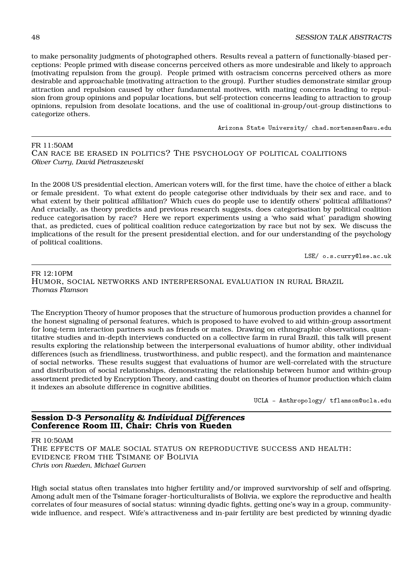to make personality judgments of photographed others. Results reveal a pattern of functionally-biased perceptions: People primed with disease concerns perceived others as more undesirable and likely to approach (motivating repulsion from the group). People primed with ostracism concerns perceived others as more desirable and approachable (motivating attraction to the group). Further studies demonstrate similar group attraction and repulsion caused by other fundamental motives, with mating concerns leading to repulsion from group opinions and popular locations, but self-protection concerns leading to attraction to group opinions, repulsion from desolate locations, and the use of coalitional in-group/out-group distinctions to categorize others.

Arizona State University/ chad.mortensen@asu.edu

#### FR 11:50AM CAN RACE BE ERASED IN POLITICS? THE PSYCHOLOGY OF POLITICAL COALITIONS *Oliver Curry, David Pietraszewski*

In the 2008 US presidential election, American voters will, for the first time, have the choice of either a black or female president. To what extent do people categorise other individuals by their sex and race, and to what extent by their political affiliation? Which cues do people use to identify others' political affiliations? And crucially, as theory predicts and previous research suggests, does categorisation by political coalition reduce categorisation by race? Here we report experiments using a 'who said what' paradigm showing that, as predicted, cues of political coalition reduce categorization by race but not by sex. We discuss the implications of the result for the present presidential election, and for our understanding of the psychology of political coalitions.

LSE/ o.s.curry@lse.ac.uk

FR 12:10PM HUMOR, SOCIAL NETWORKS AND INTERPERSONAL EVALUATION IN RURAL BRAZIL *Thomas Flamson*

The Encryption Theory of humor proposes that the structure of humorous production provides a channel for the honest signaling of personal features, which is proposed to have evolved to aid within-group assortment for long-term interaction partners such as friends or mates. Drawing on ethnographic observations, quantitative studies and in-depth interviews conducted on a collective farm in rural Brazil, this talk will present results exploring the relationship between the interpersonal evaluations of humor ability, other individual differences (such as friendliness, trustworthiness, and public respect), and the formation and maintenance of social networks. These results suggest that evaluations of humor are well-correlated with the structure and distribution of social relationships, demonstrating the relationship between humor and within-group assortment predicted by Encryption Theory, and casting doubt on theories of humor production which claim it indexes an absolute difference in cognitive abilities.

UCLA - Anthropology/ tflamson@ucla.edu

# **Session D-3** *Personality & Individual Differences* **Conference Room III, Chair: Chris von Rueden**

FR 10:50AM

THE EFFECTS OF MALE SOCIAL STATUS ON REPRODUCTIVE SUCCESS AND HEALTH: EVIDENCE FROM THE TSIMANE OF BOLIVIA *Chris von Rueden, Michael Gurven*

High social status often translates into higher fertility and/or improved survivorship of self and offspring. Among adult men of the Tsimane forager-horticulturalists of Bolivia, we explore the reproductive and health correlates of four measures of social status: winning dyadic fights, getting one's way in a group, communitywide influence, and respect. Wife's attractiveness and in-pair fertility are best predicted by winning dyadic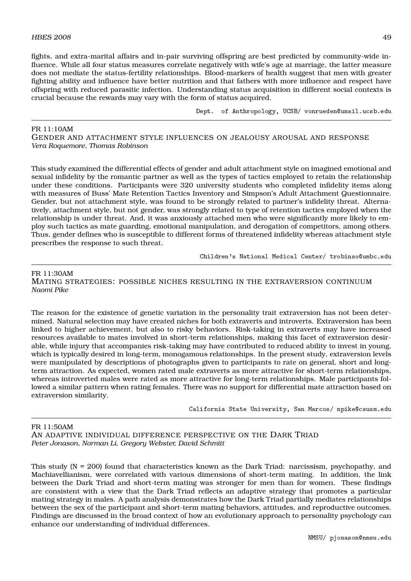fights, and extra-marital affairs and in-pair surviving offspring are best predicted by community-wide influence. While all four status measures correlate negatively with wife's age at marriage, the latter measure does not mediate the status-fertility relationships. Blood-markers of health suggest that men with greater fighting ability and influence have better nutrition and that fathers with more influence and respect have offspring with reduced parasitic infection. Understanding status acquisition in different social contexts is crucial because the rewards may vary with the form of status acquired.

Dept. of Anthropology, UCSB/ vonrueden@umail.ucsb.edu

FR 11:10AM GENDER AND ATTACHMENT STYLE INFLUENCES ON JEALOUSY AROUSAL AND RESPONSE *Vera Roquemore, Thomas Robinson*

This study examined the differential effects of gender and adult attachment style on imagined emotional and sexual infidelity by the romantic partner as well as the types of tactics employed to retain the relationship under these conditions. Participants were 320 university students who completed infidelity items along with measures of Buss' Mate Retention Tactics Inventory and Simpson's Adult Attachment Questionnaire. Gender, but not attachment style, was found to be strongly related to partner's infidelity threat. Alternatively, attachment style, but not gender, was strongly related to type of retention tactics employed when the relationship is under threat. And, it was anxiously attached men who were significantly more likely to employ such tactics as mate guarding, emotional manipulation, and derogation of competitors, among others. Thus, gender defines who is susceptible to different forms of threatened infidelity whereas attachment style prescribes the response to such threat.

Children's National Medical Center/ trobinso@umbc.edu

FR 11:30AM MATING STRATEGIES: POSSIBLE NICHES RESULTING IN THE EXTRAVERSION CONTINUUM *Naomi Pike*

The reason for the existence of genetic variation in the personality trait extraversion has not been determined. Natural selection may have created niches for both extraverts and introverts. Extraversion has been linked to higher achievement, but also to risky behaviors. Risk-taking in extraverts may have increased resources available to mates involved in short-term relationships, making this facet of extraversion desirable, while injury that accompanies risk-taking may have contributed to reduced ability to invest in young, which is typically desired in long-term, monogamous relationships. In the present study, extraversion levels were manipulated by descriptions of photographs given to participants to rate on general, short and longterm attraction. As expected, women rated male extraverts as more attractive for short-term relationships, whereas introverted males were rated as more attractive for long-term relationships. Male participants followed a similar pattern when rating females. There was no support for differential mate attraction based on extraversion similarity.

California State University, San Marcos/ npike@csusm.edu

FR 11:50AM AN ADAPTIVE INDIVIDUAL DIFFERENCE PERSPECTIVE ON THE DARK TRIAD *Peter Jonason, Norman Li, Gregory Webster, David Schmitt*

This study (N = 200) found that characteristics known as the Dark Triad: narcissism, psychopathy, and Machiavellianism, were correlated with various dimensions of short-term mating. In addition, the link between the Dark Triad and short-term mating was stronger for men than for women. These findings are consistent with a view that the Dark Triad reflects an adaptive strategy that promotes a particular mating strategy in males. A path analysis demonstrates how the Dark Triad partially mediates relationships between the sex of the participant and short-term mating behaviors, attitudes, and reproductive outcomes. Findings are discussed in the broad context of how an evolutionary approach to personality psychology can enhance our understanding of individual differences.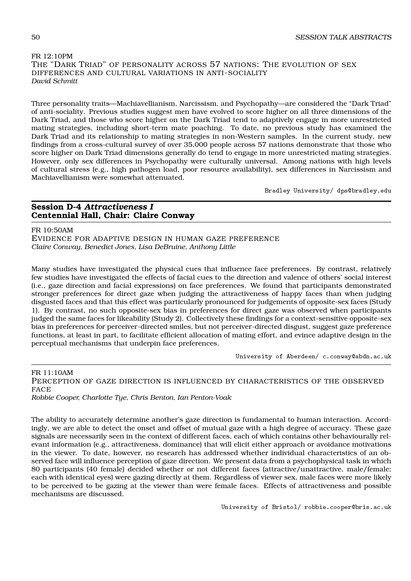# FR 12:10PM THE "DARK TRIAD" OF PERSONALITY ACROSS 57 NATIONS: THE EVOLUTION OF SEX DIFFERENCES AND CULTURAL VARIATIONS IN ANTI-SOCIALITY *David Schmitt*

Three personality traits—Machiavellianism, Narcissism, and Psychopathy—are considered the "Dark Triad" of anti-sociality. Previous studies suggest men have evolved to score higher on all three dimensions of the Dark Triad, and those who score higher on the Dark Triad tend to adaptively engage in more unrestricted mating strategies, including short-term mate poaching. To date, no previous study has examined the Dark Triad and its relationship to mating strategies in non-Western samples. In the current study, new findings from a cross-cultural survey of over 35,000 people across 57 nations demonstrate that those who score higher on Dark Triad dimensions generally do tend to engage in more unrestricted mating strategies. However, only sex differences in Psychopathy were culturally universal. Among nations with high levels of cultural stress (e.g., high pathogen load, poor resource availability), sex differences in Narcissism and Machiavellianism were somewhat attenuated.

Bradley University/ dps@bradley.edu

## **Session D-4** *Attractiveness I* **Centennial Hall, Chair: Claire Conway**

FR 10:50AM EVIDENCE FOR ADAPTIVE DESIGN IN HUMAN GAZE PREFERENCE *Claire Conway, Benedict Jones, Lisa DeBruine, Anthony Little*

Many studies have investigated the physical cues that influence face preferences. By contrast, relatively few studies have investigated the effects of facial cues to the direction and valence of others' social interest (i.e., gaze direction and facial expressions) on face preferences. We found that participants demonstrated stronger preferences for direct gaze when judging the attractiveness of happy faces than when judging disgusted faces and that this effect was particularly pronounced for judgements of opposite-sex faces (Study 1). By contrast, no such opposite-sex bias in preferences for direct gaze was observed when participants judged the same faces for likeability (Study 2). Collectively these findings for a context-sensitive opposite-sex bias in preferences for perceiver-directed smiles, but not perceiver-directed disgust, suggest gaze preference functions, at least in part, to facilitate efficient allocation of mating effort, and evince adaptive design in the perceptual mechanisms that underpin face preferences.

University of Aberdeen/ c.conway@abdn.ac.uk

FR 11:10AM

PERCEPTION OF GAZE DIRECTION IS INFLUENCED BY CHARACTERISTICS OF THE OBSERVED FACE

*Robbie Cooper, Charlotte Tye, Chris Benton, Ian Penton-Voak*

The ability to accurately determine another's gaze direction is fundamental to human interaction. Accordingly, we are able to detect the onset and offset of mutual gaze with a high degree of accuracy. These gaze signals are necessarily seen in the context of different faces, each of which contains other behaviourally relevant information (e.g., attractiveness, dominance) that will elicit either approach or avoidance motivations in the viewer. To date, however, no research has addressed whether individual characteristics of an observed face will influence perception of gaze direction. We present data from a psychophysical task in which 80 participants (40 female) decided whether or not different faces (attractive/unattractive, male/female; each with identical eyes) were gazing directly at them. Regardless of viewer sex, male faces were more likely to be perceived to be gazing at the viewer than were female faces. Effects of attractiveness and possible mechanisms are discussed.

University of Bristol/ robbie.cooper@bris.ac.uk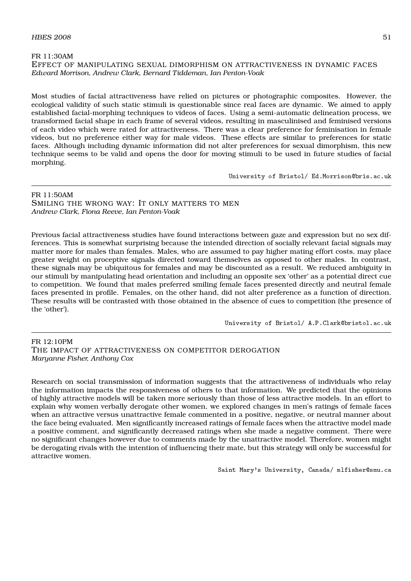#### FR 11:30AM EFFECT OF MANIPULATING SEXUAL DIMORPHISM ON ATTRACTIVENESS IN DYNAMIC FACES *Edward Morrison, Andrew Clark, Bernard Tiddeman, Ian Penton-Voak*

Most studies of facial attractiveness have relied on pictures or photographic composites. However, the ecological validity of such static stimuli is questionable since real faces are dynamic. We aimed to apply established facial-morphing techniques to videos of faces. Using a semi-automatic delineation process, we transformed facial shape in each frame of several videos, resulting in masculinised and feminised versions of each video which were rated for attractiveness. There was a clear preference for feminisation in female videos, but no preference either way for male videos. These effects are similar to preferences for static faces. Although including dynamic information did not alter preferences for sexual dimorphism, this new technique seems to be valid and opens the door for moving stimuli to be used in future studies of facial morphing.

University of Bristol/ Ed.Morrison@bris.ac.uk

#### FR 11:50AM

SMILING THE WRONG WAY: IT ONLY MATTERS TO MEN *Andrew Clark, Fiona Reeve, Ian Penton-Voak*

Previous facial attractiveness studies have found interactions between gaze and expression but no sex differences. This is somewhat surprising because the intended direction of socially relevant facial signals may matter more for males than females. Males, who are assumed to pay higher mating effort costs, may place greater weight on proceptive signals directed toward themselves as opposed to other males. In contrast, these signals may be ubiquitous for females and may be discounted as a result. We reduced ambiguity in our stimuli by manipulating head orientation and including an opposite sex 'other' as a potential direct cue to competition. We found that males preferred smiling female faces presented directly and neutral female faces presented in profile. Females, on the other hand, did not alter preference as a function of direction. These results will be contrasted with those obtained in the absence of cues to competition (the presence of the 'other').

University of Bristol/ A.P.Clark@bristol.ac.uk

 $FR$  19:10PM THE IMPACT OF ATTRACTIVENESS ON COMPETITOR DEROGATION *Maryanne Fisher, Anthony Cox*

Research on social transmission of information suggests that the attractiveness of individuals who relay the information impacts the responsiveness of others to that information. We predicted that the opinions of highly attractive models will be taken more seriously than those of less attractive models. In an effort to explain why women verbally derogate other women, we explored changes in men's ratings of female faces when an attractive versus unattractive female commented in a positive, negative, or neutral manner about the face being evaluated. Men significantly increased ratings of female faces when the attractive model made a positive comment, and significantly decreased ratings when she made a negative comment. There were no significant changes however due to comments made by the unattractive model. Therefore, women might be derogating rivals with the intention of influencing their mate, but this strategy will only be successful for attractive women.

Saint Mary's University, Canada/ mlfisher@smu.ca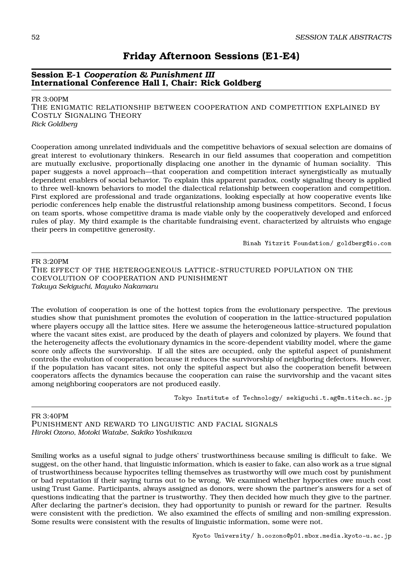# **Friday Afternoon Sessions (E1-E4)**

# **Session E-1** *Cooperation & Punishment III* **International Conference Hall I, Chair: Rick Goldberg**

FR 3:00PM

THE ENIGMATIC RELATIONSHIP BETWEEN COOPERATION AND COMPETITION EXPLAINED BY COSTLY SIGNALING THEORY *Rick Goldberg*

Cooperation among unrelated individuals and the competitive behaviors of sexual selection are domains of great interest to evolutionary thinkers. Research in our field assumes that cooperation and competition are mutually exclusive, proportionally displacing one another in the dynamic of human sociality. This paper suggests a novel approach—that cooperation and competition interact synergistically as mutually dependent enablers of social behavior. To explain this apparent paradox, costly signaling theory is applied to three well-known behaviors to model the dialectical relationship between cooperation and competition. First explored are professional and trade organizations, looking especially at how cooperative events like periodic conferences help enable the distrustful relationship among business competitors. Second, I focus on team sports, whose competitive drama is made viable only by the cooperatively developed and enforced rules of play. My third example is the charitable fundraising event, characterized by altruists who engage their peers in competitive generosity.

Binah Yitzrit Foundation/ goldberg@io.com

FR 3:20PM

THE EFFECT OF THE HETEROGENEOUS LATTICE-STRUCTURED POPULATION ON THE COEVOLUTION OF COOPERATION AND PUNISHMENT *Takuya Sekiguchi, Mayuko Nakamaru*

The evolution of cooperation is one of the hottest topics from the evolutionary perspective. The previous studies show that punishment promotes the evolution of cooperation in the lattice-structured population where players occupy all the lattice sites. Here we assume the heterogeneous lattice-structured population where the vacant sites exist, are produced by the death of players and colonized by players. We found that the heterogeneity affects the evolutionary dynamics in the score-dependent viability model, where the game score only affects the survivorship. If all the sites are occupied, only the spiteful aspect of punishment controls the evolution of cooperation because it reduces the survivorship of neighboring defectors. However, if the population has vacant sites, not only the spiteful aspect but also the cooperation benefit between cooperators affects the dynamics because the cooperation can raise the survivorship and the vacant sites among neighboring cooperators are not produced easily.

Tokyo Institute of Technology/ sekiguchi.t.ag@m.titech.ac.jp

FR 3:40PM

PUNISHMENT AND REWARD TO LINGUISTIC AND FACIAL SIGNALS *Hiroki Ozono, Motoki Watabe, Sakiko Yoshikawa*

Smiling works as a useful signal to judge others' trustworthiness because smiling is difficult to fake. We suggest, on the other hand, that linguistic information, which is easier to fake, can also work as a true signal of trustworthiness because hypocrites telling themselves as trustworthy will owe much cost by punishment or bad reputation if their saying turns out to be wrong. We examined whether hypocrites owe much cost using Trust Game. Participants, always assigned as donors, were shown the partner's answers for a set of questions indicating that the partner is trustworthy. They then decided how much they give to the partner. After declaring the partner's decision, they had opportunity to punish or reward for the partner. Results were consistent with the prediction. We also examined the effects of smiling and non-smiling expression. Some results were consistent with the results of linguistic information, some were not.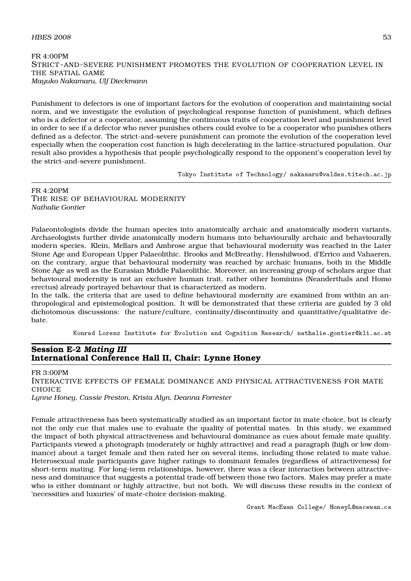#### $H\text{BES } 2008$  53

#### FR 4:00PM STRICT -AND-SEVERE PUNISHMENT PROMOTES THE EVOLUTION OF COOPERATION LEVEL IN THE SPATIAL GAME *Mayuko Nakamaru, Ulf Dieckmann*

Punishment to defectors is one of important factors for the evolution of cooperation and maintaining social norm, and we investigate the evolution of psychological response function of punishment, which defines who is a defector or a cooperator, assuming the continuous traits of cooperation level and punishment level in order to see if a defector who never punishes others could evolve to be a cooperator who punishes others defined as a defector. The strict-and-severe punishment can promote the evolution of the cooperation level especially when the cooperation cost function is high decelerating in the lattice-structured population. Our result also provides a hypothesis that people psychologically respond to the opponent's cooperation level by the strict-and-severe punishment.

Tokyo Institute of Technology/ nakamaru@valdes.titech.ac.jp

## FR 4:20PM THE RISE OF BEHAVIOURAL MODERNITY *Nathalie Gontier*

Palaeontologists divide the human species into anatomically archaic and anatomically modern variants. Archaeologists further divide anatomically modern humans into behaviourally archaic and behaviourally modern species. Klein, Mellars and Ambrose argue that behavioural modernity was reached in the Later Stone Age and European Upper Palaeolithic. Brooks and McBreathy, Henshilwood, d'Errico and Vahaeren, on the contrary, argue that behavioural modernity was reached by archaic humans, both in the Middle Stone Age as well as the Eurasian Middle Palaeolithic. Moreover, an increasing group of scholars argue that behavioural modernity is not an exclusive human trait, rather other hominins (Neanderthals and Homo erectus) already portrayed behaviour that is characterized as modern.

In the talk, the criteria that are used to define behavioural modernity are examined from within an anthropological and epistemological position. It will be demonstrated that these criteria are guided by 3 old dichotomous discussions: the nature/culture, continuity/discontinuity and quantitative/qualitative debate.

Konrad Lorenz Institute for Evolution and Cognition Research/ nathalie.gontier@kli.ac.at

# **Session E-2** *Mating III* **International Conference Hall II, Chair: Lynne Honey**

FR 3:00PM INTERACTIVE EFFECTS OF FEMALE DOMINANCE AND PHYSICAL ATTRACTIVENESS FOR MATE **CHOICE** *Lynne Honey, Cassie Preston, Krista Alyn, Deanna Forrester*

Female attractiveness has been systematically studied as an important factor in mate choice, but is clearly not the only cue that males use to evaluate the quality of potential mates. In this study, we examined the impact of both physical attractiveness and behavioural dominance as cues about female mate quality. Participants viewed a photograph (moderately or highly attractive) and read a paragraph (high or low dominance) about a target female and then rated her on several items, including those related to mate value. Heterosexual male participants gave higher ratings to dominant females (regardless of attractiveness) for short-term mating. For long-term relationships, however, there was a clear interaction between attractiveness and dominance that suggests a potential trade-off between those two factors. Males may prefer a mate who is either dominant or highly attractive, but not both. We will discuss these results in the context of 'necessities and luxuries' of mate-choice decision-making.

Grant MacEwan College/ HoneyL@macewan.ca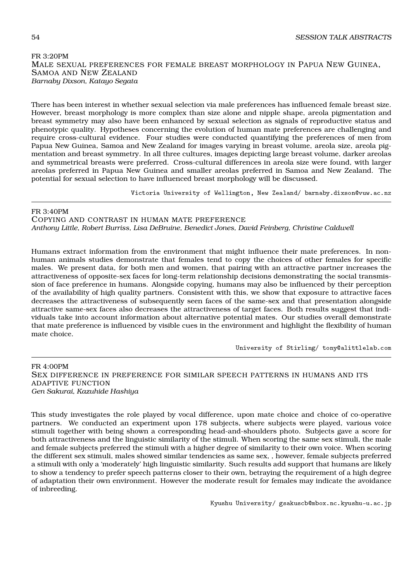## FR 3:20PM MALE SEXUAL PREFERENCES FOR FEMALE BREAST MORPHOLOGY IN PAPUA NEW GUINEA, SAMOA AND NEW ZEALAND *Barnaby Dixson, Katayo Segata*

There has been interest in whether sexual selection via male preferences has influenced female breast size. However, breast morphology is more complex than size alone and nipple shape, areola pigmentation and breast symmetry may also have been enhanced by sexual selection as signals of reproductive status and phenotypic quality. Hypotheses concerning the evolution of human mate preferences are challenging and require cross-cultural evidence. Four studies were conducted quantifying the preferences of men from Papua New Guinea, Samoa and New Zealand for images varying in breast volume, areola size, areola pigmentation and breast symmetry. In all three cultures, images depicting large breast volume, darker areolas and symmetrical breasts were preferred. Cross-cultural differences in areola size were found, with larger areolas preferred in Papua New Guinea and smaller areolas preferred in Samoa and New Zealand. The potential for sexual selection to have influenced breast morphology will be discussed.

Victoria University of Wellington, New Zealand/ barnaby.dixson@vuw.ac.nz

FR 3:40PM COPYING AND CONTRAST IN HUMAN MATE PREFERENCE *Anthony Little, Robert Burriss, Lisa DeBruine, Benedict Jones, David Feinberg, Christine Caldwell*

Humans extract information from the environment that might influence their mate preferences. In nonhuman animals studies demonstrate that females tend to copy the choices of other females for specific males. We present data, for both men and women, that pairing with an attractive partner increases the attractiveness of opposite-sex faces for long-term relationship decisions demonstrating the social transmission of face preference in humans. Alongside copying, humans may also be influenced by their perception of the availability of high quality partners. Consistent with this, we show that exposure to attractive faces decreases the attractiveness of subsequently seen faces of the same-sex and that presentation alongside attractive same-sex faces also decreases the attractiveness of target faces. Both results suggest that individuals take into account information about alternative potential mates. Our studies overall demonstrate that mate preference is influenced by visible cues in the environment and highlight the flexibility of human mate choice.

University of Stirling/ tony@alittlelab.com

FR 4:00PM SEX DIFFERENCE IN PREFERENCE FOR SIMILAR SPEECH PATTERNS IN HUMANS AND ITS ADAPTIVE FUNCTION *Gen Sakurai, Kazuhide Hashiya*

This study investigates the role played by vocal difference, upon mate choice and choice of co-operative partners. We conducted an experiment upon 178 subjects, where subjects were played, various voice stimuli together with being shown a corresponding head-and-shoulders photo. Subjects gave a score for both attractiveness and the linguistic similarity of the stimuli. When scoring the same sex stimuli, the male and female subjects preferred the stimuli with a higher degree of similarity to their own voice. When scoring the different sex stimuli, males showed similar tendencies as same sex, , however, female subjects preferred a stimuli with only a 'moderately' high linguistic similarity. Such results add support that humans are likely to show a tendency to prefer speech patterns closer to their own, betraying the requirement of a high degree of adaptation their own environment. However the moderate result for females may indicate the avoidance of inbreeding.

Kyushu University/ gsakuscb@mbox.nc.kyushu-u.ac.jp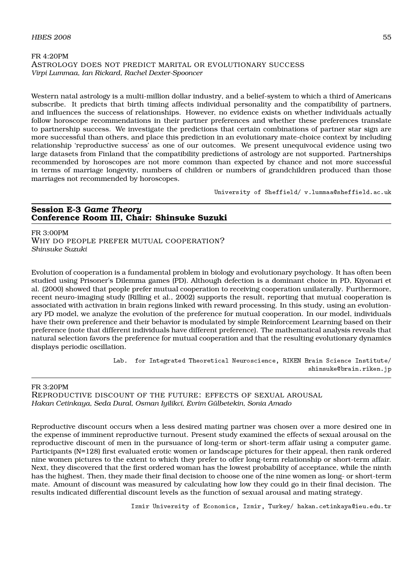## FR 4:20PM ASTROLOGY DOES NOT PREDICT MARITAL OR EVOLUTIONARY SUCCESS *Virpi Lummaa, Ian Rickard, Rachel Dexter-Spooncer*

Western natal astrology is a multi-million dollar industry, and a belief-system to which a third of Americans subscribe. It predicts that birth timing affects individual personality and the compatibility of partners, and influences the success of relationships. However, no evidence exists on whether individuals actually follow horoscope recommendations in their partner preferences and whether these preferences translate to partnership success. We investigate the predictions that certain combinations of partner star sign are more successful than others, and place this prediction in an evolutionary mate-choice context by including relationship 'reproductive success' as one of our outcomes. We present unequivocal evidence using two large datasets from Finland that the compatibility predictions of astrology are not supported. Partnerships recommended by horoscopes are not more common than expected by chance and not more successful in terms of marriage longevity, numbers of children or numbers of grandchildren produced than those marriages not recommended by horoscopes.

University of Sheffield/ v.lummaa@sheffield.ac.uk

#### **Session E-3** *Game Theory* **Conference Room III, Chair: Shinsuke Suzuki**

FR 3:00PM WHY DO PEOPLE PREFER MUTUAL COOPERATION? *Shinsuke Suzuki*

Evolution of cooperation is a fundamental problem in biology and evolutionary psychology. It has often been studied using Prisoner's Dilemma games (PD). Although defection is a dominant choice in PD, Kiyonari et al. (2000) showed that people prefer mutual cooperation to receiving cooperation unilaterally. Furthermore, recent neuro-imaging study (Rilling et al., 2002) supports the result, reporting that mutual cooperation is associated with activation in brain regions linked with reward processing. In this study, using an evolutionary PD model, we analyze the evolution of the preference for mutual cooperation. In our model, individuals have their own preference and their behavior is modulated by simple Reinforcement Learning based on their preference (note that different individuals have different preference). The mathematical analysis reveals that natural selection favors the preference for mutual cooperation and that the resulting evolutionary dynamics displays periodic oscillation.

> Lab. for Integrated Theoretical Neuroscience, RIKEN Brain Science Institute/ shinsuke@brain.riken.jp

#### FR 3:20PM

REPRODUCTIVE DISCOUNT OF THE FUTURE: EFFECTS OF SEXUAL AROUSAL *Hakan Cetinkaya, Seda Dural, Osman Iyilikci, Evrim Gülbetekin, Sonia Amado*

Reproductive discount occurs when a less desired mating partner was chosen over a more desired one in the expense of imminent reproductive turnout. Present study examined the effects of sexual arousal on the reproductive discount of men in the pursuance of long-term or short-term affair using a computer game. Participants (N=128) first evaluated erotic women or landscape pictures for their appeal, then rank ordered nine women pictures to the extent to which they prefer to offer long-term relationship or short-term affair. Next, they discovered that the first ordered woman has the lowest probability of acceptance, while the ninth has the highest. Then, they made their final decision to choose one of the nine women as long- or short-term mate. Amount of discount was measured by calculating how low they could go in their final decision. The results indicated differential discount levels as the function of sexual arousal and mating strategy.

Izmir University of Economics, Izmir, Turkey/ hakan.cetinkaya@ieu.edu.tr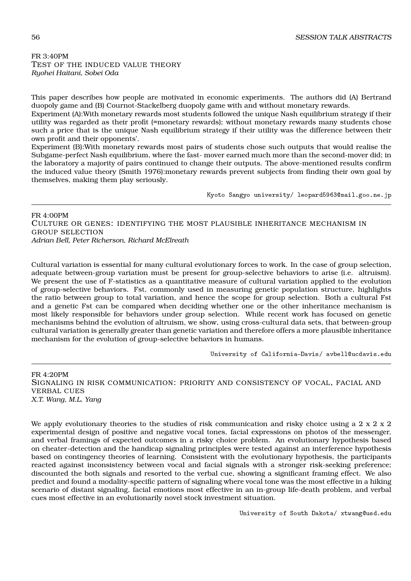FR 3:40PM TEST OF THE INDUCED VALUE THEORY *Ryohei Haitani, Sobei Oda*

This paper describes how people are motivated in economic experiments. The authors did (A) Bertrand duopoly game and (B) Cournot-Stackelberg duopoly game with and without monetary rewards.

Experiment (A):With monetary rewards most students followed the unique Nash equilibrium strategy if their utility was regarded as their profit (=monetary rewards); without monetary rewards many students chose such a price that is the unique Nash equilibrium strategy if their utility was the difference between their own profit and their opponents'.

Experiment (B):With monetary rewards most pairs of students chose such outputs that would realise the Subgame-perfect Nash equilibrium, where the fast- mover earned much more than the second-mover did; in the laboratory a majority of pairs continued to change their outputs. The above-mentioned results confirm the induced value theory (Smith 1976):monetary rewards prevent subjects from finding their own goal by themselves, making them play seriously.

Kyoto Sangyo university/ leopard5963@mail.goo.ne.jp

FR 4:00PM CULTURE OR GENES: IDENTIFYING THE MOST PLAUSIBLE INHERITANCE MECHANISM IN GROUP SELECTION *Adrian Bell, Peter Richerson, Richard McElreath*

Cultural variation is essential for many cultural evolutionary forces to work. In the case of group selection, adequate between-group variation must be present for group-selective behaviors to arise (i.e. altruism). We present the use of F-statistics as a quantitative measure of cultural variation applied to the evolution of group-selective behaviors. Fst, commonly used in measuring genetic population structure, highlights the ratio between group to total variation, and hence the scope for group selection. Both a cultural Fst and a genetic Fst can be compared when deciding whether one or the other inheritance mechanism is most likely responsible for behaviors under group selection. While recent work has focused on genetic mechanisms behind the evolution of altruism, we show, using cross-cultural data sets, that between-group cultural variation is generally greater than genetic variation and therefore offers a more plausible inheritance mechanism for the evolution of group-selective behaviors in humans.

University of California-Davis/ avbell@ucdavis.edu

FR 4:20PM SIGNALING IN RISK COMMUNICATION: PRIORITY AND CONSISTENCY OF VOCAL, FACIAL AND VERBAL CUES *X.T. Wang, M.L. Yang*

We apply evolutionary theories to the studies of risk communication and risky choice using a 2 x 2 x 2 experimental design of positive and negative vocal tones, facial expressions on photos of the messenger, and verbal framings of expected outcomes in a risky choice problem. An evolutionary hypothesis based on cheater-detection and the handicap signaling principles were tested against an interference hypothesis based on contingency theories of learning. Consistent with the evolutionary hypothesis, the participants reacted against inconsistency between vocal and facial signals with a stronger risk-seeking preference; discounted the both signals and resorted to the verbal cue, showing a significant framing effect. We also predict and found a modality-specific pattern of signaling where vocal tone was the most effective in a hiking scenario of distant signaling, facial emotions most effective in an in-group life-death problem, and verbal cues most effective in an evolutionarily novel stock investment situation.

University of South Dakota/ xtwang@usd.edu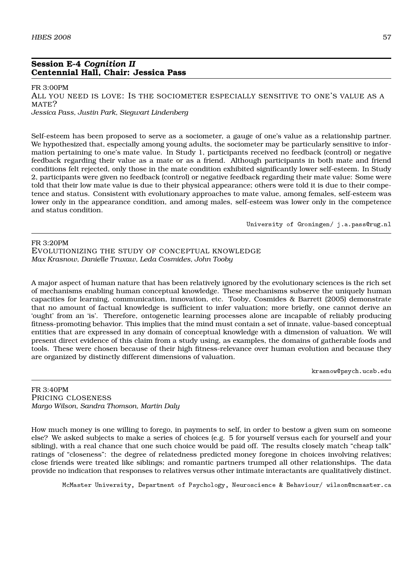## **Session E-4** *Cognition II* **Centennial Hall, Chair: Jessica Pass**

FR 3:00PM

ALL YOU NEED IS LOVE: IS THE SOCIOMETER ESPECIALLY SENSITIVE TO ONE'S VALUE AS A MATE? *Jessica Pass, Justin Park, Siegwart Lindenberg*

Self-esteem has been proposed to serve as a sociometer, a gauge of one's value as a relationship partner. We hypothesized that, especially among young adults, the sociometer may be particularly sensitive to information pertaining to one's mate value. In Study 1, participants received no feedback (control) or negative feedback regarding their value as a mate or as a friend. Although participants in both mate and friend conditions felt rejected, only those in the mate condition exhibited significantly lower self-esteem. In Study 2, participants were given no feedback (control) or negative feedback regarding their mate value: Some were told that their low mate value is due to their physical appearance; others were told it is due to their competence and status. Consistent with evolutionary approaches to mate value, among females, self-esteem was lower only in the appearance condition, and among males, self-esteem was lower only in the competence and status condition.

University of Groningen/ j.a.pass@rug.nl

FR 3:20PM EVOLUTIONIZING THE STUDY OF CONCEPTUAL KNOWLEDGE *Max Krasnow, Danielle Truxaw, Leda Cosmides, John Tooby*

A major aspect of human nature that has been relatively ignored by the evolutionary sciences is the rich set of mechanisms enabling human conceptual knowledge. These mechanisms subserve the uniquely human capacities for learning, communication, innovation, etc. Tooby, Cosmides & Barrett (2005) demonstrate that no amount of factual knowledge is sufficient to infer valuation; more briefly, one cannot derive an 'ought' from an 'is'. Therefore, ontogenetic learning processes alone are incapable of reliably producing fitness-promoting behavior. This implies that the mind must contain a set of innate, value-based conceptual entities that are expressed in any domain of conceptual knowledge with a dimension of valuation. We will present direct evidence of this claim from a study using, as examples, the domains of gatherable foods and tools. These were chosen because of their high fitness-relevance over human evolution and because they are organized by distinctly different dimensions of valuation.

krasnow@psych.ucsb.edu

FR 3:40PM PRICING CLOSENESS *Margo Wilson, Sandra Thomson, Martin Daly*

How much money is one willing to forego, in payments to self, in order to bestow a given sum on someone else? We asked subjects to make a series of choices (e.g. 5 for yourself versus each for yourself and your sibling), with a real chance that one such choice would be paid off. The results closely match "cheap talk" ratings of "closeness": the degree of relatedness predicted money foregone in choices involving relatives; close friends were treated like siblings; and romantic partners trumped all other relationships. The data provide no indication that responses to relatives versus other intimate interactants are qualitatively distinct.

McMaster University, Department of Psychology, Neuroscience & Behaviour/ wilson@mcmaster.ca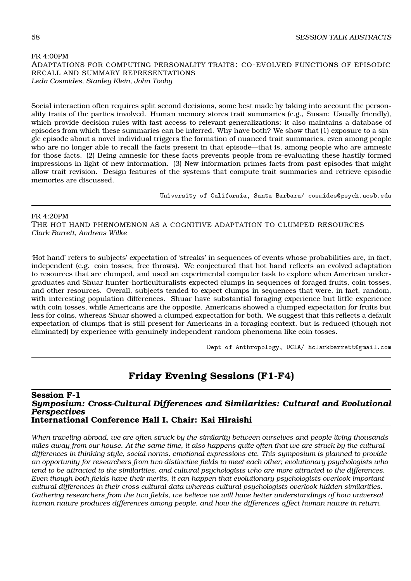### FR 4:00PM ADAPTATIONS FOR COMPUTING PERSONALITY TRAITS: CO-EVOLVED FUNCTIONS OF EPISODIC RECALL AND SUMMARY REPRESENTATIONS *Leda Cosmides, Stanley Klein, John Tooby*

Social interaction often requires split second decisions, some best made by taking into account the personality traits of the parties involved. Human memory stores trait summaries (e.g., Susan: Usually friendly), which provide decision rules with fast access to relevant generalizations; it also maintains a database of episodes from which these summaries can be inferred. Why have both? We show that (1) exposure to a single episode about a novel individual triggers the formation of nuanced trait summaries, even among people who are no longer able to recall the facts present in that episode—that is, among people who are amnesic for those facts. (2) Being amnesic for these facts prevents people from re-evaluating these hastily formed impressions in light of new information. (3) New information primes facts from past episodes that might allow trait revision. Design features of the systems that compute trait summaries and retrieve episodic memories are discussed.

University of California, Santa Barbara/ cosmides@psych.ucsb.edu

FR 4:20PM THE HOT HAND PHENOMENON AS A COGNITIVE ADAPTATION TO CLUMPED RESOURCES *Clark Barrett, Andreas Wilke*

'Hot hand' refers to subjects' expectation of 'streaks' in sequences of events whose probabilities are, in fact, independent (e.g. coin tosses, free throws). We conjectured that hot hand reflects an evolved adaptation to resources that are clumped, and used an experimental computer task to explore when American undergraduates and Shuar hunter-horticulturalists expected clumps in sequences of foraged fruits, coin tosses, and other resources. Overall, subjects tended to expect clumps in sequences that were, in fact, random, with interesting population differences. Shuar have substantial foraging experience but little experience with coin tosses, while Americans are the opposite. Americans showed a clumped expectation for fruits but less for coins, whereas Shuar showed a clumped expectation for both. We suggest that this reflects a default expectation of clumps that is still present for Americans in a foraging context, but is reduced (though not eliminated) by experience with genuinely independent random phenomena like coin tosses.

Dept of Anthropology, UCLA/ hclarkbarrett@gmail.com

# **Friday Evening Sessions (F1-F4)**

### **Session F-1** *Symposium: Cross-Cultural Differences and Similarities: Cultural and Evolutional Perspectives* **International Conference Hall I, Chair: Kai Hiraishi**

*When traveling abroad, we are often struck by the similarity between ourselves and people living thousands miles away from our house. At the same time, it also happens quite often that we are struck by the cultural differences in thinking style, social norms, emotional expressions etc. This symposium is planned to provide an opportunity for researchers from two distinctive fields to meet each other; evolutionary psychologists who tend to be attracted to the similarities, and cultural psychologists who are more attracted to the differences. Even though both fields have their merits, it can happen that evolutionary psychologists overlook important cultural differences in their cross-cultural data whereas cultural psychologists overlook hidden similarities. Gathering researchers from the two fields, we believe we will have better understandings of how universal human nature produces differences among people, and how the differences affect human nature in return.*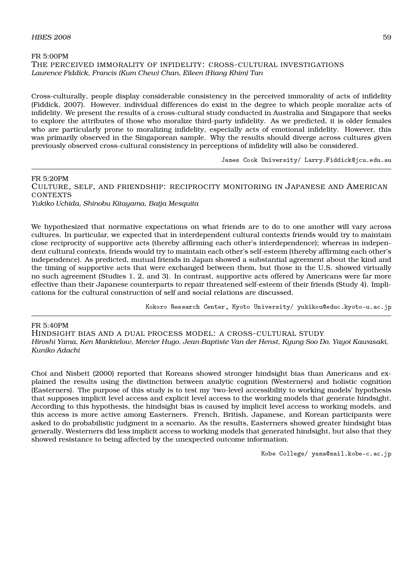# FR 5:00PM THE PERCEIVED IMMORALITY OF INFIDELITY: CROSS-CULTURAL INVESTIGATIONS *Laurence Fiddick, Francis (Kum Chew) Chan, Eileen (Hiang Khim) Tan*

Cross-culturally, people display considerable consistency in the perceived immorality of acts of infidelity (Fiddick, 2007). However, individual differences do exist in the degree to which people moralize acts of infidelity. We present the results of a cross-cultural study conducted in Australia and Singapore that seeks to explore the attributes of those who moralize third-party infidelity. As we predicted, it is older females who are particularly prone to moralizing infidelity, especially acts of emotional infidelity. However, this was primarily observed in the Singaporean sample. Why the results should diverge across cultures given previously observed cross-cultural consistency in perceptions of infidelity will also be considered.

James Cook University/ Larry.Fiddick@jcu.edu.au

FR 5:20PM CULTURE, SELF, AND FRIENDSHIP: RECIPROCITY MONITORING IN JAPANESE AND AMERICAN CONTEXTS *Yukiko Uchida, Shinobu Kitayama, Batja Mesquita*

We hypothesized that normative expectations on what friends are to do to one another will vary across cultures. In particular, we expected that in interdependent cultural contexts friends would try to maintain close reciprocity of supportive acts (thereby affirming each other's interdependence); whereas in independent cultural contexts, friends would try to maintain each other's self-esteem (thereby affirming each other's independence). As predicted, mutual friends in Japan showed a substantial agreement about the kind and the timing of supportive acts that were exchanged between them, but those in the U.S. showed virtually no such agreement (Studies 1, 2, and 3). In contrast, supportive acts offered by Americans were far more effective than their Japanese counterparts to repair threatened self-esteem of their friends (Study 4). Implications for the cultural construction of self and social relations are discussed.

Kokoro Research Center, Kyoto University/ yukikou@educ.kyoto-u.ac.jp

# FR 5:40PM

HINDSIGHT BIAS AND A DUAL PROCESS MODEL: A CROSS-CULTURAL STUDY *Hiroshi Yama, Ken Manktelow, Mercier Hugo, Jean-Baptiste Van der Henst, Kyung Soo Do, Yayoi Kawasaki, Kuniko Adachi*

Choi and Nisbett (2000) reported that Koreans showed stronger hindsight bias than Americans and explained the results using the distinction between analytic cognition (Westerners) and holistic cognition (Easterners). The purpose of this study is to test my 'two-level accessibility to working models' hypothesis that supposes implicit level access and explicit level access to the working models that generate hindsight. According to this hypothesis, the hindsight bias is caused by implicit level access to working models, and this access is more active among Easterners. French, British, Japanese, and Korean participants were asked to do probabilistic judgment in a scenario. As the results, Easterners showed greater hindsight bias generally, Westerners did less implicit access to working models that generated hindsight, but also that they showed resistance to being affected by the unexpected outcome information.

Kobe College/ yama@mail.kobe-c.ac.jp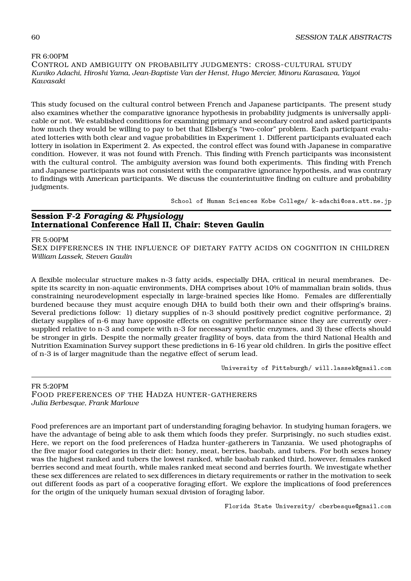## FR 6:00PM CONTROL AND AMBIGUITY ON PROBABILITY JUDGMENTS: CROSS-CULTURAL STUDY *Kuniko Adachi, Hiroshi Yama, Jean-Baptiste Van der Henst, Hugo Mercier, Minoru Karasawa, Yayoi Kawasaki*

This study focused on the cultural control between French and Japanese participants. The present study also examines whether the comparative ignorance hypothesis in probability judgments is universally applicable or not. We established conditions for examining primary and secondary control and asked participants how much they would be willing to pay to bet that Ellsberg's "two-color" problem. Each participant evaluated lotteries with both clear and vague probabilities in Experiment 1. Different participants evaluated each lottery in isolation in Experiment 2. As expected, the control effect was found with Japanese in comparative condition. However, it was not found with French. This finding with French participants was inconsistent with the cultural control. The ambiguity aversion was found both experiments. This finding with French and Japanese participants was not consistent with the comparative ignorance hypothesis, and was contrary to findings with American participants. We discuss the counterintuitive finding on culture and probability judgments.

School of Human Sciences Kobe College/ k-adachi@osa.att.ne.jp

# **Session F-2** *Foraging & Physiology* **International Conference Hall II, Chair: Steven Gaulin**

#### FR 5:00PM

SEX DIFFERENCES IN THE INFLUENCE OF DIETARY FATTY ACIDS ON COGNITION IN CHILDREN *William Lassek, Steven Gaulin*

A flexible molecular structure makes n-3 fatty acids, especially DHA, critical in neural membranes. Despite its scarcity in non-aquatic environments, DHA comprises about 10% of mammalian brain solids, thus constraining neurodevelopment especially in large-brained species like Homo. Females are differentially burdened because they must acquire enough DHA to build both their own and their offspring's brains. Several predictions follow: 1) dietary supplies of n-3 should positively predict cognitive performance, 2) dietary supplies of n-6 may have opposite effects on cognitive performance since they are currently oversupplied relative to n-3 and compete with n-3 for necessary synthetic enzymes, and 3) these effects should be stronger in girls. Despite the normally greater fragility of boys, data from the third National Health and Nutrition Examination Survey support these predictions in 6-16 year old children. In girls the positive effect of n-3 is of larger magnitude than the negative effect of serum lead.

University of Pittsburgh/ will.lassek@gmail.com

## FR 5:20PM FOOD PREFERENCES OF THE HADZA HUNTER-GATHERERS *Julia Berbesque, Frank Marlowe*

Food preferences are an important part of understanding foraging behavior. In studying human foragers, we have the advantage of being able to ask them which foods they prefer. Surprisingly, no such studies exist. Here, we report on the food preferences of Hadza hunter-gatherers in Tanzania. We used photographs of the five major food categories in their diet: honey, meat, berries, baobab, and tubers. For both sexes honey was the highest ranked and tubers the lowest ranked, while baobab ranked third, however, females ranked berries second and meat fourth, while males ranked meat second and berries fourth. We investigate whether these sex differences are related to sex differences in dietary requirements or rather in the motivation to seek out different foods as part of a cooperative foraging effort. We explore the implications of food preferences for the origin of the uniquely human sexual division of foraging labor.

Florida State University/ cberbesque@gmail.com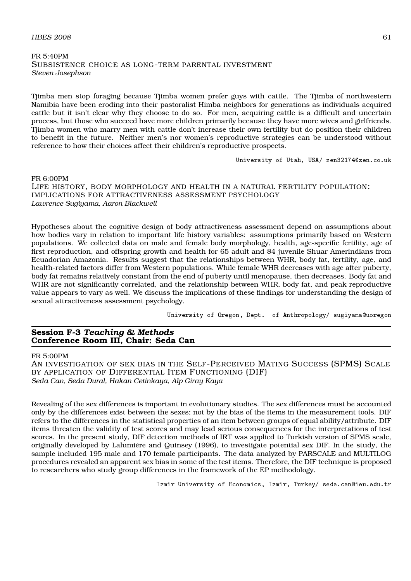#### $H\text{BES } 2008$  61

### FR 5:40PM SUBSISTENCE CHOICE AS LONG-TERM PARENTAL INVESTMENT *Steven Josephson*

Tjimba men stop foraging because Tjimba women prefer guys with cattle. The Tjimba of northwestern Namibia have been eroding into their pastoralist Himba neighbors for generations as individuals acquired cattle but it isn't clear why they choose to do so. For men, acquiring cattle is a difficult and uncertain process, but those who succeed have more children primarily because they have more wives and girlfriends. Tjimba women who marry men with cattle don't increase their own fertility but do position their children to benefit in the future. Neither men's nor women's reproductive strategies can be understood without reference to how their choices affect their children's reproductive prospects.

University of Utah, USA/ zen32174@zen.co.uk

#### FR 6:00PM

LIFE HISTORY, BODY MORPHOLOGY AND HEALTH IN A NATURAL FERTILITY POPULATION: IMPLICATIONS FOR ATTRACTIVENESS ASSESSMENT PSYCHOLOGY *Lawrence Sugiyama, Aaron Blackwell*

Hypotheses about the cognitive design of body attractiveness assessment depend on assumptions about how bodies vary in relation to important life history variables: assumptions primarily based on Western populations. We collected data on male and female body morphology, health, age-specific fertility, age of first reproduction, and offspring growth and health for 65 adult and 84 juvenile Shuar Amerindians from Ecuadorian Amazonia. Results suggest that the relationships between WHR, body fat, fertility, age, and health-related factors differ from Western populations. While female WHR decreases with age after puberty, body fat remains relatively constant from the end of puberty until menopause, then decreases. Body fat and WHR are not significantly correlated, and the relationship between WHR, body fat, and peak reproductive value appears to vary as well. We discuss the implications of these findings for understanding the design of sexual attractiveness assessment psychology.

University of Oregon, Dept. of Anthropology/ sugiyama@uoregon

### **Session F-3** *Teaching & Methods* **Conference Room III, Chair: Seda Can**

#### FR 5:00PM

AN INVESTIGATION OF SEX BIAS IN THE SELF-PERCEIVED MATING SUCCESS (SPMS) SCALE BY APPLICATION OF DIFFERENTIAL ITEM FUNCTIONING (DIF) *Seda Can, Seda Dural, Hakan Cetinkaya, Alp Giray Kaya*

Revealing of the sex differences is important in evolutionary studies. The sex differences must be accounted only by the differences exist between the sexes; not by the bias of the items in the measurement tools. DIF refers to the differences in the statistical properties of an item between groups of equal ability/attribute. DIF items threaten the validity of test scores and may lead serious consequences for the interpretations of test scores. In the present study, DIF detection methods of IRT was applied to Turkish version of SPMS scale, originally developed by Lalumiére and Quinsey (1996), to investigate potential sex DIF. In the study, the sample included 195 male and 170 female participants. The data analyzed by PARSCALE and MULTILOG procedures revealed an apparent sex bias in some of the test items. Therefore, the DIF technique is proposed to researchers who study group differences in the framework of the EP methodology.

Izmir University of Economics, Izmir, Turkey/ seda.can@ieu.edu.tr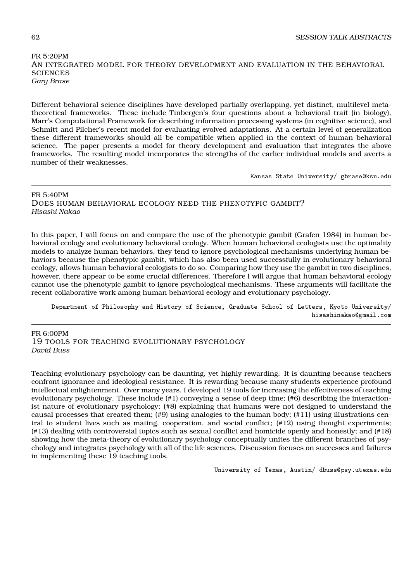## FR 5:20PM AN INTEGRATED MODEL FOR THEORY DEVELOPMENT AND EVALUATION IN THE BEHAVIORAL **SCIENCES** *Gary Brase*

Different behavioral science disciplines have developed partially overlapping, yet distinct, multilevel metatheoretical frameworks. These include Tinbergen's four questions about a behavioral trait (in biology), Marr's Computational Framework for describing information processing systems (in cognitive science), and Schmitt and Pilcher's recent model for evaluating evolved adaptations. At a certain level of generalization these different frameworks should all be compatible when applied in the context of human behavioral science. The paper presents a model for theory development and evaluation that integrates the above frameworks. The resulting model incorporates the strengths of the earlier individual models and averts a number of their weaknesses.

Kansas State University/ gbrase@ksu.edu

# FR 5:40PM DOES HUMAN BEHAVIORAL ECOLOGY NEED THE PHENOTYPIC GAMBIT? *Hisashi Nakao*

In this paper, I will focus on and compare the use of the phenotypic gambit (Grafen 1984) in human behavioral ecology and evolutionary behavioral ecology. When human behavioral ecologists use the optimality models to analyze human behaviors, they tend to ignore psychological mechanisms underlying human behaviors because the phenotypic gambit, which has also been used successfully in evolutionary behavioral ecology, allows human behavioral ecologists to do so. Comparing how they use the gambit in two disciplines, however, there appear to be some crucial differences. Therefore I will argue that human behavioral ecology cannot use the phenotypic gambit to ignore psychological mechanisms. These arguments will facilitate the recent collaborative work among human behavioral ecology and evolutionary psychology.

Department of Philosophy and History of Science, Graduate School of Letters, Kyoto University/ hisashinakao@gmail.com

FR 6:00PM 19 TOOLS FOR TEACHING EVOLUTIONARY PSYCHOLOGY *David Buss*

Teaching evolutionary psychology can be daunting, yet highly rewarding. It is daunting because teachers confront ignorance and ideological resistance. It is rewarding because many students experience profound intellectual enlightenment. Over many years, I developed 19 tools for increasing the effectiveness of teaching evolutionary psychology. These include (#1) conveying a sense of deep time; (#6) describing the interactionist nature of evolutionary psychology; (#8) explaining that humans were not designed to understand the causal processes that created them; (#9) using analogies to the human body; (#11) using illustrations central to student lives such as mating, cooperation, and social conflict; (#12) using thought experiments; (#13) dealing with controversial topics such as sexual conflict and homicide openly and honestly; and (#18) showing how the meta-theory of evolutionary psychology conceptually unites the different branches of psychology and integrates psychology with all of the life sciences. Discussion focuses on successes and failures in implementing these 19 teaching tools.

University of Texas, Austin/ dbuss@psy.utexas.edu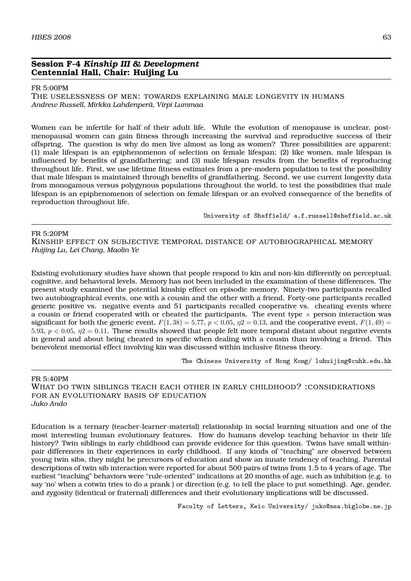# **Session F-4** *Kinship III & Development* **Centennial Hall, Chair: Huijing Lu**

#### FR 5:00PM

THE USELESSNESS OF MEN: TOWARDS EXPLAINING MALE LONGEVITY IN HUMANS *Andrew Russell, Mirkka Lahdenperä, Virpi Lummaa*

Women can be infertile for half of their adult life. While the evolution of menopause is unclear, postmenopausal women can gain fitness through increasing the survival and reproductive success of their offspring. The question is why do men live almost as long as women? Three possibilities are apparent: (1) male lifespan is an epiphenomenon of selection on female lifespan; (2) like women, male lifespan is influenced by benefits of grandfathering; and (3) male lifespan results from the benefits of reproducing throughout life. First, we use lifetime fitness estimates from a pre-modern population to test the possibility that male lifespan is maintained through benefits of grandfathering. Second, we use current longevity data from monogamous versus polygynous populations throughout the world, to test the possibilities that male lifespan is an epiphenomenon of selection on female lifespan or an evolved consequence of the benefits of reproduction throughout life.

University of Sheffield/ a.f.russell@sheffield.ac.uk

#### FR 5:20PM

KINSHIP EFFECT ON SUBJECTIVE TEMPORAL DISTANCE OF AUTOBIOGRAPHICAL MEMORY *Huijing Lu, Lei Chang, Maolin Ye*

Existing evolutionary studies have shown that people respond to kin and non-kin differently on perceptual, cognitive, and behavioral levels. Memory has not been included in the examination of these differences. The present study examined the potential kinship effect on episodic memory. Ninety-two participants recalled two autobiographical events, one with a cousin and the other with a friend. Forty-one participants recalled generic positive vs. negative events and 51 participants recalled cooperative vs. cheating events where a cousin or friend cooperated with or cheated the participants. The event type *×* person interaction was significant for both the generic event,  $F(1,38) = 5.77$ ,  $p < 0.05$ ,  $p2 = 0.13$ , and the cooperative event,  $F(1,49) =$ 5.93,  $p < 0.05$ ,  $\eta$ 2 = 0.11. These results showed that people felt more temporal distant about negative events in general and about being cheated in specific when dealing with a cousin than involving a friend. This benevolent memorial effect involving kin was discussed within inclusive fitness theory.

The Chinese University of Hong Kong/ luhuijing@cuhk.edu.hk

#### FR 5:40PM

WHAT DO TWIN SIBLINGS TEACH EACH OTHER IN EARLY CHILDHOOD? :CONSIDERATIONS FOR AN EVOLUTIONARY BASIS OF EDUCATION *Juko Ando*

Education is a ternary (teacher-learner-material) relationship in social learning situation and one of the most interesting human evolutionary features. How do humans develop teaching behavior in their life history? Twin siblings in early childhood can provide evidence for this question. Twins have small withinpair differences in their experiences in early childhood. If any kinds of "teaching" are observed between young twin sibs, they might be precursors of education and show an innate tendency of teaching. Parental descriptions of twin sib interaction were reported for about 500 pairs of twins from 1.5 to 4 years of age. The earliest "teaching" behaviors were "rule-oriented" indications at 20 months of age, such as inhibition (e.g. to say 'no' when a cotwin tries to do a prank ) or direction (e.g. to tell the place to put something). Age, gender, and zygosity (identical or fraternal) differences and their evolutionary implications will be discussed.

Faculty of Letters, Keio University/ juko@msa.biglobe.ne.jp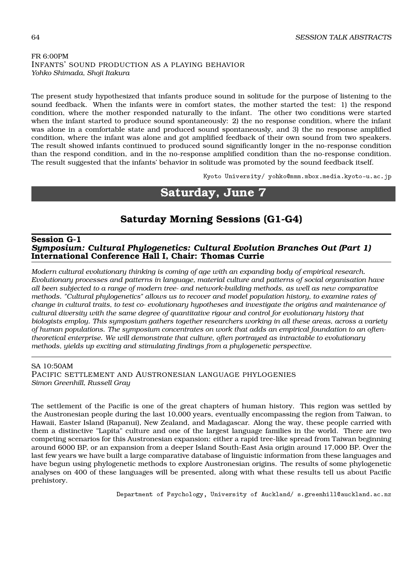# FR 6:00PM INFANTS' SOUND PRODUCTION AS A PLAYING BEHAVIOR *Yohko Shimada, Shoji Itakura*

The present study hypothesized that infants produce sound in solitude for the purpose of listening to the sound feedback. When the infants were in comfort states, the mother started the test: 1) the respond condition, where the mother responded naturally to the infant. The other two conditions were started when the infant started to produce sound spontaneously: 2) the no response condition, where the infant was alone in a comfortable state and produced sound spontaneously, and 3) the no response amplified condition, where the infant was alone and got amplified feedback of their own sound from two speakers. The result showed infants continued to produced sound significantly longer in the no-response condition than the respond condition, and in the no-response amplified condition than the no-response condition. The result suggested that the infants' behavior in solitude was promoted by the sound feedback itself.

Kyoto University/ yohko@mmm.mbox.media.kyoto-u.ac.jp

# **Saturday, June 7**

# **Saturday Morning Sessions (G1-G4)**

## **Session G-1** *Symposium: Cultural Phylogenetics: Cultural Evolution Branches Out (Part 1)* **International Conference Hall I, Chair: Thomas Currie**

*Modern cultural evolutionary thinking is coming of age with an expanding body of empirical research. Evolutionary processes and patterns in language, material culture and patterns of social organisation have all been subjected to a range of modern tree- and network-building methods, as well as new comparative methods. "Cultural phylogenetics" allows us to recover and model population history, to examine rates of change in cultural traits, to test co- evolutionary hypotheses and investigate the origins and maintenance of cultural diversity with the same degree of quantitative rigour and control for evolutionary history that biologists employ. This symposium gathers together researchers working in all these areas, across a variety of human populations. The symposium concentrates on work that adds an empirical foundation to an oftentheoretical enterprise. We will demonstrate that culture, often portrayed as intractable to evolutionary methods, yields up exciting and stimulating findings from a phylogenetic perspective.*

# SA 10:50AM

PACIFIC SETTLEMENT AND AUSTRONESIAN LANGUAGE PHYLOGENIES *Simon Greenhill, Russell Gray*

The settlement of the Pacific is one of the great chapters of human history. This region was settled by the Austronesian people during the last 10,000 years, eventually encompassing the region from Taiwan, to Hawaii, Easter Island (Rapanui), New Zealand, and Madagascar. Along the way, these people carried with them a distinctive "Lapita" culture and one of the largest language families in the world. There are two competing scenarios for this Austronesian expansion: either a rapid tree-like spread from Taiwan beginning around 6000 BP, or an expansion from a deeper Island South-East Asia origin around 17,000 BP. Over the last few years we have built a large comparative database of linguistic information from these languages and have begun using phylogenetic methods to explore Austronesian origins. The results of some phylogenetic analyses on 400 of these languages will be presented, along with what these results tell us about Pacific prehistory.

Department of Psychology, University of Auckland/ s.greenhill@auckland.ac.nz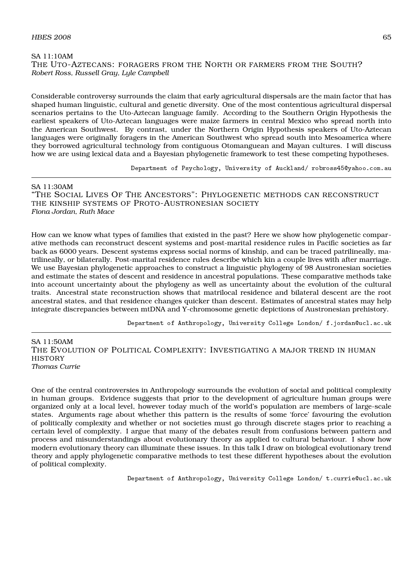#### $H\text{BES } 2008$  65

SA 11:10AM THE UTO-AZTECANS: FORAGERS FROM THE NORTH OR FARMERS FROM THE SOUTH? *Robert Ross, Russell Gray, Lyle Campbell*

Considerable controversy surrounds the claim that early agricultural dispersals are the main factor that has shaped human linguistic, cultural and genetic diversity. One of the most contentious agricultural dispersal scenarios pertains to the Uto-Aztecan language family. According to the Southern Origin Hypothesis the earliest speakers of Uto-Aztecan languages were maize farmers in central Mexico who spread north into the American Southwest. By contrast, under the Northern Origin Hypothesis speakers of Uto-Aztecan languages were originally foragers in the American Southwest who spread south into Mesoamerica where they borrowed agricultural technology from contiguous Otomanguean and Mayan cultures. I will discuss how we are using lexical data and a Bayesian phylogenetic framework to test these competing hypotheses.

Department of Psychology, University of Auckland/ robross45@yahoo.com.au

#### SA 11:30AM

"THE SOCIAL LIVES OF THE ANCESTORS": PHYLOGENETIC METHODS CAN RECONSTRUCT THE KINSHIP SYSTEMS OF PROTO-AUSTRONESIAN SOCIETY *Fiona Jordan, Ruth Mace*

How can we know what types of families that existed in the past? Here we show how phylogenetic comparative methods can reconstruct descent systems and post-marital residence rules in Pacific societies as far back as 6000 years. Descent systems express social norms of kinship, and can be traced patrilineally, matrilineally, or bilaterally. Post-marital residence rules describe which kin a couple lives with after marriage. We use Bayesian phylogenetic approaches to construct a linguistic phylogeny of 98 Austronesian societies and estimate the states of descent and residence in ancestral populations. These comparative methods take into account uncertainty about the phylogeny as well as uncertainty about the evolution of the cultural traits. Ancestral state reconstruction shows that matrilocal residence and bilateral descent are the root ancestral states, and that residence changes quicker than descent. Estimates of ancestral states may help integrate discrepancies between mtDNA and Y-chromosome genetic depictions of Austronesian prehistory.

Department of Anthropology, University College London/ f.jordan@ucl.ac.uk

 $SA$  11:50AM THE EVOLUTION OF POLITICAL COMPLEXITY: INVESTIGATING A MAJOR TREND IN HUMAN **HISTORY** *Thomas Currie*

One of the central controversies in Anthropology surrounds the evolution of social and political complexity in human groups. Evidence suggests that prior to the development of agriculture human groups were organized only at a local level, however today much of the world's population are members of large-scale states. Arguments rage about whether this pattern is the results of some 'force' favouring the evolution of politically complexity and whether or not societies must go through discrete stages prior to reaching a certain level of complexity. I argue that many of the debates result from confusions between pattern and process and misunderstandings about evolutionary theory as applied to cultural behaviour. I show how modern evolutionary theory can illuminate these issues. In this talk I draw on biological evolutionary trend theory and apply phylogenetic comparative methods to test these different hypotheses about the evolution of political complexity.

Department of Anthropology, University College London/ t.currie@ucl.ac.uk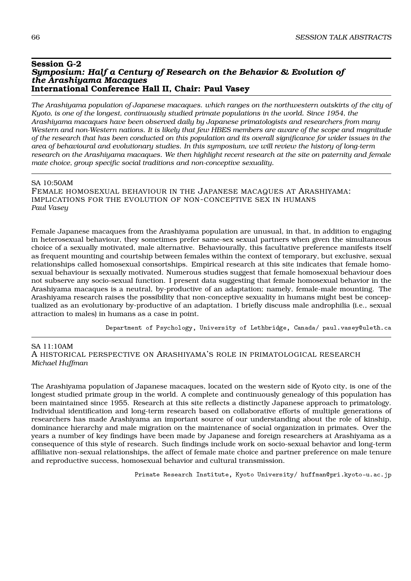#### **Session G-2** *Symposium: Half a Century of Research on the Behavior & Evolution of the Arashiyama Macaques* **International Conference Hall II, Chair: Paul Vasey**

*The Arashiyama population of Japanese macaques. which ranges on the northwestern outskirts of the city of Kyoto, is one of the longest, continuously studied primate populations in the world. Since 1954, the Arashiyama macaques have been observed daily by Japanese primatologists and researchers from many Western and non-Western nations. It is likely that few HBES members are aware of the scope and magnitude of the research that has been conducted on this population and its overall significance for wider issues in the area of behavioural and evolutionary studies. In this symposium, we will review the history of long-term research on the Arashiyama macaques. We then highlight recent research at the site on paternity and female mate choice, group specific social traditions and non-conceptive sexuality.*

SA 10:50AM

FEMALE HOMOSEXUAL BEHAVIOUR IN THE JAPANESE MACAQUES AT ARASHIYAMA: IMPLICATIONS FOR THE EVOLUTION OF NON-CONCEPTIVE SEX IN HUMANS *Paul Vasey*

Female Japanese macaques from the Arashiyama population are unusual, in that, in addition to engaging in heterosexual behaviour, they sometimes prefer same-sex sexual partners when given the simultaneous choice of a sexually motivated, male alternative. Behaviourally, this facultative preference manifests itself as frequent mounting and courtship between females within the context of temporary, but exclusive, sexual relationships called homosexual consortships. Empirical research at this site indicates that female homosexual behaviour is sexually motivated. Numerous studies suggest that female homosexual behaviour does not subserve any socio-sexual function. I present data suggesting that female homosexual behavior in the Arashiyama macaques is a neutral, by-productive of an adaptation; namely, female-male mounting. The Arashiyama research raises the possibility that non-conceptive sexuality in humans might best be conceptualized as an evolutionary by-productive of an adaptation. I briefly discuss male androphilia (i.e., sexual attraction to males) in humans as a case in point.

Department of Psychology, University of Lethbridge, Canada/ paul.vasey@uleth.ca

SA 11:10AM A HISTORICAL PERSPECTIVE ON ARASHIYAMA'S ROLE IN PRIMATOLOGICAL RESEARCH *Michael Huffman*

The Arashiyama population of Japanese macaques, located on the western side of Kyoto city, is one of the longest studied primate group in the world. A complete and continuously genealogy of this population has been maintained since 1955. Research at this site reflects a distinctly Japanese approach to primatology. Individual identification and long-term research based on collaborative efforts of multiple generations of researchers has made Arashiyama an important source of our understanding about the role of kinship, dominance hierarchy and male migration on the maintenance of social organization in primates. Over the years a number of key findings have been made by Japanese and foreign researchers at Arashiyama as a consequence of this style of research. Such findings include work on socio-sexual behavior and long-term affiliative non-sexual relationships, the affect of female mate choice and partner preference on male tenure and reproductive success, homosexual behavior and cultural transmission.

Primate Research Institute, Kyoto University/ huffman@pri.kyoto-u.ac.jp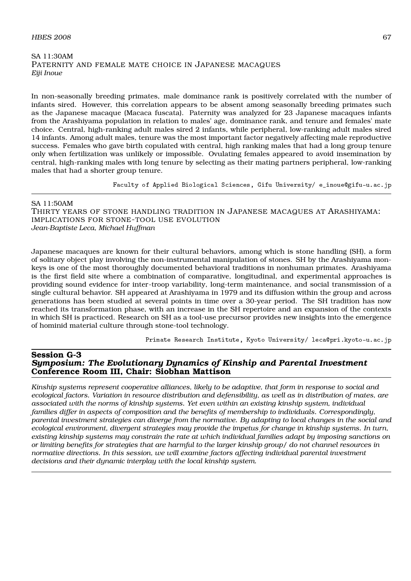#### $H\text{BES } 2008$  67

#### SA 11:30AM PATERNITY AND FEMALE MATE CHOICE IN JAPANESE MACAQUES *Eiji Inoue*

In non-seasonally breeding primates, male dominance rank is positively correlated with the number of infants sired. However, this correlation appears to be absent among seasonally breeding primates such as the Japanese macaque (Macaca fuscata). Paternity was analyzed for 23 Japanese macaques infants from the Arashiyama population in relation to males' age, dominance rank, and tenure and females' mate choice. Central, high-ranking adult males sired 2 infants, while peripheral, low-ranking adult males sired 14 infants. Among adult males, tenure was the most important factor negatively affecting male reproductive success. Females who gave birth copulated with central, high ranking males that had a long group tenure only when fertilization was unlikely or impossible. Ovulating females appeared to avoid insemination by central, high-ranking males with long tenure by selecting as their mating partners peripheral, low-ranking males that had a shorter group tenure.

Faculty of Applied Biological Sciences, Gifu University/ e\_inoue@gifu-u.ac.jp

#### SA 11:50AM THIRTY YEARS OF STONE HANDLING TRADITION IN JAPANESE MACAQUES AT ARASHIYAMA: IMPLICATIONS FOR STONE-TOOL USE EVOLUTION *Jean-Baptiste Leca, Michael Huffman*

Japanese macaques are known for their cultural behaviors, among which is stone handling (SH), a form of solitary object play involving the non-instrumental manipulation of stones. SH by the Arashiyama monkeys is one of the most thoroughly documented behavioral traditions in nonhuman primates. Arashiyama is the first field site where a combination of comparative, longitudinal, and experimental approaches is providing sound evidence for inter-troop variability, long-term maintenance, and social transmission of a single cultural behavior. SH appeared at Arashiyama in 1979 and its diffusion within the group and across generations has been studied at several points in time over a 30-year period. The SH tradition has now reached its transformation phase, with an increase in the SH repertoire and an expansion of the contexts in which SH is practiced. Research on SH as a tool-use precursor provides new insights into the emergence of hominid material culture through stone-tool technology.

Primate Research Institute, Kyoto University/ leca@pri.kyoto-u.ac.jp

## **Session G-3** *Symposium: The Evolutionary Dynamics of Kinship and Parental Investment* **Conference Room III, Chair: Siobhan Mattison**

*Kinship systems represent cooperative alliances, likely to be adaptive, that form in response to social and ecological factors. Variation in resource distribution and defensibility, as well as in distribution of mates, are associated with the norms of kinship systems. Yet even within an existing kinship system, individual families differ in aspects of composition and the benefits of membership to individuals. Correspondingly, parental investment strategies can diverge from the normative. By adapting to local changes in the social and ecological environment, divergent strategies may provide the impetus for change in kinship systems. In turn, existing kinship systems may constrain the rate at which individual families adapt by imposing sanctions on or limiting benefits for strategies that are harmful to the larger kinship group/ do not channel resources in normative directions. In this session, we will examine factors affecting individual parental investment decisions and their dynamic interplay with the local kinship system.*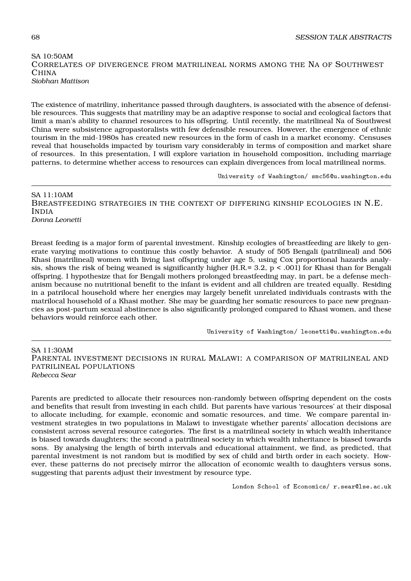## SA 10:50AM CORRELATES OF DIVERGENCE FROM MATRILINEAL NORMS AMONG THE NA OF SOUTHWEST CHINA *Siobhan Mattison*

The existence of matriliny, inheritance passed through daughters, is associated with the absence of defensible resources. This suggests that matriliny may be an adaptive response to social and ecological factors that limit a man's ability to channel resources to his offspring. Until recently, the matrilineal Na of Southwest China were subsistence agropastoralists with few defensible resources. However, the emergence of ethnic tourism in the mid-1980s has created new resources in the form of cash in a market economy. Censuses reveal that households impacted by tourism vary considerably in terms of composition and market share of resources. In this presentation, I will explore variation in household composition, including marriage patterns, to determine whether access to resources can explain divergences from local matrilineal norms.

University of Washington/ smc56@u.washington.edu

SA 11:10AM BREASTFEEDING STRATEGIES IN THE CONTEXT OF DIFFERING KINSHIP ECOLOGIES IN N.E. INDIA *Donna Leonetti*

Breast feeding is a major form of parental investment. Kinship ecologies of breastfeeding are likely to generate varying motivations to continue this costly behavior. A study of 505 Bengali (patrilineal) and 506 Khasi (matrilineal) women with living last offspring under age 5, using Cox proportional hazards analysis, shows the risk of being weaned is significantly higher (H.R.= 3.2,  $p < .001$ ) for Khasi than for Bengali offspring. I hypothesize that for Bengali mothers prolonged breastfeeding may, in part, be a defense mechanism because no nutritional benefit to the infant is evident and all children are treated equally. Residing in a patrilocal household where her energies may largely benefit unrelated individuals contrasts with the matrilocal household of a Khasi mother. She may be guarding her somatic resources to pace new pregnancies as post-partum sexual abstinence is also significantly prolonged compared to Khasi women, and these behaviors would reinforce each other.

University of Washington/ leonetti@u.washington.edu

SA 11:30AM PARENTAL INVESTMENT DECISIONS IN RURAL MALAWI: A COMPARISON OF MATRILINEAL AND PATRILINEAL POPULATIONS *Rebecca Sear*

Parents are predicted to allocate their resources non-randomly between offspring dependent on the costs and benefits that result from investing in each child. But parents have various 'resources' at their disposal to allocate including, for example, economic and somatic resources, and time. We compare parental investment strategies in two populations in Malawi to investigate whether parents' allocation decisions are consistent across several resource categories. The first is a matrilineal society in which wealth inheritance is biased towards daughters; the second a patrilineal society in which wealth inheritance is biased towards sons. By analysing the length of birth intervals and educational attainment, we find, as predicted, that parental investment is not random but is modified by sex of child and birth order in each society. However, these patterns do not precisely mirror the allocation of economic wealth to daughters versus sons, suggesting that parents adjust their investment by resource type.

London School of Economics/ r.sear@lse.ac.uk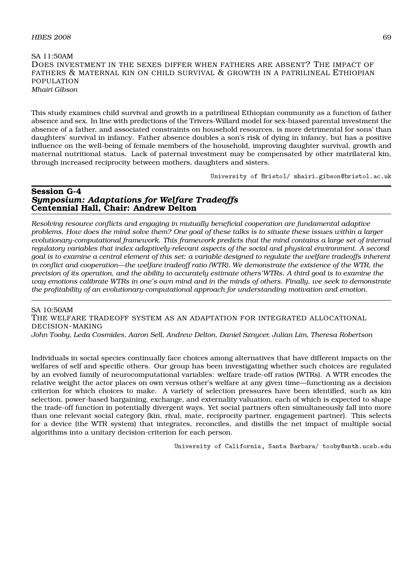#### $H\text{BES } 2008$  69

SA 11:50AM DOES INVESTMENT IN THE SEXES DIFFER WHEN FATHERS ARE ABSENT? THE IMPACT OF FATHERS & MATERNAL KIN ON CHILD SURVIVAL & GROWTH IN A PATRILINEAL ETHIOPIAN POPULATION *Mhairi Gibson*

This study examines child survival and growth in a patrilineal Ethiopian community as a function of father absence and sex. In line with predictions of the Trivers-Willard model for sex-biased parental investment the absence of a father, and associated constraints on household resources, is more detrimental for sons' than daughters' survival in infancy. Father absence doubles a son's risk of dying in infancy, but has a positive influence on the well-being of female members of the household, improving daughter survival, growth and maternal nutritional status. Lack of paternal investment may be compensated by other matrilateral kin, through increased reciprocity between mothers, daughters and sisters.

University of Bristol/ mhairi.gibson@bristol.ac.uk

# **Session G-4** *Symposium: Adaptations for Welfare Tradeoffs* **Centennial Hall, Chair: Andrew Delton**

*Resolving resource conflicts and engaging in mutually beneficial cooperation are fundamental adaptive problems. How does the mind solve them? One goal of these talks is to situate these issues within a larger evolutionary-computational framework. This framework predicts that the mind contains a large set of internal regulatory variables that index adaptively-relevant aspects of the social and physical environment. A second goal is to examine a central element of this set: a variable designed to regulate the welfare tradeoffs inherent in conflict and cooperation—the welfare tradeoff ratio (WTR). We demonstrate the existence of the WTR, the precision of its operation, and the ability to accurately estimate others'WTRs. A third goal is to examine the way emotions calibrate WTRs in one's own mind and in the minds of others. Finally, we seek to demonstrate the profitability of an evolutionary-computational approach for understanding motivation and emotion.*

SA 10:50AM THE WELFARE TRADEOFF SYSTEM AS AN ADAPTATION FOR INTEGRATED ALLOCATIONAL DECISION-MAKING *John Tooby, Leda Cosmides, Aaron Sell, Andrew Delton, Daniel Sznycer, Julian Lim, Theresa Robertson*

Individuals in social species continually face choices among alternatives that have different impacts on the welfares of self and specific others. Our group has been investigating whether such choices are regulated by an evolved family of neurocomputational variables: welfare trade-off ratios (WTRs). A WTR encodes the relative weight the actor places on own versus other's welfare at any given time—functioning as a decision criterion for which choices to make. A variety of selection pressures have been identified, such as kin selection, power-based bargaining, exchange, and externality valuation, each of which is expected to shape the trade-off function in potentially divergent ways. Yet social partners often simultaneously fall into more than one relevant social category (kin, rival, mate, reciprocity partner, engagement partner). This selects for a device (the WTR system) that integrates, reconciles, and distills the net impact of multiple social algorithms into a unitary decision-criterion for each person.

University of California, Santa Barbara/ tooby@anth.ucsb.edu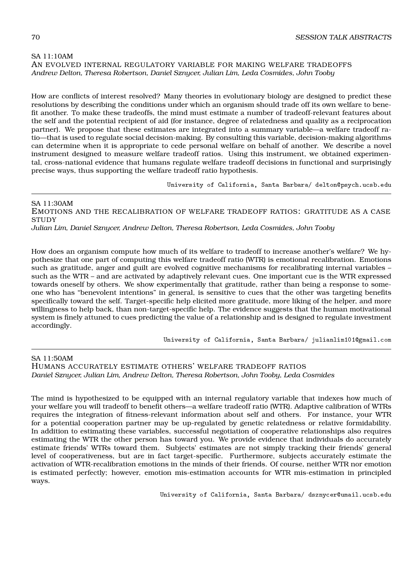# SA 11:10AM AN EVOLVED INTERNAL REGULATORY VARIABLE FOR MAKING WELFARE TRADEOFFS

*Andrew Delton, Theresa Robertson, Daniel Sznycer, Julian Lim, Leda Cosmides, John Tooby*

How are conflicts of interest resolved? Many theories in evolutionary biology are designed to predict these resolutions by describing the conditions under which an organism should trade off its own welfare to benefit another. To make these tradeoffs, the mind must estimate a number of tradeoff-relevant features about the self and the potential recipient of aid (for instance, degree of relatedness and quality as a reciprocation partner). We propose that these estimates are integrated into a summary variable—a welfare tradeoff ratio—that is used to regulate social decision-making. By consulting this variable, decision-making algorithms can determine when it is appropriate to cede personal welfare on behalf of another. We describe a novel instrument designed to measure welfare tradeoff ratios. Using this instrument, we obtained experimental, cross-national evidence that humans regulate welfare tradeoff decisions in functional and surprisingly precise ways, thus supporting the welfare tradeoff ratio hypothesis.

University of California, Santa Barbara/ delton@psych.ucsb.edu

SA 11:30AM EMOTIONS AND THE RECALIBRATION OF WELFARE TRADEOFF RATIOS: GRATITUDE AS A CASE **STUDY** *Julian Lim, Daniel Sznycer, Andrew Delton, Theresa Robertson, Leda Cosmides, John Tooby*

How does an organism compute how much of its welfare to tradeoff to increase another's welfare? We hypothesize that one part of computing this welfare tradeoff ratio (WTR) is emotional recalibration. Emotions such as gratitude, anger and guilt are evolved cognitive mechanisms for recalibrating internal variables – such as the WTR – and are activated by adaptively relevant cues. One important cue is the WTR expressed towards oneself by others. We show experimentally that gratitude, rather than being a response to someone who has "benevolent intentions" in general, is sensitive to cues that the other was targeting benefits specifically toward the self. Target-specific help elicited more gratitude, more liking of the helper, and more willingness to help back, than non-target-specific help. The evidence suggests that the human motivational system is finely attuned to cues predicting the value of a relationship and is designed to regulate investment accordingly.

University of California, Santa Barbara/ julianlim101@gmail.com

SA 11:50AM HUMANS ACCURATELY ESTIMATE OTHERS' WELFARE TRADEOFF RATIOS *Daniel Sznycer, Julian Lim, Andrew Delton, Theresa Robertson, John Tooby, Leda Cosmides*

The mind is hypothesized to be equipped with an internal regulatory variable that indexes how much of your welfare you will tradeoff to benefit others—a welfare tradeoff ratio (WTR). Adaptive calibration of WTRs requires the integration of fitness-relevant information about self and others. For instance, your WTR for a potential cooperation partner may be up-regulated by genetic relatedness or relative formidability. In addition to estimating these variables, successful negotiation of cooperative relationships also requires estimating the WTR the other person has toward you. We provide evidence that individuals do accurately estimate friends' WTRs toward them. Subjects' estimates are not simply tracking their friends' general level of cooperativeness, but are in fact target-specific. Furthermore, subjects accurately estimate the activation of WTR-recalibration emotions in the minds of their friends. Of course, neither WTR nor emotion is estimated perfectly; however, emotion mis-estimation accounts for WTR mis-estimation in principled ways.

University of California, Santa Barbara/ dsznycer@umail.ucsb.edu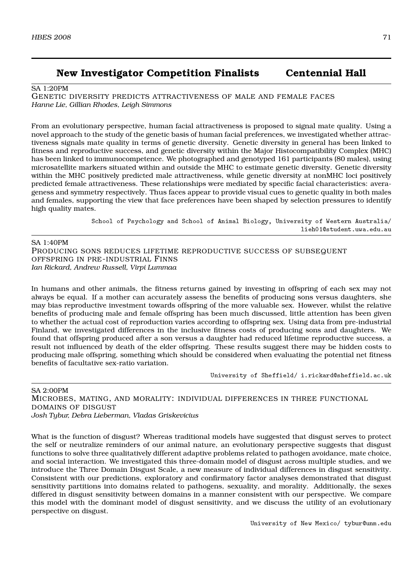# **New Investigator Competition Finalists Centennial Hall**

### SA 1:20PM

GENETIC DIVERSITY PREDICTS ATTRACTIVENESS OF MALE AND FEMALE FACES *Hanne Lie, Gillian Rhodes, Leigh Simmons*

From an evolutionary perspective, human facial attractiveness is proposed to signal mate quality. Using a novel approach to the study of the genetic basis of human facial preferences, we investigated whether attractiveness signals mate quality in terms of genetic diversity. Genetic diversity in general has been linked to fitness and reproductive success, and genetic diversity within the Major Histocompatibility Complex (MHC) has been linked to immunocompetence. We photographed and genotyped 161 participants (80 males), using microsatellite markers situated within and outside the MHC to estimate genetic diversity. Genetic diversity within the MHC positively predicted male attractiveness, while genetic diversity at nonMHC loci positively predicted female attractiveness. These relationships were mediated by specific facial characteristics: averageness and symmetry respectively. Thus faces appear to provide visual cues to genetic quality in both males and females, supporting the view that face preferences have been shaped by selection pressures to identify high quality mates.

> School of Psychology and School of Animal Biology, University of Western Australia/ lieh01@student.uwa.edu.au

SA 1:40PM PRODUCING SONS REDUCES LIFETIME REPRODUCTIVE SUCCESS OF SUBSEQUENT OFFSPRING IN PRE-INDUSTRIAL FINNS *Ian Rickard, Andrew Russell, Virpi Lummaa*

In humans and other animals, the fitness returns gained by investing in offspring of each sex may not always be equal. If a mother can accurately assess the benefits of producing sons versus daughters, she may bias reproductive investment towards offspring of the more valuable sex. However, whilst the relative benefits of producing male and female offspring has been much discussed, little attention has been given to whether the actual cost of reproduction varies according to offspring sex. Using data from pre-industrial Finland, we investigated differences in the inclusive fitness costs of producing sons and daughters. We found that offspring produced after a son versus a daughter had reduced lifetime reproductive success, a result not influenced by death of the elder offspring. These results suggest there may be hidden costs to producing male offspring, something which should be considered when evaluating the potential net fitness benefits of facultative sex-ratio variation.

University of Sheffield/ i.rickard@sheffield.ac.uk

SA 2:00PM MICROBES, MATING, AND MORALITY: INDIVIDUAL DIFFERENCES IN THREE FUNCTIONAL DOMAINS OF DISGUST *Josh Tybur, Debra Lieberman, Vladas Griskevicius*

What is the function of disgust? Whereas traditional models have suggested that disgust serves to protect the self or neutralize reminders of our animal nature, an evolutionary perspective suggests that disgust functions to solve three qualitatively different adaptive problems related to pathogen avoidance, mate choice, and social interaction. We investigated this three-domain model of disgust across multiple studies, and we introduce the Three Domain Disgust Scale, a new measure of individual differences in disgust sensitivity. Consistent with our predictions, exploratory and confirmatory factor analyses demonstrated that disgust sensitivity partitions into domains related to pathogens, sexuality, and morality. Additionally, the sexes differed in disgust sensitivity between domains in a manner consistent with our perspective. We compare this model with the dominant model of disgust sensitivity, and we discuss the utility of an evolutionary perspective on disgust.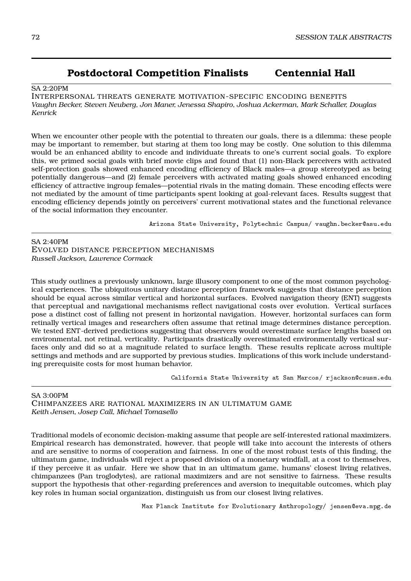# **Postdoctoral Competition Finalists Centennial Hall**

### $S_A$  2:20PM

INTERPERSONAL THREATS GENERATE MOTIVATION-SPECIFIC ENCODING BENEFITS *Vaughn Becker, Steven Neuberg, Jon Maner, Jenessa Shapiro, Joshua Ackerman, Mark Schaller, Douglas Kenrick*

When we encounter other people with the potential to threaten our goals, there is a dilemma: these people may be important to remember, but staring at them too long may be costly. One solution to this dilemma would be an enhanced ability to encode and individuate threats to one's current social goals. To explore this, we primed social goals with brief movie clips and found that (1) non-Black perceivers with activated self-protection goals showed enhanced encoding efficiency of Black males—a group stereotyped as being potentially dangerous—and (2) female perceivers with activated mating goals showed enhanced encoding efficiency of attractive ingroup females—potential rivals in the mating domain. These encoding effects were not mediated by the amount of time participants spent looking at goal-relevant faces. Results suggest that encoding efficiency depends jointly on perceivers' current motivational states and the functional relevance of the social information they encounter.

Arizona State University, Polytechnic Campus/ vaughn.becker@asu.edu

SA 2:40PM EVOLVED DISTANCE PERCEPTION MECHANISMS *Russell Jackson, Lawrence Cormack*

This study outlines a previously unknown, large illusory component to one of the most common psychological experiences. The ubiquitous unitary distance perception framework suggests that distance perception should be equal across similar vertical and horizontal surfaces. Evolved navigation theory (ENT) suggests that perceptual and navigational mechanisms reflect navigational costs over evolution. Vertical surfaces pose a distinct cost of falling not present in horizontal navigation. However, horizontal surfaces can form retinally vertical images and researchers often assume that retinal image determines distance perception. We tested ENT-derived predictions suggesting that observers would overestimate surface lengths based on environmental, not retinal, verticality. Participants drastically overestimated environmentally vertical surfaces only and did so at a magnitude related to surface length. These results replicate across multiple settings and methods and are supported by previous studies. Implications of this work include understanding prerequisite costs for most human behavior.

California State University at San Marcos/ rjackson@csusm.edu

SA 3:00PM

CHIMPANZEES ARE RATIONAL MAXIMIZERS IN AN ULTIMATUM GAME *Keith Jensen, Josep Call, Michael Tomasello*

Traditional models of economic decision-making assume that people are self-interested rational maximizers. Empirical research has demonstrated, however, that people will take into account the interests of others and are sensitive to norms of cooperation and fairness. In one of the most robust tests of this finding, the ultimatum game, individuals will reject a proposed division of a monetary windfall, at a cost to themselves, if they perceive it as unfair. Here we show that in an ultimatum game, humans' closest living relatives, chimpanzees (Pan troglodytes), are rational maximizers and are not sensitive to fairness. These results support the hypothesis that other-regarding preferences and aversion to inequitable outcomes, which play key roles in human social organization, distinguish us from our closest living relatives.

Max Planck Institute for Evolutionary Anthropology/ jensen@eva.mpg.de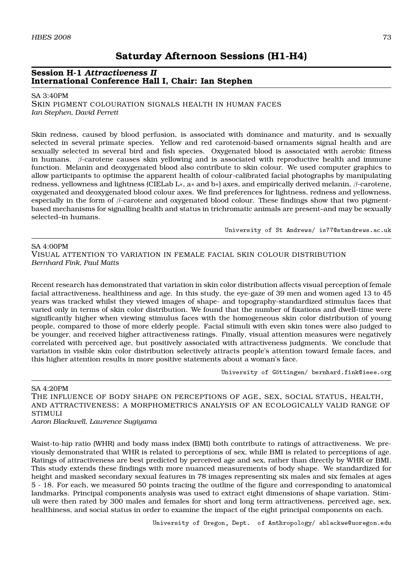# **Session H-1** *Attractiveness II* **International Conference Hall I, Chair: Ian Stephen**

### SA 3:40PM

SKIN PIGMENT COLOURATION SIGNALS HEALTH IN HUMAN FACES *Ian Stephen, David Perrett*

Skin redness, caused by blood perfusion, is associated with dominance and maturity, and is sexually selected in several primate species. Yellow and red carotenoid-based ornaments signal health and are sexually selected in several bird and fish species. Oxygenated blood is associated with aerobic fitness in humans. *β*-carotene causes skin yellowing and is associated with reproductive health and immune function. Melanin and deoxygenated blood also contribute to skin colour. We used computer graphics to allow participants to optimise the apparent health of colour-calibrated facial photographs by manipulating redness, yellowness and lightness (CIELab L*∗*, a*∗* and b*∗*) axes, and empirically derived melanin, *β*-carotene, oxygenated and deoxygenated blood colour axes. We find preferences for lightness, redness and yellowness, especially in the form of *β*-carotene and oxygenated blood colour. These findings show that two pigmentbased mechanisms for signalling health and status in trichromatic animals are present–and may be sexually selected–in humans.

University of St Andrews/ is77@standrews.ac.uk

SA 4:00PM VISUAL ATTENTION TO VARIATION IN FEMALE FACIAL SKIN COLOUR DISTRIBUTION *Bernhard Fink, Paul Matts*

Recent research has demonstrated that variation in skin color distribution affects visual perception of female facial attractiveness, healthiness and age. In this study, the eye-gaze of 39 men and women aged 13 to 45 years was tracked whilst they viewed images of shape- and topography-standardized stimulus faces that varied only in terms of skin color distribution. We found that the number of fixations and dwell-time were significantly higher when viewing stimulus faces with the homogeneous skin color distribution of young people, compared to those of more elderly people. Facial stimuli with even skin tones were also judged to be younger, and received higher attractiveness ratings. Finally, visual attention measures were negatively correlated with perceived age, but positively associated with attractiveness judgments. We conclude that variation in visible skin color distribution selectively attracts people's attention toward female faces, and this higher attention results in more positive statements about a woman's face.

University of Göttingen/ bernhard.fink@ieee.org

SA 4:20PM

THE INFLUENCE OF BODY SHAPE ON PERCEPTIONS OF AGE, SEX, SOCIAL STATUS, HEALTH, AND ATTRACTIVENESS: A MORPHOMETRICS ANALYSIS OF AN ECOLOGICALLY VALID RANGE OF STIMULI

*Aaron Blackwell, Lawrence Sugiyama*

Waist-to-hip ratio (WHR) and body mass index (BMI) both contribute to ratings of attractiveness. We previously demonstrated that WHR is related to perceptions of sex, while BMI is related to perceptions of age. Ratings of attractiveness are best predicted by perceived age and sex, rather than directly by WHR or BMI. This study extends these findings with more nuanced measurements of body shape. We standardized for height and masked secondary sexual features in 78 images representing six males and six females at ages 5 - 18. For each, we measured 50 points tracing the outline of the figure and corresponding to anatomical landmarks. Principal components analysis was used to extract eight dimensions of shape variation. Stimuli were then rated by 300 males and females for short and long term attractiveness, perceived age, sex, healthiness, and social status in order to examine the impact of the eight principal components on each.

University of Oregon, Dept. of Anthropology/ ablackwe@uoregon.edu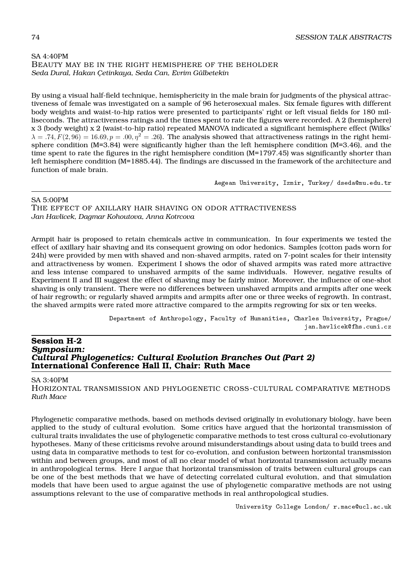## SA 4:40PM BEAUTY MAY BE IN THE RIGHT HEMISPHERE OF THE BEHOLDER *Seda Dural, Hakan Çetinkaya, Seda Can, Evrim Gülbetekin*

By using a visual half-field technique, hemisphericity in the male brain for judgments of the physical attractiveness of female was investigated on a sample of 96 heterosexual males. Six female figures with different body weights and waist-to-hip ratios were presented to participants' right or left visual fields for 180 milliseconds. The attractiveness ratings and the times spent to rate the figures were recorded. A 2 (hemisphere) x 3 (body weight) x 2 (waist-to-hip ratio) repeated MANOVA indicated a significant hemisphere effect (Wilks'  $\lambda = .74, F(2,96) = 16.69, p = .00, \eta^2 = .26$ . The analysis showed that attractiveness ratings in the right hemisphere condition (M=3.84) were significantly higher than the left hemisphere condition (M=3.46), and the time spent to rate the figures in the right hemisphere condition (M=1797.45) was significantly shorter than left hemisphere condition (M=1885.44). The findings are discussed in the framework of the architecture and function of male brain.

Aegean University, Izmir, Turkey/ dseda@mu.edu.tr

### SA 5:00PM

THE EFFECT OF AXILLARY HAIR SHAVING ON ODOR ATTRACTIVENESS *Jan Havlicek, Dagmar Kohoutova, Anna Kotrcova*

Armpit hair is proposed to retain chemicals active in communication. In four experiments we tested the effect of axillary hair shaving and its consequent growing on odor hedonics. Samples (cotton pads worn for 24h) were provided by men with shaved and non-shaved armpits, rated on 7-point scales for their intensity and attractiveness by women. Experiment I shows the odor of shaved armpits was rated more attractive and less intense compared to unshaved armpits of the same individuals. However, negative results of Experiment II and III suggest the effect of shaving may be fairly minor. Moreover, the influence of one-shot shaving is only transient. There were no differences between unshaved armpits and armpits after one week of hair regrowth; or regularly shaved armpits and armpits after one or three weeks of regrowth. In contrast, the shaved armpits were rated more attractive compared to the armpits regrowing for six or ten weeks.

> Department of Anthropology, Faculty of Humanities, Charles University, Prague/ jan.havlicek@fhs.cuni.cz

### **Session H-2** *Symposium: Cultural Phylogenetics: Cultural Evolution Branches Out (Part 2)* **International Conference Hall II, Chair: Ruth Mace**

### SA 3:40PM

HORIZONTAL TRANSMISSION AND PHYLOGENETIC CROSS-CULTURAL COMPARATIVE METHODS *Ruth Mace*

Phylogenetic comparative methods, based on methods devised originally in evolutionary biology, have been applied to the study of cultural evolution. Some critics have argued that the horizontal transmission of cultural traits invalidates the use of phylogenetic comparative methods to test cross cultural co-evolutionary hypotheses. Many of these criticisms revolve around misunderstandings about using data to build trees and using data in comparative methods to test for co-evolution, and confusion between horizontal transmission within and between groups, and most of all no clear model of what horizontal transmission actually means in anthropological terms. Here I argue that horizontal transmission of traits between cultural groups can be one of the best methods that we have of detecting correlated cultural evolution, and that simulation models that have been used to argue against the use of phylogenetic comparative methods are not using assumptions relevant to the use of comparative methods in real anthropological studies.

University College London/ r.mace@ucl.ac.uk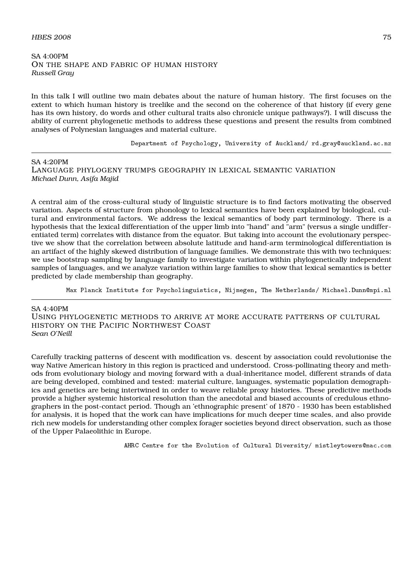### $H\!B\!E\!S$  2008  $2008$

SA 4:00PM ON THE SHAPE AND FABRIC OF HUMAN HISTORY *Russell Gray*

In this talk I will outline two main debates about the nature of human history. The first focuses on the extent to which human history is treelike and the second on the coherence of that history (if every gene has its own history, do words and other cultural traits also chronicle unique pathways?). I will discuss the ability of current phylogenetic methods to address these questions and present the results from combined analyses of Polynesian languages and material culture.

Department of Psychology, University of Auckland/ rd.gray@auckland.ac.nz

SA 4:20PM LANGUAGE PHYLOGENY TRUMPS GEOGRAPHY IN LEXICAL SEMANTIC VARIATION *Michael Dunn, Asifa Majid*

A central aim of the cross-cultural study of linguistic structure is to find factors motivating the observed variation. Aspects of structure from phonology to lexical semantics have been explained by biological, cultural and environmental factors. We address the lexical semantics of body part terminology. There is a hypothesis that the lexical differentiation of the upper limb into "hand" and "arm" (versus a single undifferentiated term) correlates with distance from the equator. But taking into account the evolutionary perspective we show that the correlation between absolute latitude and hand-arm terminological differentiation is an artifact of the highly skewed distribution of language families. We demonstrate this with two techniques: we use bootstrap sampling by language family to investigate variation within phylogenetically independent samples of languages, and we analyze variation within large families to show that lexical semantics is better predicted by clade membership than geography.

Max Planck Institute for Psycholinguistics, Nijmegen, The Netherlands/ Michael.Dunn@mpi.nl

SA 4:40PM USING PHYLOGENETIC METHODS TO ARRIVE AT MORE ACCURATE PATTERNS OF CULTURAL HISTORY ON THE PACIFIC NORTHWEST COAST *Sean O'Neill*

Carefully tracking patterns of descent with modification vs. descent by association could revolutionise the way Native American history in this region is practiced and understood. Cross-pollinating theory and methods from evolutionary biology and moving forward with a dual-inheritance model, different strands of data are being developed, combined and tested: material culture, languages, systematic population demographics and genetics are being intertwined in order to weave reliable proxy histories. These predictive methods provide a higher systemic historical resolution than the anecdotal and biased accounts of credulous ethnographers in the post-contact period. Though an 'ethnographic present' of 1870 - 1930 has been established for analysis, it is hoped that the work can have implications for much deeper time scales, and also provide rich new models for understanding other complex forager societies beyond direct observation, such as those of the Upper Palaeolithic in Europe.

AHRC Centre for the Evolution of Cultural Diversity/ mistleytowers@mac.com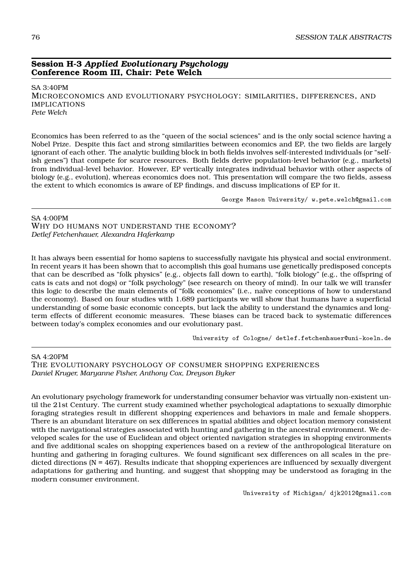# **Session H-3** *Applied Evolutionary Psychology* **Conference Room III, Chair: Pete Welch**

SA 3:40PM MICROECONOMICS AND EVOLUTIONARY PSYCHOLOGY: SIMILARITIES, DIFFERENCES, AND IMPLICATIONS *Pete Welch*

Economics has been referred to as the "queen of the social sciences" and is the only social science having a Nobel Prize. Despite this fact and strong similarities between economics and EP, the two fields are largely ignorant of each other. The analytic building block in both fields involves self-interested individuals (or "selfish genes") that compete for scarce resources. Both fields derive population-level behavior (e.g., markets) from individual-level behavior. However, EP vertically integrates individual behavior with other aspects of biology (e.g., evolution), whereas economics does not. This presentation will compare the two fields, assess the extent to which economics is aware of EP findings, and discuss implications of EP for it.

George Mason University/ w.pete.welch@gmail.com

SA 4:00PM WHY DO HUMANS NOT UNDERSTAND THE ECONOMY? *Detlef Fetchenhauer, Alexandra Haferkamp*

It has always been essential for homo sapiens to successfully navigate his physical and social environment. In recent years it has been shown that to accomplish this goal humans use genetically predisposed concepts that can be described as "folk physics" (e.g., objects fall down to earth), "folk biology" (e.g., the offspring of cats is cats and not dogs) or "folk psychology" (see research on theory of mind). In our talk we will transfer this logic to describe the main elements of "folk economics" (i.e., naïve conceptions of how to understand the economy). Based on four studies with 1.689 participants we will show that humans have a superficial understanding of some basic economic concepts, but lack the ability to understand the dynamics and longterm effects of different economic measures. These biases can be traced back to systematic differences between today's complex economies and our evolutionary past.

University of Cologne/ detlef.fetchenhauer@uni-koeln.de

SA 4:20PM THE EVOLUTIONARY PSYCHOLOGY OF CONSUMER SHOPPING EXPERIENCES *Daniel Kruger, Maryanne Fisher, Anthony Cox, Dreyson Byker*

An evolutionary psychology framework for understanding consumer behavior was virtually non-existent until the 21st Century. The current study examined whether psychological adaptations to sexually dimorphic foraging strategies result in different shopping experiences and behaviors in male and female shoppers. There is an abundant literature on sex differences in spatial abilities and object location memory consistent with the navigational strategies associated with hunting and gathering in the ancestral environment. We developed scales for the use of Euclidean and object oriented navigation strategies in shopping environments and five additional scales on shopping experiences based on a review of the anthropological literature on hunting and gathering in foraging cultures. We found significant sex differences on all scales in the predicted directions (N = 467). Results indicate that shopping experiences are influenced by sexually divergent adaptations for gathering and hunting, and suggest that shopping may be understood as foraging in the modern consumer environment.

University of Michigan/ djk2012@gmail.com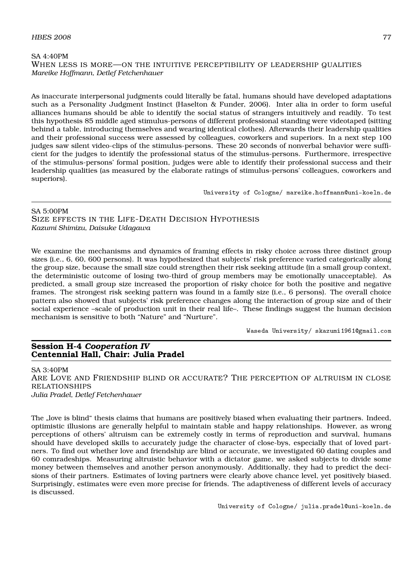### $H\!B\!E\!S$  2008  $Z$

SA 4:40PM WHEN LESS IS MORE—ON THE INTUITIVE PERCEPTIBILITY OF LEADERSHIP QUALITIES *Mareike Hoffmann, Detlef Fetchenhauer*

As inaccurate interpersonal judgments could literally be fatal, humans should have developed adaptations such as a Personality Judgment Instinct (Haselton & Funder, 2006). Inter alia in order to form useful alliances humans should be able to identify the social status of strangers intuitively and readily. To test this hypothesis 85 middle aged stimulus-persons of different professional standing were videotaped (sitting behind a table, introducing themselves and wearing identical clothes). Afterwards their leadership qualities and their professional success were assessed by colleagues, coworkers and superiors. In a next step 100 judges saw silent video-clips of the stimulus-persons. These 20 seconds of nonverbal behavior were sufficient for the judges to identify the professional status of the stimulus-persons. Furthermore, irrespective of the stimulus-persons' formal position, judges were able to identify their professional success and their leadership qualities (as measured by the elaborate ratings of stimulus-persons' colleagues, coworkers and superiors).

University of Cologne/ mareike.hoffmann@uni-koeln.de

### SA 5:00PM

SIZE EFFECTS IN THE LIFE-DEATH DECISION HYPOTHESIS *Kazumi Shimizu, Daisuke Udagawa*

We examine the mechanisms and dynamics of framing effects in risky choice across three distinct group sizes (i.e., 6, 60, 600 persons). It was hypothesized that subjects' risk preference varied categorically along the group size, because the small size could strengthen their risk seeking attitude (in a small group context, the deterministic outcome of losing two-third of group members may be emotionally unacceptable). As predicted, a small group size increased the proportion of risky choice for both the positive and negative frames. The strongest risk seeking pattern was found in a family size (i.e., 6 persons). The overall choice pattern also showed that subjects' risk preference changes along the interaction of group size and of their social experience –scale of production unit in their real life–. These findings suggest the human decision mechanism is sensitive to both "Nature" and "Nurture".

Waseda University/ skazumi1961@gmail.com

# **Session H-4** *Cooperation IV* **Centennial Hall, Chair: Julia Pradel**

#### SA 3:40PM

ARE LOVE AND FRIENDSHIP BLIND OR ACCURATE? THE PERCEPTION OF ALTRUISM IN CLOSE RELATIONSHIPS *Julia Pradel, Detlef Fetchenhauer*

The "love is blind" thesis claims that humans are positively biased when evaluating their partners. Indeed, optimistic illusions are generally helpful to maintain stable and happy relationships. However, as wrong perceptions of others' altruism can be extremely costly in terms of reproduction and survival, humans should have developed skills to accurately judge the character of close-bys, especially that of loved partners. To find out whether love and friendship are blind or accurate, we investigated 60 dating couples and 60 comradeships. Measuring altruistic behavior with a dictator game, we asked subjects to divide some money between themselves and another person anonymously. Additionally, they had to predict the decisions of their partners. Estimates of loving partners were clearly above chance level, yet positively biased. Surprisingly, estimates were even more precise for friends. The adaptiveness of different levels of accuracy is discussed.

University of Cologne/ julia.pradel@uni-koeln.de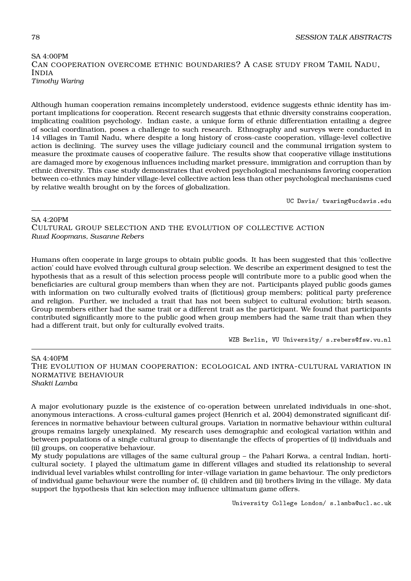# SA 4:00PM CAN COOPERATION OVERCOME ETHNIC BOUNDARIES? A CASE STUDY FROM TAMIL NADU, INDIA *Timothy Waring*

Although human cooperation remains incompletely understood, evidence suggests ethnic identity has important implications for cooperation. Recent research suggests that ethnic diversity constrains cooperation, implicating coalition psychology. Indian caste, a unique form of ethnic differentiation entailing a degree of social coordination, poses a challenge to such research. Ethnography and surveys were conducted in 14 villages in Tamil Nadu, where despite a long history of cross-caste cooperation, village-level collective action is declining. The survey uses the village judiciary council and the communal irrigation system to measure the proximate causes of cooperative failure. The results show that cooperative village institutions are damaged more by exogenous influences including market pressure, immigration and corruption than by ethnic diversity. This case study demonstrates that evolved psychological mechanisms favoring cooperation between co-ethnics may hinder village-level collective action less than other psychological mechanisms cued by relative wealth brought on by the forces of globalization.

UC Davis/ twaring@ucdavis.edu

SA 4:20PM CULTURAL GROUP SELECTION AND THE EVOLUTION OF COLLECTIVE ACTION *Ruud Koopmans, Susanne Rebers*

Humans often cooperate in large groups to obtain public goods. It has been suggested that this 'collective action' could have evolved through cultural group selection. We describe an experiment designed to test the hypothesis that as a result of this selection process people will contribute more to a public good when the beneficiaries are cultural group members than when they are not. Participants played public goods games with information on two culturally evolved traits of (fictitious) group members; political party preference and religion. Further, we included a trait that has not been subject to cultural evolution; birth season. Group members either had the same trait or a different trait as the participant. We found that participants contributed significantly more to the public good when group members had the same trait than when they had a different trait, but only for culturally evolved traits.

WZB Berlin, VU University/ s.rebers@fsw.vu.nl

SA 4:40PM THE EVOLUTION OF HUMAN COOPERATION: ECOLOGICAL AND INTRA-CULTURAL VARIATION IN NORMATIVE BEHAVIOUR *Shakti Lamba*

A major evolutionary puzzle is the existence of co-operation between unrelated individuals in one-shot, anonymous interactions. A cross-cultural games project (Henrich et al, 2004) demonstrated significant differences in normative behaviour between cultural groups. Variation in normative behaviour within cultural groups remains largely unexplained. My research uses demographic and ecological variation within and between populations of a single cultural group to disentangle the effects of properties of (i) individuals and (ii) groups, on cooperative behaviour.

My study populations are villages of the same cultural group – the Pahari Korwa, a central Indian, horticultural society. I played the ultimatum game in different villages and studied its relationship to several individual level variables whilst controlling for inter-village variation in game behaviour. The only predictors of individual game behaviour were the number of, (i) children and (ii) brothers living in the village. My data support the hypothesis that kin selection may influence ultimatum game offers.

University College London/ s.lamba@ucl.ac.uk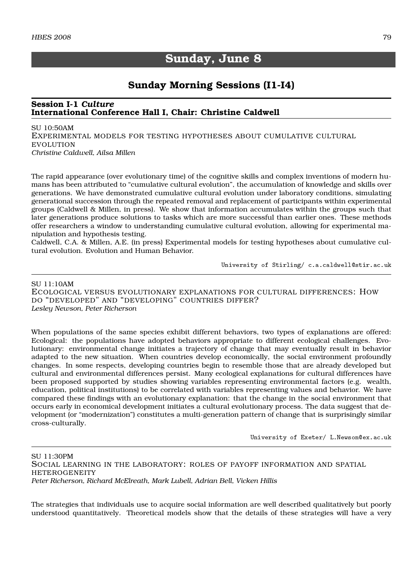# **Sunday, June 8**

# **Sunday Morning Sessions (I1-I4)**

# **Session I-1** *Culture* **International Conference Hall I, Chair: Christine Caldwell**

SU 10:50AM EXPERIMENTAL MODELS FOR TESTING HYPOTHESES ABOUT CUMULATIVE CULTURAL EVOLUTION *Christine Caldwell, Ailsa Millen*

The rapid appearance (over evolutionary time) of the cognitive skills and complex inventions of modern humans has been attributed to "cumulative cultural evolution", the accumulation of knowledge and skills over generations. We have demonstrated cumulative cultural evolution under laboratory conditions, simulating generational succession through the repeated removal and replacement of participants within experimental groups (Caldwell & Millen, in press). We show that information accumulates within the groups such that later generations produce solutions to tasks which are more successful than earlier ones. These methods offer researchers a window to understanding cumulative cultural evolution, allowing for experimental manipulation and hypothesis testing.

Caldwell, C.A. & Millen, A.E. (in press) Experimental models for testing hypotheses about cumulative cultural evolution. Evolution and Human Behavior.

University of Stirling/ c.a.caldwell@stir.ac.uk

### SU 11:10AM

ECOLOGICAL VERSUS EVOLUTIONARY EXPLANATIONS FOR CULTURAL DIFFERENCES: HOW DO "DEVELOPED" AND "DEVELOPING" COUNTRIES DIFFER? *Lesley Newson, Peter Richerson*

When populations of the same species exhibit different behaviors, two types of explanations are offered: Ecological: the populations have adopted behaviors appropriate to different ecological challenges. Evolutionary: environmental change initiates a trajectory of change that may eventually result in behavior adapted to the new situation. When countries develop economically, the social environment profoundly changes. In some respects, developing countries begin to resemble those that are already developed but cultural and environmental differences persist. Many ecological explanations for cultural differences have been proposed supported by studies showing variables representing environmental factors (e.g. wealth, education, political institutions) to be correlated with variables representing values and behavior. We have compared these findings with an evolutionary explanation: that the change in the social environment that occurs early in economical development initiates a cultural evolutionary process. The data suggest that development (or "modernization") constitutes a multi-generation pattern of change that is surprisingly similar cross-culturally.

University of Exeter/ L.Newson@ex.ac.uk

SU 11:30PM SOCIAL LEARNING IN THE LABORATORY: ROLES OF PAYOFF INFORMATION AND SPATIAL **HETEROGENEITY** *Peter Richerson, Richard McElreath, Mark Lubell, Adrian Bell, Vicken Hillis*

The strategies that individuals use to acquire social information are well described qualitatively but poorly understood quantitatively. Theoretical models show that the details of these strategies will have a very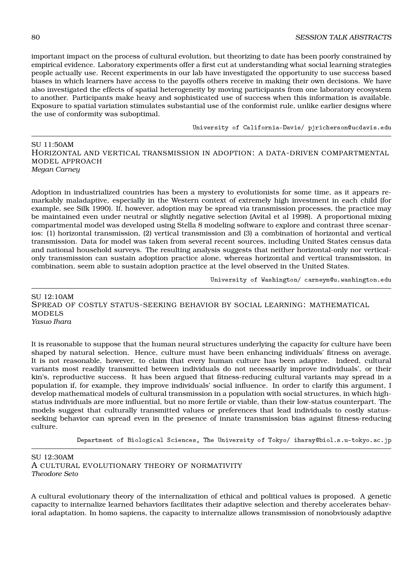important impact on the process of cultural evolution, but theorizing to date has been poorly constrained by empirical evidence. Laboratory experiments offer a first cut at understanding what social learning strategies people actually use. Recent experiments in our lab have investigated the opportunity to use success based biases in which learners have access to the payoffs others receive in making their own decisions. We have also investigated the effects of spatial heterogeneity by moving participants from one laboratory ecosystem to another. Participants make heavy and sophisticated use of success when this information is available. Exposure to spatial variation stimulates substantial use of the conformist rule, unlike earlier designs where the use of conformity was suboptimal.

University of California-Davis/ pjricherson@ucdavis.edu

SU 11:50AM HORIZONTAL AND VERTICAL TRANSMISSION IN ADOPTION: A DATA-DRIVEN COMPARTMENTAL MODEL APPROACH *Megan Carney*

Adoption in industrialized countries has been a mystery to evolutionists for some time, as it appears remarkably maladaptive, especially in the Western context of extremely high investment in each child (for example, see Silk 1990). If, however, adoption may be spread via transmission processes, the practice may be maintained even under neutral or slightly negative selection (Avital et al 1998). A proportional mixing compartmental model was developed using Stella 8 modeling software to explore and contrast three scenarios: (1) horizontal transmission, (2) vertical transmission and (3) a combination of horizontal and vertical transmission. Data for model was taken from several recent sources, including United States census data and national household surveys. The resulting analysis suggests that neither horizontal-only nor verticalonly transmission can sustain adoption practice alone, whereas horizontal and vertical transmission, in combination, seem able to sustain adoption practice at the level observed in the United States.

University of Washington/ carneym@u.washington.edu

SU 12:10AM SPREAD OF COSTLY STATUS-SEEKING BEHAVIOR BY SOCIAL LEARNING: MATHEMATICAL MODELS *Yasuo Ihara*

It is reasonable to suppose that the human neural structures underlying the capacity for culture have been shaped by natural selection. Hence, culture must have been enhancing individuals' fitness on average. It is not reasonable, however, to claim that every human culture has been adaptive. Indeed, cultural variants most readily transmitted between individuals do not necessarily improve individuals', or their kin's, reproductive success. It has been argued that fitness-reducing cultural variants may spread in a population if, for example, they improve individuals' social influence. In order to clarify this argument, I develop mathematical models of cultural transmission in a population with social structures, in which highstatus individuals are more influential, but no more fertile or viable, than their low-status counterpart. The models suggest that culturally transmitted values or preferences that lead individuals to costly statusseeking behavior can spread even in the presence of innate transmission bias against fitness-reducing culture.

Department of Biological Sciences, The University of Tokyo/ iharay@biol.s.u-tokyo.ac.jp

SU 12:30AM A CULTURAL EVOLUTIONARY THEORY OF NORMATIVITY *Theodore Seto*

A cultural evolutionary theory of the internalization of ethical and political values is proposed. A genetic capacity to internalize learned behaviors facilitates their adaptive selection and thereby accelerates behavioral adaptation. In homo sapiens, the capacity to internalize allows transmission of nonobviously adaptive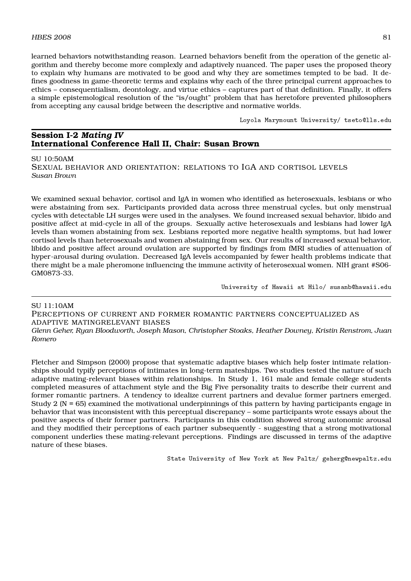learned behaviors notwithstanding reason. Learned behaviors benefit from the operation of the genetic algorithm and thereby become more complexly and adaptively nuanced. The paper uses the proposed theory to explain why humans are motivated to be good and why they are sometimes tempted to be bad. It defines goodness in game-theoretic terms and explains why each of the three principal current approaches to ethics – consequentialism, deontology, and virtue ethics – captures part of that definition. Finally, it offers a simple epistemological resolution of the "is/ought" problem that has heretofore prevented philosophers from accepting any causal bridge between the descriptive and normative worlds.

Loyola Marymount University/ tseto@lls.edu

# **Session I-2** *Mating IV* **International Conference Hall II, Chair: Susan Brown**

### SU 10:50AM

SEXUAL BEHAVIOR AND ORIENTATION: RELATIONS TO IGA AND CORTISOL LEVELS *Susan Brown*

We examined sexual behavior, cortisol and IgA in women who identified as heterosexuals, lesbians or who were abstaining from sex. Participants provided data across three menstrual cycles, but only menstrual cycles with detectable LH surges were used in the analyses. We found increased sexual behavior, libido and positive affect at mid-cycle in all of the groups. Sexually active heterosexuals and lesbians had lower IgA levels than women abstaining from sex. Lesbians reported more negative health symptoms, but had lower cortisol levels than heterosexuals and women abstaining from sex. Our results of increased sexual behavior, libido and positive affect around ovulation are supported by findings from fMRI studies of attenuation of hyper-arousal during ovulation. Decreased IgA levels accompanied by fewer health problems indicate that there might be a male pheromone influencing the immune activity of heterosexual women. NIH grant #S06- GM0873-33.

University of Hawaii at Hilo/ susanb@hawaii.edu

### SU 11:10AM

PERCEPTIONS OF CURRENT AND FORMER ROMANTIC PARTNERS CONCEPTUALIZED AS ADAPTIVE MATINGRELEVANT BIASES

*Glenn Geher, Ryan Bloodworth, Joseph Mason, Christopher Stoaks, Heather Downey, Kristin Renstrom, Juan Romero*

Fletcher and Simpson (2000) propose that systematic adaptive biases which help foster intimate relationships should typify perceptions of intimates in long-term mateships. Two studies tested the nature of such adaptive mating-relevant biases within relationships. In Study 1, 161 male and female college students completed measures of attachment style and the Big Five personality traits to describe their current and former romantic partners. A tendency to idealize current partners and devalue former partners emerged. Study 2 (N = 65) examined the motivational underpinnings of this pattern by having participants engage in behavior that was inconsistent with this perceptual discrepancy – some participants wrote essays about the positive aspects of their former partners. Participants in this condition showed strong autonomic arousal and they modified their perceptions of each partner subsequently - suggesting that a strong motivational component underlies these mating-relevant perceptions. Findings are discussed in terms of the adaptive nature of these biases.

State University of New York at New Paltz/ geherg@newpaltz.edu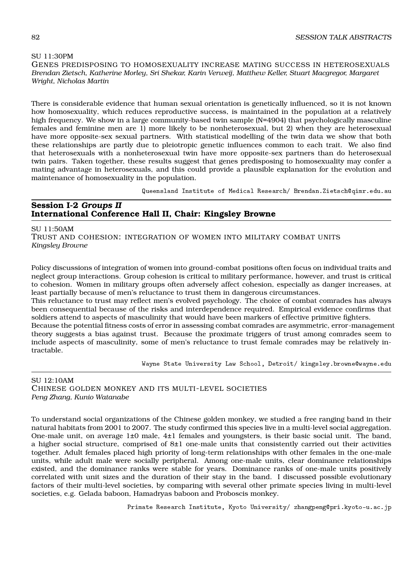SU 11:30PM GENES PREDISPOSING TO HOMOSEXUALITY INCREASE MATING SUCCESS IN HETEROSEXUALS *Brendan Zietsch, Katherine Morley, Sri Shekar, Karin Verweij, Matthew Keller, Stuart Macgregor, Margaret Wright, Nicholas Martin*

There is considerable evidence that human sexual orientation is genetically influenced, so it is not known how homosexuality, which reduces reproductive success, is maintained in the population at a relatively high frequency. We show in a large community-based twin sample (N=4904) that psychologically masculine females and feminine men are 1) more likely to be nonheterosexual, but 2) when they are heterosexual have more opposite-sex sexual partners. With statistical modelling of the twin data we show that both these relationships are partly due to pleiotropic genetic influences common to each trait. We also find that heterosexuals with a nonheterosexual twin have more opposite-sex partners than do heterosexual twin pairs. Taken together, these results suggest that genes predisposing to homosexuality may confer a mating advantage in heterosexuals, and this could provide a plausible explanation for the evolution and maintenance of homosexuality in the population.

Queensland Institute of Medical Research/ Brendan.Zietsch@qimr.edu.au

# **Session I-2** *Groups II* **International Conference Hall II, Chair: Kingsley Browne**

SU 11:50AM TRUST AND COHESION: INTEGRATION OF WOMEN INTO MILITARY COMBAT UNITS *Kingsley Browne*

Policy discussions of integration of women into ground-combat positions often focus on individual traits and neglect group interactions. Group cohesion is critical to military performance, however, and trust is critical to cohesion. Women in military groups often adversely affect cohesion, especially as danger increases, at least partially because of men's reluctance to trust them in dangerous circumstances.

This reluctance to trust may reflect men's evolved psychology. The choice of combat comrades has always been consequential because of the risks and interdependence required. Empirical evidence confirms that soldiers attend to aspects of masculinity that would have been markers of effective primitive fighters.

Because the potential fitness costs of error in assessing combat comrades are asymmetric, error-management theory suggests a bias against trust. Because the proximate triggers of trust among comrades seem to include aspects of masculinity, some of men's reluctance to trust female comrades may be relatively intractable.

Wayne State University Law School, Detroit/ kingsley.browne@wayne.edu

 $SI112:10AM$ CHINESE GOLDEN MONKEY AND ITS MULTI-LEVEL SOCIETIES *Peng Zhang, Kunio Watanabe*

To understand social organizations of the Chinese golden monkey, we studied a free ranging band in their natural habitats from 2001 to 2007. The study confirmed this species live in a multi-level social aggregation. One-male unit, on average 1±0 male, 4±1 females and youngsters, is their basic social unit. The band, a higher social structure, comprised of 8±1 one-male units that consistently carried out their activities together. Adult females placed high priority of long-term relationships with other females in the one-male units, while adult male were socially peripheral. Among one-male units, clear dominance relationships existed, and the dominance ranks were stable for years. Dominance ranks of one-male units positively correlated with unit sizes and the duration of their stay in the band. I discussed possible evolutionary factors of their multi-level societies, by comparing with several other primate species living in multi-level societies, e.g. Gelada baboon, Hamadryas baboon and Proboscis monkey.

Primate Research Institute, Kyoto University/ zhangpeng@pri.kyoto-u.ac.jp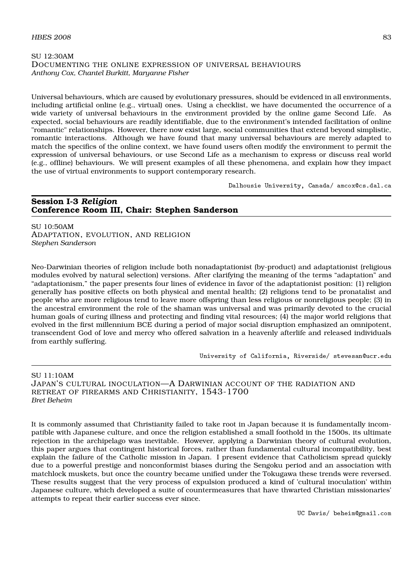# SU 12:30AM DOCUMENTING THE ONLINE EXPRESSION OF UNIVERSAL BEHAVIOURS *Anthony Cox, Chantel Burkitt, Maryanne Fisher*

Universal behaviours, which are caused by evolutionary pressures, should be evidenced in all environments, including artificial online (e.g., virtual) ones. Using a checklist, we have documented the occurrence of a wide variety of universal behaviours in the environment provided by the online game Second Life. As expected, social behaviours are readily identifiable, due to the environment's intended facilitation of online "romantic" relationships. However, there now exist large, social communities that extend beyond simplistic, romantic interactions. Although we have found that many universal behaviours are merely adapted to match the specifics of the online context, we have found users often modify the environment to permit the expression of universal behaviours, or use Second Life as a mechanism to express or discuss real world (e.g., offline) behaviours. We will present examples of all these phenomena, and explain how they impact the use of virtual environments to support contemporary research.

Dalhousie University, Canada/ amcox@cs.dal.ca

# **Session I-3** *Religion* **Conference Room III, Chair: Stephen Sanderson**

SU 10:50AM ADAPTATION, EVOLUTION, AND RELIGION *Stephen Sanderson*

Neo-Darwinian theories of religion include both nonadaptationist (by-product) and adaptationist (religious modules evolved by natural selection) versions. After clarifying the meaning of the terms "adaptation" and "adaptationism," the paper presents four lines of evidence in favor of the adaptationist position: (1) religion generally has positive effects on both physical and mental health; (2) religions tend to be pronatalist and people who are more religious tend to leave more offspring than less religious or nonreligious people; (3) in the ancestral environment the role of the shaman was universal and was primarily devoted to the crucial human goals of curing illness and protecting and finding vital resources; (4) the major world religions that evolved in the first millennium BCE during a period of major social disruption emphasized an omnipotent, transcendent God of love and mercy who offered salvation in a heavenly afterlife and released individuals from earthly suffering.

University of California, Riverside/ stevesan@ucr.edu

SU 11:10AM JAPAN'S CULTURAL INOCULATION—A DARWINIAN ACCOUNT OF THE RADIATION AND RETREAT OF FIREARMS AND CHRISTIANITY, 1543-1700 *Bret Beheim*

It is commonly assumed that Christianity failed to take root in Japan because it is fundamentally incompatible with Japanese culture, and once the religion established a small foothold in the 1500s, its ultimate rejection in the archipelago was inevitable. However, applying a Darwinian theory of cultural evolution, this paper argues that contingent historical forces, rather than fundamental cultural incompatibility, best explain the failure of the Catholic mission in Japan. I present evidence that Catholicism spread quickly due to a powerful prestige and nonconformist biases during the Sengoku period and an association with matchlock muskets, but once the country became unified under the Tokugawa these trends were reversed. These results suggest that the very process of expulsion produced a kind of 'cultural inoculation' within Japanese culture, which developed a suite of countermeasures that have thwarted Christian missionaries' attempts to repeat their earlier success ever since.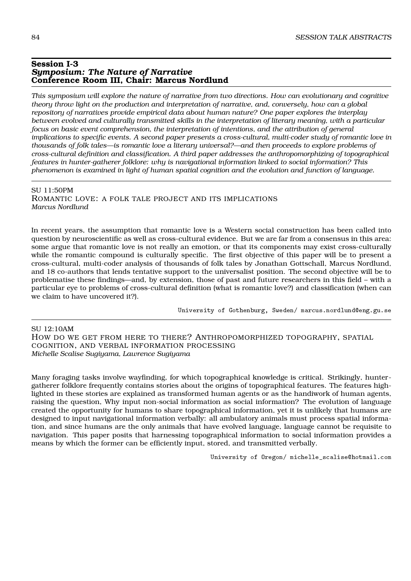### **Session I-3** *Symposium: The Nature of Narrative* **Conference Room III, Chair: Marcus Nordlund**

*This symposium will explore the nature of narrative from two directions. How can evolutionary and cognitive theory throw light on the production and interpretation of narrative, and, conversely, how can a global repository of narratives provide empirical data about human nature? One paper explores the interplay between evolved and culturally transmitted skills in the interpretation of literary meaning, with a particular focus on basic event comprehension, the interpretation of intentions, and the attribution of general implications to specific events. A second paper presents a cross-cultural, multi-coder study of romantic love in thousands of folk tales—is romantic love a literary universal?—and then proceeds to explore problems of cross-cultural definition and classification. A third paper addresses the anthropomorphizing of topographical features in hunter-gatherer folklore: why is navigational information linked to social information? This phenomenon is examined in light of human spatial cognition and the evolution and function of language.*

SU 11:50PM ROMANTIC LOVE: A FOLK TALE PROJECT AND ITS IMPLICATIONS *Marcus Nordlund*

In recent years, the assumption that romantic love is a Western social construction has been called into question by neuroscientific as well as cross-cultural evidence. But we are far from a consensus in this area: some argue that romantic love is not really an emotion, or that its components may exist cross-culturally while the romantic compound is culturally specific. The first objective of this paper will be to present a cross-cultural, multi-coder analysis of thousands of folk tales by Jonathan Gottschall, Marcus Nordlund, and 18 co-authors that lends tentative support to the universalist position. The second objective will be to problematise these findings—and, by extension, those of past and future researchers in this field – with a particular eye to problems of cross-cultural definition (what is romantic love?) and classification (when can we claim to have uncovered it?).

University of Gothenburg, Sweden/ marcus.nordlund@eng.gu.se

SU 12:10AM HOW DO WE GET FROM HERE TO THERE? ANTHROPOMORPHIZED TOPOGRAPHY, SPATIAL COGNITION, AND VERBAL INFORMATION PROCESSING *Michelle Scalise Sugiyama, Lawrence Sugiyama*

Many foraging tasks involve wayfinding, for which topographical knowledge is critical. Strikingly, huntergatherer folklore frequently contains stories about the origins of topographical features. The features highlighted in these stories are explained as transformed human agents or as the handiwork of human agents, raising the question, Why input non-social information as social information? The evolution of language created the opportunity for humans to share topographical information, yet it is unlikely that humans are designed to input navigational information verbally: all ambulatory animals must process spatial information, and since humans are the only animals that have evolved language, language cannot be requisite to navigation. This paper posits that harnessing topographical information to social information provides a means by which the former can be efficiently input, stored, and transmitted verbally.

University of Oregon/ michelle scalise@hotmail.com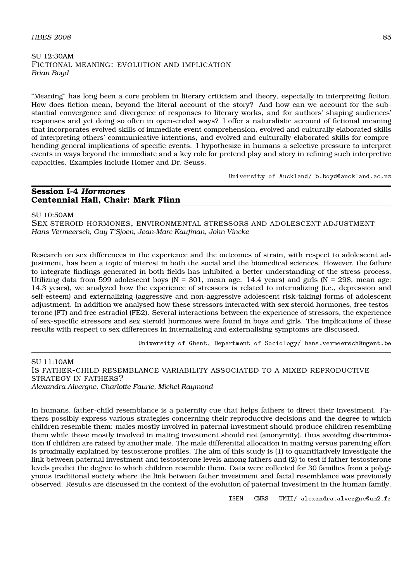### $H\text{BES } 2008$  85

SU 12:30AM FICTIONAL MEANING: EVOLUTION AND IMPLICATION *Brian Boyd*

"Meaning" has long been a core problem in literary criticism and theory, especially in interpreting fiction. How does fiction mean, beyond the literal account of the story? And how can we account for the substantial convergence and divergence of responses to literary works, and for authors' shaping audiences' responses and yet doing so often in open-ended ways? I offer a naturalistic account of fictional meaning that incorporates evolved skills of immediate event comprehension, evolved and culturally elaborated skills of interpreting others' communicative intentions, and evolved and culturally elaborated skills for comprehending general implications of specific events. I hypothesize in humans a selective pressure to interpret events in ways beyond the immediate and a key role for pretend play and story in refining such interpretive capacities. Examples include Homer and Dr. Seuss.

University of Auckland/ b.boyd@auckland.ac.nz

# **Session I-4** *Hormones* **Centennial Hall, Chair: Mark Flinn**

SU 10:50AM

SEX STEROID HORMONES, ENVIRONMENTAL STRESSORS AND ADOLESCENT ADJUSTMENT *Hans Vermeersch, Guy T'Sjoen, Jean-Marc Kaufman, John Vincke*

Research on sex differences in the experience and the outcomes of strain, with respect to adolescent adjustment, has been a topic of interest in both the social and the biomedical sciences. However, the failure to integrate findings generated in both fields has inhibited a better understanding of the stress process. Utilizing data from 599 adolescent boys ( $N = 301$ , mean age: 14.4 years) and girls ( $N = 298$ , mean age: 14.3 years), we analyzed how the experience of stressors is related to internalizing (i.e., depression and self-esteem) and externalizing (aggressive and non-aggressive adolescent risk-taking) forms of adolescent adjustment. In addition we analysed how these stressors interacted with sex steroid hormones, free testosterone (FT) and free estradiol (FE2). Several interactions between the experience of stressors, the experience of sex-specific stressors and sex steroid hormones were found in boys and girls. The implications of these results with respect to sex differences in internalising and externalising symptoms are discussed.

University of Ghent, Department of Sociology/ hans.vermeersch@ugent.be

SU 11:10AM IS FATHER-CHILD RESEMBLANCE VARIABILITY ASSOCIATED TO A MIXED REPRODUCTIVE STRATEGY IN FATHERS? *Alexandra Alvergne, Charlotte Faurie, Michel Raymond*

In humans, father-child resemblance is a paternity cue that helps fathers to direct their investment. Fathers possibly express various strategies concerning their reproductive decisions and the degree to which children resemble them: males mostly involved in paternal investment should produce children resembling them while those mostly involved in mating investment should not (anonymity), thus avoiding discrimination if children are raised by another male. The male differential allocation in mating versus parenting effort is proximally explained by testosterone profiles. The aim of this study is (1) to quantitatively investigate the link between paternal investment and testosterone levels among fathers and (2) to test if father testosterone levels predict the degree to which children resemble them. Data were collected for 30 families from a polygynous traditional society where the link between father investment and facial resemblance was previously observed. Results are discussed in the context of the evolution of paternal investment in the human family.

ISEM - CNRS - UMII/ alexandra.alvergne@um2.fr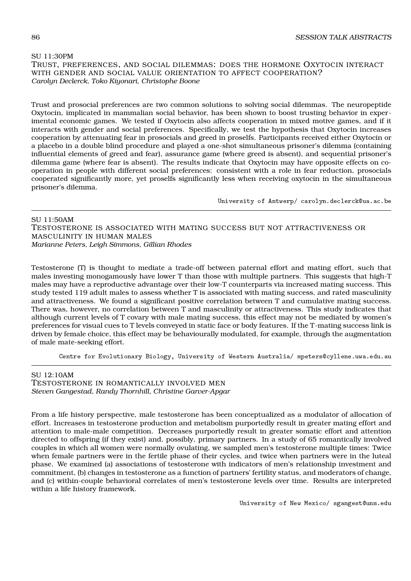### SU 11:30PM TRUST, PREFERENCES, AND SOCIAL DILEMMAS: DOES THE HORMONE OXYTOCIN INTERACT WITH GENDER AND SOCIAL VALUE ORIENTATION TO AFFECT COOPERATION? *Carolyn Declerck, Toko Kiyonari, Christophe Boone*

Trust and prosocial preferences are two common solutions to solving social dilemmas. The neuropeptide Oxytocin, implicated in mammalian social behavior, has been shown to boost trusting behavior in experimental economic games. We tested if Oxytocin also affects cooperation in mixed motive games, and if it interacts with gender and social preferences. Specifically, we test the hypothesis that Oxytocin increases cooperation by attenuating fear in prosocials and greed in proselfs. Participants received either Oxytocin or a placebo in a double blind procedure and played a one-shot simultaneous prisoner's dilemma (containing influential elements of greed and fear), assurance game (where greed is absent), and sequential prisoner's dilemma game (where fear is absent). The results indicate that Oxytocin may have opposite effects on cooperation in people with different social preferences: consistent with a role in fear reduction, prosocials cooperated significantly more, yet proselfs significantly less when receiving oxytocin in the simultaneous prisoner's dilemma.

University of Antwerp/ carolyn.declerck@ua.ac.be

SU 11:50AM TESTOSTERONE IS ASSOCIATED WITH MATING SUCCESS BUT NOT ATTRACTIVENESS OR MASCULINITY IN HUMAN MALES *Marianne Peters, Leigh Simmons, Gillian Rhodes*

Testosterone (T) is thought to mediate a trade-off between paternal effort and mating effort, such that males investing monogamously have lower T than those with multiple partners. This suggests that high-T males may have a reproductive advantage over their low-T counterparts via increased mating success. This study tested 119 adult males to assess whether T is associated with mating success, and rated masculinity and attractiveness. We found a significant positive correlation between T and cumulative mating success. There was, however, no correlation between T and masculinity or attractiveness. This study indicates that although current levels of T covary with male mating success, this effect may not be mediated by women's preferences for visual cues to T levels conveyed in static face or body features. If the T-mating success link is driven by female choice, this effect may be behaviourally modulated, for example, through the augmentation of male mate-seeking effort.

Centre for Evolutionary Biology, University of Western Australia/ mpeters@cyllene.uwa.edu.au

# SU 12:10AM

TESTOSTERONE IN ROMANTICALLY INVOLVED MEN *Steven Gangestad, Randy Thornhill, Christine Garver-Apgar*

From a life history perspective, male testosterone has been conceptualized as a modulator of allocation of effort. Increases in testosterone production and metabolism purportedly result in greater mating effort and attention to male-male competition. Decreases purportedly result in greater somatic effort and attention directed to offspring (if they exist) and, possibly, primary partners. In a study of 65 romantically involved couples in which all women were normally ovulating, we sampled men's testosterone multiple times: Twice when female partners were in the fertile phase of their cycles, and twice when partners were in the luteal phase. We examined (a) associations of testosterone with indicators of men's relationship investment and commitment, (b) changes in testosterone as a function of partners' fertility status, and moderators of change, and (c) within-couple behavioral correlates of men's testosterone levels over time. Results are interpreted within a life history framework.

University of New Mexico/ sgangest@unm.edu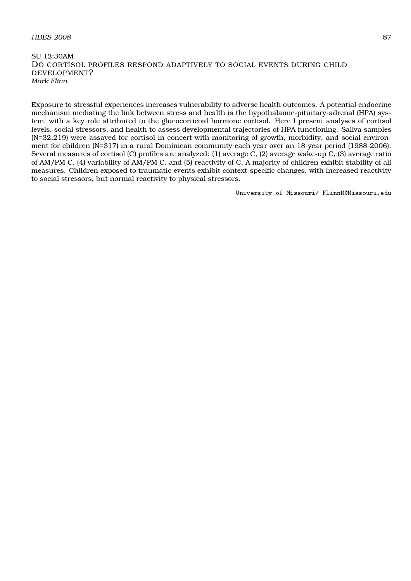# $H\text{BES } 2008$  87

SU 12:30AM DO CORTISOL PROFILES RESPOND ADAPTIVELY TO SOCIAL EVENTS DURING CHILD DEVELOPMENT? *Mark Flinn*

Exposure to stressful experiences increases vulnerability to adverse health outcomes. A potential endocrine mechanism mediating the link between stress and health is the hypothalamic-pituitary-adrenal (HPA) system, with a key role attributed to the glucocorticoid hormone cortisol. Here I present analyses of cortisol levels, social stressors, and health to assess developmental trajectories of HPA functioning. Saliva samples (N=32,219) were assayed for cortisol in concert with monitoring of growth, morbidity, and social environment for children (N=317) in a rural Dominican community each year over an 18-year period (1988-2006). Several measures of cortisol (C) profiles are analyzed: (1) average C, (2) average wake-up C, (3) average ratio of AM/PM C, (4) variability of AM/PM C, and (5) reactivity of C. A majority of children exhibit stability of all measures. Children exposed to traumatic events exhibit context-specific changes, with increased reactivity to social stressors, but normal reactivity to physical stressors.

University of Missouri/ FlinnM@Missouri.edu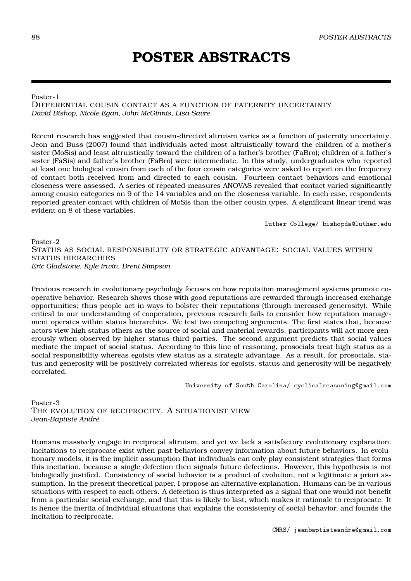# **POSTER ABSTRACTS**

# Poster-1

DIFFERENTIAL COUSIN CONTACT AS A FUNCTION OF PATERNITY UNCERTAINTY *David Bishop, Nicole Egan, John McGinnis, Lisa Savre*

Recent research has suggested that cousin-directed altruism varies as a function of paternity uncertainty. Jeon and Buss (2007) found that individuals acted most altruistically toward the children of a mother's sister (MoSis) and least altruistically toward the children of a father's brother (FaBro); children of a father's sister (FaSis) and father's brother (FaBro) were intermediate. In this study, undergraduates who reported at least one biological cousin from each of the four cousin categories were asked to report on the frequency of contact both received from and directed to each cousin. Fourteen contact behaviors and emotional closeness were assessed. A series of repeated-measures ANOVAS revealed that contact varied significantly among cousin categories on 9 of the 14 variables and on the closeness variable. In each case, respondents reported greater contact with children of MoSis than the other cousin types. A significant linear trend was evident on 8 of these variables.

Luther College/ bishopda@luther.edu

Poster-2 STATUS AS SOCIAL RESPONSIBILITY OR STRATEGIC ADVANTAGE: SOCIAL VALUES WITHIN STATUS HIERARCHIES *Eric Gladstone, Kyle Irwin, Brent Simpson*

Previous research in evolutionary psychology focuses on how reputation management systems promote cooperative behavior. Research shows those with good reputations are rewarded through increased exchange opportunities; thus people act in ways to bolster their reputations (through increased generosity). While critical to our understanding of cooperation, previous research fails to consider how reputation management operates within status hierarchies. We test two competing arguments. The first states that, because actors view high status others as the source of social and material rewards, participants will act more generously when observed by higher status third parties. The second argument predicts that social values mediate the impact of social status. According to this line of reasoning, prosocials treat high status as a social responsibility whereas egoists view status as a strategic advantage. As a result, for prosocials, status and generosity will be positively correlated whereas for egoists, status and generosity will be negatively correlated.

University of South Carolina/ cyclicalreasoning@gmail.com

Poster-3 THE EVOLUTION OF RECIPROCITY. A SITUATIONIST VIEW *Jean-Baptiste André*

Humans massively engage in reciprocal altruism, and yet we lack a satisfactory evolutionary explanation. Incitations to reciprocate exist when past behaviors convey information about future behaviors. In evolutionary models, it is the implicit assumption that individuals can only play consistent strategies that forms this incitation, because a single defection then signals future defections. However, this hypothesis is not biologically justified. Consistency of social behavior is a product of evolution, not a legitimate a priori assumption. In the present theoretical paper, I propose an alternative explanation. Humans can be in various situations with respect to each others. A defection is thus interpreted as a signal that one would not benefit from a particular social exchange, and that this is likely to last, which makes it rationale to reciprocate. It is hence the inertia of individual situations that explains the consistency of social behavior, and founds the incitation to reciprocate.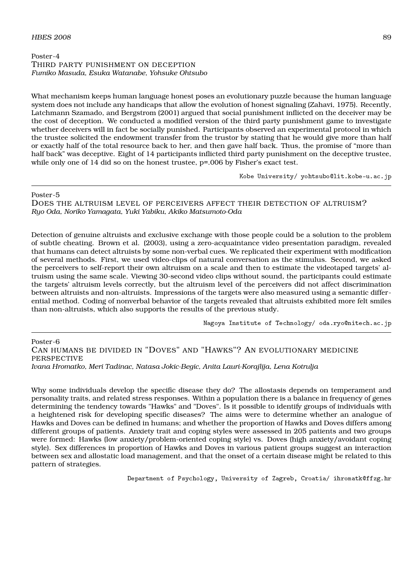# Poster-4 THIRD PARTY PUNISHMENT ON DECEPTION *Fumiko Masuda, Esuka Watanabe, Yohsuke Ohtsubo*

What mechanism keeps human language honest poses an evolutionary puzzle because the human language system does not include any handicaps that allow the evolution of honest signaling (Zahavi, 1975). Recently, Latchmann Szamado, and Bergstrom (2001) argued that social punishment inflicted on the deceiver may be the cost of deception. We conducted a modified version of the third party punishment game to investigate whether deceivers will in fact be socially punished. Participants observed an experimental protocol in which the trustee solicited the endowment transfer from the trustor by stating that he would give more than half or exactly half of the total resource back to her, and then gave half back. Thus, the promise of "more than half back" was deceptive. Eight of 14 participants inflicted third party punishment on the deceptive trustee, while only one of 14 did so on the honest trustee,  $p=0.006$  by Fisher's exact test.

Kobe University/ yohtsubo@lit.kobe-u.ac.jp

Poster-5

DOES THE ALTRUISM LEVEL OF PERCEIVERS AFFECT THEIR DETECTION OF ALTRUISM? *Ryo Oda, Noriko Yamagata, Yuki Yabiku, Akiko Matsumoto-Oda*

Detection of genuine altruists and exclusive exchange with those people could be a solution to the problem of subtle cheating. Brown et al. (2003), using a zero-acquaintance video presentation paradigm, revealed that humans can detect altruists by some non-verbal cues. We replicated their experiment with modification of several methods. First, we used video-clips of natural conversation as the stimulus. Second, we asked the perceivers to self-report their own altruism on a scale and then to estimate the videotaped targets' altruism using the same scale. Viewing 30-second video clips without sound, the participants could estimate the targets' altruism levels correctly, but the altruism level of the perceivers did not affect discrimination between altruists and non-altruists. Impressions of the targets were also measured using a semantic differential method. Coding of nonverbal behavior of the targets revealed that altruists exhibited more felt smiles than non-altruists, which also supports the results of the previous study.

Nagoya Institute of Technology/ oda.ryo@nitech.ac.jp

Poster-6 CAN HUMANS BE DIVIDED IN "DOVES" AND "HAWKS"? AN EVOLUTIONARY MEDICINE PERSPECTIVE *Ivana Hromatko, Meri Tadinac, Natasa Jokic-Begic, Anita Lauri-Korajlija, Lena Kotrulja*

Why some individuals develop the specific disease they do? The allostasis depends on temperament and personality traits, and related stress responses. Within a population there is a balance in frequency of genes determining the tendency towards "Hawks" and "Doves". Is it possible to identify groups of individuals with a heightened risk for developing specific diseases? The aims were to determine whether an analogue of Hawks and Doves can be defined in humans; and whether the proportion of Hawks and Doves differs among different groups of patients. Anxiety trait and coping styles were assessed in 205 patients and two groups were formed: Hawks (low anxiety/problem-oriented coping style) vs. Doves (high anxiety/avoidant coping style). Sex differences in proportion of Hawks and Doves in various patient groups suggest an interaction between sex and allostatic load management, and that the onset of a certain disease might be related to this pattern of strategies.

Department of Psychology, University of Zagreb, Croatia/ ihromatk@ffzg.hr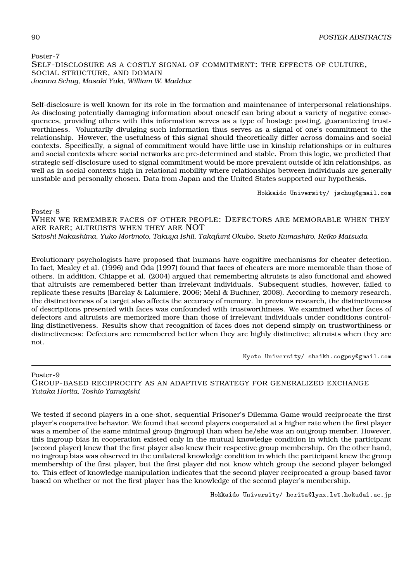# Poster-7 SELF-DISCLOSURE AS A COSTLY SIGNAL OF COMMITMENT: THE EFFECTS OF CULTURE, SOCIAL STRUCTURE, AND DOMAIN *Joanna Schug, Masaki Yuki, William W. Maddux*

Self-disclosure is well known for its role in the formation and maintenance of interpersonal relationships. As disclosing potentially damaging information about oneself can bring about a variety of negative consequences, providing others with this information serves as a type of hostage posting, guaranteeing trustworthiness. Voluntarily divulging such information thus serves as a signal of one's commitment to the relationship. However, the usefulness of this signal should theoretically differ across domains and social contexts. Specifically, a signal of commitment would have little use in kinship relationships or in cultures and social contexts where social networks are pre-determined and stable. From this logic, we predicted that strategic self-disclosure used to signal commitment would be more prevalent outside of kin relationships, as well as in social contexts high in relational mobility where relationships between individuals are generally unstable and personally chosen. Data from Japan and the United States supported our hypothesis.

Hokkaido University/ jschug@gmail.com

# Poster-8

WHEN WE REMEMBER FACES OF OTHER PEOPLE: DEFECTORS ARE MEMORABLE WHEN THEY ARE RARE; ALTRUISTS WHEN THEY ARE NOT

*Satoshi Nakashima, Yuko Morimoto, Takuya Ishii, Takafumi Okubo, Sueto Kumashiro, Reiko Matsuda*

Evolutionary psychologists have proposed that humans have cognitive mechanisms for cheater detection. In fact, Mealey et al. (1996) and Oda (1997) found that faces of cheaters are more memorable than those of others. In addition, Chiappe et al. (2004) argued that remembering altruists is also functional and showed that altruists are remembered better than irrelevant individuals. Subsequent studies, however, failed to replicate these results (Barclay & Lalumiere, 2006; Mehl & Buchner, 2008). According to memory research, the distinctiveness of a target also affects the accuracy of memory. In previous research, the distinctiveness of descriptions presented with faces was confounded with trustworthiness. We examined whether faces of defectors and altruists are memorized more than those of irrelevant individuals under conditions controlling distinctiveness. Results show that recognition of faces does not depend simply on trustworthiness or distinctiveness: Defectors are remembered better when they are highly distinctive; altruists when they are not.

Kyoto University/ shaikh.cogpsy@gmail.com

# Poster-9

GROUP-BASED RECIPROCITY AS AN ADAPTIVE STRATEGY FOR GENERALIZED EXCHANGE *Yutaka Horita, Toshio Yamagishi*

We tested if second players in a one-shot, sequential Prisoner's Dilemma Game would reciprocate the first player's cooperative behavior. We found that second players cooperated at a higher rate when the first player was a member of the same minimal group (ingroup) than when he/she was an outgroup member. However, this ingroup bias in cooperation existed only in the mutual knowledge condition in which the participant (second player) knew that the first player also knew their respective group membership. On the other hand, no ingroup bias was observed in the unilateral knowledge condition in which the participant knew the group membership of the first player, but the first player did not know which group the second player belonged to. This effect of knowledge manipulation indicates that the second player reciprocated a group-based favor based on whether or not the first player has the knowledge of the second player's membership.

Hokkaido University/ horita@lynx.let.hokudai.ac.jp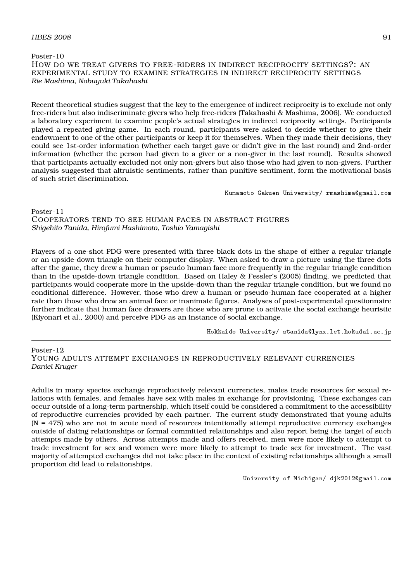## $H\text{BES } 2008$  91

Poster-10 HOW DO WE TREAT GIVERS TO FREE-RIDERS IN INDIRECT RECIPROCITY SETTINGS?: AN EXPERIMENTAL STUDY TO EXAMINE STRATEGIES IN INDIRECT RECIPROCITY SETTINGS *Rie Mashima, Nobuyuki Takahashi*

Recent theoretical studies suggest that the key to the emergence of indirect reciprocity is to exclude not only free-riders but also indiscriminate givers who help free-riders (Takahashi & Mashima, 2006). We conducted a laboratory experiment to examine people's actual strategies in indirect reciprocity settings. Participants played a repeated giving game. In each round, participants were asked to decide whether to give their endowment to one of the other participants or keep it for themselves. When they made their decisions, they could see 1st-order information (whether each target gave or didn't give in the last round) and 2nd-order information (whether the person had given to a giver or a non-giver in the last round). Results showed that participants actually excluded not only non-givers but also those who had given to non-givers. Further analysis suggested that altruistic sentiments, rather than punitive sentiment, form the motivational basis of such strict discrimination.

Kumamoto Gakuen University/ rmashima@gmail.com

Poster-11

COOPERATORS TEND TO SEE HUMAN FACES IN ABSTRACT FIGURES *Shigehito Tanida, Hirofumi Hashimoto, Toshio Yamagishi*

Players of a one-shot PDG were presented with three black dots in the shape of either a regular triangle or an upside-down triangle on their computer display. When asked to draw a picture using the three dots after the game, they drew a human or pseudo human face more frequently in the regular triangle condition than in the upside-down triangle condition. Based on Haley & Fessler's (2005) finding, we predicted that participants would cooperate more in the upside-down than the regular triangle condition, but we found no conditional difference. However, those who drew a human or pseudo-human face cooperated at a higher rate than those who drew an animal face or inanimate figures. Analyses of post-experimental questionnaire further indicate that human face drawers are those who are prone to activate the social exchange heuristic (Kiyonari et al., 2000) and perceive PDG as an instance of social exchange.

Hokkaido University/ stanida@lynx.let.hokudai.ac.jp

Poster-12 YOUNG ADULTS ATTEMPT EXCHANGES IN REPRODUCTIVELY RELEVANT CURRENCIES *Daniel Kruger*

Adults in many species exchange reproductively relevant currencies, males trade resources for sexual relations with females, and females have sex with males in exchange for provisioning. These exchanges can occur outside of a long-term partnership, which itself could be considered a commitment to the accessibility of reproductive currencies provided by each partner. The current study demonstrated that young adults  $(N = 475)$  who are not in acute need of resources intentionally attempt reproductive currency exchanges outside of dating relationships or formal committed relationships and also report being the target of such attempts made by others. Across attempts made and offers received, men were more likely to attempt to trade investment for sex and women were more likely to attempt to trade sex for investment. The vast majority of attempted exchanges did not take place in the context of existing relationships although a small proportion did lead to relationships.

University of Michigan/ djk2012@gmail.com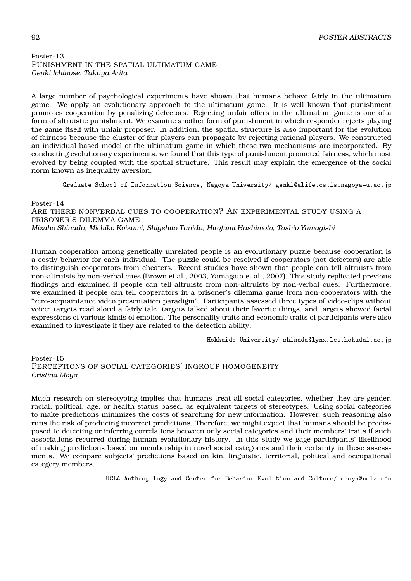# Poster-13 PUNISHMENT IN THE SPATIAL ULTIMATUM GAME *Genki Ichinose, Takaya Arita*

A large number of psychological experiments have shown that humans behave fairly in the ultimatum game. We apply an evolutionary approach to the ultimatum game. It is well known that punishment promotes cooperation by penalizing defectors. Rejecting unfair offers in the ultimatum game is one of a form of altruistic punishment. We examine another form of punishment in which responder rejects playing the game itself with unfair proposer. In addition, the spatial structure is also important for the evolution of fairness because the cluster of fair players can propagate by rejecting rational players. We constructed an individual based model of the ultimatum game in which these two mechanisms are incorporated. By conducting evolutionary experiments, we found that this type of punishment promoted fairness, which most evolved by being coupled with the spatial structure. This result may explain the emergence of the social norm known as inequality aversion.

Graduate School of Information Science, Nagoya University/ genki@alife.cs.is.nagoya-u.ac.jp

### Poster-14

ARE THERE NONVERBAL CUES TO COOPERATION? AN EXPERIMENTAL STUDY USING A PRISONER'S DILEMMA GAME *Mizuho Shinada, Michiko Koizumi, Shigehito Tanida, Hirofumi Hashimoto, Toshio Yamagishi*

Human cooperation among genetically unrelated people is an evolutionary puzzle because cooperation is a costly behavior for each individual. The puzzle could be resolved if cooperators (not defectors) are able to distinguish cooperators from cheaters. Recent studies have shown that people can tell altruists from non-altruists by non-verbal cues (Brown et al., 2003, Yamagata et al., 2007). This study replicated previous findings and examined if people can tell altruists from non-altruists by non-verbal cues. Furthermore, we examined if people can tell cooperators in a prisoner's dilemma game from non-cooperators with the "zero-acquaintance video presentation paradigm". Participants assessed three types of video-clips without voice: targets read aloud a fairly tale, targets talked about their favorite things, and targets showed facial expressions of various kinds of emotion. The personality traits and economic traits of participants were also examined to investigate if they are related to the detection ability.

Hokkaido University/ shinada@lynx.let.hokudai.ac.jp

Poster-15 PERCEPTIONS OF SOCIAL CATEGORIES' INGROUP HOMOGENEITY *Cristina Moya*

Much research on stereotyping implies that humans treat all social categories, whether they are gender, racial, political, age, or health status based, as equivalent targets of stereotypes. Using social categories to make predictions minimizes the costs of searching for new information. However, such reasoning also runs the risk of producing incorrect predictions. Therefore, we might expect that humans should be predisposed to detecting or inferring correlations between only social categories and their members' traits if such associations recurred during human evolutionary history. In this study we gage participants' likelihood of making predictions based on membership in novel social categories and their certainty in these assessments. We compare subjects' predictions based on kin, linguistic, territorial, political and occupational category members.

UCLA Anthropology and Center for Behavior Evolution and Culture/ cmoya@ucla.edu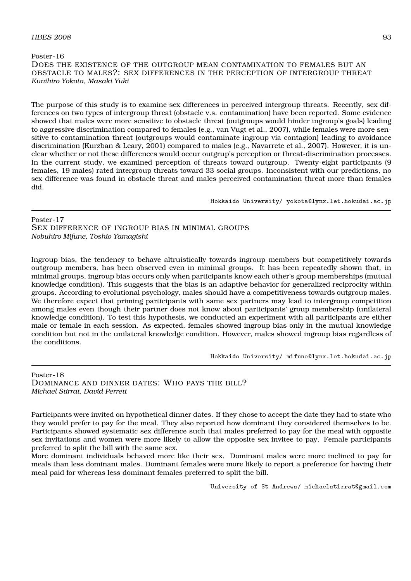### $H\!B\!E\!S$  2008 93

Poster-16 DOES THE EXISTENCE OF THE OUTGROUP MEAN CONTAMINATION TO FEMALES BUT AN OBSTACLE TO MALES?: SEX DIFFERENCES IN THE PERCEPTION OF INTERGROUP THREAT *Kunihiro Yokota, Masaki Yuki*

The purpose of this study is to examine sex differences in perceived intergroup threats. Recently, sex differences on two types of intergroup threat (obstacle v.s. contamination) have been reported. Some evidence showed that males were more sensitive to obstacle threat (outgroups would hinder ingroup's goals) leading to aggressive discrimination compared to females (e.g., van Vugt et al., 2007), while females were more sensitive to contamination threat (outgroups would contaminate ingroup via contagion) leading to avoidance discrimination (Kurzban & Leary, 2001) compared to males (e.g., Navarrete et al., 2007). However, it is unclear whether or not these differences would occur outgrup's perception or threat-discrimination processes. In the current study, we examined perception of threats toward outgroup. Twenty-eight participants (9 females, 19 males) rated intergroup threats toward 33 social groups. Inconsistent with our predictions, no sex difference was found in obstacle threat and males perceived contamination threat more than females did.

Hokkaido University/ yokota@lynx.let.hokudai.ac.jp

Poster-17 SEX DIFFERENCE OF INGROUP BIAS IN MINIMAL GROUPS *Nobuhiro Mifune, Toshio Yamagishi*

Ingroup bias, the tendency to behave altruistically towards ingroup members but competitively towards outgroup members, has been observed even in minimal groups. It has been repeatedly shown that, in minimal groups, ingroup bias occurs only when participants know each other's group memberships (mutual knowledge condition). This suggests that the bias is an adaptive behavior for generalized reciprocity within groups. According to evolutional psychology, males should have a competitiveness towards outgroup males. We therefore expect that priming participants with same sex partners may lead to intergroup competition among males even though their partner does not know about participants' group membership (unilateral knowledge condition). To test this hypothesis, we conducted an experiment with all participants are either male or female in each session. As expected, females showed ingroup bias only in the mutual knowledge condition but not in the unilateral knowledge condition. However, males showed ingroup bias regardless of the conditions.

Hokkaido University/ mifune@lynx.let.hokudai.ac.jp

Poster-18 DOMINANCE AND DINNER DATES: WHO PAYS THE BILL? *Michael Stirrat, David Perrett*

Participants were invited on hypothetical dinner dates. If they chose to accept the date they had to state who they would prefer to pay for the meal. They also reported how dominant they considered themselves to be. Participants showed systematic sex difference such that males preferred to pay for the meal with opposite sex invitations and women were more likely to allow the opposite sex invitee to pay. Female participants preferred to split the bill with the same sex.

More dominant individuals behaved more like their sex. Dominant males were more inclined to pay for meals than less dominant males. Dominant females were more likely to report a preference for having their meal paid for whereas less dominant females preferred to split the bill.

University of St Andrews/ michaelstirrat@gmail.com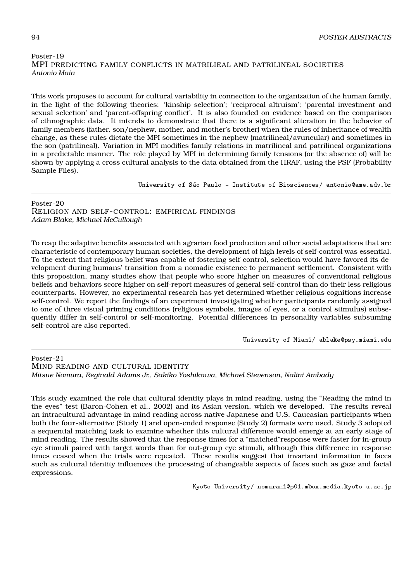# Poster-19 MPI PREDICTING FAMILY CONFLICTS IN MATRILIEAL AND PATRILINEAL SOCIETIES *Antonio Maia*

This work proposes to account for cultural variability in connection to the organization of the human family, in the light of the following theories: 'kinship selection'; 'reciprocal altruism'; 'parental investment and sexual selection' and 'parent-offspring conflict'. It is also founded on evidence based on the comparison of ethnographic data. It intends to demonstrate that there is a significant alteration in the behavior of family members (father, son/nephew, mother, and mother's brother) when the rules of inheritance of wealth change, as these rules dictate the MPI sometimes in the nephew (matrilineal/avuncular) and sometimes in the son (patrilineal). Variation in MPI modifies family relations in matrilineal and patrilineal organizations in a predictable manner. The role played by MPI in determining family tensions (or the absence of) will be shown by applying a cross cultural analysis to the data obtained from the HRAF, using the PSF (Probability Sample Files).

University of São Paulo - Institute of Biosciences/ antonio@ame.adv.br

Poster-20 RELIGION AND SELF-CONTROL: EMPIRICAL FINDINGS *Adam Blake, Michael McCullough*

To reap the adaptive benefits associated with agrarian food production and other social adaptations that are characteristic of contemporary human societies, the development of high levels of self-control was essential. To the extent that religious belief was capable of fostering self-control, selection would have favored its development during humans' transition from a nomadic existence to permanent settlement. Consistent with this proposition, many studies show that people who score higher on measures of conventional religious beliefs and behaviors score higher on self-report measures of general self-control than do their less religious counterparts. However, no experimental research has yet determined whether religious cognitions increase self-control. We report the findings of an experiment investigating whether participants randomly assigned to one of three visual priming conditions (religious symbols, images of eyes, or a control stimulus) subsequently differ in self-control or self-monitoring. Potential differences in personality variables subsuming self-control are also reported.

University of Miami/ ablake@psy.miami.edu

Poster-21 MIND READING AND CULTURAL IDENTITY *Mitsue Nomura, Reginald Adams Jr., Sakiko Yoshikawa, Michael Stevenson, Nalini Ambady*

This study examined the role that cultural identity plays in mind reading, using the "Reading the mind in the eyes" test (Baron-Cohen et al., 2002) and its Asian version, which we developed. The results reveal an intracultural advantage in mind reading across native Japanese and U.S. Caucasian participants when both the four-alternative (Study 1) and open-ended response (Study 2) formats were used. Study 3 adopted a sequential matching task to examine whether this cultural difference would emerge at an early stage of mind reading. The results showed that the response times for a "matched"response were faster for in-group eye stimuli paired with target words than for out-group eye stimuli, although this difference in response times ceased when the trials were repeated. These results suggest that invariant information in faces such as cultural identity influences the processing of changeable aspects of faces such as gaze and facial expressions.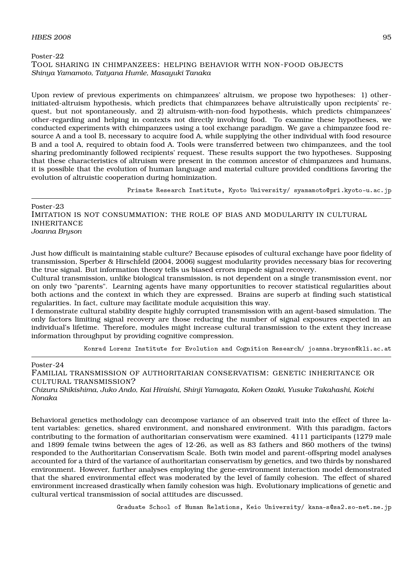# Poster-22 TOOL SHARING IN CHIMPANZEES: HELPING BEHAVIOR WITH NON-FOOD OBJECTS *Shinya Yamamoto, Tatyana Humle, Masayuki Tanaka*

Upon review of previous experiments on chimpanzees' altruism, we propose two hypotheses: 1) otherinitiated-altruism hypothesis, which predicts that chimpanzees behave altruistically upon recipients' request, but not spontaneously, and 2) altruism-with-non-food hypothesis, which predicts chimpanzees' other-regarding and helping in contexts not directly involving food. To examine these hypotheses, we conducted experiments with chimpanzees using a tool exchange paradigm. We gave a chimpanzee food resource A and a tool B, necessary to acquire food A, while supplying the other individual with food resource B and a tool A, required to obtain food A. Tools were transferred between two chimpanzees, and the tool sharing predominantly followed recipients' request. These results support the two hypotheses. Supposing that these characteristics of altruism were present in the common ancestor of chimpanzees and humans, it is possible that the evolution of human language and material culture provided conditions favoring the evolution of altruistic cooperation during hominization.

Primate Research Institute, Kyoto University/ syamamoto@pri.kyoto-u.ac.jp

Poster-23 IMITATION IS NOT CONSUMMATION: THE ROLE OF BIAS AND MODULARITY IN CULTURAL INHERITANCE *Joanna Bryson*

Just how difficult is maintaining stable culture? Because episodes of cultural exchange have poor fidelity of transmission, Sperber & Hirschfeld (2004, 2006) suggest modularity provides necessary bias for recovering the true signal. But information theory tells us biased errors impede signal recovery.

Cultural transmission, unlike biological transmission, is not dependent on a single transmission event, nor on only two "parents". Learning agents have many opportunities to recover statistical regularities about both actions and the context in which they are expressed. Brains are superb at finding such statistical regularities. In fact, culture may facilitate module acquisition this way.

I demonstrate cultural stability despite highly corrupted transmission with an agent-based simulation. The only factors limiting signal recovery are those reducing the number of signal exposures expected in an individual's lifetime. Therefore, modules might increase cultural transmission to the extent they increase information throughput by providing cognitive compression.

Konrad Lorenz Institute for Evolution and Cognition Research/ joanna.bryson@kli.ac.at

### Poster-24

FAMILIAL TRANSMISSION OF AUTHORITARIAN CONSERVATISM: GENETIC INHERITANCE OR CULTURAL TRANSMISSION?

*Chizuru Shikishima, Juko Ando, Kai Hiraishi, Shinji Yamagata, Koken Ozaki, Yusuke Takahashi, Koichi Nonaka*

Behavioral genetics methodology can decompose variance of an observed trait into the effect of three latent variables: genetics, shared environment, and nonshared environment. With this paradigm, factors contributing to the formation of authoritarian conservatism were examined. 4111 participants (1279 male and 1899 female twins between the ages of 12-26, as well as 83 fathers and 860 mothers of the twins) responded to the Authoritarian Conservatism Scale. Both twin model and parent-offspring model analyses accounted for a third of the variance of authoritarian conservatism by genetics, and two thirds by nonshared environment. However, further analyses employing the gene-environment interaction model demonstrated that the shared environmental effect was moderated by the level of family cohesion. The effect of shared environment increased drastically when family cohesion was high. Evolutionary implications of genetic and cultural vertical transmission of social attitudes are discussed.

Graduate School of Human Relations, Keio University/ kana-s@sa2.so-net.ne.jp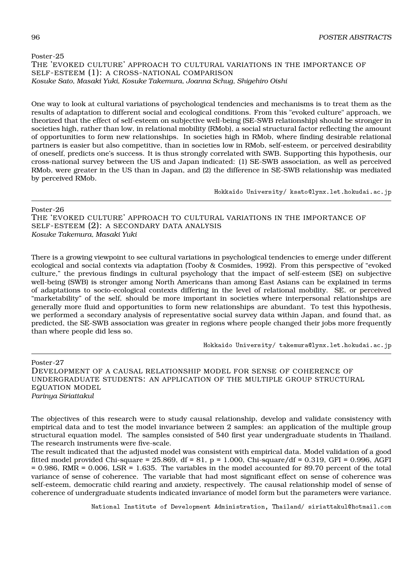Poster-25 THE 'EVOKED CULTURE' APPROACH TO CULTURAL VARIATIONS IN THE IMPORTANCE OF SELF-ESTEEM (1): A CROSS-NATIONAL COMPARISON *Kosuke Sato, Masaki Yuki, Kosuke Takemura, Joanna Schug, Shigehiro Oishi*

One way to look at cultural variations of psychological tendencies and mechanisms is to treat them as the results of adaptation to different social and ecological conditions. From this "evoked culture" approach, we theorized that the effect of self-esteem on subjective well-being (SE-SWB relationship) should be stronger in societies high, rather than low, in relational mobility (RMob), a social structural factor reflecting the amount of opportunities to form new relationships. In societies high in RMob, where finding desirable relational partners is easier but also competitive, than in societies low in RMob, self-esteem, or perceived desirability of oneself, predicts one's success. It is thus strongly correlated with SWB. Supporting this hypothesis, our cross-national survey between the US and Japan indicated: (1) SE-SWB association, as well as perceived RMob, were greater in the US than in Japan, and (2) the difference in SE-SWB relationship was mediated by perceived RMob.

Hokkaido University/ ksato@lynx.let.hokudai.ac.jp

### Poster-26

THE 'EVOKED CULTURE' APPROACH TO CULTURAL VARIATIONS IN THE IMPORTANCE OF SELF-ESTEEM (2): A SECONDARY DATA ANALYSIS *Kosuke Takemura, Masaki Yuki*

There is a growing viewpoint to see cultural variations in psychological tendencies to emerge under different ecological and social contexts via adaptation (Tooby & Cosmides, 1992). From this perspective of "evoked culture," the previous findings in cultural psychology that the impact of self-esteem (SE) on subjective well-being (SWB) is stronger among North Americans than among East Asians can be explained in terms of adaptations to socio-ecological contexts differing in the level of relational mobility. SE, or perceived "marketability" of the self, should be more important in societies where interpersonal relationships are generally more fluid and opportunities to form new relationships are abundant. To test this hypothesis, we performed a secondary analysis of representative social survey data within Japan, and found that, as predicted, the SE-SWB association was greater in regions where people changed their jobs more frequently than where people did less so.

Hokkaido University/ takemura@lynx.let.hokudai.ac.jp

Poster-27 DEVELOPMENT OF A CAUSAL RELATIONSHIP MODEL FOR SENSE OF COHERENCE OF UNDERGRADUATE STUDENTS: AN APPLICATION OF THE MULTIPLE GROUP STRUCTURAL EQUATION MODEL *Parinya Siriattakul*

The objectives of this research were to study causal relationship, develop and validate consistency with empirical data and to test the model invariance between 2 samples: an application of the multiple group structural equation model. The samples consisted of 540 first year undergraduate students in Thailand. The research instruments were five-scale.

The result indicated that the adjusted model was consistent with empirical data. Model validation of a good fitted model provided Chi-square = 25.869, df = 81, p = 1.000, Chi-square/df = 0.319, GFI = 0.996, AGFI  $= 0.986$ , RMR = 0.006, LSR = 1.635. The variables in the model accounted for 89.70 percent of the total variance of sense of coherence. The variable that had most significant effect on sense of coherence was self-esteem, democratic child rearing and anxiety, respectively. The causal relationship model of sense of coherence of undergraduate students indicated invariance of model form but the parameters were variance.

National Institute of Development Administration, Thailand/ siriattakul@hotmail.com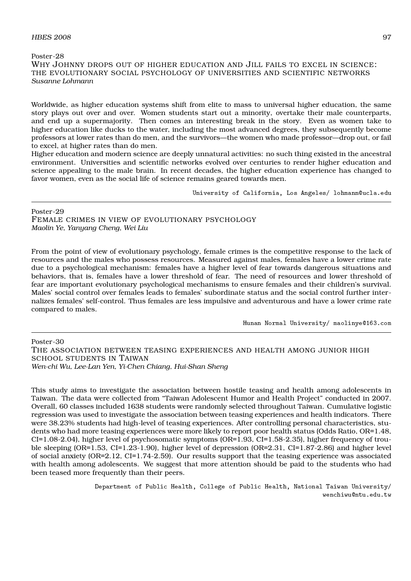### $H\!B\!E\!S$  2008 97

Poster-28 WHY JOHNNY DROPS OUT OF HIGHER EDUCATION AND JILL FAILS TO EXCEL IN SCIENCE: THE EVOLUTIONARY SOCIAL PSYCHOLOGY OF UNIVERSITIES AND SCIENTIFIC NETWORKS *Susanne Lohmann*

Worldwide, as higher education systems shift from elite to mass to universal higher education, the same story plays out over and over. Women students start out a minority, overtake their male counterparts, and end up a supermajority. Then comes an interesting break in the story. Even as women take to higher education like ducks to the water, including the most advanced degrees, they subsequently become professors at lower rates than do men, and the survivors—the women who made professor—drop out, or fail to excel, at higher rates than do men.

Higher education and modern science are deeply unnatural activities: no such thing existed in the ancestral environment. Universities and scientific networks evolved over centuries to render higher education and science appealing to the male brain. In recent decades, the higher education experience has changed to favor women, even as the social life of science remains geared towards men.

University of California, Los Angeles/ lohmann@ucla.edu

Poster-29 FEMALE CRIMES IN VIEW OF EVOLUTIONARY PSYCHOLOGY *Maolin Ye, Yanyang Cheng, Wei Liu*

From the point of view of evolutionary psychology, female crimes is the competitive response to the lack of resources and the males who possess resources. Measured against males, females have a lower crime rate due to a psychological mechanism: females have a higher level of fear towards dangerous situations and behaviors, that is, females have a lower threshold of fear. The need of resources and lower threshold of fear are important evolutionary psychological mechanisms to ensure females and their children's survival. Males' social control over females leads to females' subordinate status and the social control further internalizes females' self-control. Thus females are less impulsive and adventurous and have a lower crime rate compared to males.

Hunan Normal University/ maolinye@163.com

Poster-30

THE ASSOCIATION BETWEEN TEASING EXPERIENCES AND HEALTH AMONG JUNIOR HIGH SCHOOL STUDENTS IN TAIWAN *Wen-chi Wu, Lee-Lan Yen, Yi-Chen Chiang, Hui-Shan Sheng*

This study aims to investigate the association between hostile teasing and health among adolescents in Taiwan. The data were collected from "Taiwan Adolescent Humor and Health Project" conducted in 2007. Overall, 60 classes included 1638 students were randomly selected throughout Taiwan. Cumulative logistic regression was used to investigate the association between teasing experiences and health indicators. There were 38.23% students had high-level of teasing experiences. After controlling personal characteristics, students who had more teasing experiences were more likely to report poor health status (Odds Ratio, OR=1.48,  $CI=1.08-2.04$ ), higher level of psychosomatic symptoms (OR=1.93, CI=1.58-2.35), higher frequency of trouble sleeping (OR=1.53, CI=1.23-1.90), higher level of depression (OR=2.31, CI=1.87-2.86) and higher level of social anxiety (OR=2.12, CI=1.74-2.59). Our results support that the teasing experience was associated with health among adolescents. We suggest that more attention should be paid to the students who had been teased more frequently than their peers.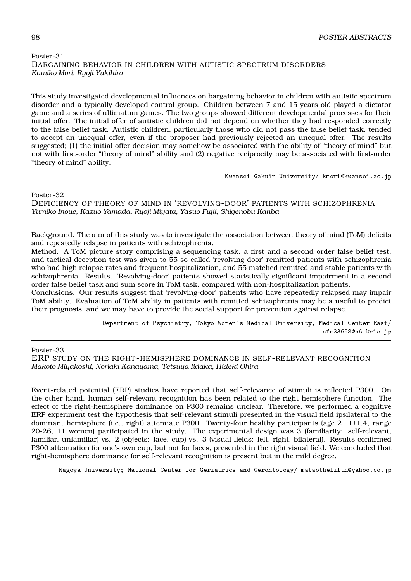# Poster-31 BARGAINING BEHAVIOR IN CHILDREN WITH AUTISTIC SPECTRUM DISORDERS *Kumiko Mori, Ryoji Yukihiro*

This study investigated developmental influences on bargaining behavior in children with autistic spectrum disorder and a typically developed control group. Children between 7 and 15 years old played a dictator game and a series of ultimatum games. The two groups showed different developmental processes for their initial offer. The initial offer of autistic children did not depend on whether they had responded correctly to the false belief task. Autistic children, particularly those who did not pass the false belief task, tended to accept an unequal offer, even if the proposer had previously rejected an unequal offer. The results suggested; (1) the initial offer decision may somehow be associated with the ability of "theory of mind" but not with first-order "theory of mind" ability and (2) negative reciprocity may be associated with first-order "theory of mind" ability.

Kwansei Gakuin University/ kmori@kwansei.ac.jp

### Poster-32

DEFICIENCY OF THEORY OF MIND IN 'REVOLVING-DOOR' PATIENTS WITH SCHIZOPHRENIA *Yumiko Inoue, Kazuo Yamada, Ryoji Miyata, Yasuo Fujii, Shigenobu Kanba*

Background. The aim of this study was to investigate the association between theory of mind (ToM) deficits and repeatedly relapse in patients with schizophrenia.

Method. A ToM picture story comprising a sequencing task, a first and a second order false belief test, and tactical deception test was given to 55 so-called 'revolving-door' remitted patients with schizophrenia who had high relapse rates and frequent hospitalization, and 55 matched remitted and stable patients with schizophrenia. Results. 'Revolving-door' patients showed statistically significant impairment in a second order false belief task and sum score in ToM task, compared with non-hospitalization patients.

Conclusions. Our results suggest that 'revolving-door' patients who have repeatedly relapsed may impair ToM ability. Evaluation of ToM ability in patients with remitted schizophrenia may be a useful to predict their prognosis, and we may have to provide the social support for prevention against relapse.

> Department of Psychiatry, Tokyo Women's Medical University, Medical Center East/ afm33698@a6.keio.jp

### Poster-33

ERP STUDY ON THE RIGHT -HEMISPHERE DOMINANCE IN SELF-RELEVANT RECOGNITION *Makoto Miyakoshi, Noriaki Kanayama, Tetsuya Iidaka, Hideki Ohira*

Event-related potential (ERP) studies have reported that self-relevance of stimuli is reflected P300. On the other hand, human self-relevant recognition has been related to the right hemisphere function. The effect of the right-hemisphere dominance on P300 remains unclear. Therefore, we performed a cognitive ERP experiment test the hypothesis that self-relevant stimuli presented in the visual field ipsilateral to the dominant hemisphere (i.e., right) attenuate P300. Twenty-four healthy participants (age 21.1±1.4, range 20-26, 11 women) participated in the study. The experimental design was 3 (familiarity: self-relevant, familiar, unfamiliar) vs. 2 (objects: face, cup) vs. 3 (visual fields: left, right, bilateral). Results confirmed P300 attenuation for one's own cup, but not for faces, presented in the right visual field. We concluded that right-hemisphere dominance for self-relevant recognition is present but in the mild degree.

Nagoya University; National Center for Geriatrics and Gerontology/ mataothefifth@yahoo.co.jp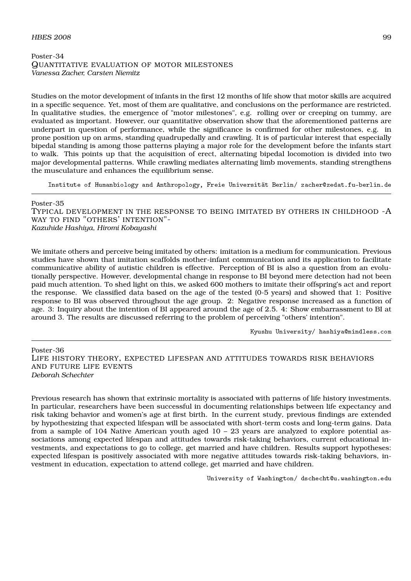# $H\!B\!E\!S$  2008 99

### Poster-34 QUANTITATIVE EVALUATION OF MOTOR MILESTONES *Vanessa Zacher, Carsten Niemitz*

Studies on the motor development of infants in the first 12 months of life show that motor skills are acquired in a specific sequence. Yet, most of them are qualitative, and conclusions on the performance are restricted. In qualitative studies, the emergence of "motor milestones", e.g. rolling over or creeping on tummy, are evaluated as important. However, our quantitative observation show that the aforementioned patterns are underpart in question of performance, while the significance is confirmed for other milestones, e.g. in prone position up on arms, standing quadrupedally and crawling. It is of particular interest that especially bipedal standing is among those patterns playing a major role for the development before the infants start to walk. This points up that the acquisition of erect, alternating bipedal locomotion is divided into two major developmental patterns. While crawling mediates alternating limb movements, standing strengthens the musculature and enhances the equilibrium sense.

Institute of Humanbiology and Anthropology, Freie Universität Berlin/ zacher@zedat.fu-berlin.de

Poster-35 TYPICAL DEVELOPMENT IN THE RESPONSE TO BEING IMITATED BY OTHERS IN CHILDHOOD -A WAY TO FIND "OTHERS' INTENTION"- *Kazuhide Hashiya, Hiromi Kobayashi*

We imitate others and perceive being imitated by others: imitation is a medium for communication. Previous studies have shown that imitation scaffolds mother-infant communication and its application to facilitate communicative ability of autistic children is effective. Perception of BI is also a question from an evolutionally perspective. However, developmental change in response to BI beyond mere detection had not been paid much attention. To shed light on this, we asked 600 mothers to imitate their offspring's act and report the response. We classified data based on the age of the tested (0-5 years) and showed that 1: Positive response to BI was observed throughout the age group. 2: Negative response increased as a function of age. 3: Inquiry about the intention of BI appeared around the age of 2.5. 4: Show embarrassment to BI at around 3. The results are discussed referring to the problem of perceiving "others' intention".

Kyushu University/ hashiya@mindless.com

Poster-36 LIFE HISTORY THEORY, EXPECTED LIFESPAN AND ATTITUDES TOWARDS RISK BEHAVIORS AND FUTURE LIFE EVENTS *Deborah Schechter*

Previous research has shown that extrinsic mortality is associated with patterns of life history investments. In particular, researchers have been successful in documenting relationships between life expectancy and risk taking behavior and women's age at first birth. In the current study, previous findings are extended by hypothesizing that expected lifespan will be associated with short-term costs and long-term gains. Data from a sample of 104 Native American youth aged 10 – 23 years are analyzed to explore potential associations among expected lifespan and attitudes towards risk-taking behaviors, current educational investments, and expectations to go to college, get married and have children. Results support hypotheses: expected lifespan is positively associated with more negative attitudes towards risk-taking behaviors, investment in education, expectation to attend college, get married and have children.

University of Washington/ dschecht@u.washington.edu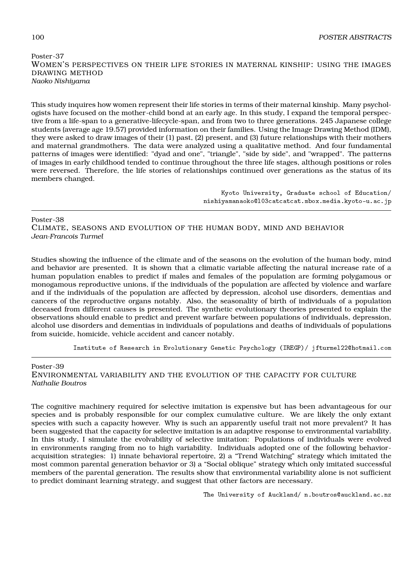# Poster-37 WOMEN'S PERSPECTIVES ON THEIR LIFE STORIES IN MATERNAL KINSHIP: USING THE IMAGES DRAWING METHOD *Naoko Nishiyama*

This study inquires how women represent their life stories in terms of their maternal kinship. Many psychologists have focused on the mother-child bond at an early age. In this study, I expand the temporal perspective from a life-span to a generative-lifecycle-span, and from two to three generations. 245 Japanese college students (average age 19.57) provided information on their families. Using the Image Drawing Method (IDM), they were asked to draw images of their (1) past, (2) present, and (3) future relationships with their mothers and maternal grandmothers. The data were analyzed using a qualitative method. And four fundamental patterns of images were identified: "dyad and one", "triangle", "side by side", and "wrapped". The patterns of images in early childhood tended to continue throughout the three life stages, although positions or roles were reversed. Therefore, the life stories of relationships continued over generations as the status of its members changed.

> Kyoto University, Graduate school of Education/ nishiyamanaoko@l03catcatcat.mbox.media.kyoto-u.ac.jp

Poster-38

CLIMATE, SEASONS AND EVOLUTION OF THE HUMAN BODY, MIND AND BEHAVIOR *Jean-Francois Turmel*

Studies showing the influence of the climate and of the seasons on the evolution of the human body, mind and behavior are presented. It is shown that a climatic variable affecting the natural increase rate of a human population enables to predict if males and females of the population are forming polygamous or monogamous reproductive unions, if the individuals of the population are affected by violence and warfare and if the individuals of the population are affected by depression, alcohol use disorders, dementias and cancers of the reproductive organs notably. Also, the seasonality of birth of individuals of a population deceased from different causes is presented. The synthetic evolutionary theories presented to explain the observations should enable to predict and prevent warfare between populations of individuals, depression, alcohol use disorders and dementias in individuals of populations and deaths of individuals of populations from suicide, homicide, vehicle accident and cancer notably.

Institute of Research in Evolutionary Genetic Psychology (IREGP)/ jfturmel22@hotmail.com

Poster-39

ENVIRONMENTAL VARIABILITY AND THE EVOLUTION OF THE CAPACITY FOR CULTURE *Nathalie Boutros*

The cognitive machinery required for selective imitation is expensive but has been advantageous for our species and is probably responsible for our complex cumulative culture. We are likely the only extant species with such a capacity however. Why is such an apparently useful trait not more prevalent? It has been suggested that the capacity for selective imitation is an adaptive response to environmental variability. In this study, I simulate the evolvability of selective imitation: Populations of individuals were evolved in environments ranging from no to high variability. Individuals adopted one of the following behavioracquisition strategies: 1) innate behavioral repertoire, 2) a "Trend Watching" strategy which imitated the most common parental generation behavior or 3) a "Social oblique" strategy which only imitated successful members of the parental generation. The results show that environmental variability alone is not sufficient to predict dominant learning strategy, and suggest that other factors are necessary.

The University of Auckland/ n.boutros@auckland.ac.nz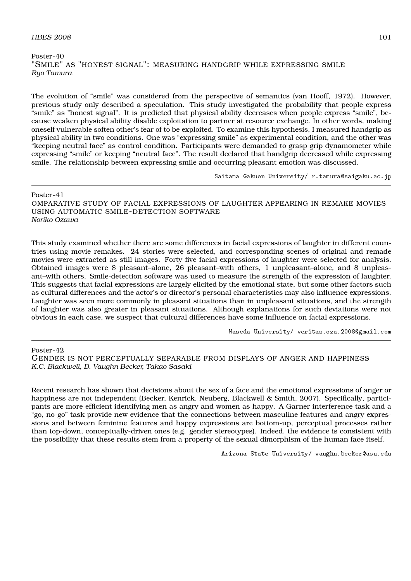## $H\text{BES } 2008$  101

```
Poster-40
"SMILE" AS "HONEST SIGNAL": MEASURING HANDGRIP WHILE EXPRESSING SMILE
Ryo Tamura
```
The evolution of "smile" was considered from the perspective of semantics (van Hooff, 1972). However, previous study only described a speculation. This study investigated the probability that people express "smile" as "honest signal". It is predicted that physical ability decreases when people express "smile", because weaken physical ability disable exploitation to partner at resource exchange. In other words, making oneself vulnerable soften other's fear of to be exploited. To examine this hypothesis, I measured handgrip as physical ability in two conditions. One was "expressing smile" as experimental condition, and the other was "keeping neutral face" as control condition. Participants were demanded to grasp grip dynamometer while expressing "smile" or keeping "neutral face". The result declared that handgrip decreased while expressing smile. The relationship between expressing smile and occurring pleasant emotion was discussed.

Saitama Gakuen University/ r.tamura@saigaku.ac.jp

Poster-41 OMPARATIVE STUDY OF FACIAL EXPRESSIONS OF LAUGHTER APPEARING IN REMAKE MOVIES USING AUTOMATIC SMILE-DETECTION SOFTWARE *Noriko Ozawa*

This study examined whether there are some differences in facial expressions of laughter in different countries using movie remakes. 24 stories were selected, and corresponding scenes of original and remade movies were extracted as still images. Forty-five facial expressions of laughter were selected for analysis. Obtained images were 8 pleasant–alone, 26 pleasant–with others, 1 unpleasant–alone, and 8 unpleasant–with others. Smile-detection software was used to measure the strength of the expression of laughter. This suggests that facial expressions are largely elicited by the emotional state, but some other factors such as cultural differences and the actor's or director's personal characteristics may also influence expressions. Laughter was seen more commonly in pleasant situations than in unpleasant situations, and the strength of laughter was also greater in pleasant situations. Although explanations for such deviations were not obvious in each case, we suspect that cultural differences have some influence on facial expressions.

Waseda University/ veritas.oza.2008@gmail.com

Poster-42

GENDER IS NOT PERCEPTUALLY SEPARABLE FROM DISPLAYS OF ANGER AND HAPPINESS *K.C. Blackwell, D. Vaughn Becker, Takao Sasaki*

Recent research has shown that decisions about the sex of a face and the emotional expressions of anger or happiness are not independent (Becker, Kenrick, Neuberg, Blackwell & Smith, 2007). Specifically, participants are more efficient identifying men as angry and women as happy. A Garner interference task and a "go, no-go" task provide new evidence that the connections between masculine features and angry expressions and between feminine features and happy expressions are bottom-up, perceptual processes rather than top-down, conceptually-driven ones (e.g. gender stereotypes). Indeed, the evidence is consistent with the possibility that these results stem from a property of the sexual dimorphism of the human face itself.

Arizona State University/ vaughn.becker@asu.edu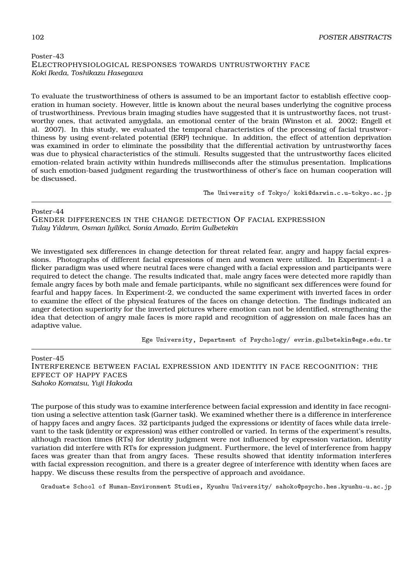# Poster-43 ELECTROPHYSIOLOGICAL RESPONSES TOWARDS UNTRUSTWORTHY FACE *Koki Ikeda, Toshikazu Hasegawa*

To evaluate the trustworthiness of others is assumed to be an important factor to establish effective cooperation in human society. However, little is known about the neural bases underlying the cognitive process of trustworthiness. Previous brain imaging studies have suggested that it is untrustworthy faces, not trustworthy ones, that activated amygdala, an emotional center of the brain (Winston et al. 2002; Engell et al. 2007). In this study, we evaluated the temporal characteristics of the processing of facial trustworthiness by using event-related potential (ERP) technique. In addition, the effect of attention deprivation was examined in order to eliminate the possibility that the differential activation by untrustworthy faces was due to physical characteristics of the stimuli. Results suggested that the untrustworthy faces elicited emotion-related brain activity within hundreds milliseconds after the stimulus presentation. Implications of such emotion-based judgment regarding the trustworthiness of other's face on human cooperation will be discussed.

The University of Tokyo/ koki@darwin.c.u-tokyo.ac.jp

### Poster-44

GENDER DIFFERENCES IN THE CHANGE DETECTION OF FACIAL EXPRESSION *Tulay Yıldırım, Osman Iyilikci, Sonia Amado, Evrim Gulbetekin*

We investigated sex differences in change detection for threat related fear, angry and happy facial expressions. Photographs of different facial expressions of men and women were utilized. In Experiment-1 a flicker paradigm was used where neutral faces were changed with a facial expression and participants were required to detect the change. The results indicated that, male angry faces were detected more rapidly than female angry faces by both male and female participants, while no significant sex differences were found for fearful and happy faces. In Experiment-2, we conducted the same experiment with inverted faces in order to examine the effect of the physical features of the faces on change detection. The findings indicated an anger detection superiority for the inverted pictures where emotion can not be identified, strengthening the idea that detection of angry male faces is more rapid and recognition of aggression on male faces has an adaptive value.

Ege University, Department of Psychology/ evrim.gulbetekin@ege.edu.tr

Poster-45 INTERFERENCE BETWEEN FACIAL EXPRESSION AND IDENTITY IN FACE RECOGNITION: THE EFFECT OF HAPPY FACES *Sahoko Komatsu, Yuji Hakoda*

The purpose of this study was to examine interference between facial expression and identity in face recognition using a selective attention task (Garner task). We examined whether there is a difference in interference of happy faces and angry faces. 32 participants judged the expressions or identity of faces while data irrelevant to the task (identity or expression) was either controlled or varied. In terms of the experiment's results, although reaction times (RTs) for identity judgment were not influenced by expression variation, identity variation did interfere with RTs for expression judgment. Furthermore, the level of interference from happy faces was greater than that from angry faces. These results showed that identity information interferes with facial expression recognition, and there is a greater degree of interference with identity when faces are happy. We discuss these results from the perspective of approach and avoidance.

Graduate School of Human-Environment Studies, Kyushu University/ sahoko@psycho.hes.kyushu-u.ac.jp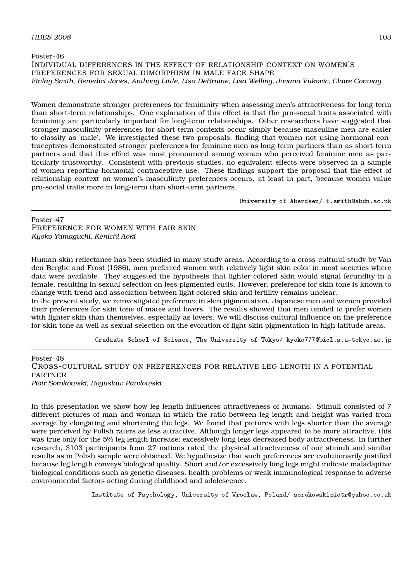### Poster-46 INDIVIDUAL DIFFERENCES IN THE EFFECT OF RELATIONSHIP CONTEXT ON WOMEN'S PREFERENCES FOR SEXUAL DIMORPHISM IN MALE FACE SHAPE *Finlay Smith, Benedict Jones, Anthony Little, Lisa DeBruine, Lisa Welling, Jovana Vukovic, Claire Conway*

Women demonstrate stronger preferences for femininity when assessing men's attractiveness for long-term than short-term relationships. One explanation of this effect is that the pro-social traits associated with femininity are particularly important for long-term relationships. Other researchers have suggested that stronger masculinity preferences for short-term contexts occur simply because masculine men are easier to classify as 'male'. We investigated these two proposals, finding that women not using hormonal contraceptives demonstrated stronger preferences for feminine men as long-term partners than as short-term partners and that this effect was most pronounced among women who perceived feminine men as particularly trustworthy. Consistent with previous studies, no equivalent effects were observed in a sample of women reporting hormonal contraceptive use. These findings support the proposal that the effect of relationship context on women's masculinity preferences occurs, at least in part, because women value pro-social traits more in long-term than short-term partners.

University of Aberdeen/ f.smith@abdn.ac.uk

Poster-47 PREFERENCE FOR WOMEN WITH FAIR SKIN *Kyoko Yamaguchi, Kenichi Aoki*

Human skin reflectance has been studied in many study areas. According to a cross-cultural study by Van den Berghe and Frost (1986), men preferred women with relatively light skin color in most societies where data were available. They suggested the hypothesis that lighter colored skin would signal fecundity in a female, resulting in sexual selection on less pigmented cutis. However, preference for skin tone is known to change with trend and association between light colored skin and fertility remains unclear.

In the present study, we reinvestigated preference in skin pigmentation. Japanese men and women provided their preferences for skin tone of mates and lovers. The results showed that men tended to prefer women with lighter skin than themselves, especially as lovers. We will discuss cultural influence on the preference for skin tone as well as sexual selection on the evolution of light skin pigmentation in high latitude areas.

Graduate School of Science, The University of Tokyo/ kyoko777@biol.s.u-tokyo.ac.jp

Poster-48 CROSS-CULTURAL STUDY ON PREFERENCES FOR RELATIVE LEG LENGTH IN A POTENTIAL **PARTNER** *Piotr Sorokowski, Boguslaw Pawlowski*

In this presentation we show how leg length influences attractiveness of humans. Stimuli consisted of 7 different pictures of man and woman in which the ratio between leg length and height was varied from average by elongating and shortening the legs. We found that pictures with legs shorter than the average were perceived by Polish raters as less attractive. Although longer legs appeared to be more attractive, this was true only for the 5% leg length increase; excessively long legs decreased body attractiveness. In further research, 3103 participants from 27 nations rated the physical attractiveness of our stimuli and similar results as in Polish sample were obtained. We hypothesize that such preferences are evolutionarily justified because leg length conveys biological quality. Short and/or excessively long legs might indicate maladaptive biological conditions such as genetic diseases, health problems or weak immunological response to adverse environmental factors acting during childhood and adolescence.

Institute of Psychology, University of Wrocław, Poland/ sorokowskipiotr@yahoo.co.uk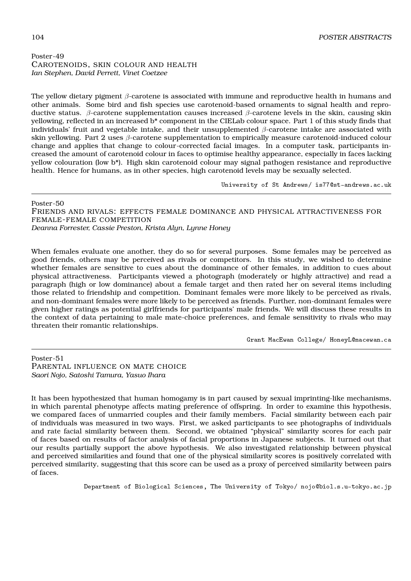CAROTENOIDS, SKIN COLOUR AND HEALTH *Ian Stephen, David Perrett, Vinet Coetzee*

The yellow dietary pigment *β*-carotene is associated with immune and reproductive health in humans and other animals. Some bird and fish species use carotenoid-based ornaments to signal health and reproductive status. *β*-carotene supplementation causes increased *β*-carotene levels in the skin, causing skin yellowing, reflected in an increased b\* component in the CIELab colour space. Part 1 of this study finds that individuals' fruit and vegetable intake, and their unsupplemented *β*-carotene intake are associated with skin yellowing. Part 2 uses *β*-carotene supplementation to empirically measure carotenoid-induced colour change and applies that change to colour-corrected facial images. In a computer task, participants increased the amount of carotenoid colour in faces to optimise healthy appearance, especially in faces lacking yellow colouration (low b\*). High skin carotenoid colour may signal pathogen resistance and reproductive health. Hence for humans, as in other species, high carotenoid levels may be sexually selected.

University of St Andrews/ is77@st-andrews.ac.uk

Poster-50 FRIENDS AND RIVALS: EFFECTS FEMALE DOMINANCE AND PHYSICAL ATTRACTIVENESS FOR FEMALE-FEMALE COMPETITION *Deanna Forrester, Cassie Preston, Krista Alyn, Lynne Honey*

When females evaluate one another, they do so for several purposes. Some females may be perceived as good friends, others may be perceived as rivals or competitors. In this study, we wished to determine whether females are sensitive to cues about the dominance of other females, in addition to cues about physical attractiveness. Participants viewed a photograph (moderately or highly attractive) and read a paragraph (high or low dominance) about a female target and then rated her on several items including those related to friendship and competition. Dominant females were more likely to be perceived as rivals, and non-dominant females were more likely to be perceived as friends. Further, non-dominant females were given higher ratings as potential girlfriends for participants' male friends. We will discuss these results in the context of data pertaining to male mate-choice preferences, and female sensitivity to rivals who may threaten their romantic relationships.

Grant MacEwan College/ HoneyL@macewan.ca

Poster-51 PARENTAL INFLUENCE ON MATE CHOICE *Saori Nojo, Satoshi Tamura, Yasuo Ihara*

It has been hypothesized that human homogamy is in part caused by sexual imprinting-like mechanisms, in which parental phenotype affects mating preference of offspring. In order to examine this hypothesis, we compared faces of unmarried couples and their family members. Facial similarity between each pair of individuals was measured in two ways. First, we asked participants to see photographs of individuals and rate facial similarity between them. Second, we obtained "physical" similarity scores for each pair of faces based on results of factor analysis of facial proportions in Japanese subjects. It turned out that our results partially support the above hypothesis. We also investigated relationship between physical and perceived similarities and found that one of the physical similarity scores is positively correlated with perceived similarity, suggesting that this score can be used as a proxy of perceived similarity between pairs of faces.

Department of Biological Sciences, The University of Tokyo/ nojo@biol.s.u-tokyo.ac.jp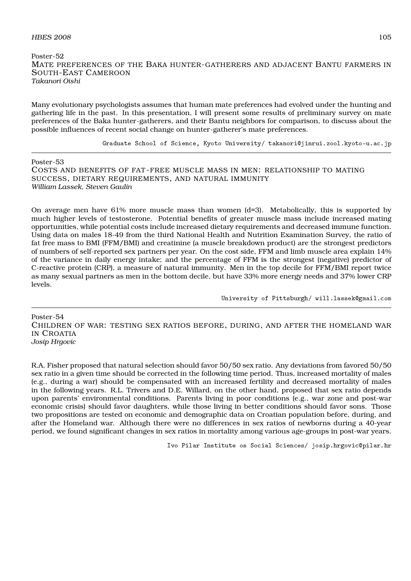# $H\!B\!E\!S$  2008 105

# Poster-52 MATE PREFERENCES OF THE BAKA HUNTER-GATHERERS AND ADJACENT BANTU FARMERS IN SOUTH-EAST CAMEROON *Takanori Oishi*

Many evolutionary psychologists assumes that human mate preferences had evolved under the hunting and gathering life in the past. In this presentation, I will present some results of preliminary survey on mate preferences of the Baka hunter-gatherers, and their Bantu neighbors for comparison, to discuss about the possible influences of recent social change on hunter-gatherer's mate preferences.

Graduate School of Science, Kyoto University/ takanori@jinrui.zool.kyoto-u.ac.jp

Poster-53

COSTS AND BENEFITS OF FAT -FREE MUSCLE MASS IN MEN: RELATIONSHIP TO MATING SUCCESS, DIETARY REQUIREMENTS, AND NATURAL IMMUNITY *William Lassek, Steven Gaulin*

On average men have 61% more muscle mass than women (d=3). Metabolically, this is supported by much higher levels of testosterone. Potential benefits of greater muscle mass include increased mating opportunities, while potential costs include increased dietary requirements and decreased immune function. Using data on males 18-49 from the third National Health and Nutrition Examination Survey, the ratio of fat free mass to BMI (FFM/BMI) and creatinine (a muscle breakdown product) are the strongest predictors of numbers of self-reported sex partners per year. On the cost side, FFM and limb muscle area explain 14% of the variance in daily energy intake; and the percentage of FFM is the strongest (negative) predictor of C-reactive protein (CRP), a measure of natural immunity. Men in the top decile for FFM/BMI report twice as many sexual partners as men in the bottom decile, but have 33% more energy needs and 37% lower CRP levels.

University of Pittsburgh/ will.lassek@gmail.com

Poster-54 CHILDREN OF WAR: TESTING SEX RATIOS BEFORE, DURING, AND AFTER THE HOMELAND WAR IN CROATIA *Josip Hrgovic*

R.A. Fisher proposed that natural selection should favor 50/50 sex ratio. Any deviations from favored 50/50 sex ratio in a given time should be corrected in the following time period. Thus, increased mortality of males (e.g., during a war) should be compensated with an increased fertility and decreased mortality of males in the following years. R.L. Trivers and D.E. Willard, on the other hand, proposed that sex ratio depends upon parents' environmental conditions. Parents living in poor conditions (e.g., war zone and post-war economic crisis) should favor daughters, while those living in better conditions should favor sons. Those two propositions are tested on economic and demographic data on Croatian population before, during, and after the Homeland war. Although there were no differences in sex ratios of newborns during a 40-year period, we found significant changes in sex ratios in mortality among various age-groups in post-war years.

Ivo Pilar Institute os Social Sciences/ josip.hrgovic@pilar.hr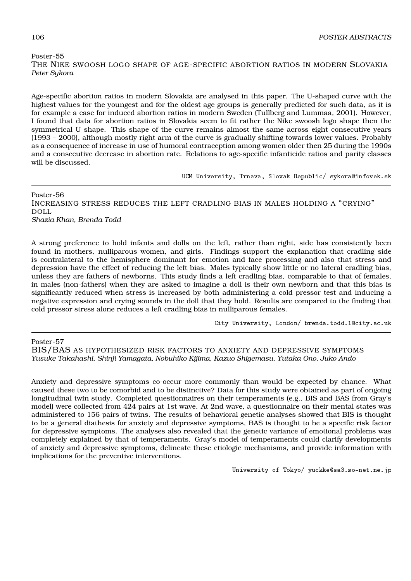# Poster-55 THE NIKE SWOOSH LOGO SHAPE OF AGE-SPECIFIC ABORTION RATIOS IN MODERN SLOVAKIA *Peter Sykora*

Age-specific abortion ratios in modern Slovakia are analysed in this paper. The U-shaped curve with the highest values for the youngest and for the oldest age groups is generally predicted for such data, as it is for example a case for induced abortion ratios in modern Sweden (Tullberg and Lummaa, 2001). However, I found that data for abortion ratios in Slovakia seem to fit rather the Nike swoosh logo shape then the symmetrical U shape. This shape of the curve remains almost the same across eight consecutive years (1993 – 2000), although mostly right arm of the curve is gradually shifting towards lower values. Probably as a consequence of increase in use of humoral contraception among women older then 25 during the 1990s and a consecutive decrease in abortion rate. Relations to age-specific infanticide ratios and parity classes will be discussed.

UCM University, Trnava, Slovak Republic/ sykora@infovek.sk

Poster-56 INCREASING STRESS REDUCES THE LEFT CRADLING BIAS IN MALES HOLDING A "CRYING" DOLL *Shazia Khan, Brenda Todd*

A strong preference to hold infants and dolls on the left, rather than right, side has consistently been found in mothers, nulliparous women, and girls. Findings support the explanation that cradling side is contralateral to the hemisphere dominant for emotion and face processing and also that stress and depression have the effect of reducing the left bias. Males typically show little or no lateral cradling bias, unless they are fathers of newborns. This study finds a left cradling bias, comparable to that of females, in males (non-fathers) when they are asked to imagine a doll is their own newborn and that this bias is significantly reduced when stress is increased by both administering a cold pressor test and inducing a negative expression and crying sounds in the doll that they hold. Results are compared to the finding that cold pressor stress alone reduces a left cradling bias in nulliparous females.

City University, London/ brenda.todd.1@city.ac.uk

Poster-57

BIS/BAS AS HYPOTHESIZED RISK FACTORS TO ANXIETY AND DEPRESSIVE SYMPTOMS *Yusuke Takahashi, Shinji Yamagata, Nobuhiko Kijima, Kazuo Shigemasu, Yutaka Ono, Juko Ando*

Anxiety and depressive symptoms co-occur more commonly than would be expected by chance. What caused these two to be comorbid and to be distinctive? Data for this study were obtained as part of ongoing longitudinal twin study. Completed questionnaires on their temperaments (e.g., BIS and BAS from Gray's model) were collected from 424 pairs at 1st wave. At 2nd wave, a questionnaire on their mental states was administered to 156 pairs of twins. The results of behavioral genetic analyses showed that BIS is thought to be a general diathesis for anxiety and depressive symptoms, BAS is thought to be a specific risk factor for depressive symptoms. The analyses also revealed that the genetic variance of emotional problems was completely explained by that of temperaments. Gray's model of temperaments could clarify developments of anxiety and depressive symptoms, delineate these etiologic mechanisms, and provide information with implications for the preventive interventions.

University of Tokyo/ yuckke@sa3.so-net.ne.jp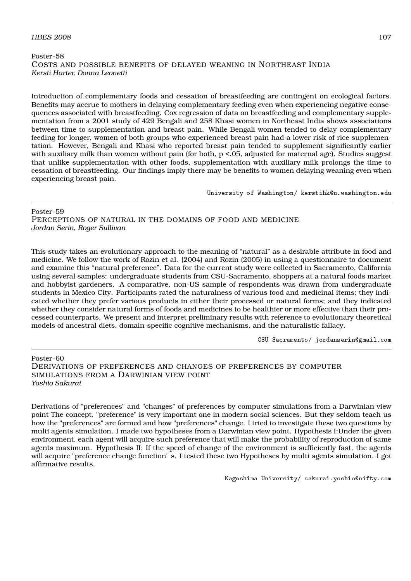## Poster-58 COSTS AND POSSIBLE BENEFITS OF DELAYED WEANING IN NORTHEAST INDIA *Kersti Harter, Donna Leonetti*

Introduction of complementary foods and cessation of breastfeeding are contingent on ecological factors. Benefits may accrue to mothers in delaying complementary feeding even when experiencing negative consequences associated with breastfeeding. Cox regression of data on breastfeeding and complementary supplementation from a 2001 study of 429 Bengali and 258 Khasi women in Northeast India shows associations between time to supplementation and breast pain. While Bengali women tended to delay complementary feeding for longer, women of both groups who experienced breast pain had a lower risk of rice supplementation. However, Bengali and Khasi who reported breast pain tended to supplement significantly earlier with auxiliary milk than women without pain (for both,  $p < 0.05$ , adjusted for maternal age). Studies suggest that unlike supplementation with other foods, supplementation with auxiliary milk prolongs the time to cessation of breastfeeding. Our findings imply there may be benefits to women delaying weaning even when experiencing breast pain.

University of Washington/ kerstihk@u.washington.edu

Poster-59 PERCEPTIONS OF NATURAL IN THE DOMAINS OF FOOD AND MEDICINE *Jordan Serin, Roger Sullivan*

This study takes an evolutionary approach to the meaning of "natural" as a desirable attribute in food and medicine. We follow the work of Rozin et al. (2004) and Rozin (2005) in using a questionnaire to document and examine this "natural preference". Data for the current study were collected in Sacramento, California using several samples: undergraduate students from CSU-Sacramento, shoppers at a natural foods market and hobbyist gardeners. A comparative, non-US sample of respondents was drawn from undergraduate students in Mexico City. Participants rated the naturalness of various food and medicinal items; they indicated whether they prefer various products in either their processed or natural forms; and they indicated whether they consider natural forms of foods and medicines to be healthier or more effective than their processed counterparts. We present and interpret preliminary results with reference to evolutionary theoretical models of ancestral diets, domain-specific cognitive mechanisms, and the naturalistic fallacy.

CSU Sacramento/ jordanserin@gmail.com

Poster-60 DERIVATIONS OF PREFERENCES AND CHANGES OF PREFERENCES BY COMPUTER SIMULATIONS FROM A DARWINIAN VIEW POINT *Yoshio Sakurai*

Derivations of "preferences" and "changes" of preferences by computer simulations from a Darwinian view point The concept, "preference" is very important one in modern social sciences. But they seldom teach us how the "preferences" are formed and how "preferences" change. I tried to investigate these two questions by multi agents simulation. I made two hypotheses from a Darwinian view point. Hypothesis I:Under the given environment, each agent will acquire such preference that will make the probability of reproduction of same agents maximum. Hypothesis II: If the speed of change of the environment is sufficiently fast, the agents will acquire "preference change function" s. I tested these two Hypotheses by multi agents simulation. I got affirmative results.

Kagoshima University/ sakurai.yoshio@nifty.com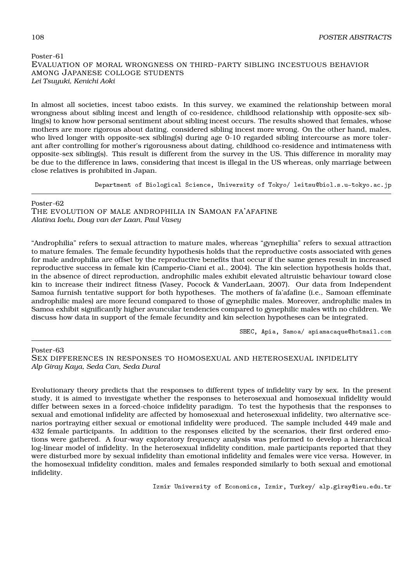## Poster-61 EVALUATION OF MORAL WRONGNESS ON THIRD-PARTY SIBLING INCESTUOUS BEHAVIOR AMONG JAPANESE COLLOGE STUDENTS *Lei Tsuyuki, Kenichi Aoki*

In almost all societies, incest taboo exists. In this survey, we examined the relationship between moral wrongness about sibling incest and length of co-residence, childhood relationship with opposite-sex sibling(s) to know how personal sentiment about sibling incest occurs. The results showed that females, whose mothers are more rigorous about dating. considered sibling incest more wrong. On the other hand, males, who lived longer with opposite-sex sibling(s) during age 0-10 regarded sibling intercourse as more tolerant after controlling for mother's rigorousness about dating, childhood co-residence and intimateness with opposite-sex sibling(s). This result is different from the survey in the US. This difference in morality may be due to the difference in laws, considering that incest is illegal in the US whereas, only marriage between close relatives is prohibited in Japan.

Department of Biological Science, University of Tokyo/ leitsu@biol.s.u-tokyo.ac.jp

Poster-62 THE EVOLUTION OF MALE ANDROPHILIA IN SAMOAN FA'AFAFINE *Alatina Ioelu, Doug van der Laan, Paul Vasey*

"Androphilia" refers to sexual attraction to mature males, whereas "gynephilia" refers to sexual attraction to mature females. The female fecundity hypothesis holds that the reproductive costs associated with genes for male androphilia are offset by the reproductive benefits that occur if the same genes result in increased reproductive success in female kin (Camperio-Ciani et al., 2004). The kin selection hypothesis holds that, in the absence of direct reproduction, androphilic males exhibit elevated altruistic behaviour toward close kin to increase their indirect fitness (Vasey, Pocock & VanderLaan, 2007). Our data from Independent Samoa furnish tentative support for both hypotheses. The mothers of fa'afafine (i.e., Samoan effeminate androphilic males) are more fecund compared to those of gynephilic males. Moreover, androphilic males in Samoa exhibit significantly higher avuncular tendencies compared to gynephilic males with no children. We discuss how data in support of the female fecundity and kin selection hypotheses can be integrated.

SBEC, Apia, Samoa/ apiamacaque@hotmail.com

#### Poster-63

SEX DIFFERENCES IN RESPONSES TO HOMOSEXUAL AND HETEROSEXUAL INFIDELITY *Alp Giray Kaya, Seda Can, Seda Dural*

Evolutionary theory predicts that the responses to different types of infidelity vary by sex. In the present study, it is aimed to investigate whether the responses to heterosexual and homosexual infidelity would differ between sexes in a forced-choice infidelity paradigm. To test the hypothesis that the responses to sexual and emotional infidelity are affected by homosexual and heterosexual infidelity, two alternative scenarios portraying either sexual or emotional infidelity were produced. The sample included 449 male and 432 female participants. In addition to the responses elicited by the scenarios, their first ordered emotions were gathered. A four-way exploratory frequency analysis was performed to develop a hierarchical log-linear model of infidelity. In the heterosexual infidelity condition, male participants reported that they were disturbed more by sexual infidelity than emotional infidelity and females were vice versa. However, in the homosexual infidelity condition, males and females responded similarly to both sexual and emotional infidelity.

Izmir University of Economics, Izmir, Turkey/ alp.giray@ieu.edu.tr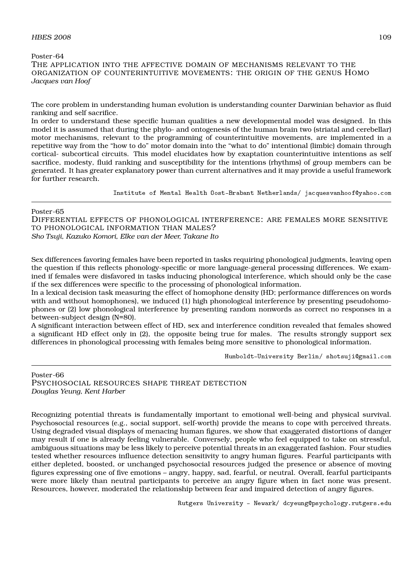## Poster-64 THE APPLICATION INTO THE AFFECTIVE DOMAIN OF MECHANISMS RELEVANT TO THE ORGANIZATION OF COUNTERINTUITIVE MOVEMENTS: THE ORIGIN OF THE GENUS HOMO *Jacques van Hoof*

The core problem in understanding human evolution is understanding counter Darwinian behavior as fluid ranking and self sacrifice.

In order to understand these specific human qualities a new developmental model was designed. In this model it is assumed that during the phylo- and ontogenesis of the human brain two (striatal and cerebellar) motor mechanisms, relevant to the programming of counterintuitive movements, are implemented in a repetitive way from the "how to do" motor domain into the "what to do" intentional (limbic) domain through cortical- subcortical circuits. This model elucidates how by exaptation counterintuitive intentions as self sacrifice, modesty, fluid ranking and susceptibility for the intentions (rhythms) of group members can be generated. It has greater explanatory power than current alternatives and it may provide a useful framework for further research.

Institute of Mental Health Oost-Brabant Netherlands/ jacquesvanhoof@yahoo.com

#### Poster-65

DIFFERENTIAL EFFECTS OF PHONOLOGICAL INTERFERENCE: ARE FEMALES MORE SENSITIVE TO PHONOLOGICAL INFORMATION THAN MALES? *Sho Tsuji, Kazuko Komori, Elke van der Meer, Takane Ito*

Sex differences favoring females have been reported in tasks requiring phonological judgments, leaving open the question if this reflects phonology-specific or more language-general processing differences. We examined if females were disfavored in tasks inducing phonological interference, which should only be the case if the sex differences were specific to the processing of phonological information.

In a lexical decision task measuring the effect of homophone density (HD; performance differences on words with and without homophones), we induced (1) high phonological interference by presenting pseudohomophones or (2) low phonological interference by presenting random nonwords as correct no responses in a between-subject design (N=80).

A significant interaction between effect of HD, sex and interference condition revealed that females showed a significant HD effect only in (2), the opposite being true for males. The results strongly support sex differences in phonological processing with females being more sensitive to phonological information.

Humboldt-University Berlin/ shotsuji@gmail.com

Poster-66 PSYCHOSOCIAL RESOURCES SHAPE THREAT DETECTION *Douglas Yeung, Kent Harber*

Recognizing potential threats is fundamentally important to emotional well-being and physical survival. Psychosocial resources (e.g., social support, self-worth) provide the means to cope with perceived threats. Using degraded visual displays of menacing human figures, we show that exaggerated distortions of danger may result if one is already feeling vulnerable. Conversely, people who feel equipped to take on stressful, ambiguous situations may be less likely to perceive potential threats in an exaggerated fashion. Four studies tested whether resources influence detection sensitivity to angry human figures. Fearful participants with either depleted, boosted, or unchanged psychosocial resources judged the presence or absence of moving figures expressing one of five emotions – angry, happy, sad, fearful, or neutral. Overall, fearful participants were more likely than neutral participants to perceive an angry figure when in fact none was present. Resources, however, moderated the relationship between fear and impaired detection of angry figures.

Rutgers University - Newark/ dcyeung@psychology.rutgers.edu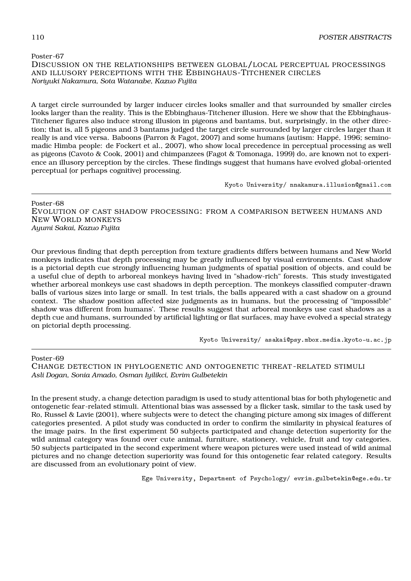Poster-67 DISCUSSION ON THE RELATIONSHIPS BETWEEN GLOBAL/LOCAL PERCEPTUAL PROCESSINGS AND ILLUSORY PERCEPTIONS WITH THE EBBINGHAUS-TITCHENER CIRCLES *Noriyuki Nakamura, Sota Watanabe, Kazuo Fujita*

A target circle surrounded by larger inducer circles looks smaller and that surrounded by smaller circles looks larger than the reality. This is the Ebbinghaus-Titchener illusion. Here we show that the Ebbinghaus-Titchener figures also induce strong illusion in pigeons and bantams, but, surprisingly, in the other direction; that is, all 5 pigeons and 3 bantams judged the target circle surrounded by larger circles larger than it really is and vice versa. Baboons (Parron & Fagot, 2007) and some humans (autism: Happé, 1996; seminomadic Himba people: de Fockert et al., 2007), who show local precedence in perceptual processing as well as pigeons (Cavoto & Cook, 2001) and chimpanzees (Fagot & Tomonaga, 1999) do, are known not to experience an illusory perception by the circles. These findings suggest that humans have evolved global-oriented perceptual (or perhaps cognitive) processing.

Kyoto University/ nnakamura.illusion@gmail.com

Poster-68

EVOLUTION OF CAST SHADOW PROCESSING: FROM A COMPARISON BETWEEN HUMANS AND NEW WORLD MONKEYS *Ayumi Sakai, Kazuo Fujita*

Our previous finding that depth perception from texture gradients differs between humans and New World monkeys indicates that depth processing may be greatly influenced by visual environments. Cast shadow is a pictorial depth cue strongly influencing human judgments of spatial position of objects, and could be a useful clue of depth to arboreal monkeys having lived in "shadow-rich" forests. This study investigated whether arboreal monkeys use cast shadows in depth perception. The monkeys classified computer-drawn balls of various sizes into large or small. In test trials, the balls appeared with a cast shadow on a ground context. The shadow position affected size judgments as in humans, but the processing of "impossible" shadow was different from humans'. These results suggest that arboreal monkeys use cast shadows as a depth cue and humans, surrounded by artificial lighting or flat surfaces, may have evolved a special strategy on pictorial depth processing.

Kyoto University/ asakai@psy.mbox.media.kyoto-u.ac.jp

Poster-69

CHANGE DETECTION IN PHYLOGENETIC AND ONTOGENETIC THREAT -RELATED STIMULI *Asli Dogan, Sonia Amado, Osman Iyilikci, Evrim Gulbetekin*

In the present study, a change detection paradigm is used to study attentional bias for both phylogenetic and ontogenetic fear-related stimuli. Attentional bias was assessed by a flicker task, similar to the task used by Ro, Russel & Lavie (2001), where subjects were to detect the changing picture among six images of different categories presented. A pilot study was conducted in order to confirm the similarity in physical features of the image pairs. In the first experiment 50 subjects participated and change detection superiority for the wild animal category was found over cute animal, furniture, stationery, vehicle, fruit and toy categories. 50 subjects participated in the second experiment where weapon pictures were used instead of wild animal pictures and no change detection superiority was found for this ontogenetic fear related category. Results are discussed from an evolutionary point of view.

Ege University, Department of Psychology/ evrim.gulbetekin@ege.edu.tr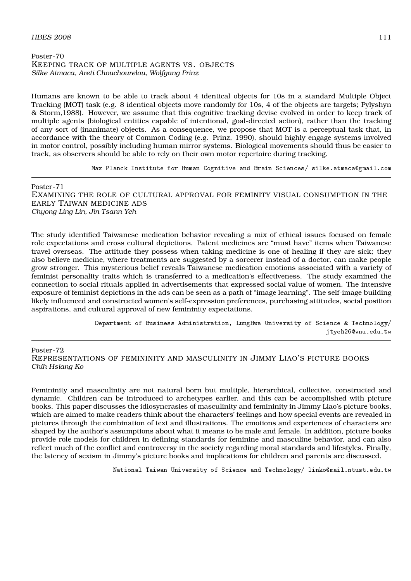## Poster-70 KEEPING TRACK OF MULTIPLE AGENTS VS. OBJECTS *Silke Atmaca, Areti Chouchourelou, Wolfgang Prinz*

Humans are known to be able to track about 4 identical objects for 10s in a standard Multiple Object Tracking (MOT) task (e.g. 8 identical objects move randomly for 10s, 4 of the objects are targets; Pylyshyn & Storm,1988). However, we assume that this cognitive tracking devise evolved in order to keep track of multiple agents (biological entities capable of intentional, goal-directed action), rather than the tracking of any sort of (inanimate) objects. As a consequence, we propose that MOT is a perceptual task that, in accordance with the theory of Common Coding (e.g. Prinz, 1990), should highly engage systems involved in motor control, possibly including human mirror systems. Biological movements should thus be easier to track, as observers should be able to rely on their own motor repertoire during tracking.

Max Planck Institute for Human Cognitive and Brain Sciences/ silke.atmaca@gmail.com

Poster-71 EXAMINING THE ROLE OF CULTURAL APPROVAL FOR FEMINITY VISUAL CONSUMPTION IN THE EARLY TAIWAN MEDICINE ADS *Chyong-Ling Lin, Jin-Tsann Yeh*

The study identified Taiwanese medication behavior revealing a mix of ethical issues focused on female role expectations and cross cultural depictions. Patent medicines are "must have" items when Taiwanese travel overseas. The attitude they possess when taking medicine is one of healing if they are sick; they also believe medicine, where treatments are suggested by a sorcerer instead of a doctor, can make people grow stronger. This mysterious belief reveals Taiwanese medication emotions associated with a variety of feminist personality traits which is transferred to a medication's effectiveness. The study examined the connection to social rituals applied in advertisements that expressed social value of women. The intensive exposure of feminist depictions in the ads can be seen as a path of "image learning". The self-image building likely influenced and constructed women's self-expression preferences, purchasing attitudes, social position aspirations, and cultural approval of new femininity expectations.

> Department of Business Administration, LungHwa University of Science & Technology/ jtyeh26@vnu.edu.tw

Poster-72

REPRESENTATIONS OF FEMININITY AND MASCULINITY IN JIMMY LIAO'S PICTURE BOOKS *Chih-Hsiang Ko*

Femininity and masculinity are not natural born but multiple, hierarchical, collective, constructed and dynamic. Children can be introduced to archetypes earlier, and this can be accomplished with picture books. This paper discusses the idiosyncrasies of masculinity and femininity in Jimmy Liao's picture books, which are aimed to make readers think about the characters' feelings and how special events are revealed in pictures through the combination of text and illustrations. The emotions and experiences of characters are shaped by the author's assumptions about what it means to be male and female. In addition, picture books provide role models for children in defining standards for feminine and masculine behavior, and can also reflect much of the conflict and controversy in the society regarding moral standards and lifestyles. Finally, the latency of sexism in Jimmy's picture books and implications for children and parents are discussed.

National Taiwan University of Science and Technology/ linko@mail.ntust.edu.tw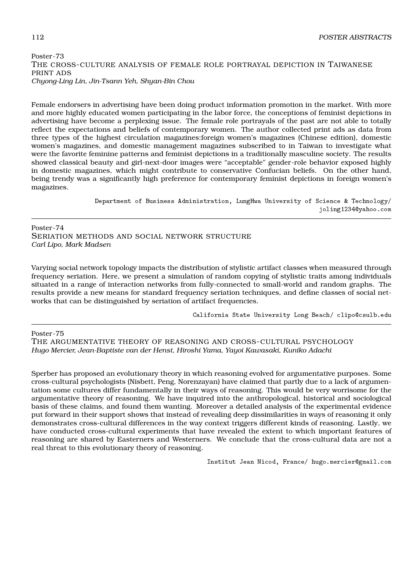## Poster-73 THE CROSS-CULTURE ANALYSIS OF FEMALE ROLE PORTRAYAL DEPICTION IN TAIWANESE PRINT ADS *Chyong-Ling Lin, Jin-Tsann Yeh, Shyan-Bin Chou*

Female endorsers in advertising have been doing product information promotion in the market. With more and more highly educated women participating in the labor force, the conceptions of feminist depictions in advertising have become a perplexing issue. The female role portrayals of the past are not able to totally reflect the expectations and beliefs of contemporary women. The author collected print ads as data from three types of the highest circulation magazines:foreign women's magazines (Chinese edition), domestic women's magazines, and domestic management magazines subscribed to in Taiwan to investigate what were the favorite feminine patterns and feminist depictions in a traditionally masculine society. The results showed classical beauty and girl-next-door images were "acceptable" gender-role behavior exposed highly in domestic magazines, which might contribute to conservative Confucian beliefs. On the other hand, being trendy was a significantly high preference for contemporary feminist depictions in foreign women's magazines.

> Department of Business Administration, LungHwa University of Science & Technology/ joling1234@yahoo.com

Poster-74 SERIATION METHODS AND SOCIAL NETWORK STRUCTURE *Carl Lipo, Mark Madsen*

Varying social network topology impacts the distribution of stylistic artifact classes when measured through frequency seriation. Here, we present a simulation of random copying of stylistic traits among individuals situated in a range of interaction networks from fully-connected to small-world and random graphs. The results provide a new means for standard frequency seriation techniques, and define classes of social networks that can be distinguished by seriation of artifact frequencies.

California State University Long Beach/ clipo@csulb.edu

Poster-75 THE ARGUMENTATIVE THEORY OF REASONING AND CROSS-CULTURAL PSYCHOLOGY *Hugo Mercier, Jean-Baptiste van der Henst, Hiroshi Yama, Yayoi Kawasaki, Kuniko Adachi*

Sperber has proposed an evolutionary theory in which reasoning evolved for argumentative purposes. Some cross-cultural psychologists (Nisbett, Peng, Norenzayan) have claimed that partly due to a lack of argumentation some cultures differ fundamentally in their ways of reasoning. This would be very worrisome for the argumentative theory of reasoning. We have inquired into the anthropological, historical and sociological basis of these claims, and found them wanting. Moreover a detailed analysis of the experimental evidence put forward in their support shows that instead of revealing deep dissimilarities in ways of reasoning it only demonstrates cross-cultural differences in the way context triggers different kinds of reasoning. Lastly, we have conducted cross-cultural experiments that have revealed the extent to which important features of reasoning are shared by Easterners and Westerners. We conclude that the cross-cultural data are not a real threat to this evolutionary theory of reasoning.

Institut Jean Nicod, France/ hugo.mercier@gmail.com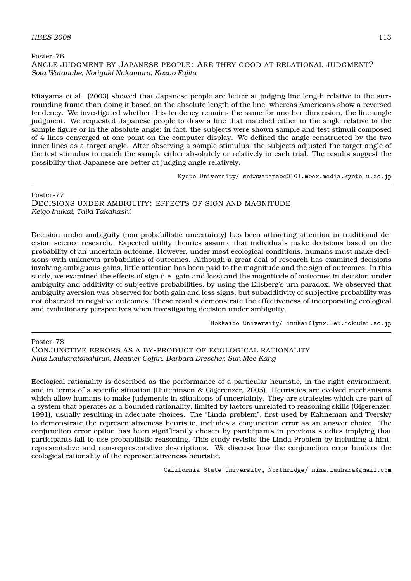Poster-76

## ANGLE JUDGMENT BY JAPANESE PEOPLE: ARE THEY GOOD AT RELATIONAL JUDGMENT? *Sota Watanabe, Noriyuki Nakamura, Kazuo Fujita*

Kitayama et al. (2003) showed that Japanese people are better at judging line length relative to the surrounding frame than doing it based on the absolute length of the line, whereas Americans show a reversed tendency. We investigated whether this tendency remains the same for another dimension, the line angle judgment. We requested Japanese people to draw a line that matched either in the angle relative to the sample figure or in the absolute angle; in fact, the subjects were shown sample and test stimuli composed of 4 lines converged at one point on the computer display. We defined the angle constructed by the two inner lines as a target angle. After observing a sample stimulus, the subjects adjusted the target angle of the test stimulus to match the sample either absolutely or relatively in each trial. The results suggest the possibility that Japanese are better at judging angle relatively.

Kyoto University/ sotawatanabe@l01.mbox.media.kyoto-u.ac.jp

Poster-77 DECISIONS UNDER AMBIGUITY: EFFECTS OF SIGN AND MAGNITUDE *Keigo Inukai, Taiki Takahashi*

Decision under ambiguity (non-probabilistic uncertainty) has been attracting attention in traditional decision science research. Expected utility theories assume that individuals make decisions based on the probability of an uncertain outcome. However, under most ecological conditions, humans must make decisions with unknown probabilities of outcomes. Although a great deal of research has examined decisions involving ambiguous gains, little attention has been paid to the magnitude and the sign of outcomes. In this study, we examined the effects of sign (i.e. gain and loss) and the magnitude of outcomes in decision under ambiguity and additivity of subjective probabilities, by using the Ellsberg's urn paradox. We observed that ambiguity aversion was observed for both gain and loss signs, but subadditivity of subjective probability was not observed in negative outcomes. These results demonstrate the effectiveness of incorporating ecological and evolutionary perspectives when investigating decision under ambiguity.

Hokkaido University/ inukai@lynx.let.hokudai.ac.jp

Poster-78

CONJUNCTIVE ERRORS AS A BY-PRODUCT OF ECOLOGICAL RATIONALITY *Nina Lauharatanahirun, Heather Coffin, Barbara Drescher, Sun-Mee Kang*

Ecological rationality is described as the performance of a particular heuristic, in the right environment, and in terms of a specific situation (Hutchinson & Gigerenzer, 2005). Heuristics are evolved mechanisms which allow humans to make judgments in situations of uncertainty. They are strategies which are part of a system that operates as a bounded rationality, limited by factors unrelated to reasoning skills (Gigerenzer, 1991), usually resulting in adequate choices. The "Linda problem", first used by Kahneman and Tversky to demonstrate the representativeness heuristic, includes a conjunction error as an answer choice. The conjunction error option has been significantly chosen by participants in previous studies implying that participants fail to use probabilistic reasoning. This study revisits the Linda Problem by including a hint, representative and non-representative descriptions. We discuss how the conjunction error hinders the ecological rationality of the representativeness heuristic.

California State University, Northridge/ nina.lauhara@gmail.com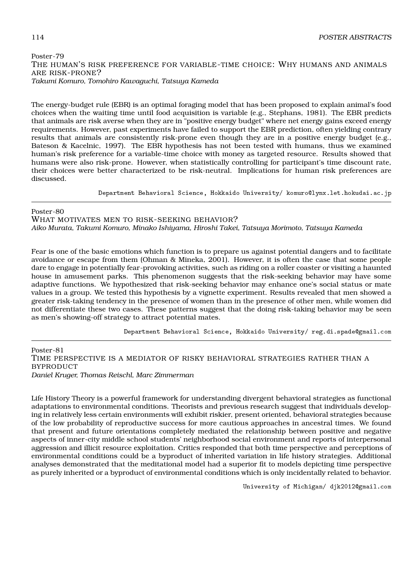## Poster-79 THE HUMAN'S RISK PREFERENCE FOR VARIABLE-TIME CHOICE: WHY HUMANS AND ANIMALS ARE RISK-PRONE? *Takumi Komuro, Tomohiro Kawaguchi, Tatsuya Kameda*

The energy-budget rule (EBR) is an optimal foraging model that has been proposed to explain animal's food choices when the waiting time until food acquisition is variable (e.g., Stephans, 1981). The EBR predicts that animals are risk averse when they are in "positive energy budget" where net energy gains exceed energy requirements. However, past experiments have failed to support the EBR prediction, often yielding contrary results that animals are consistently risk-prone even though they are in a positive energy budget (e.g., Bateson & Kacelnic, 1997). The EBR hypothesis has not been tested with humans, thus we examined human's risk preference for a variable-time choice with money as targeted resource. Results showed that humans were also risk-prone. However, when statistically controlling for participant's time discount rate, their choices were better characterized to be risk-neutral. Implications for human risk preferences are discussed.

Department Behavioral Science, Hokkaido University/ komuro@lynx.let.hokudai.ac.jp

Poster-80

WHAT MOTIVATES MEN TO RISK-SEEKING BEHAVIOR? *Aiko Murata, Takumi Komuro, Minako Ishiyama, Hiroshi Takei, Tatsuya Morimoto, Tatsuya Kameda*

Fear is one of the basic emotions which function is to prepare us against potential dangers and to facilitate avoidance or escape from them (Ohman & Mineka, 2001). However, it is often the case that some people dare to engage in potentially fear-provoking activities, such as riding on a roller coaster or visiting a haunted house in amusement parks. This phenomenon suggests that the risk-seeking behavior may have some adaptive functions. We hypothesized that risk-seeking behavior may enhance one's social status or mate values in a group. We tested this hypothesis by a vignette experiment. Results revealed that men showed a greater risk-taking tendency in the presence of women than in the presence of other men, while women did not differentiate these two cases. These patterns suggest that the doing risk-taking behavior may be seen as men's showing-off strategy to attract potential mates.

Department Behavioral Science, Hokkaido University/ reg.di.spade@gmail.com

Poster-81 TIME PERSPECTIVE IS A MEDIATOR OF RISKY BEHAVIORAL STRATEGIES RATHER THAN A **BYPRODUCT** *Daniel Kruger, Thomas Reischl, Marc Zimmerman*

Life History Theory is a powerful framework for understanding divergent behavioral strategies as functional adaptations to environmental conditions. Theorists and previous research suggest that individuals developing in relatively less certain environments will exhibit riskier, present oriented, behavioral strategies because of the low probability of reproductive success for more cautious approaches in ancestral times. We found that present and future orientations completely mediated the relationship between positive and negative aspects of inner-city middle school students' neighborhood social environment and reports of interpersonal aggression and illicit resource exploitation. Critics responded that both time perspective and perceptions of environmental conditions could be a byproduct of inherited variation in life history strategies. Additional analyses demonstrated that the meditational model had a superior fit to models depicting time perspective as purely inherited or a byproduct of environmental conditions which is only incidentally related to behavior.

University of Michigan/ djk2012@gmail.com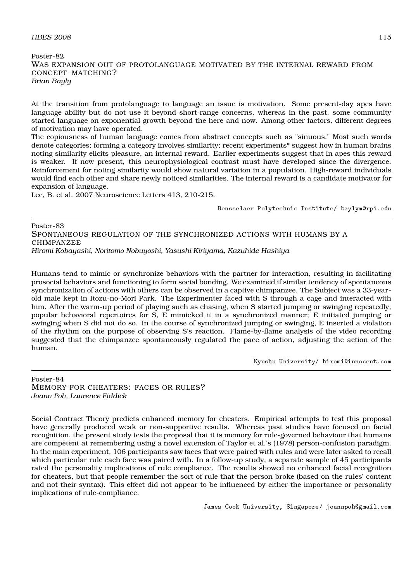## Poster-82 WAS EXPANSION OUT OF PROTOLANGUAGE MOTIVATED BY THE INTERNAL REWARD FROM CONCEPT -MATCHING? *Brian Bayly*

At the transition from protolanguage to language an issue is motivation. Some present-day apes have language ability but do not use it beyond short-range concerns, whereas in the past, some community started language on exponential growth beyond the here-and-now. Among other factors, different degrees of motivation may have operated.

The copiousness of human language comes from abstract concepts such as "sinuous." Most such words denote categories; forming a category involves similarity; recent experiments\* suggest how in human brains noting similarity elicits pleasure, an internal reward. Earlier experiments suggest that in apes this reward is weaker. If now present, this neurophysiological contrast must have developed since the divergence. Reinforcement for noting similarity would show natural variation in a population. High-reward individuals would find each other and share newly noticed similarities. The internal reward is a candidate motivator for expansion of language.

Lee, B. et al. 2007 Neuroscience Letters 413, 210-215.

Rensselaer Polytechnic Institute/ baylym@rpi.edu

Poster-83 SPONTANEOUS REGULATION OF THE SYNCHRONIZED ACTIONS WITH HUMANS BY A CHIMPANZEE *Hiromi Kobayashi, Noritomo Nobuyoshi, Yasushi Kiriyama, Kazuhide Hashiya*

Humans tend to mimic or synchronize behaviors with the partner for interaction, resulting in facilitating prosocial behaviors and functioning to form social bonding. We examined if similar tendency of spontaneous synchronization of actions with others can be observed in a captive chimpanzee. The Subject was a 33-yearold male kept in Itozu-no-Mori Park. The Experimenter faced with S through a cage and interacted with him. After the warm-up period of playing such as chasing, when S started jumping or swinging repeatedly, popular behavioral repertoires for S, E mimicked it in a synchronized manner; E initiated jumping or swinging when S did not do so. In the course of synchronized jumping or swinging, E inserted a violation of the rhythm on the purpose of observing S's reaction. Flame-by-flame analysis of the video recording suggested that the chimpanzee spontaneously regulated the pace of action, adjusting the action of the human.

Kyushu University/ hiromi@innocent.com

Poster-84 MEMORY FOR CHEATERS: FACES OR RULES? *Joann Poh, Laurence Fiddick*

Social Contract Theory predicts enhanced memory for cheaters. Empirical attempts to test this proposal have generally produced weak or non-supportive results. Whereas past studies have focused on facial recognition, the present study tests the proposal that it is memory for rule-governed behaviour that humans are competent at remembering using a novel extension of Taylor et al.'s (1978) person-confusion paradigm. In the main experiment, 106 participants saw faces that were paired with rules and were later asked to recall which particular rule each face was paired with. In a follow-up study, a separate sample of 45 participants rated the personality implications of rule compliance. The results showed no enhanced facial recognition for cheaters, but that people remember the sort of rule that the person broke (based on the rules' content and not their syntax). This effect did not appear to be influenced by either the importance or personality implications of rule-compliance.

James Cook University, Singapore/ joannpoh@gmail.com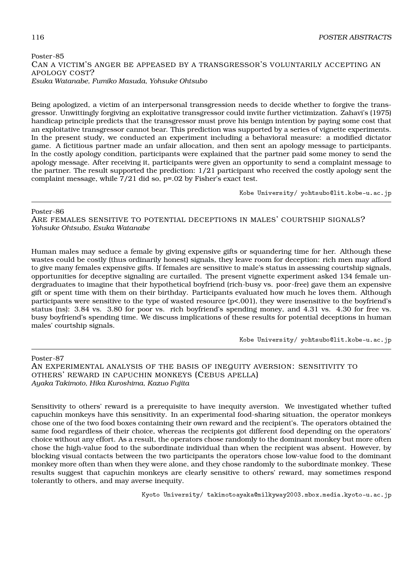## Poster-85 CAN A VICTIM'S ANGER BE APPEASED BY A TRANSGRESSOR'S VOLUNTARILY ACCEPTING AN APOLOGY COST? *Esuka Watanabe, Fumiko Masuda, Yohsuke Ohtsubo*

Being apologized, a victim of an interpersonal transgression needs to decide whether to forgive the transgressor. Unwittingly forgiving an exploitative transgressor could invite further victimization. Zahavi's (1975) handicap principle predicts that the transgressor must prove his benign intention by paying some cost that an exploitative transgressor cannot bear. This prediction was supported by a series of vignette experiments. In the present study, we conducted an experiment including a behavioral measure: a modified dictator game. A fictitious partner made an unfair allocation, and then sent an apology message to participants. In the costly apology condition, participants were explained that the partner paid some money to send the apology message. After receiving it, participants were given an opportunity to send a complaint message to the partner. The result supported the prediction: 1/21 participant who received the costly apology sent the complaint message, while 7/21 did so, p=.02 by Fisher's exact test.

Kobe University/ yohtsubo@lit.kobe-u.ac.jp

#### Poster-86

ARE FEMALES SENSITIVE TO POTENTIAL DECEPTIONS IN MALES' COURTSHIP SIGNALS? *Yohsuke Ohtsubo, Esuka Watanabe*

Human males may seduce a female by giving expensive gifts or squandering time for her. Although these wastes could be costly (thus ordinarily honest) signals, they leave room for deception: rich men may afford to give many females expensive gifts. If females are sensitive to male's status in assessing courtship signals, opportunities for deceptive signaling are curtailed. The present vignette experiment asked 134 female undergraduates to imagine that their hypothetical boyfriend (rich-busy vs. poor-free) gave them an expensive gift or spent time with them on their birthday. Participants evaluated how much he loves them. Although participants were sensitive to the type of wasted resource (p<.001), they were insensitive to the boyfriend's status (ns): 3.84 vs. 3.80 for poor vs. rich boyfriend's spending money, and 4.31 vs. 4.30 for free vs. busy boyfriend's spending time. We discuss implications of these results for potential deceptions in human males' courtship signals.

Kobe University/ yohtsubo@lit.kobe-u.ac.jp

Poster-87 AN EXPERIMENTAL ANALYSIS OF THE BASIS OF INEQUITY AVERSION: SENSITIVITY TO OTHERS' REWARD IN CAPUCHIN MONKEYS (CEBUS APELLA) *Ayaka Takimoto, Hika Kuroshima, Kazuo Fujita*

Sensitivity to others' reward is a prerequisite to have inequity aversion. We investigated whether tufted capuchin monkeys have this sensitivity. In an experimental food-sharing situation, the operator monkeys chose one of the two food boxes containing their own reward and the recipient's. The operators obtained the same food regardless of their choice, whereas the recipients got different food depending on the operators' choice without any effort. As a result, the operators chose randomly to the dominant monkey but more often chose the high-value food to the subordinate individual than when the recipient was absent. However, by blocking visual contacts between the two participants the operators chose low-value food to the dominant monkey more often than when they were alone, and they chose randomly to the subordinate monkey. These results suggest that capuchin monkeys are clearly sensitive to others' reward, may sometimes respond tolerantly to others, and may averse inequity.

Kyoto University/ takimotoayaka@milkyway2003.mbox.media.kyoto-u.ac.jp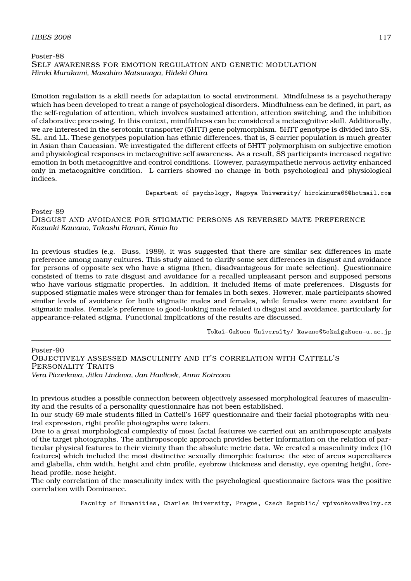## Poster-88 SELF AWARENESS FOR EMOTION REGULATION AND GENETIC MODULATION *Hiroki Murakami, Masahiro Matsunaga, Hideki Ohira*

Emotion regulation is a skill needs for adaptation to social environment. Mindfulness is a psychotherapy which has been developed to treat a range of psychological disorders. Mindfulness can be defined, in part, as the self-regulation of attention, which involves sustained attention, attention switching, and the inhibition of elaborative processing. In this context, mindfulness can be considered a metacognitive skill. Additionally, we are interested in the serotonin transporter (5HTT) gene polymorphism. 5HTT genotype is divided into SS, SL, and LL. These genotypes population has ethnic differences, that is, S carrier population is much greater in Asian than Caucasian. We investigated the different effects of 5HTT polymorphism on subjective emotion and physiological responses in metacognitive self awareness. As a result, SS participants increased negative emotion in both metacognitive and control conditions. However, parasympathetic nervous activity enhanced only in metacognitive condition. L carriers showed no change in both psychological and physiological indices.

Departent of psychology, Nagoya University/ hirokimura66@hotmail.com

#### Poster-89

DISGUST AND AVOIDANCE FOR STIGMATIC PERSONS AS REVERSED MATE PREFERENCE *Kazuaki Kawano, Takashi Hanari, Kimio Ito*

In previous studies (e.g. Buss, 1989), it was suggested that there are similar sex differences in mate preference among many cultures. This study aimed to clarify some sex differences in disgust and avoidance for persons of opposite sex who have a stigma (then, disadvantageous for mate selection). Questionnaire consisted of items to rate disgust and avoidance for a recalled unpleasant person and supposed persons who have various stigmatic properties. In addition, it included items of mate preferences. Disgusts for supposed stigmatic males were stronger than for females in both sexes. However, male participants showed similar levels of avoidance for both stigmatic males and females, while females were more avoidant for stigmatic males. Female's preference to good-looking mate related to disgust and avoidance, particularly for appearance-related stigma. Functional implications of the results are discussed.

Tokai-Gakuen University/ kawano@tokaigakuen-u.ac.jp

## Poster-90 OBJECTIVELY ASSESSED MASCULINITY AND IT'S CORRELATION WITH CATTELL'S PERSONALITY TRAITS *Vera Pivonkova, Jitka Lindova, Jan Havlicek, Anna Kotrcova*

The only correlation of the masculinity index with the psychological questionnaire factors was the positive correlation with Dominance.

Faculty of Humanities, Charles University, Prague, Czech Republic/ vpivonkova@volny.cz

In previous studies a possible connection between objectively assessed morphological features of masculinity and the results of a personality questionnaire has not been established.

In our study 69 male students filled in Cattell's 16PF questionnaire and their facial photographs with neutral expression, right profile photographs were taken.

Due to a great morphological complexity of most facial features we carried out an anthroposcopic analysis of the target photographs. The anthroposcopic approach provides better information on the relation of particular physical features to their vicinity than the absolute metric data. We created a masculinity index (10 features) which included the most distinctive sexually dimorphic features: the size of arcus superciliares and glabella, chin width, height and chin profile, eyebrow thickness and density, eye opening height, forehead profile, nose height.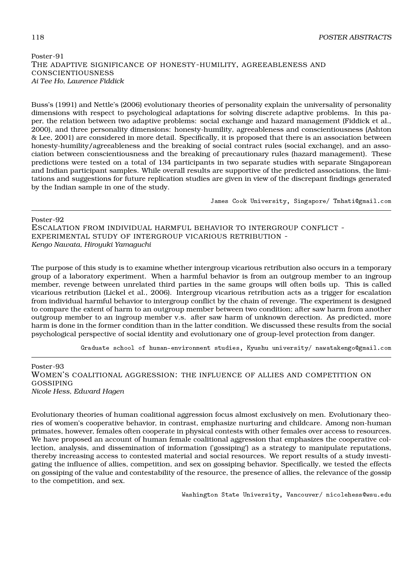## Poster-91 THE ADAPTIVE SIGNIFICANCE OF HONESTY-HUMILITY, AGREEABLENESS AND **CONSCIENTIOUSNESS** *Ai Tee Ho, Laurence Fiddick*

Buss's (1991) and Nettle's (2006) evolutionary theories of personality explain the universality of personality dimensions with respect to psychological adaptations for solving discrete adaptive problems. In this paper, the relation between two adaptive problems: social exchange and hazard management (Fiddick et al., 2000), and three personality dimensions: honesty-humility, agreeableness and conscientiousness (Ashton & Lee, 2001) are considered in more detail. Specifically, it is proposed that there is an association between honesty-humility/agreeableness and the breaking of social contract rules (social exchange), and an association between conscientiousness and the breaking of precautionary rules (hazard management). These predictions were tested on a total of 134 participants in two separate studies with separate Singaporean and Indian participant samples. While overall results are supportive of the predicted associations, the limitations and suggestions for future replication studies are given in view of the discrepant findings generated by the Indian sample in one of the study.

James Cook University, Singapore/ Tmhati@gmail.com

Poster-92 ESCALATION FROM INDIVIDUAL HARMFUL BEHAVIOR TO INTERGROUP CONFLICT - EXPERIMENTAL STUDY OF INTERGROUP VICARIOUS RETRIBUTION - *Kengo Nawata, Hiroyuki Yamaguchi*

The purpose of this study is to examine whether intergroup vicarious retribution also occurs in a temporary group of a laboratory experiment. When a harmful behavior is from an outgroup member to an ingroup member, revenge between unrelated third parties in the same groups will often boils up. This is called vicarious retribution (Lickel et al., 2006). Intergroup vicarious retribution acts as a trigger for escalation from individual harmful behavior to intergroup conflict by the chain of revenge. The experiment is designed to compare the extent of harm to an outgroup member between two condition; after saw harm from another outgroup member to an ingroup member v.s. after saw harm of unknown derection. As predicted, more harm is done in the former condition than in the latter condition. We discussed these results from the social psychological perspective of social identity and evolutionary one of group-level protection from danger.

Graduate school of human-environment studies, Kyushu university/ nawatakengo@gmail.com

Poster-93 WOMEN'S COALITIONAL AGGRESSION: THE INFLUENCE OF ALLIES AND COMPETITION ON GOSSIPING *Nicole Hess, Edward Hagen*

Evolutionary theories of human coalitional aggression focus almost exclusively on men. Evolutionary theories of women's cooperative behavior, in contrast, emphasize nurturing and childcare. Among non-human primates, however, females often cooperate in physical contests with other females over access to resources. We have proposed an account of human female coalitional aggression that emphasizes the cooperative collection, analysis, and dissemination of information ('gossiping') as a strategy to manipulate reputations, thereby increasing access to contested material and social resources. We report results of a study investigating the influence of allies, competition, and sex on gossiping behavior. Specifically, we tested the effects on gossiping of the value and contestability of the resource, the presence of allies, the relevance of the gossip to the competition, and sex.

Washington State University, Vancouver/ nicolehess@wsu.edu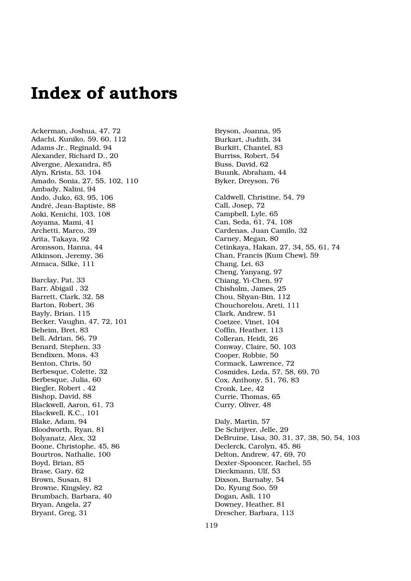## **Index of authors**

Ackerman, Joshua, 47, 72 Adachi, Kuniko, 59, 60, 112 Adams Jr., Reginald, 94 Alexander, Richard D., 20 Alvergne, Alexandra, 85 Alyn, Krista, 53, 104 Amado, Sonia, 27, 55, 102, 110 Ambady, Nalini, 94 Ando, Juko, 63, 95, 106 André, Jean-Baptiste, 88 Aoki, Kenichi, 103, 108 Aoyama, Mami, 41 Archetti, Marco, 39 Arita, Takaya, 92 Aronsson, Hanna, 44 Atkinson, Jeremy, 36 Atmaca, Silke, 111 Barclay, Pat, 33 Barr, Abigail , 32 Barrett, Clark, 32, 58 Barton, Robert, 36 Bayly, Brian, 115 Becker, Vaughn, 47, 72, 101 Beheim, Bret, 83 Bell, Adrian, 56, 79 Benard, Stephen, 33 Bendixen, Mons, 43 Benton, Chris, 50 Berbesque, Colette, 32 Berbesque, Julia, 60 Biegler, Robert , 42 Bishop, David, 88 Blackwell, Aaron, 61, 73 Blackwell, K.C., 101 Blake, Adam, 94 Bloodworth, Ryan, 81 Bolyanatz, Alex, 32 Boone, Christophe, 45, 86 Bourtros, Nathalie, 100 Boyd, Brian, 85 Brase, Gary, 62 Brown, Susan, 81 Browne, Kingsley, 82 Brumbach, Barbara, 40 Bryan, Angela, 27 Bryant, Greg, 31

Bryson, Joanna, 95 Burkart, Judith, 34 Burkitt, Chantel, 83 Burriss, Robert, 54 Buss, David, 62 Buunk, Abraham, 44 Byker, Dreyson, 76 Caldwell, Christine, 54, 79 Call, Josep, 72 Campbell, Lyle, 65 Can, Seda, 61, 74, 108 Cardenas, Juan Camilo, 32 Carney, Megan, 80 Cetinkaya, Hakan, 27, 34, 55, 61, 74 Chan, Francis (Kum Chew), 59 Chang, Lei, 63 Cheng, Yanyang, 97 Chiang, Yi-Chen, 97 Chisholm, James, 25 Chou, Shyan-Bin, 112 Chouchorelou, Areti, 111 Clark, Andrew, 51 Coetzee, Vinet, 104 Coffin, Heather, 113 Colleran, Heidi, 26 Conway, Claire, 50, 103 Cooper, Robbie, 50 Cormack, Lawrence, 72 Cosmides, Leda, 57, 58, 69, 70 Cox, Anthony, 51, 76, 83 Cronk, Lee, 42 Currie, Thomas, 65 Curry, Oliver, 48 Daly, Martin, 57 De Schrijver, Jelle, 29 DeBruine, Lisa, 30, 31, 37, 38, 50, 54, 103 Declerck, Carolyn, 45, 86 Delton, Andrew, 47, 69, 70 Dexter-Spooncer, Rachel, 55 Dieckmann, Ulf, 53 Dixson, Barnaby, 54 Do, Kyung Soo, 59 Dogan, Asli, 110 Downey, Heather, 81 Drescher, Barbara, 113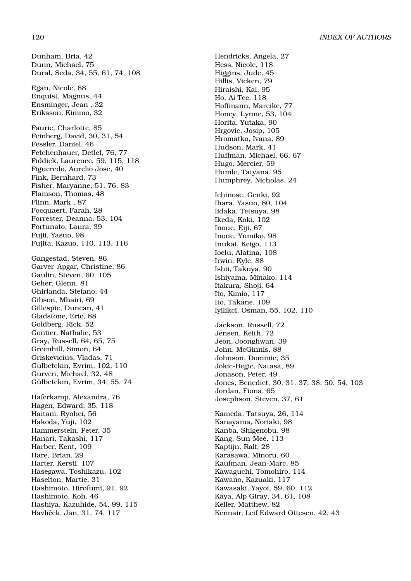Dunham, Bria, 42 Dunn, Michael, 75 Dural, Seda, 34, 55, 61, 74, 108 Egan, Nicole, 88 Enquist, Magnus, 44 Ensminger, Jean , 32 Eriksson, Kimmo, 32 Faurie, Charlotte, 85 Feinberg, David, 30, 31, 54 Fessler, Daniel, 46 Fetchenhauer, Detlef, 76, 77 Fiddick, Laurence, 59, 115, 118 Figueredo, Aurelio José, 40 Fink, Bernhard, 73 Fisher, Maryanne, 51, 76, 83 Flamson, Thomas, 48 Flinn, Mark , 87 Focquaert, Farah, 28 Forrester, Deanna, 53, 104 Fortunato, Laura, 39 Fujii, Yasuo, 98 Fujita, Kazuo, 110, 113, 116 Gangestad, Steven, 86 Garver-Apgar, Christine, 86 Gaulin, Steven, 60, 105 Geher, Glenn, 81 Ghirlanda, Stefano, 44 Gibson, Mhairi, 69 Gillespie, Duncan, 41 Gladstone, Eric, 88 Goldberg, Rick, 52 Gontier, Nathalie, 53 Gray, Russell, 64, 65, 75 Greenhill, Simon, 64 Griskevicius, Vladas, 71 Gulbetekin, Evrim, 102, 110 Gurven, Michael, 32, 48 Gülbetekin, Evrim, 34, 55, 74 Haferkamp, Alexandra, 76 Hagen, Edward, 35, 118 Haitani, Ryohei, 56 Hakoda, Yuji, 102 Hammerstein, Peter, 35 Hanari, Takashi, 117 Harber, Kent, 109 Hare, Brian, 29 Harter, Kersti, 107 Hasegawa, Toshikazu, 102 Haselton, Martie, 31 Hashimoto, Hirofumi, 91, 92 Hashimoto, Koh, 46 Hashiya, Kazuhide, 54, 99, 115 Havlíček, Jan, 31, 74, 117

Hendricks, Angela, 27 Hess, Nicole, 118 Higgins, Jude, 45 Hillis, Vicken, 79 Hiraishi, Kai, 95 Ho, Ai Tee, 118 Hoffmann, Mareike, 77 Honey, Lynne, 53, 104 Horita, Yutaka, 90 Hrgovic, Josip, 105 Hromatko, Ivana, 89 Hudson, Mark, 41 Huffman, Michael, 66, 67 Hugo, Mercier, 59 Humle, Tatyana, 95 Humphrey, Nicholas, 24 Ichinose, Genki, 92 Ihara, Yasuo, 80, 104 Iidaka, Tetsuya, 98 Ikeda, Koki, 102 Inoue, Eiji, 67 Inoue, Yumiko, 98 Inukai, Keigo, 113 Ioelu, Alatina, 108 Irwin, Kyle, 88 Ishii, Takuya, 90 Ishiyama, Minako, 114 Itakura, Shoji, 64 Ito, Kimio, 117 Ito, Takane, 109 Iyilikci, Osman, 55, 102, 110 Jackson, Russell, 72 Jensen, Keith, 72 Jeon, Joonghwan, 39 John, McGinnis, 88 Johnson, Dominic, 35 Jokic-Begic, Natasa, 89 Jonason, Peter, 49 Jones, Benedict, 30, 31, 37, 38, 50, 54, 103 Jordan, Fiona, 65 Josephson, Steven, 37, 61 Kameda, Tatsuya, 26, 114 Kanayama, Noriaki, 98 Kanba, Shigenobu, 98 Kang, Sun-Mee, 113 Kaptijn, Ralf, 28 Karasawa, Minoru, 60 Kaufman, Jean-Marc, 85 Kawaguchi, Tomohiro, 114 Kawano, Kazuaki, 117 Kawasaki, Yayoi, 59, 60, 112 Kaya, Alp Giray, 34, 61, 108 Keller, Matthew, 82 Kennair, Leif Edward Ottesen, 42, 43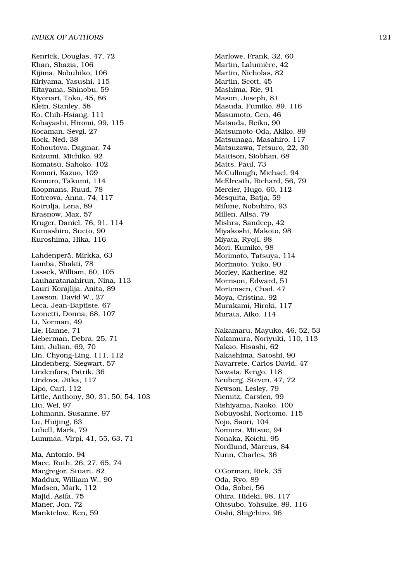Kenrick, Douglas, 47, 72 Khan, Shazia, 106 Kijima, Nobuhiko, 106 Kiriyama, Yasushi, 115 Kitayama, Shinobu, 59 Kiyonari, Toko, 45, 86 Klein, Stanley, 58 Ko, Chih-Hsiang, 111 Kobayashi, Hiromi, 99, 115 Kocaman, Sevgi, 27 Kock, Ned, 38 Kohoutova, Dagmar, 74 Koizumi, Michiko, 92 Komatsu, Sahoko, 102 Komori, Kazuo, 109 Komuro, Takumi, 114 Koopmans, Ruud, 78 Kotrcova, Anna, 74, 117 Kotrulja, Lena, 89 Krasnow, Max, 57 Kruger, Daniel, 76, 91, 114 Kumashiro, Sueto, 90 Kuroshima, Hika, 116 Lahdenperä, Mirkka, 63 Lamba, Shakti, 78 Lassek, William, 60, 105 Lauharatanahirun, Nina, 113 Lauri-Korajlija, Anita, 89 Lawson, David W., 27 Leca, Jean-Baptiste, 67 Leonetti, Donna, 68, 107 Li, Norman, 49 Lie, Hanne, 71 Lieberman, Debra, 25, 71 Lim, Julian, 69, 70 Lin, Chyong-Ling, 111, 112 Lindenberg, Siegwart, 57 Lindenfors, Patrik, 36 Lindova, Jitka, 117 Lipo, Carl, 112 Little, Anthony, 30, 31, 50, 54, 103 Liu, Wei, 97 Lohmann, Susanne, 97 Lu, Huijing, 63 Lubell, Mark, 79 Lummaa, Virpi, 41, 55, 63, 71 Ma, Antonio, 94 Mace, Ruth, 26, 27, 65, 74 Macgregor, Stuart, 82 Maddux, William W., 90

Madsen, Mark, 112 Majid, Asifa, 75 Maner, Jon, 72 Manktelow, Ken, 59

Marlowe, Frank, 32, 60 Martin, Lalumière, 42 Martin, Nicholas, 82 Martin, Scott, 45 Mashima, Rie, 91 Mason, Joseph, 81 Masuda, Fumiko, 89, 116 Masumoto, Gen, 46 Matsuda, Reiko, 90 Matsumoto-Oda, Akiko, 89 Matsunaga, Masahiro, 117 Matsuzawa, Tetsuro, 22, 30 Mattison, Siobhan, 68 Matts, Paul, 73 McCullough, Michael, 94 McElreath, Richard, 56, 79 Mercier, Hugo, 60, 112 Mesquita, Batja, 59 Mifune, Nobuhiro, 93 Millen, Ailsa, 79 Mishra, Sandeep, 42 Miyakoshi, Makoto, 98 Miyata, Ryoji, 98 Mori, Kumiko, 98 Morimoto, Tatsuya, 114 Morimoto, Yuko, 90 Morley, Katherine, 82 Morrison, Edward, 51 Mortensen, Chad, 47 Moya, Cristina, 92 Murakami, Hiroki, 117 Murata, Aiko, 114 Nakamaru, Mayuko, 46, 52, 53 Nakamura, Noriyuki, 110, 113 Nakao, Hisashi, 62 Nakashima, Satoshi, 90 Navarrete, Carlos David, 47 Nawata, Kengo, 118 Neuberg, Steven, 47, 72 Newson, Lesley, 79 Niemitz, Carsten, 99 Nishiyama, Naoko, 100 Nobuyoshi, Noritomo, 115 Nojo, Saori, 104 Nomura, Mitsue, 94 Nonaka, Koichi, 95 Nordlund, Marcus, 84 Nunn, Charles, 36 O'Gorman, Rick, 35 Oda, Ryo, 89

Oda, Sobei, 56 Ohira, Hideki, 98, 117 Ohtsubo, Yohsuke, 89, 116 Oishi, Shigehiro, 96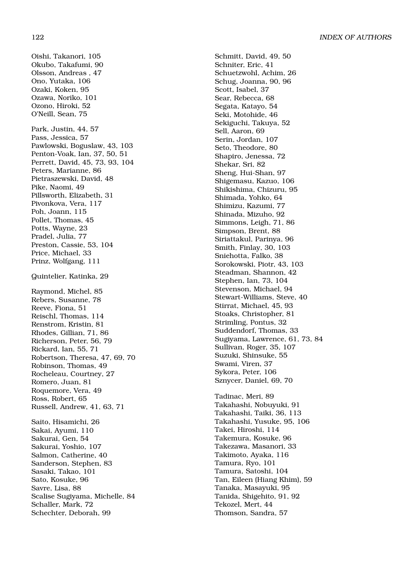Oishi, Takanori, 105 Okubo, Takafumi, 90 Olsson, Andreas , 47 Ono, Yutaka, 106 Ozaki, Koken, 95 Ozawa, Noriko, 101 Ozono, Hiroki, 52 O'Neill, Sean, 75 Park, Justin, 44, 57 Pass, Jessica, 57 Pawlowski, Boguslaw, 43, 103 Penton-Voak, Ian, 37, 50, 51 Perrett, David, 45, 73, 93, 104 Peters, Marianne, 86 Pietraszewski, David, 48 Pike, Naomi, 49 Pillsworth, Elizabeth, 31 Pivonkova, Vera, 117 Poh, Joann, 115 Pollet, Thomas, 45 Potts, Wayne, 23 Pradel, Julia, 77 Preston, Cassie, 53, 104 Price, Michael, 33 Prinz, Wolfgang, 111 Quintelier, Katinka, 29 Raymond, Michel, 85 Rebers, Susanne, 78 Reeve, Fiona, 51 Reischl, Thomas, 114 Renstrom, Kristin, 81 Rhodes, Gillian, 71, 86 Richerson, Peter, 56, 79 Rickard, Ian, 55, 71 Robertson, Theresa, 47, 69, 70 Robinson, Thomas, 49 Rocheleau, Courtney, 27 Romero, Juan, 81 Roquemore, Vera, 49 Ross, Robert, 65 Russell, Andrew, 41, 63, 71 Saito, Hisamichi, 26 Sakai, Ayumi, 110 Sakurai, Gen, 54 Sakurai, Yoshio, 107 Salmon, Catherine, 40 Sanderson, Stephen, 83 Sasaki, Takao, 101 Sato, Kosuke, 96 Savre, Lisa, 88 Scalise Sugiyama, Michelle, 84 Schaller, Mark, 72

Schechter, Deborah, 99

Schniter, Eric, 41 Schuetzwohl, Achim, 26 Schug, Joanna, 90, 96 Scott, Isabel, 37 Sear, Rebecca, 68 Segata, Katayo, 54 Seki, Motohide, 46 Sekiguchi, Takuya, 52 Sell, Aaron, 69 Serin, Jordan, 107 Seto, Theodore, 80 Shapiro, Jenessa, 72 Shekar, Sri, 82 Sheng, Hui-Shan, 97 Shigemasu, Kazuo, 106 Shikishima, Chizuru, 95 Shimada, Yohko, 64 Shimizu, Kazumi, 77 Shinada, Mizuho, 92 Simmons, Leigh, 71, 86 Simpson, Brent, 88 Siriattakul, Parinya, 96 Smith, Finlay, 30, 103 Sniehotta, Falko, 38 Sorokowski, Piotr, 43, 103 Steadman, Shannon, 42 Stephen, Ian, 73, 104 Stevenson, Michael, 94 Stewart-Williams, Steve, 40 Stirrat, Michael, 45, 93 Stoaks, Christopher, 81 Strimling, Pontus, 32 Suddendorf, Thomas, 33 Sugiyama, Lawrence, 61, 73, 84 Sullivan, Roger, 35, 107 Suzuki, Shinsuke, 55 Swami, Viren, 37 Sykora, Peter, 106 Sznycer, Daniel, 69, 70 Tadinac, Meri, 89 Takahashi, Nobuyuki, 91 Takahashi, Taiki, 36, 113 Takahashi, Yusuke, 95, 106 Takei, Hiroshi, 114 Takemura, Kosuke, 96 Takezawa, Masanori, 33 Takimoto, Ayaka, 116 Tamura, Ryo, 101 Tamura, Satoshi, 104 Tan, Eileen (Hiang Khim), 59 Tanaka, Masayuki, 95

Schmitt, David, 49, 50

Tanida, Shigehito, 91, 92 Tekozel, Mert, 44 Thomson, Sandra, 57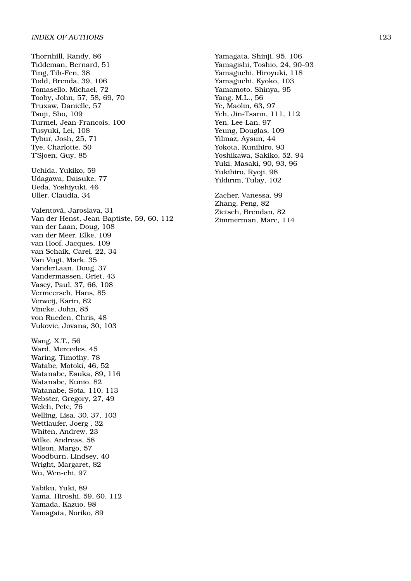Thornhill, Randy, 86 Tiddeman, Bernard, 51 Ting, Tih-Fen, 38 Todd, Brenda, 39, 106 Tomasello, Michael, 72 Tooby, John, 57, 58, 69, 70 Truxaw, Danielle, 57 Tsuji, Sho, 109 Turmel, Jean-Francois, 100 Tusyuki, Lei, 108 Tybur, Josh, 25, 71 Tye, Charlotte, 50 T'Sjoen, Guy, 85 Uchida, Yukiko, 59 Udagawa, Daisuke, 77 Ueda, Yoshiyuki, 46 Uller, Claudia, 34 Valentová, Jaroslava, 31 Van der Henst, Jean-Baptiste, 59, 60, 112 van der Laan, Doug, 108 van der Meer, Elke, 109 van Hoof, Jacques, 109 van Schaik, Carel, 22, 34 Van Vugt, Mark, 35 VanderLaan, Doug, 37 Vandermassen, Griet, 43 Vasey, Paul, 37, 66, 108 Vermeersch, Hans, 85 Verweij, Karin, 82 Vincke, John, 85 von Rueden, Chris, 48 Vukovic, Jovana, 30, 103 Wang, X.T., 56 Ward, Mercedes, 45 Waring, Timothy, 78 Watabe, Motoki, 46, 52 Watanabe, Esuka, 89, 116 Watanabe, Kunio, 82 Watanabe, Sota, 110, 113 Webster, Gregory, 27, 49 Welch, Pete, 76 Welling, Lisa, 30, 37, 103 Wettlaufer, Joerg , 32 Whiten, Andrew, 23 Wilke, Andreas, 58 Wilson, Margo, 57 Woodburn, Lindsey, 40 Wright, Margaret, 82 Wu, Wen-chi, 97 Yabiku, Yuki, 89 Yama, Hiroshi, 59, 60, 112 Yamada, Kazuo, 98 Yamagata, Noriko, 89

Yamagata, Shinji, 95, 106 Yamagishi, Toshio, 24, 90–93 Yamaguchi, Hiroyuki, 118 Yamaguchi, Kyoko, 103 Yamamoto, Shinya, 95 Yang, M.L., 56 Ye, Maolin, 63, 97 Yeh, Jin-Tsann, 111, 112 Yen, Lee-Lan, 97 Yeung, Douglas, 109 Yilmaz, Aysun, 44 Yokota, Kunihiro, 93 Yoshikawa, Sakiko, 52, 94 Yuki, Masaki, 90, 93, 96 Yukihiro, Ryoji, 98 Yıldırım, Tulay, 102

Zacher, Vanessa, 99 Zhang, Peng, 82 Zietsch, Brendan, 82 Zimmerman, Marc, 114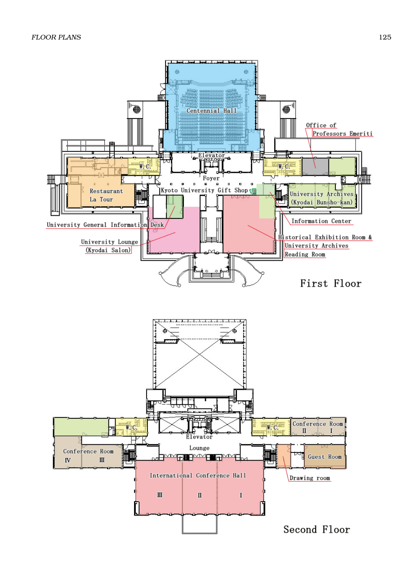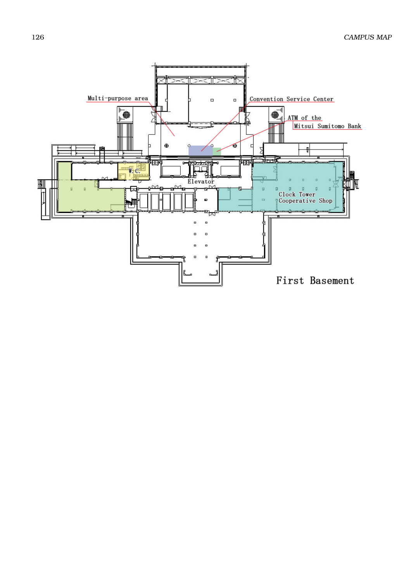